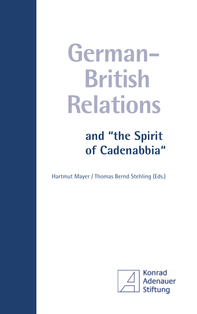# **German-British Relations**

## **and "the Spirit of Cadenabbia"**

Hartmut Mayer / Thomas Bernd Stehling (Eds.)

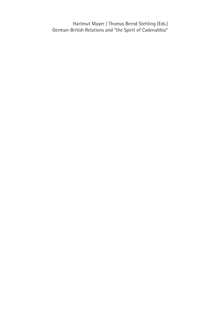Hartmut Mayer / Thomas Bernd Stehling (Eds.) German-British Relations and "the Spirit of Cadenabbia"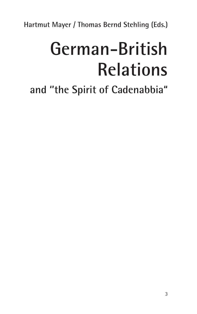**Hartmut Mayer / Thomas Bernd Stehling (Eds.)**

## **German-British Relations**

**and ''the Spirit of Cadenabbia"**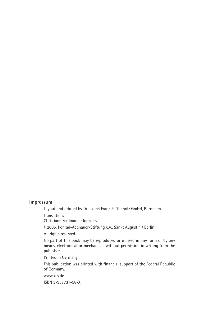#### **Impressum**

Layout and printed by Druckerei Franz Paffenholz GmbH, Bornheim Translation:

Christiane Ferdinand-Gonzales

© 2005, Konrad-Adenauer-Stiftung e.V., Sankt Augustin / Berlin

All rights reserved.

No part of this book may be reproduced or utilised in any form or by any means, electronical or mechanical, without permission in writing from the publisher.

Printed in Germany.

This publication was printed with financial support of the Federal Republic of Germany.

www.kas.de

ISBN 3-937731-58-X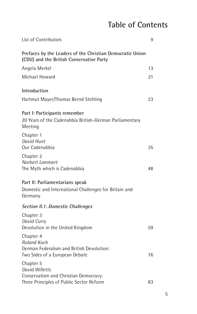## **Table of Contents**

| List of Contributors                                                                                                    | 9  |
|-------------------------------------------------------------------------------------------------------------------------|----|
| Prefaces by the Leaders of the Christian Democratic Union<br>(CDU) and the British Conservative Party                   |    |
| Angela Merkel                                                                                                           | 13 |
| Michael Howard                                                                                                          | 21 |
| Introduction                                                                                                            |    |
| Hartmut Mayer/Thomas Bernd Stehling                                                                                     | 23 |
| Part I: Participants remember<br>20 Years of the Cadenabbia British-German Parliamentary<br>Meeting                     |    |
| Chapter 1<br>David Hunt<br>Our Cadenabbia                                                                               | 35 |
| Chapter 2<br>Norbert Lammert<br>The Myth which is Cadenabbia                                                            | 48 |
| Part II: Parliamentarians speak<br>Domestic and International Challenges for Britain and<br>Germany                     |    |
| <b>Section II.1. Domestic Challenges</b>                                                                                |    |
| Chapter 3<br>David Curry<br>Devolution in the United Kingdom                                                            | 59 |
| Chapter 4<br>Roland Koch<br>German Federalism and British Devolution:<br>Two Sides of a European Debate                 | 76 |
| Chapter 5<br><b>David Willetts</b><br>Conservatism and Christian Democracy:<br>Three Principles of Public Sector Reform | 83 |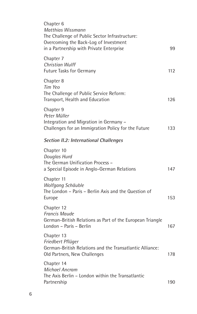| Chapter 6<br>Matthias Wissmann<br>The Challenge of Public Sector Infrastructure:<br>Overcoming the Back-Log of Investment<br>in a Partnership with Private Enterprise | 99  |
|-----------------------------------------------------------------------------------------------------------------------------------------------------------------------|-----|
| Chapter 7<br><b>Christian Wulff</b><br><b>Future Tasks for Germany</b>                                                                                                | 112 |
| Chapter 8<br>Tim Yeo<br>The Challenge of Public Service Reform:<br>Transport, Health and Education                                                                    | 126 |
| Chapter 9<br>Peter Müller<br>Integration and Migration in Germany -<br>Challenges for an Immigration Policy for the Future                                            | 133 |
| <b>Section II.2: International Challenges</b>                                                                                                                         |     |
| Chapter 10<br>Douglas Hurd<br>The German Unification Process -<br>a Special Episode in Anglo-German Relations                                                         | 147 |
| Chapter 11<br>Wolfgang Schäuble<br>The London - Paris - Berlin Axis and the Question of<br>Europe                                                                     | 153 |
| Chapter 12<br><b>Francis Maude</b><br>German-British Relations as Part of the European Triangle<br>London - Paris - Berlin                                            | 167 |
| Chapter 13<br>Friedbert Pflüger<br>German-British Relations and the Transatlantic Alliance:<br>Old Partners, New Challenges                                           | 178 |
| Chapter 14<br><b>Michael Ancram</b><br>The Axis Berlin - London within the Transatlantic<br>Partnership                                                               | 190 |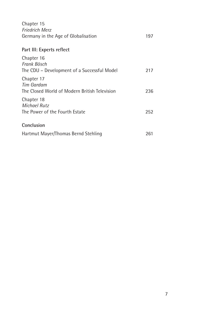| Chapter 15<br><b>Friedrich Merz</b><br>Germany in the Age of Globalisation       | 197 |
|----------------------------------------------------------------------------------|-----|
| Part III: Experts reflect                                                        |     |
| Chapter 16<br>Frank Bösch<br>The CDU – Development of a Successful Model         | 217 |
| Chapter 17<br><b>Tim Gardam</b><br>The Closed World of Modern British Television | 236 |
| Chapter 18<br><b>Michael Rutz</b><br>The Power of the Fourth Estate              | 252 |
| Conclusion                                                                       |     |
| Hartmut Mayer/Thomas Bernd Stehling                                              | 261 |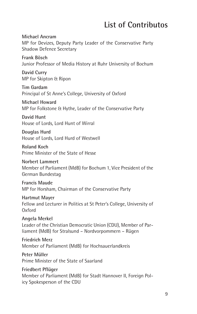## **List of Contributos**

**Michael Ancram** MP for Devizes, Deputy Party Leader of the Conservative Party Shadow Defence Secretary

**Frank Bösch** Junior Professor of Media History at Ruhr University of Bochum

**David Curry** MP for Skipton & Ripon

**Tim Gardam** Principal of St Anne's College, University of Oxford

**Michael Howard** MP for Folkstone & Hythe, Leader of the Conservative Party

**David Hunt** House of Lords, Lord Hunt of Wirral

**Douglas Hurd** House of Lords, Lord Hurd of Westwell

**Roland Koch** Prime Minister of the State of Hesse

**Norbert Lammert** Member of Parliament (MdB) for Bochum 1, Vice President of the German Bundestag

**Francis Maude** MP for Horsham, Chairman of the Conservative Party

**Hartmut Mayer** Fellow and Lecturer in Politics at St Peter's College, University of Oxford

**Angela Merkel** Leader of the Christian Democratic Union (CDU), Member of Parliament (MdB) for Stralsund – Nordvorpommern – Rügen

**Friedrich Merz** Member of Parliament (MdB) for Hochsauerlandkreis

**Peter Müller** Prime Minister of the State of Saarland

**Friedbert Pflüger** Member of Parliament (MdB) for Stadt Hannover II, Foreign Policy Spokesperson of the CDU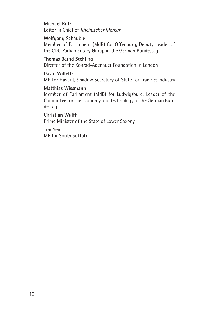**Michael Rutz** Editor in Chief of *Rheinischer Merkur*

#### **Wolfgang Schäuble**

Member of Parliament (MdB) for Offenburg, Deputy Leader of the CDU Parliamentary Group in the German Bundestag

#### **Thomas Bernd Stehling**

Director of the Konrad-Adenauer Foundation in London

#### **David Willetts**

MP for Havant, Shadow Secretary of State for Trade & Industry

#### **Matthias Wissmann**

Member of Parliament (MdB) for Ludwigsburg, Leader of the Committee for the Economy and Technology of the German Bundestag

**Christian Wulff** Prime Minister of the State of Lower Saxony

**Tim Yeo** MP for South Suffolk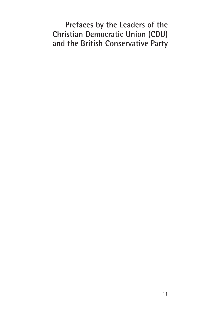## **Prefaces by the Leaders of the Christian Democratic Union (CDU) and the British Conservative Party**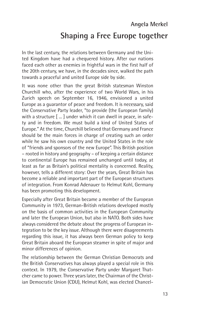#### **Shaping a Free Europe together**

In the last century, the relations between Germany and the United Kingdom have had a chequered history. After our nations faced each other as enemies in frightful wars in the first half of the 20th century, we have, in the decades since, walked the path towards a peaceful and united Europe side by side.

It was none other than the great British statesman Winston Churchill who, after the experience of two World Wars, in his Zurich speech on September 16, 1946, envisioned a united Europe as a guarantor of peace and freedom. It is necessary, said the Conservative Party leader, "to provide (the European family) with a structure  $\lceil \cdot \ldots \rceil$  under which it can dwell in peace, in safety and in freedom. We must build a kind of United States of Europe." At the time, Churchill believed that Germany and France should be the main forces in charge of creating such an order while he saw his own country and the United States in the role of "friends and sponsors of the new Europe". This British position – rooted in history and geography – of keeping a certain distance to continental Europe has remained unchanged until today, at least as far as Britain's political mentality is concerned. Reality, however, tells a different story: Over the years, Great Britain has become a reliable and important part of the European structures of integration. From Konrad Adenauer to Helmut Kohl, Germany has been promoting this development.

Especially after Great Britain became a member of the European Community in 1973, German-British relations developed mostly on the basis of common activities in the European Community and later the European Union, but also in NATO. Both sides have always considered the debate about the progress of European integration to be the key issue. Although there were disagreements regarding this issue, it has always been German policy to keep Great Britain aboard the European steamer in spite of major and minor differences of opinion.

The relationship between the German Christian Democrats and the British Conservatives has always played a special role in this context. In 1979, the Conservative Party under Margaret Thatcher came to power. Three years later, the Chairman of the Christian Democratic Union (CDU), Helmut Kohl, was elected Chancel-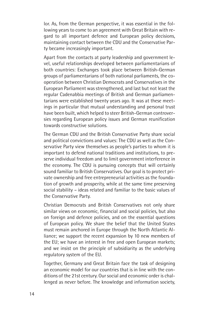lor. As, from the German perspective, it was essential in the following years to come to an agreement with Great Britain with regard to all important defence and European policy decisions, maintaining contact between the CDU and the Conservative Party became increasingly important.

Apart from the contacts at party leadership and government level, useful relationships developed between parliamentarians of both countries: Exchanges took place between British-German groups of parliamentarians of both national parliaments, the cooperation between Christian Democrats and Conservatives in the European Parliament was strengthened, and last but not least the regular Cadenabbia meetings of British and German parliamentarians were established twenty years ago. It was at these meetings in particular that mutual understanding and personal trust have been built, which helped to steer British-German controversies regarding European policy issues and German reunification towards constructive solutions.

The German CDU and the British Conservative Party share social and political convictions and values: The CDU as well as the Conservative Party view themselves as people's parties to whom it is important to defend national traditions and institutions, to preserve individual freedom and to limit government interference in the economy. The CDU is pursuing concepts that will certainly sound familiar to British Conservatives. Our goal is to protect private ownership and free entrepreneurial activities as the foundation of growth and prosperity, while at the same time preserving social stability – ideas related and familiar to the basic values of the Conservative Party.

Christian Democrats and British Conservatives not only share similar views on economic, financial and social policies, but also on foreign and defence policies, and on the essential questions of European policy. We share the belief that the United States must remain anchored in Europe through the North Atlantic Alliance; we support the recent expansion by 10 new members of the EU; we have an interest in free and open European markets; and we insist on the principle of subsidiarity as the underlying regulatory system of the EU.

Together, Germany and Great Britain face the task of designing an economic model for our countries that is in line with the conditions of the 21st century. Our social and economic order is challenged as never before. The knowledge and information society,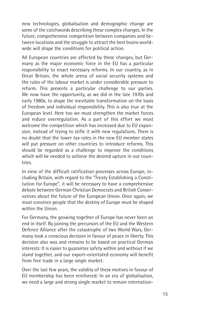new technologies, globalisation and demographic change are some of the catchwords describing these complex changes. In the future, comprehensive competition between companies and between locations and the struggle to attract the best brains worldwide will shape the conditions for political action.

All European countries are affected by these changes, but Germany as the major economic force in the EU has a particular responsibility to enact necessary reforms. In our country, as in Great Britain, the whole arena of social security systems and the rules of the labour market is under considerable pressure to reform. This presents a particular challenge to our parties. We now have the opportunity, as we did in the late 1970s and early 1980s, to shape the inevitable transformation on the basis of freedom and individual responsibility. This is also true at the European level. Here too we must strengthen the market forces and reduce overregulation. As a part of this effort we must welcome the competition which has increased due to EU expansion, instead of trying to stifle it with new regulations. There is no doubt that the lower tax rates in the new EU member states will put pressure on other countries to introduce reforms. This should be regarded as a challenge to improve the conditions which will be needed to achieve the desired upturn in our countries.

In view of the difficult ratification processes across Europe, including Britain, with regard to the "Treaty Establishing a Constitution for Europe", it will be necessary to have a comprehensive debate between German Christian Democrats and British Conservatives about the future of the European Union. Once again, we must convince people that the destiny of Europe must be shaped within the Union.

For Germany, the growing together of Europe has never been an end in itself. By joining the precursors of the EU and the Western Defence Alliance after the catastrophe of two World Wars, Germany took a conscious decision in favour of peace in liberty. This decision also was and remains to be based on practical German interests: It is easier to guarantee safety within and without if we stand together, and our export-orientated economy will benefit from free trade in a large single market.

Over the last few years, the validity of these motives in favour of EU membership has been reinforced: In an era of globalisation, we need a large and strong single market to remain internation-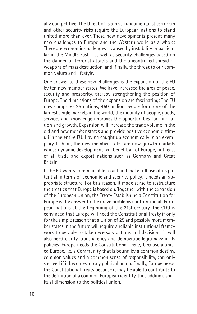ally competitive. The threat of Islamist-fundamentalist terrorism and other security risks require the European nations to stand united more than ever. These new developments present many new challenges to Europe and the Western world as a whole: There are economic challenges – caused by instability in particular in the Middle East – as well as security challenges based on the danger of terrorist attacks and the uncontrolled spread of weapons of mass destruction, and, finally, the threat to our common values and lifestyle.

One answer to these new challenges is the expansion of the EU by ten new member states: We have increased the area of peace, security and prosperity, thereby strengthening the position of Europe. The dimensions of the expansion are fascinating: The EU now comprises 25 nations; 450 million people form one of the largest single markets in the world; the mobility of people, goods, services and knowledge improves the opportunities for innovation and growth. Expansion will increase the trade volume in the old and new member states and provide positive economic stimuli in the entire EU. Having caught up economically in an exemplary fashion, the new member states are now growth markets whose dynamic development will benefit all of Europe, not least of all trade and export nations such as Germany and Great Britain.

If the EU wants to remain able to act and make full use of its potential in terms of economic and security policy, it needs an appropriate structure. For this reason, it made sense to restructure the treaties that Europe is based on. Together with the expansion of the European Union, the Treaty Establishing a Constitution for Europe is the answer to the grave problems confronting all European nations at the beginning of the 21st century. The CDU is convinced that Europe will need the Constitutional Treaty if only for the simple reason that a Union of 25 and possibly more member states in the future will require a reliable institutional framework to be able to take necessary actions and decisions; it will also need clarity, transparency and democratic legitimacy in its policies. Europe needs the Constitutional Treaty because a united Europe, i.e. a Community that is bound by a common destiny, common values and a common sense of responsibility, can only succeed if it becomes a truly political union. Finally, Europe needs the Constitutional Treaty because it may be able to contribute to the definition of a common European identity, thus adding a spiritual dimension to the political union.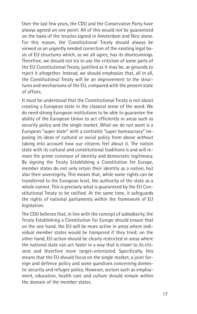Over the last few years, the CDU and the Conservative Party have always agreed on one point: All of this would not be guaranteed on the basis of the treaties signed in Amsterdam and Nice alone. For this reason, the Constitutional Treaty should always be viewed as an urgently needed correction of the existing legal basis of EU structures which, as we all agree, has its shortcomings. Therefore, we should not try to use the criticism of some parts of the EU Constitutional Treaty, justified as it may be, as grounds to reject it altogether. Instead, we should emphasize that, all in all, the Constitutional Treaty will be an improvement to the structures and mechanisms of the EU, compared with the present state of affairs.

It must be understood that the Constitutional Treaty is not about creating a European state in the classical sense of the word. We do need strong European institutions to be able to guarantee the ability of the European Union to act efficiently in areas such as security policy and the single market. What we do not want is a European "super state" with a centralist "super bureaucracy" imposing its ideas of cultural or social policy from above without taking into account how our citizens feel about it. The nation state with its cultural and constitutional traditions is and will remain the prime conveyor of identity and democratic legitimacy. By signing the Treaty Establishing a Constitution for Europe, member states do not only retain their identity as a nation, but also their sovereignty. This means that, while some rights can be transferred to the European level, the authority of the state as a whole cannot. This is precisely what is guaranteed by the EU Constitutional Treaty to be ratified. At the same time, it safeguards the rights of national parliaments within the framework of EU legislation.

The CDU believes that, in line with the concept of subsidiarity, the Treaty Establishing a Constitution for Europe should ensure that on the one hand, the EU will be more active in areas where individual member states would be hampered if they tried; on the other hand, EU action should be clearly restricted in areas where the national state can act faster in a way that is closer to its citizens and therefore more target-orientated. Specifically, this means that the EU should focus on the single market, a joint foreign and defence policy and some questions concerning domestic security and refugee policy. However, sectors such as employment, education, health care and culture should remain within the domain of the member states.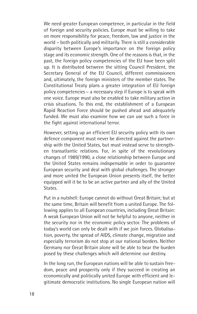We need greater European competence, in particular in the field of foreign and security policies. Europe must be willing to take on more responsibility for peace, freedom, law and justice in the world – both politically and militarily. There is still a considerable disparity between Europe's importance on the foreign policy stage and its economic strength. One of the reasons is that, in the past, the foreign policy competencies of the EU have been split up. It is distributed between the sitting Council President, the Secretary General of the EU Council, different commissioners and, ultimately, the foreign ministers of the member states. The Constitutional Treaty plans a greater integration of EU foreign policy competencies – a necessary step if Europe is to speak with one voice. Europe must also be enabled to take military action in crisis situations. To this end, the establishment of a European Rapid Reaction Force should be pushed ahead and adequately funded. We must also examine how we can use such a force in the fight against international terror.

However, setting up an efficient EU security policy with its own defence component must never be directed against the partnership with the United States, but must instead serve to strengthen transatlantic relations. For, in spite of the revolutionary changes of 1989/1990, a close relationship between Europe and the United States remains indispensable in order to guarantee European security and deal with global challenges. The stronger and more united the European Union presents itself, the better equipped will it be to be an active partner and ally of the United States.

Put in a nutshell: Europe cannot do without Great Britain; but at the same time, Britain will benefit from a united Europe. The following applies to all European countries, including Great Britain: A weak European Union will not be helpful to anyone, neither in the security nor in the economic policy sector. The problems of today's world can only be dealt with if we join forces. Globalisation, poverty, the spread of AIDS, climate change, migration and especially terrorism do not stop at our national borders. Neither Germany nor Great Britain alone will be able to bear the burden posed by these challenges which will determine our destiny.

In the long run, the European nations will be able to sustain freedom, peace and prosperity only if they succeed in creating an economically and politically united Europe with efficient and legitimate democratic institutions. No single European nation will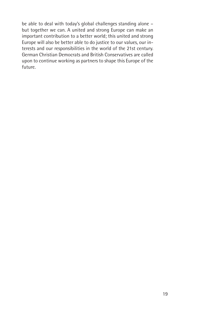be able to deal with today's global challenges standing alone – but together we can. A united and strong Europe can make an important contribution to a better world; this united and strong Europe will also be better able to do justice to our values, our interests and our responsibilities in the world of the 21st century. German Christian Democrats and British Conservatives are called upon to continue working as partners to shape this Europe of the future.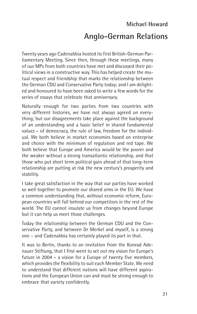## **Michael Howard Anglo-German Relations**

Twenty years ago Cadenabbia hosted its first British-German Parliamentary Meeting. Since then, through these meetings, many of our MPs from both countries have met and discussed their political views in a constructive way. This has helped create the mutual respect and friendship that marks the relationship between the German CDU and Conservative Party today; and I am delighted and honoured to have been asked to write a few words for the series of essays that celebrate that anniversary.

Naturally enough for two parties from two countries with very different histories, we have not always agreed on everything; but our disagreements take place against the background of an understanding and a basic belief in shared fundamental values – of democracy, the rule of law, freedom for the individual. We both believe in market economies based on enterprise and choice with the minimum of regulation and red tape. We both believe that Europe and America would be the poorer and the weaker without a strong transatlantic relationship, and that those who put short term political gain ahead of that long-term relationship are putting at risk the new century's prosperity and stability.

I take great satisfaction in the way that our parties have worked so well together to promote our shared aims in the EU. We have a common understanding that, without economic reform, European countries will fall behind our competitors in the rest of the world. The EU cannot insulate us from changes beyond Europe but it can help us meet those challenges.

Today the relationship between the German CDU and the Conservative Party, and between Dr Merkel and myself, is a strong one – and Cadenabbia has certainly played its part in that.

It was to Berlin, thanks to an invitation from the Konrad Adenauer Stiftung, that I first went to set out my vision for Europe's future in 2004 – a vision for a Europe of twenty five members, which provides the flexibility to suit each Member State. We need to understand that different nations will have different aspirations and the European Union can and must be strong enough to embrace that variety confidently.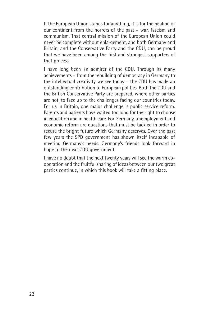If the European Union stands for anything, it is for the healing of our continent from the horrors of the past – war, fascism and communism. That central mission of the European Union could never be complete without enlargement, and both Germany and Britain, and the Conservative Party and the CDU, can be proud that we have been among the first and strongest supporters of that process.

I have long been an admirer of the CDU. Through its many achievements – from the rebuilding of democracy in Germany to the intellectual creativity we see today – the CDU has made an outstanding contribution to European politics. Both the CDU and the British Conservative Party are prepared, where other parties are not, to face up to the challenges facing our countries today. For us in Britain, one major challenge is public service reform. Parents and patients have waited too long for the right to choose in education and in health care. For Germany, unemployment and economic reform are questions that must be tackled in order to secure the bright future which Germany deserves. Over the past few years the SPD government has shown itself incapable of meeting Germany's needs. Germany's friends look forward in hope to the next CDU government.

I have no doubt that the next twenty years will see the warm cooperation and the fruitful sharing of ideas between our two great parties continue, in which this book will take a fitting place.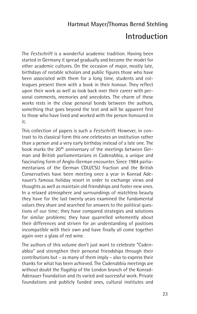#### **Hartmut Mayer/Thomas Bernd Stehling**

#### **Introduction**

The *Festschrift* is a wonderful academic tradition. Having been started in Germany it spread gradually and became the model for other academic cultures. On the occasion of major, mostly late, birthdays of notable scholars and public figures those who have been associated with them for a long time, students and colleagues present them with a book in their honour. They reflect upon their work as well as look back over their career with personal comments, memories and anecdotes. The charm of these works rests in the close personal bonds between the authors, something that goes beyond the text and will be apparent first to those who have lived and worked with the person honoured in it.

This collection of papers is such a *Festschrift*. However, in contrast to its classical form this one celebrates an institution rather than a person and a very early birthday instead of a late one. The book marks the 20<sup>th</sup> anniversary of the meetings between German and British parliamentarians in Cadenabbia, a unique and fascinating form of Anglo-German encounter. Since 1984 parliamentarians of the German CDU/CSU fraction and the British Conservatives have been meeting once a year in Konrad Adenauer's famous holiday resort in order to exchange views and thoughts as well as maintain old friendships and foster new ones. In a relaxed atmosphere and surroundings of matchless beauty they have for the last twenty years examined the fundamental values they share and searched for answers to the political questions of our time; they have compared strategies and solutions for similar problems; they have quarrelled vehemently about their differences and striven for an understanding of positions incompatible with their own and have finally all come together again over a glass of red wine.

The authors of this volume don't just want to celebrate "Cadenabbia" and strengthen their personal friendships through their contributions but – as many of them imply – also to express their thanks for what has been achieved. The Cadenabbia meetings are without doubt the flagship of the London branch of the Konrad-Adenauer Foundation and its varied and successful work. Private foundations and publicly funded ones, cultural institutes and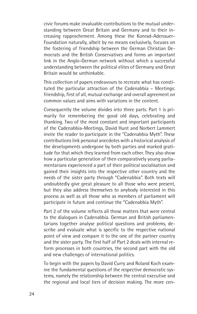civic forums make invaluable contributions to the mutual understanding between Great Britain and Germany and to their increasing rapprochement. Among these the Konrad-Adenauer-Foundation naturally, albeit by no means exclusively, focuses on the fostering of friendship between the German Christian Democrats and the British Conservatives and forms an important link in the Anglo-German network without which a successful understanding between the political elites of Germany and Great Britain would be unthinkable.

This collection of papers endeavours to recreate what has constituted the particular attraction of the Cadenabbia – Meetings: friendship, first of all, mutual exchange and overall agreement on common values and aims with variations in the content.

Consequently the volume divides into three parts. Part 1 is primarily for remembering the good old days, celebrating and thanking. Two of the most constant and important participants of the Cadenabbia-Meetings, David Hunt and Norbert Lammert invite the reader to participate in the "Cadenabbia Myth". These contributions link personal anecdotes with a historical analysis of the developments undergone by both parties and marked gratitude for that which they learned from each other. They also show how a particular generation of then comparatively young parliamentarians experienced a part of their political socialisation and gained their insights into the respective other country and the needs of the sister party through "Cadenabbia". Both texts will undoubtedly give great pleasure to all those who were present, but they also address themselves to anybody interested in this process as well as all those who as members of parliament will participate in future and continue the "Cadenabbia Myth".

Part 2 of the volume reflects all those matters that were central to the dialogues in Cadenabbia. German and British parliamentarians together analyse political questions and problems, describe and evaluate what is specific to the respective national point of view and compare it to the one of the partner country and the sister party. The first half of Part 2 deals with internal reform processes in both countries, the second part with the old and new challenges of international politics.

To begin with the papers by David Curry and Roland Koch examine the fundamental questions of the respective democratic systems, namely the relationship between the central executive and the regional and local tiers of decision making. The more cen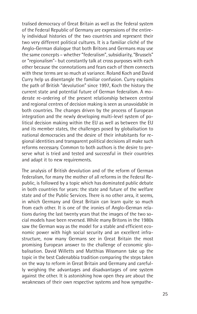tralised democracy of Great Britain as well as the federal system of the Federal Republic of Germany are expressions of the entirely individual histories of the two countries and represent their two very different political cultures. It is a familiar cliché of the Anglo-German dialogue that both Britons and Germans may use the same concepts – whether "federalism", subsidiarity, "Brussels" or "regionalism"- but constantly talk at cross purposes with each other because the connotations and fears each of them connects with these terms are so much at variance. Roland Koch and David Curry help us disentangle the familiar confusion. Curry explains the path of British "devolution" since 1997, Koch the history the current state and potential future of German federalism. A moderate re-ordering of the present relationship between central and regional centres of decision making is seen as unavoidable in both countries. The changes driven by the process of European integration and the newly developing multi-level system of political decision making within the EU as well as between the EU and its member states, the challenges posed by globalisation to national democracies and the desire of their inhabitants for regional identities and transparent political decisions all make such reforms necessary. Common to both authors is the desire to preserve what is tried and tested and successful in their countries and adapt it to new requirements.

The analysis of British devolution and of the reform of German federalism, for many the mother of all reforms in the Federal Republic, is followed by a topic which has dominated public debate in both countries for years: the state and future of the welfare state and of the Public Services. There is no other area, it seems, in which Germany and Great Britain can learn quite so much from each other. It is one of the ironies of Anglo-German relations during the last twenty years that the images of the two social models have been reversed. While many Britons in the 1980s saw the German way as the model for a stable and efficient economic power with high social security and an excellent infrastructure, now many Germans see in Great Britain the most promising European answer to the challenge of economic globalisation. David Willetts and Matthias Wissmann take up the topic in the best Cadenabbia tradition comparing the steps taken on the way to reform in Great Britain and Germany and carefully weighing the advantages and disadvantages of one system against the other. It is astonishing how open they are about the weaknesses of their own respective systems and how sympathe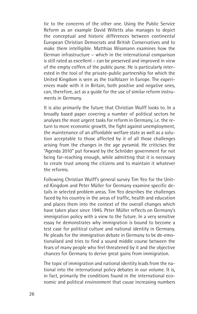tic to the concerns of the other one. Using the Public Service Reform as an example David Willetts also manages to depict the conceptual and historic differences between continental European Christian Democrats and British Conservatives and to make them intelligible. Matthias Wissmann examines how the German infrastructure – which in the international comparison is still rated as excellent – can be preserved and improved in view of the empty coffers of the public purse. He is particularly interested in the tool of the private-public partnership for which the United Kingdom is seen as the trailblazer in Europe. The experiences made with it in Britain, both positive and negative ones, can, therefore, act as a guide for the use of similar reform instruments in Germany.

It is also primarily the future that Christian Wulff looks to. In a broadly based paper covering a number of political sectors he analyses the most urgent tasks for reform in Germany, i.e. the return to more economic growth, the fight against unemployment, the maintenance of an affordable welfare state as well as a solution acceptable to those affected by it of all those challenges arising from the changes in the age pyramid. He criticises the "Agenda 2010" put forward by the Schröder government for not being far-reaching enough, while admitting that it is necessary to create trust among the citizens and to maintain it whatever the reforms.

Following Christian Wulff's general survey Tim Yeo for the United Kingdom and Peter Müller for Germany examine specific details in selected problem areas. Tim Yeo describes the challenges faced by his country in the areas of traffic, health and education and places them into the context of the overall changes which have taken place since 1945. Peter Müller reflects on Germany's immigration policy with a view to the future. In a very sensitive essay he demonstrates why immigration is bound to become a test case for political culture and national identity in Germany. He pleads for the immigration debate in Germany to be de-emotionalised and tries to find a sound middle course between the fears of many people who feel threatened by it and the objective chances for Germany to derive great gains from immigration.

The topic of immigration and national identity leads from the national into the international policy debates in our volume. It is, in fact, primarily the conditions found in the international economic and political environment that cause increasing numbers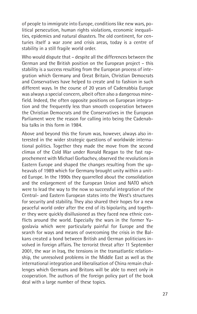of people to immigrate into Europe, conditions like new wars, political persecution, human rights violations, economic inequalities, epidemics and natural disasters. The old continent, for centuries itself a war zone and crisis areas, today is a centre of stability in a still fragile world order.

Who would dispute that – despite all the differences between the German and the British position on the European project – this stability is a success resulting from the European process of integration which Germany and Great Britain, Christian Democrats and Conservatives have helped to create and to fashion in such different ways. In the course of 20 years of Cadenabbia Europe was always a special concern, albeit often also a dangerous minefield. Indeed, the often opposite positions on European integration and the frequently less than smooth cooperation between the Christian Democrats and the Conservatives in the European Parliament were the reason for calling into being the Cadenabbia talks in this form in 1984.

Above and beyond this the forum was, however, always also interested in the wider strategic questions of worldwide international politics. Together they made the move from the second climax of the Cold War under Ronald Reagan to the fast rapprochement with Michael Gorbachev, observed the revolutions in Eastern Europe and shaped the changes resulting from the upheavals of 1989 which for Germany brought unity within a united Europe. In the 1990s they quarrelled about the consolidation and the enlargement of the European Union and NATO which were to lead the way to the now so successful integration of the Central- and Eastern European states into the West's structures for security and stability. They also shared their hopes for a new peaceful world order after the end of its bipolarity, and together they were quickly disillusioned as they faced new ethnic conflicts around the world. Especially the wars in the former Yugoslavia which were particularly painful for Europe and the search for ways and means of overcoming the crisis in the Balkans created a bond between British and German politicians involved in foreign affairs. The terrorist threat after 11 September 2001, the war in Iraq, the tensions in the transatlantic relationship, the unresolved problems in the Middle East as well as the international integration and liberalisation of China remain challenges which Germans and Britons will be able to meet only in cooperation. The authors of the foreign policy part of the book deal with a large number of these topics.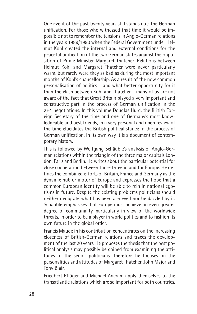One event of the past twenty years still stands out: the German unification. For those who witnessed that time it would be impossible not to remember the tensions in Anglo-German relations in the years 1989/1990 when the Federal Government under Helmut Kohl created the internal and external conditions for the peaceful unification of the two German states against the opposition of Prime Minister Margaret Thatcher. Relations between Helmut Kohl and Margaret Thatcher were never particularly warm, but rarely were they as bad as during the most important months of Kohl's chancellorship. As a result of the now common personalisation of politics – and what better opportunity for it than the clash between Kohl and Thatcher – many of us are not aware of the fact that Great Britain played a very important and constructive part in the process of German unification in the 2+4 negotiations. In this volume Douglas Hurd, the British Foreign Secretary of the time and one of Germany's most knowledgeable and best friends, in a very personal and open review of the time elucidates the British political stance in the process of German unification. In its own way it is a document of contemporary history.

This is followed by Wolfgang Schäuble's analysis of Anglo-German relations within the triangle of the three major capitals London, Paris and Berlin. He writes about the particular potential for close cooperation between those three in and for Europe. He defines the combined efforts of Britain, France and Germany as the dynamic hub or motor of Europe and expresses the hope that a common European identity will be able to rein in national egotisms in future. Despite the existing problems politicians should neither denigrate what has been achieved nor be dazzled by it. Schäuble emphasises that Europe must achieve an even greater degree of communality, particularly in view of the worldwide threats, in order to be a player in world politics and to fashion its own future in the global order.

Francis Maude in his contribution concentrates on the increasing closeness of British-German relations and traces the development of the last 20 years. He proposes the thesis that the best political analysis may possibly be gained from examining the attitudes of the senior politicians. Therefore he focuses on the personalities and attitudes of Margaret Thatcher, John Major and Tony Blair.

Friedbert Pflüger and Michael Ancram apply themselves to the transatlantic relations which are so important for both countries.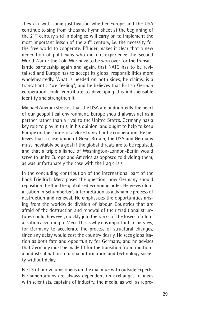They ask with some justification whether Europe and the USA continue to sing from the same hymn sheet at the beginning of the 21st century and in doing so will carry on to implement the most important lesson of the  $20<sup>th</sup>$  century, i.e. the necessity for the free world to cooperate. Pflüger makes it clear that a new generation of politicians who did not experience the Second World War or the Cold War have to be won over for the transatlantic partnership again and again, that NATO has to be revitalised and Europe has to accept its global responsibilities more wholeheartedly. What is needed on both sides, he claims, is a transatlantic "we-feeling", and he believes that British-German cooperation could contribute to developing this indispensable identity and strengthen it.

Michael Ancram stresses that the USA are undoubtedly the heart of our geopolitical environment. Europe should always act as a partner rather than a rival to the United States. Germany has a key role to play in this, in his opinion, and ought to help to keep Europe on the course of a close transatlantic cooperation. He believes that a close union of Great Britain, the USA and Germany must inevitably be a goal if the global threats are to be repulsed, and that a triple alliance of Washington-London-Berlin would serve to unite Europe and America as opposed to dividing them, as was unfortunately the case with the Iraq crisis.

In the concluding contribution of the international part of the book Friedrich Merz poses the question, how Germany should reposition itself in the globalised economic order. He views globalisation in Schumperter's interpretation as a dynamic process of destruction and renewal. He emphasises the opportunities arising from the worldwide division of labour. Countries that are afraid of the destruction and renewal of their traditional structures could, however, quickly join the ranks of the losers of globalisation according to Merz. This is why it is important, in his view, for Germany to accelerate the process of structural changes, since any delay would cost the country dearly. He sees globalisation as both fate and opportunity for Germany, and he advises that Germany must be made fit for the transition from traditional industrial nation to global information and technology society without delay.

Part 3 of our volume opens up the dialogue with outside experts. Parliamentarians are always dependent on exchanges of ideas with scientists, captains of industry, the media, as well as repre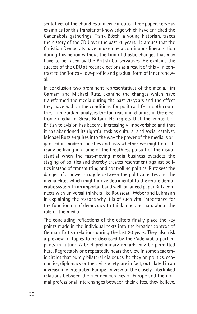sentatives of the churches and civic groups. Three papers serve as examples for this transfer of knowledge which have enriched the Cadenabbia gatherings. Frank Bösch, a young historian, traces the history of the CDU over the past 20 years. He argues that the Christian Democrats have undergone a continuous liberalisation during this period without the kind of drastic changes that may have to be faced by the British Conservatives. He explains the success of the CDU at recent elections as a result of this – in contrast to the Tories – low-profile and gradual form of inner renewal.

In conclusion two prominent representatives of the media, Tim Gardam and Michael Rutz, examine the changes which have transformed the media during the past 20 years and the effect they have had on the conditions for political life in both countries. Tim Gardam analyses the far-reaching changes in the electronic media in Great Britain. He regrets that the content of British television has become increasingly impoverished and that it has abandoned its rightful task as cultural and social catalyst. Michael Rutz enquires into the way the power of the media is organised in modern societies and asks whether we might not already be living in a time of the breathless pursuit of the insubstantial when the fast-moving media business overdoes the staging of politics and thereby creates resentment against politics instead of transmitting and controlling politics. Rutz sees the danger of a power struggle between the political elites and the media elites which might prove detrimental to the entire democratic system. In an important and well-balanced paper Rutz connects with universal thinkers like Rousseau, Weber and Luhmann in explaining the reasons why it is of such vital importance for the functioning of democracy to think long and hard about the role of the media.

The concluding reflections of the editors finally place the key points made in the individual texts into the broader context of German-British relations during the last 20 years. They also risk a preview of topics to be discussed by the Cadenabbia participants in future. A brief preliminary remark may be permitted here. Regrettably one repeatedly hears the view in some academic circles that purely bilateral dialogues, be they on politics, economics, diplomacy or the civil society, are in fact, out-dated in an increasingly integrated Europe. In view of the closely interlinked relations between the rich democracies of Europe and the normal professional interchanges between their elites, they believe,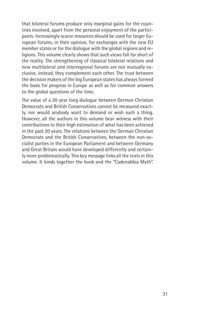that bilateral forums produce only marginal gains for the countries involved, apart from the personal enjoyment of the participants. Increasingly scarce resources should be used for larger European forums, in their opinion, for exchanges with the new EU member states or for the dialogue with the global regions and religions. This volume clearly shows that such views fall far short of the reality. The strengthening of classical bilateral relations and new multilateral and interregional forums are not mutually exclusive, instead, they complement each other. The trust between the decision makers of the big European states has always formed the basis for progress in Europe as well as for common answers to the global questions of the time.

The value of a 20 year long dialogue between German Christian Democrats and British Conservatives cannot be measured exactly, nor would anybody want to demand or wish such a thing. However, all the authors in this volume bear witness with their contributions to their high estimation of what has been achieved in the past 20 years. The relations between the German Christian Democrats and the British Conservatives, between the non-socialist parties in the European Parliament and between Germany and Great Britain would have developed differently and certainly more problematically. This key message links all the texts in this volume. It binds together the book and the "Cadenabbia Myth".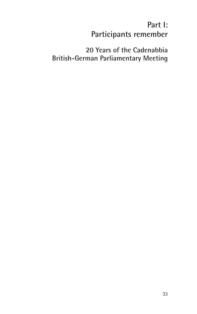## **Part I: Participants remember**

#### **20 Years of the Cadenabbia British-German Parliamentary Meeting**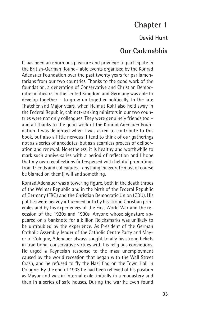### **Chapter 1**

#### **David Hunt**

#### **Our Cadenabbia**

It has been an enormous pleasure and privilege to participate in the British-German Round-Table events organised by the Konrad Adenauer Foundation over the past twenty years for parliamentarians from our two countries. Thanks to the good work of the foundation, a generation of Conservative and Christian Democratic politicians in the United Kingdom and Germany was able to develop together – to grow up together politically. In the late Thatcher and Major years, when Helmut Kohl also held sway in the Federal Republic, cabinet-ranking ministers in our two countries were not only colleagues. They were genuinely friends too – and all thanks to the good work of the Konrad Adenauer Foundation. I was delighted when I was asked to contribute to this book, but also a little nervous: I tend to think of our gatherings not as a series of anecdotes, but as a seamless process of deliberation and renewal. Nonetheless, it is healthy and worthwhile to mark such anniversaries with a period of reflection and I hope that my own recollections (interspersed with helpful promptings from friends and colleagues – anything inaccurate must of course be blamed on them!) will add something.

Konrad Adenauer was a towering figure, both in the death throes of the Weimar Republic and in the birth of the Federal Republic of Germany (FRG) and the Christian Democratic Union (CDU). His politics were heavily influenced both by his strong Christian principles and by his experiences of the First World War and the recession of the 1920s and 1930s. Anyone whose signature appeared on a banknote for a billion Reichsmarks was unlikely to be untroubled by the experience. As President of the German Catholic Assembly, leader of the Catholic Centre Party and Mayor of Cologne, Adenauer always sought to ally his strong beliefs in traditional conservative virtues with his religious convictions. He urged a Keynesian response to the mass unemployment caused by the world recession that began with the Wall Street Crash, and he refused to fly the Nazi flag on the Town Hall in Cologne. By the end of 1933 he had been relieved of his position as Mayor and was in internal exile, initially in a monastery and then in a series of safe houses. During the war he even found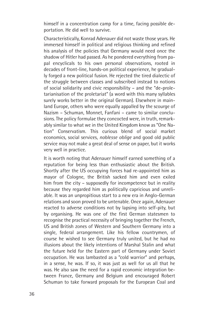himself in a concentration camp for a time, facing possible deportation. He did well to survive.

Characteristically, Konrad Adenauer did not waste those years. He immersed himself in political and religious thinking and refined his analysis of the policies that Germany would need once the shadow of Hitler had passed. As he pondered everything from papal encyclicals to his own personal observations, rooted in decades of front-line, hands-on political experience, he gradually forged a new political fusion. He rejected the tired dialectic of the struggle between classes and subscribed instead to notions of social solidarity and civic responsibility – and the "de-proletarianisation of the proletariat" (a word with this many syllables surely works better in the original German). Elsewhere in mainland Europe, others who were equally appalled by the scourge of Nazism – Schuman, Monnet, Fanfani – came to similar conclusions. The policy formulae they concocted were, in truth, remarkably similar to what we in the United Kingdom know as "One Nation" Conservatism. This curious blend of social market economics, social services, *noblesse oblige* and good old public service may not make a great deal of sense on paper, but it works very well in practice.

It is worth noting that Adenauer himself earned something of a reputation for being less than enthusiastic about the British. Shortly after the US occupying forces had re-appointed him as mayor of Cologne, the British sacked him and even exiled him from the city – supposedly for incompetence but in reality because they regarded him as politically capricious and unreliable. It was an unpropitious start to a new era in Anglo-German relations and soon proved to be untenable. Once again, Adenauer reacted to adverse conditions not by lapsing into self-pity, but by organising. He was one of the first German statesmen to recognise the practical necessity of bringing together the French, US and British zones of Western and Southern Germany into a single, federal arrangement. Like his fellow countrymen, of course he wished to see Germany truly united, but he had no illusions about the likely intentions of Marshal Stalin and what the future held for the Eastern part of Germany under Soviet occupation. He was lambasted as a "cold warrior" and perhaps, in a sense, he was. If so, it was just as well for us all that he was. He also saw the need for a rapid economic integration between France, Germany and Belgium and encouraged Robert Schuman to take forward proposals for the European Coal and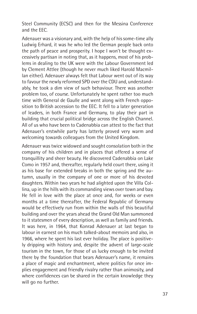Steel Community (ECSC) and then for the Messina Conference and the EEC.

Adenauer was a visionary and, with the help of his some-time ally Ludwig Erhard, it was he who led the German people back onto the path of peace and prosperity. I hope I won't be thought excessively partisan in noting that, as it happens, most of his problems in dealing to the UK were with the Labour Government led by Clement Attlee (though he never much liked Harold Macmillan either). Adenauer always felt that Labour went out of its way to favour the newly reformed SPD over the CDU and, understandably, he took a dim view of such behaviour. There was another problem too, of course. Unfortunately he spent rather too much time with General de Gaulle and went along with French opposition to British accession to the EEC. It fell to a later generation of leaders, in both France and Germany, to play their part in building that crucial political bridge across the English Channel. All of us who have been to Cadenabbia can attest to the fact that Adenauer's erstwhile party has latterly proved very warm and welcoming towards colleagues from the United Kingdom.

Adenauer was twice widowed and sought consolation both in the company of his children and in places that offered a sense of tranquillity and sheer beauty. He discovered Cadenabbia on Lake Como in 1957 and, thereafter, regularly held court there, using it as his base for extended breaks in both the spring and the autumn, usually in the company of one or more of his devoted daughters. Within two years he had alighted upon the Villa Collina, up in the hills with its commanding views over town and bay. He fell in love with the place at once and, for weeks or even months at a time thereafter, the Federal Republic of Germany would be effectively run from within the walls of this beautiful building and over the years ahead the Grand Old Man summoned to it statesmen of every description, as well as family and friends. It was here, in 1964, that Konrad Adenauer at last began to labour in earnest on his much talked-about memoirs and also, in 1966, where he spent his last ever holiday. The place is positively dripping with history and, despite the advent of large-scale tourism in the town, for those of us lucky enough to be invited there by the foundation that bears Adenauer's name, it remains a place of magic and enchantment, where politics for once implies engagement and friendly rivalry rather than animosity, and where confidences can be shared in the certain knowledge they will go no further.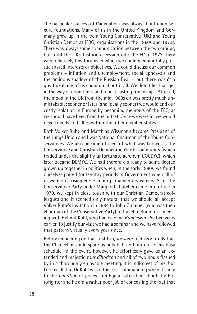The particular success of Cadenabbia was always built upon secure foundations. Many of us in the United Kingdom and Germany grew up in the twin Young Conservative (UK) and Young Christian Democrat (FRG) organisations in the 1960s and 1970s. There was always some communication between the two groups, but until the UK's historic accession into the EC in 1973 there were relatively few forums in which we could meaningfully pursue shared interests or objectives. We could discuss our common problems – inflation and unemployment, social upheavals and the ominous shadow of the Russian Bear – but there wasn't a great deal any of us could do about it all. We didn't let that get in the way of good times and robust, lasting friendships. After all, the mood in the UK from the mid 1960s on was pretty much unmistakable: sooner or later (and ideally sooner) we would end our costly isolation in Europe by becoming members of the EEC, as we should have been from the outset. Once we were in, we would need friends and allies within the other member states.

Both Volker Rühe and Matthias Wissmann became President of the Junge Union and I was National Chairman of the Young Conservatives. We also became officers of what was known as the Conservative and Christian Democratic Youth Community (which traded under the slightly unfortunate acronym COCDYC), which later became DEMYC. We had therefore already to some degree grown up together in politics when, in the early 1980s, we found ourselves poised for lengthy periods in Government when all of us were on a rising curve in our parliamentary careers. After the Conservative Party under Margaret Thatcher came into office in 1979, we kept in close touch with our Christian Democrat colleagues and it seemed only natural that we should all accept Volker Rühe's invitation in 1984 to John Gummer (who was then chairman of the Conservative Party) to travel to Bonn for a meeting with Helmut Kohl, who had become *Bundeskanzler* two years earlier. To justify our visit we had a seminar and we have followed that pattern virtually every year since.

Before embarking on that first trip, we were told very firmly that the Chancellor could spare us only half an hour out of his busy schedule. In the event, however, he effortlessly gave us an extended and majestic *tour d'horizon* and all of two hours flashed by in a thoroughly enjoyable meeting. It is indiscreet of me, but I do recall that Dr Kohl was rather less commanding when it came to the *minutiae* of policy. Tim Eggar asked him about the Eurofighter and he did a rather poor job of concealing the fact that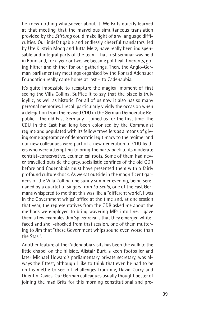he knew nothing whatsoever about it. We Brits quickly learned at that meeting that the marvellous simultaneous translation provided by the *Stiftung* could make light of any language difficulties. Our indefatigable and endlessly cheerful translators, led by Ute Kirstein Moog and Jutta Merz, have really been indispensable and integral parts of the team. That first seminar was held in Bonn and, for a year or two, we became political itinerants, going hither and thither for our gatherings. Then, the Anglo-German parliamentary meetings organised by the Konrad Adenauer Foundation really came home at last – to Cadenabbia.

It's quite impossible to recapture the magical moment of first seeing the Villa Collina. Suffice it to say that the place is truly idyllic, as well as historic. For all of us now it also has so many personal memories. I recall particularly vividly the occasion when a delegation from the revived CDU in the German Democratic Republic – the old East Germany – joined us for the first time. The CDU in the East had long been colonised by the Communist regime and populated with its fellow travellers as a means of giving some appearance of democratic legitimacy to the regime; and our new colleagues were part of a new generation of CDU leaders who were attempting to bring the party back to its moderate centrist-conservative, ecumenical roots. Some of them had never travelled outside the grey, socialistic confines of the old GDR before and Cadenabbia must have presented them with a fairly profound culture shock. As we sat outside in the magnificent gardens of the Villa Collina one sunny summer evening, being serenaded by a quartet of singers from *La Scala*, one of the East Germans whispered to me that this was like a "different world". I was in the Government whips' office at the time and, at one session that year, the representatives from the GDR asked me about the methods we employed to bring wavering MPs into line. I gave them a few examples. Jim Spicer recalls that they emerged whitefaced and shell-shocked from that session, one of them muttering to Jim that "these Government whips sound even worse than the Stasi".

Another feature of the Cadenabbia visits has been the walk to the little chapel on the hillside. Alistair Burt, a keen footballer and later Michael Howard's parliamentary private secretary, was always the fittest, although I like to think that even he had to be on his mettle to see off challenges from me, David Curry and Quentin Davies. Our German colleagues usually thought better of joining the mad Brits for this morning constitutional and pre-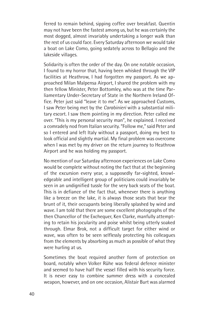ferred to remain behind, sipping coffee over breakfast. Quentin may not have been the fastest among us, but he was certainly the most dogged, almost invariably undertaking a longer walk than the rest of us could face. Every Saturday afternoon we would take a boat on Lake Como, going sedately across to Bellagio and the lakeside villages.

Solidarity is often the order of the day. On one notable occasion, I found to my horror that, having been whisked through the VIP facilities at Heathrow, I had forgotten my passport. As we approached Milan Malpensa Airport, I shared the problem with my then fellow Minister, Peter Bottomley, who was at the time Parliamentary Under-Secretary of State in the Northern Ireland Office. Peter just said "leave it to me". As we approached Customs, I saw Peter being met by the *Carabinieri* with a substantial military escort. I saw them pointing in my direction. Peter called me over. "This is my personal security man", he explained. I received a comradely nod from Italian security. "Follow me," said Peter and so I entered and left Italy without a passport, doing my best to look official and slightly martial. My final problem was overcome when I was met by my driver on the return journey to Heathrow Airport and he was holding my passport.

No mention of our Saturday afternoon experiences on Lake Como would be complete without noting the fact that at the beginning of the excursion every year, a supposedly far-sighted, knowledgeable and intelligent group of politicians could invariably be seen in an undignified tussle for the very back seats of the boat. This is in defiance of the fact that, whenever there is anything like a breeze on the lake, it is always those seats that bear the brunt of it, their occupants being liberally splashed by wind and wave. I am told that there are some excellent photographs of the then Chancellor of the Exchequer, Ken Clarke, manfully attempting to retain his jocularity and poise whilst being utterly soaked through. Elmar Brok, not a difficult target for either wind or wave, was often to be seen selflessly protecting his colleagues from the elements by absorbing as much as possible of what they were hurling at us.

Sometimes the boat required another form of protection on board, notably when Volker Rühe was federal defence minister and seemed to have half the vessel filled with his security force. It is never easy to combine summer dress with a concealed weapon, however, and on one occasion, Alistair Burt was alarmed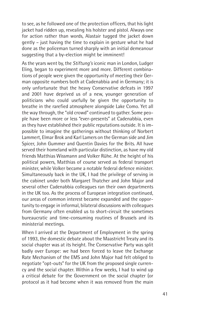to see, as he followed one of the protection officers, that his light jacket had ridden up, revealing his holster and pistol. Always one for action rather than words. Alastair tugged the jacket down gently – just having the time to explain in gesture what he had done as the policeman turned sharply with an initial demeanour suggesting that a by-election might be imminent!

As the years went by, the *Stiftung's* iconic man in London, Ludger Eling, began to experiment more and more. Different combinations of people were given the opportunity of meeting their German opposite numbers both at Cadenabbia and in Germany; it is only unfortunate that the heavy Conservative defeats in 1997 and 2001 have deprived us of a new, younger generation of politicians who could usefully be given the opportunity to breathe in the rarefied atmosphere alongside Lake Como. Yet all the way through, the "old crowd" continued to gather. Some people have been more or less "ever-presents" at Cadenabbia, even as they have established their public reputations outside. It is impossible to imagine the gatherings without thinking of Norbert Lammert, Elmar Brok and Karl Lamers on the German side and Jim Spicer, John Gummer and Quentin Davies for the Brits. All have served their homeland with particular distinction, as have my old friends Matthias Wissmann and Volker Rühe. At the height of his political powers, Matthias of course served as federal transport minister, while Volker became a notable federal defence minister. Simultaneously back in the UK, I had the privilege of serving in the cabinet under both Margaret Thatcher and John Major and several other Cadenabbia colleagues ran their own departments in the UK too. As the process of European integration continued, our areas of common interest became expanded and the opportunity to engage in informal, bilateral discussions with colleagues from Germany often enabled us to short-circuit the sometimes bureaucratic and time-consuming routines of Brussels and its ministerial meetings.

When I arrived at the Department of Employment in the spring of 1993, the domestic debate about the Maastricht Treaty and its social chapter was at its height. The Conservative Party was split badly over Europe: we had been forced to leave the Exchange Rate Mechanism of the EMS and John Major had felt obliged to negotiate "opt-outs" for the UK from the proposed single currency and the social chapter. Within a few weeks, I had to wind up a critical debate for the Government on the social chapter (or protocol as it had become when it was removed from the main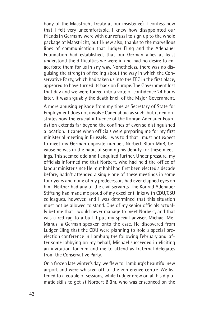body of the Maastricht Treaty at our insistence). I confess now that I felt very uncomfortable. I knew how disappointed our friends in Germany were with our refusal to sign up to the whole package at Maastricht, but I knew also, thanks to the marvellous lines of communication that Ludger Eling and the Adenauer Foundation had established, that our German allies at least understood the difficulties we were in and had no desire to exacerbate them for us in any way. Nonetheless, there was no disguising the strength of feeling about the way in which the Conservative Party, which had taken us into the EEC in the first place, appeared to have turned its back on Europe. The Government lost that day and we were forced into a vote of confidence 24 hours later. It was arguably the death knell of the Major Government.

A more amusing episode from my time as Secretary of State for Employment does not involve Cadenabbia as such, but it demonstrates how the crucial influence of the Konrad Adenauer Foundation extends far beyond the confines of even so distinguished a location. It came when officials were preparing me for my first ministerial meeting in Brussels. I was told that I must not expect to meet my German opposite number, Norbert Blüm MdB, because he was in the habit of sending his deputy for these meetings. This seemed odd and I enquired further. Under pressure, my officials informed me that Norbert, who had held the office of labour minister since Helmut Kohl had first been elected a decade before, hadn't attended a single one of these meetings in some four years and none of my predecessors had ever clapped eyes on him. Neither had any of the civil servants. The Konrad Adenauer Stiftung had made me proud of my excellent links with CDU/CSU colleagues, however, and I was determined that this situation must not be allowed to stand. One of my senior officials actually bet me that I would never manage to meet Norbert, and that was a red rag to a bull. I put my special adviser, Michael Mc-Manus, a German speaker, onto the case. He discovered from Ludger Eling that the CDU were planning to hold a special preelection conference in Hamburg the following February and, after some lobbying on my behalf, Michael succeeded in eliciting an invitation for him and me to attend as fraternal delegates from the Conservative Party.

On a frozen late winter's day, we flew to Hamburg's beautiful new airport and were whisked off to the conference centre. We listened to a couple of sessions, while Ludger drew on all his diplomatic skills to get at Norbert Blüm, who was ensconced on the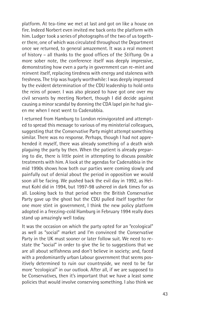platform. At tea-time we met at last and got on like a house on fire. Indeed Norbert even invited me back onto the platform with him. Ludger took a series of photographs of the two of us together there, one of which was circulated throughout the Department once we returned, to general amazement. It was a real moment of history – all thanks to the good offices of the *Stiftung.* On a more sober note, the conference itself was deeply impressive, demonstrating how even a party in government can re-mint and reinvent itself, replacing tiredness with energy and staleness with freshness. The trip was hugely worthwhile: I was deeply impressed by the evident determination of the CDU leadership to hold onto the reins of power. I was also pleased to have got one over my civil servants by meeting Norbert, though I did decide against causing a minor scandal by donning the CDA lapel pin he had given me when I next went to Cadenabbia.

I returned from Hamburg to London reinvigorated and attempted to spread this message to various of my ministerial colleagues, suggesting that the Conservative Party might attempt something similar. There was no response. Perhaps, though I had not apprehended it myself, there was already something of a death wish plaguing the party by then. When the patient is already preparing to die, there is little point in attempting to discuss possible treatments with him. A look at the agendas for Cadenabbia in the mid 1990s shows how both our parties were coming slowly and painfully out of denial about the period in opposition we would soon all be facing. We pushed back the evil day in 1992, as Helmut Kohl did in 1994, but 1997-98 ushered in dark times for us all. Looking back to that period when the British Conservative Party gave up the ghost but the CDU pulled itself together for one more stint in government, I think the new policy platform adopted in a freezing-cold Hamburg in February 1994 really does stand up amazingly well today.

It was the occasion on which the party opted for an "ecological" as well as "social" market and I'm convinced the Conservative Party in the UK must sooner or later follow suit. We need to restate the "social" in order to give the lie to suggestions that we are all about selfishness and don't believe in society; and, faced with a predominantly urban Labour government that seems positively determined to ruin our countryside, we need to be far more "ecological" in our outlook. After all, if we are supposed to be Conservatives, then it's important that we have a least some policies that would involve conserving something. I also think we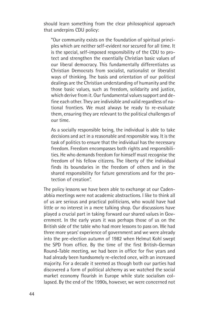should learn something from the clear philosophical approach that underpins CDU policy:

"Our community exists on the foundation of spiritual principles which are neither self-evident nor secured for all time. It is the special, self-imposed responsibility of the CDU to protect and strengthen the essentially Christian basic values of our liberal democracy. This fundamentally differentiates us Christian Democrats from socialist, nationalist or liberalist ways of thinking. The basis and orientation of our political dealings are the Christian understanding of humanity and the those basic values, such as freedom, solidarity and justice, which derive from it. Our fundamental values support and define each other. They are indivisible and valid regardless of national frontiers. We must always be ready to re-evaluate them, ensuring they are relevant to the political challenges of our time.

As a socially responsible being, the individual is able to take decisions and act in a reasonable and responsible way. It is the task of politics to ensure that the individual has the necessary freedom. Freedom encompasses both rights and responsibilities. He who demands freedom for himself must recognise the freedom of his fellow citizens. The liberty of the individual finds its boundaries in the freedom of others and in the shared responsibility for future generations and for the protection of creation".

The policy lessons we have been able to exchange at our Cadenabbia meetings were not academic abstractions. I like to think all of us are serious and practical politicians, who would have had little or no interest in a mere talking shop. Our discussions have played a crucial part in taking forward our shared values in Government. In the early years it was perhaps those of us on the British side of the table who had more lessons to pass on. We had three more years' experience of government and we were already into the pre-election autumn of 1982 when Helmut Kohl swept the SPD from office. By the time of the first British-German Round-Table meeting, we had been in office for five years and had already been handsomely re-elected once, with an increased majority. For a decade it seemed as though both our parties had discovered a form of political alchemy as we watched the social market economy flourish in Europe while state socialism collapsed. By the end of the 1990s, however, we were concerned not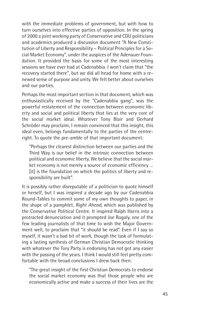with the immediate problems of government, but with how to turn ourselves into effective parties of opposition. In the spring of 2000 a joint working party of Conservative and CDU politicians and academics produced a discussion document "A New Constitution of Liberty and Responsibility – Political Principles for a Social Market Economy", under the auspices of the Adenauer Foundation. It provided the basis for some of the most interesting sessions we have ever had at Cadenabbia. I won't claim that "the recovery started there", but we did all head for home with a renewed sense of purpose and unity. We felt better about ourselves and our parties.

Perhaps the most important section in that document, which was enthusiastically received by the "Cadenabbia gang", was the powerful restatement of the connection between economic liberty and social and political liberty that lies at the very core of the social market ideal. Whatever Tony Blair and Gerhard Schröder may proclaim, I remain convinced that this insight, this ideal even, belongs fundamentally to the parties of the centreright. To quote the pre-amble of that important document:

"Perhaps the clearest distinction between our parties and the Third Way is our belief in the intrinsic connection between political and economic liberty. We believe that the social market economy is not merely a source of economic efficiency … [it] is the foundation on which the politics of liberty and responsibility are built".

It is possibly rather disreputable of a politician to quote himself or herself, but I was inspired a decade ago by our Cadenabbia Round-Tables to commit some of my own thoughts to paper, in the shape of a pamphlet, *Right Ahead,* which was published by the Conservative Political Centre. It inspired Ralph Harris into a protracted denunciation and it prompted Joe Rogaly, one of the few leading journalists of that time to wish the Major Government well, to proclaim that "it should be read". Even if I say so myself, it wasn't a bad bit of work, though the task of formulating a lasting synthesis of German Christian Democratic thinking with whatever the Tory Party is endorsing has not got any easier with the passing of the years. I think I would still feel pretty comfortable with the broad conclusions I drew back then:

"The great insight of the first Christian Democrats to endorse the social market economy was that those people who are economically active and make a success of their lives are the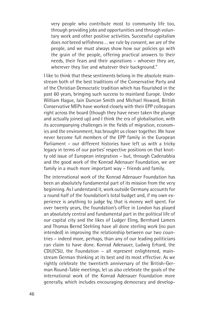very people who contribute most to community life too, through providing jobs and opportunities and through voluntary work and other positive activities. Successful capitalism does *not* breed selfishness … we rule by consent, we are of the people, and we must always show how our policies go with the grain of the people, offering practical answers to their needs, their fears and their aspirations – whoever they are, wherever they live and whatever their background."

I like to think that these sentiments belong in the absolute mainstream both of the best traditions of the Conservative Party and of the Christian Democratic tradition which has flourished in the past 60 years, bringing such success to mainland Europe. Under William Hague, Iain Duncan Smith and Michael Howard, British Conservative MEPs have worked closely with their EPP colleagues right across the board (though they have never taken the plunge and actually joined up) and I think the era of globalisation, with its accompanying challenges in the fields of migration, economics and the environment, has brought us closer together. We have never become full members of the EPP family in the European Parliament – our different histories have left us with a tricky legacy in terms of our parties' respective positions on that knotty old issue of European integration – but, through Cadenabbia and the good work of the Konrad Adenauer Foundation, we *are* family in a much more important way – friends and family.

The international work of the Konrad Adenauer Foundation has been an absolutely fundamental part of its mission from the very beginning. As I understand it, work outside Germany accounts for a round half of the foundation's total budget and, if my own experience is anything to judge by, that is money well spent. For over twenty years, the foundation's office in London has played an absolutely central and fundamental part in the political life of our capital city and the likes of Ludger Eling, Bernhard Lamers and Thomas Bernd Stehling have all done sterling work (no pun intended) in improving the relationship between our two countries – indeed more, perhaps, than any of our leading politicians can claim to have done. Konrad Adenauer, Ludwig Erhard, the CDU/CSU, the Foundation – all represent enlightened, mainstream German thinking at its best and its most effective. As we rightly celebrate the twentieth anniversary of the British-German Round-Table meetings, let us also celebrate the goals of the international work of the Konrad Adenauer Foundation more generally, which includes encouraging democracy and develop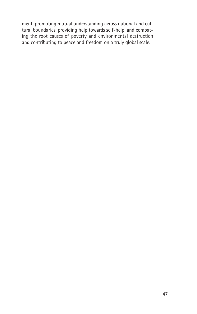ment, promoting mutual understanding across national and cultural boundaries, providing help towards self-help, and combating the root causes of poverty and environmental destruction and contributing to peace and freedom on a truly global scale.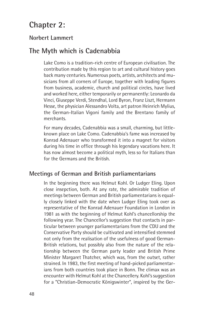## **Chapter 2:**

#### **Norbert Lammert**

### **The Myth which is Cadenabbia**

Lake Como is a tradition-rich centre of European civilisation. The contribution made by this region to art and cultural history goes back many centuries. Numerous poets, artists, architects and musicians from all corners of Europe, together with leading figures from business, academic, church and political circles, have lived and worked here, either temporarily or permanently: Leonardo da Vinci, Giuseppe Verdi, Stendhal, Lord Byron, Franz Liszt, Hermann Hesse, the physician Alessandro Volta, art patron Heinrich Mylius, the German-Italian Vigoni family and the Brentano family of merchants.

For many decades, Cadenabbia was a small, charming, but littleknown place on Lake Como. Cadenabbia's fame was increased by Konrad Adenauer who transformed it into a magnet for visitors during his time in office through his legendary vacations here. It has now almost become a political myth, less so for Italians than for the Germans and the British.

#### **Meetings of German and British parliamentarians**

In the beginning there was Helmut Kohl. Or Ludger Eling. Upon close insepction, both. At any rate, the admirable tradition of meetings between German and British parliamentarians is equally closely linked with the date when Ludger Eling took over as representative of the Konrad Adenauer Foundation in London in 1981 as with the beginning of Helmut Kohl's chancellorship the following year. The Chancellor's suggestion that contacts in particular between younger parliamentarians from the CDU and the Conservative Party should be cultivated and intensified stemmed not only from the realisation of the usefulness of good German-British relations, but possibly also from the nature of the relationship between the German party leader and British Prime Minister Margaret Thatcher, which was, from the outset, rather strained. In 1983, the first meeting of hand-picked parliamentarians from both countries took place in Bonn. The climax was an encounter with Helmut Kohl at the Chancellery. Kohl's suggestion for a "Christian-Democratic Königswinter", inspired by the Ger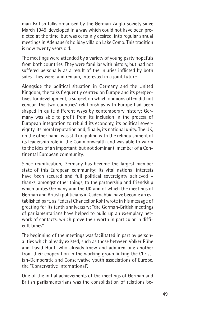man-British talks organised by the German-Anglo Society since March 1949, developed in a way which could not have been predicted at the time, but was certainly desired, into regular annual meetings in Adenauer's holiday villa on Lake Como. This tradition is now twenty years old.

The meetings were attended by a variety of young party hopefuls from both countries. They were familiar with history, but had not suffered personally as a result of the injuries inflicted by both sides. They were, and remain, interested in a joint future.

Alongside the political situation in Germany and the United Kingdom, the talks frequently centred on Europe and its perspectives for development, a subject on which opinions often did not concur. The two countries' relationships with Europe had been shaped in quite different ways by contemporary history: Germany was able to profit from its inclusion in the process of European integration to rebuild its economy, its political sovereignty, its moral reputation and, finally, its national unity. The UK, on the other hand, was still grappling with the relinquishment of its leadership role in the Commonwealth and was able to warm to the idea of an important, but not dominant, member of a Continental European community.

Since reunification, Germany has become the largest member state of this European community; its vital national interests have been secured and full political sovereignty achieved – thanks, amongst other things, to the partnership and friendship which unites Germany and the UK and of which the meetings of German and British politicians in Cadenabbia have become an established part, as Federal Chancellor Kohl wrote in his message of greeting for its tenth anniversary: "the German-British meetings of parliamentarians have helped to build up an exemplary network of contacts, which prove their worth in particular in difficult times".

The beginning of the meetings was facilitated in part by personal ties which already existed, such as those between Volker Rühe and David Hunt, who already knew and admired one another from their cooperation in the working group linking the Christian-Democratic and Conservative youth associations of Europe, the "Conservative International".

One of the initial achievements of the meetings of German and British parliamentarians was the consolidation of relations be-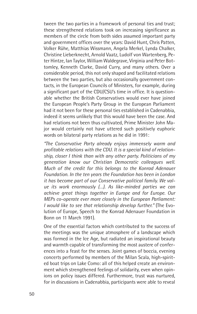tween the two parties in a framework of personal ties and trust; these strengthened relations took on increasing significance as members of the circle from both sides assumed important party and government offices over the years: David Hunt, Chris Patten, Volker Rühe, Matthias Wissmann, Angela Merkel, Lynda Chalker, Christine Lieberknecht, Arnold Vaatz, Ludolf von Wartenberg, Peter Hintze, Ian Taylor, William Waldegrave, Virginia and Peter Bottomley, Kenneth Clarke, David Curry, and many others. Over a considerable period, this not only shaped and facilitated relations between the two parties, but also occasionally government contacts, in the European Councils of Ministers, for example, during a significant part of the CDU/CSU's time in office. It is questionable whether the British Conservatives would ever have joined the European People's Party Group in the European Parliament had it not been for these personal ties established in Cadenabbia, indeed it seems unlikely that this would have been the case. And had relations not been thus cultivated, Prime Minister John Major would certainly not have uttered such positively euphoric words on bilateral party relations as he did in 1991:

*"The Conservative Party already enjoys immensely warm and profitable relations with the CDU. It is a special kind of relationship, closer I think than with any other party. Politicians of my generation know our Christian Democratic colleagues well. Much of the credit for this belongs to the Konrad Adenauer Foundation. In the ten years the Foundation has been in London it has become part of our Conservative political family. We value its work enormously (…). As like-minded parties we can achieve great things together in Europe and for Europe. Our MEPs co-operate ever more closely in the European Parliament: I would like to see that relationship develop further."* (The Evolution of Europe, Speech to the Konrad Adenauer Foundation in Bonn on 11 March 1991).

One of the essential factors which contributed to the success of the meetings was the unique atmosphere of a landscape which was formed in the Ice Age, but radiated an inspirational beauty and warmth capable of transforming the most austere of conferences into a feast for the senses. Joint games of boccia, evening concerts performed by members of the Milan Scala, high-spirited boat trips on Lake Como: all of this helped create an environment which strengthened feelings of solidarity, even when opinions on policy issues differed. Furthermore, trust was nurtured, for in discussions in Cadenabbia, participants were able to reveal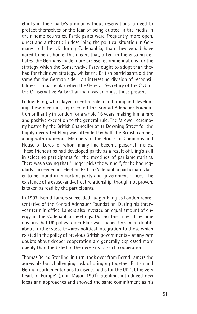chinks in their party's armour without reservations, a need to protect themselves or the fear of being quoted in the media in their home countries. Participants were frequently more open, direct and authentic in describing the political situation in Germany and the UK during Cadenabbia, than they would have dared to be at home. This meant that, often, in the ensuing debates, the Germans made more precise recommendations for the strategy which the Conservative Party ought to adopt than they had for their own strategy, whilst the British participants did the same for the German side – an interesting division of responsibilities – in particular when the General-Secretary of the CDU or the Conservative Party Chairman was amongst those present.

Ludger Eling, who played a central role in initiating and developing these meetings, represented the Konrad Adenauer Foundation brilliantly in London for a whole 16 years, making him a rare and positive exception to the general rule. The farewell ceremony hosted by the British Chancellor at 11 Downing Street for the highly decorated Eling was attended by half the British cabinet, along with numerous Members of the House of Commons and House of Lords, of whom many had become personal friends. These friendships had developed partly as a result of Eling's skill in selecting participants for the meetings of parliamentarians. There was a saying that "Ludger picks the winner", for he had regularly succeeded in selecting British Cadenabbia participants later to be found in important party and government offices. The existence of a cause-and-effect relationship, though not proven, is taken as read by the participants.

In 1997, Bernd Lamers succeeded Ludger Eling as London representative of the Konrad Adenauer Foundation. During his threeyear term in office, Lamers also invested an equal amount of energy in the Cadenabbia meetings. During this time, it became obvious that UK policy under Blair was shaped by similar doubts about further steps towards political integration to those which existed in the policy of previous British governments – at any rate doubts about deeper cooperation are generally expressed more openly than the belief in the necessity of such cooperation.

Thomas Bernd Stehling, in turn, took over from Bernd Lamers the agreeable but challenging task of bringing together British and German parliamentarians to discuss paths for the UK "at the very heart of Europe" (John Major, 1991). Stehling, introduced new ideas and approaches and showed the same commitment as his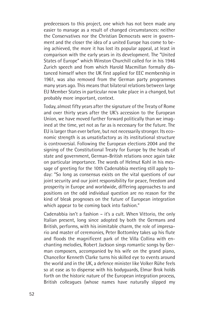predecessors to this project, one which has not been made any easier to manage as a result of changed circumstances: neither the Conservatives nor the Christian Democrats were in government and the closer the idea of a united Europe has come to being achieved, the more it has lost its popular appeal, at least in comparison with the early years in its development. The "United States of Europe" which Winston Churchill called for in his 1946 Zurich speech and from which Harold Macmillan formally distanced himself when the UK first applied for EEC membership in 1961, was also removed from the German party programmes many years ago. This means that bilateral relations between large EU Member States in particular now take place in a changed, but probably more important, context.

Today, almost fifty years after the signature of the Treaty of Rome and over thirty years after the UK's accession to the European Union, we have moved further forward politically than we imagined at the time, yet not as far as is necessary for the future. The EU is larger than ever before, but not necessarily stronger. Its economic strength is as unsatisfactory as its institutional structure is controversial. Following the European elections 2004 and the signing of the Constitutional Treaty for Europe by the heads of state and government, German-British relations once again take on particular importance. The words of Helmut Kohl in his message of greeting for the 10th Cadenabbia meeting still apply today: "So long as consensus exists on the vital questions of our joint security and our joint responsibility for peace, freedom and prosperity in Europe and worldwide, differing approaches to and positions on the odd individual question are no reason for the kind of bleak prognoses on the future of European integration which appear to be coming back into fashion."

Cadenabbia isn't a fashion – it's a cult. When Vittorio, the only Italian present, long since adopted by both the Germans and British, performs, with his inimitable charm, the role of impresario and master of ceremonies, Peter Bottomley takes up his flute and floods the magnificent park of the Villa Collina with enchanting melodies, Robert Jackson sings romantic songs by German composers, accompanied by his wife on the grand piano, Chancellor Kenneth Clarke turns his skilled eye to events around the world and in the UK, a defence minister like Volker Rühe feels so at ease as to dispense with his bodyguards, Elmar Brok holds forth on the historic nature of the European integration process, British colleagues (whose names have naturally slipped my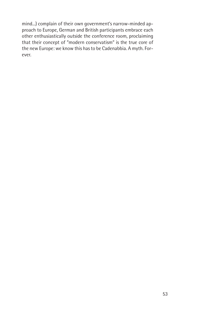mind...) complain of their own government's narrow-minded approach to Europe, German and British participants embrace each other enthusiastically outside the conference room, proclaiming that their concept of "modern conservatism" is the true core of the new Europe: we know this has to be Cadenabbia. A myth. Forever.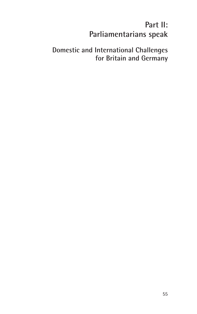# **Part II: Parliamentarians speak**

## **Domestic and International Challenges for Britain and Germany**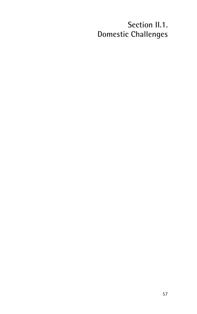# **Section II.1. Domestic Challenges**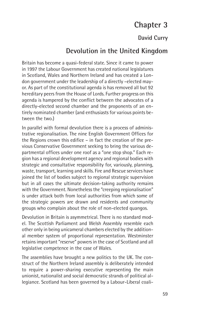# **Chapter 3**

### **David Curry**

### **Devolution in the United Kingdom**

Britain has become a quasi-federal state. Since it came to power in 1997 the Labour Government has created national legislatures in Scotland, Wales and Northern Ireland and has created a London government under the leadership of a directly –elected mayor. As part of the constitutional agenda is has removed all but 92 hereditary peers from the House of Lords. Further progress on this agenda is hampered by the conflict between the advocates of a directly-elected second chamber and the proponents of an entirely nominated chamber (and enthusiasts for various points between the two.)

In parallel with formal devolution there is a process of administrative regionalisation. The nine English Government Offices for the Regions crown this edifice – in fact the creation of the previous Conservative Government seeking to bring the various departmental offices under one roof as a "one stop shop." Each region has a regional development agency and regional bodies with strategic and consultative responsibility for, variously, planning, waste, transport, learning and skills. Fire and Rescue services have joined the list of bodies subject to regional strategic supervision but in all cases the ultimate decision-taking authority remains with the Government. Nonetheless the "creeping regionalisation" is under attack both from local authorities from which some of the strategic powers are drawn and residents and community groups who complain about the role of non-elected quangos.

Devolution in Britain is asymmetrical. There is no standard model. The Scottish Parliament and Welsh Assembly resemble each other only in being unicameral chambers elected by the additional member system of proportional representation. Westminster retains important "reserve" powers in the case of Scotland and all legislative competence in the case of Wales.

The assemblies have brought a new politics to the UK. The construct of the Northern Ireland assembly is deliberately intended to require a power-sharing executive representing the main unionist, nationalist and social democratic strands of political allegiance. Scotland has been governed by a Labour-Liberal coali-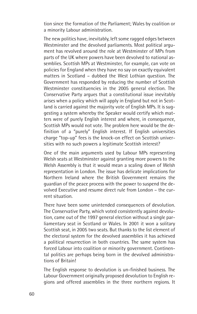tion since the formation of the Parliament; Wales by coalition or a minority Labour administration.

The new politics have, inevitably, left some ragged edges between Westminster and the devolved parliaments. Most political argument has revolved around the role at Westminster of MPs from parts of the UK where powers have been devolved to national assemblies. Scottish MPs at Westminster, for example, can vote on policies for England when they have no say on exactly equivalent matters in Scotland – dubbed the West Lothian question. The Government has responded by reducing the number of Scottish Westminster constituencies in the 2005 general election. The Conservative Party argues that a constitutional issue inevitably arises when a policy which will apply in England but not in Scotland is carried against the majority vote of English MPs. It is suggesting a system whereby the Speaker would certify which matters were of purely English interest and where, in consequence, Scottish MPs would not vote. The problem here would be the definition of a "purely" English interest. If English universities charge "top-up" fees is the knock-on effect on Scottish universities with no such powers a legitimate Scottish interest?

One of the main arguments used by Labour MPs representing Welsh seats at Westminster against granting more powers to the Welsh Assembly is that it would mean a scaling down of Welsh representation in London. The issue has delicate implications for Northern Ireland where the British Government remains the guardian of the peace process with the power to suspend the devolved Executive and resume direct rule from London – the current situation.

There have been some unintended consequences of devolution. The Conservative Party, which voted consistently against devolution, came out of the 1997 general election without a single parliamentary seat in Scotland or Wales. In 2001 it won a solitary Scottish seat, in 2005 two seats. But thanks to the list element of the electoral system for the devolved assemblies it has achieved a political resurrection in both countries. The same system has forced Labour into coalition or minority government. Continental politics are perhaps being born in the devolved administrations of Britain!

The English response to devolution is un-finished business. The Labour Government originally proposed devolution to English regions and offered assemblies in the three northern regions. It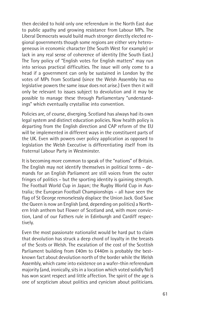then decided to hold only one referendum in the North East due to public apathy and growing resistance from Labour MPs. The Liberal Democrats would build much stronger directly elected regional governments though some regions are either very heterogeneous in economic character (the South West for example) or lack in any real sense of coherence of identity (the South East.) The Tory policy of "English votes for English matters" may run into serious practical difficulties. The issue will only come to a head if a government can only be sustained in London by the votes of MPs from Scotland (since the Welsh Assembly has no legislative powers the same issue does not arise.) Even then it will only be relevant to issues subject to devolution and it may be possible to manage these through Parliamentary "understandings" which eventually crystallise into convention.

Policies are, of course, diverging. Scotland has always had its own legal system and distinct education policies. Now health policy is departing from the English direction and CAP reform of the EU will be implemented in different ways in the constituent parts of the UK. Even with powers over policy application as opposed to legislation the Welsh Executive is differentiating itself from its fraternal Labour Party in Westminster.

It is becoming more common to speak of the "nations" of Britain. The English may not identify themselves in political terms – demands for an English Parliament are still voices from the outer fringes of politics – but the sporting identity is gaining strength. The Football World Cup in Japan; the Rugby World Cup in Australia; the European Football Championships – all have seen the flag of St George remorselessly displace the Union Jack. God Save the Queen is now an English (and, depending on politics) a Northern Irish anthem but Flower of Scotland and, with more conviction, Land of our Fathers rule in Edinburgh and Cardiff respectively.

Even the most passionate nationalist would be hard put to claim that devolution has struck a deep chord of loyalty in the breasts of the Scots or Welsh. The escalation of the cost of the Scottish Parliament building from £40m to £440m is probably the bestknown fact about devolution north of the border while the Welsh Assembly, which came into existence on a wafer-thin referendum majority (and, ironically, sits in a location which voted solidly No!) has won scant respect and little affection. The spirit of the age is one of scepticism about politics and cynicism about politicians.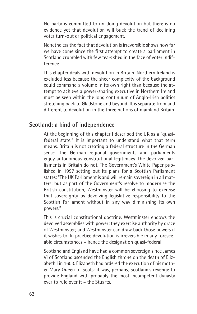No party is committed to un-doing devolution but there is no evidence yet that devolution will buck the trend of declining voter turn-out or political engagement.

Nonetheless the fact that devolution is irreversible shows how far we have come since the first attempt to create a parliament in Scotland crumbled with few tears shed in the face of voter indifference.

This chapter deals with devolution in Britain. Northern Ireland is excluded less because the sheer complexity of the background could command a volume in its own right than because the attempt to achieve a power-sharing executive in Northern Ireland must be seen within the long continuum of Anglo-Irish politics stretching back to Gladstone and beyond. It is separate from and different to devolution in the three nations of mainland Britain.

### **Scotland: a kind of independence**

At the beginning of this chapter I described the UK as a "quasifederal state." It is important to understand what that term means. Britain is not creating a federal structure in the German sense. The German regional governments and parliaments enjoy autonomous constitutional legitimacy. The devolved parliaments in Britain do not. The Government's White Paper published in 1997 setting out its plans for a Scottish Parliament states: "The UK Parliament is and will remain sovereign in all matters: but as part of the Government's resolve to modernise the British constitution, Westminster will be choosing to exercise that sovereignty by devolving legislative responsibility to the Scottish Parliament without in any way diminishing its own powers."

This is crucial constitutional doctrine. Westminster endows the devolved assemblies with power; they exercise authority by grace of Westminster; and Westminster can draw back those powers if it wishes to. In practice devolution is irreversible in any foreseeable circumstances – hence the designation quasi-federal.

Scotland and England have had a common sovereign since James VI of Scotland ascended the English throne on the death of Elizabeth I in 1603. Elizabeth had ordered the execution of his mother Mary Queen of Scots: it was, perhaps, Scotland's revenge to provide England with probably the most incompetent dynasty ever to rule over it – the Stuarts.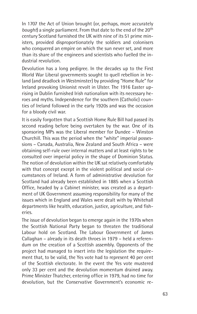In 1707 the Act of Union brought (or, perhaps, more accurately bought) a single parliament. From that date to the end of the 20<sup>th</sup> century Scotland furnished the UK with nine of its 51 prime ministers, provided disproportionately the soldiers and colonisers who conquered an empire on which the sun never set, and more than its share of the engineers and scientists who fuelled the industrial revolution.

Devolution has a long pedigree. In the decades up to the First World War Liberal governments sought to quell rebellion in Ireland (and deadlock in Westminster) by providing "Home Rule" for Ireland provoking Unionist revolt in Ulster. The 1916 Easter uprising in Dublin furnished Irish nationalism with its necessary heroes and myths. Independence for the southern (Catholic) counties of Ireland followed in the early 1920s and was the occasion for a bloody civil war.

It is easily forgotten that a Scottish Home Rule Bill had passed its second reading before being overtaken by the war. One of its sponsoring MPs was the Liberal member for Dundee – Winston Churchill. This was the period when the "white" imperial possessions – Canada, Australia, New Zealand and South Africa – were obtaining self-rule over internal matters and at least rights to be consulted over imperial policy in the shape of Dominion Status. The notion of devolution within the UK sat relatively comfortably with that concept except in the violent political and social circumstances of Ireland. A form of administrative devolution for Scotland had already been established in 1885 when a Scottish Office, headed by a Cabinet minister, was created as a department of UK Government assuming responsibility for many of the issues which in England and Wales were dealt with by Whitehall departments like health, education, justice, agriculture, and fisheries.

The issue of devolution began to emerge again in the 1970s when the Scottish National Party began to threaten the traditional Labour hold on Scotland. The Labour Government of James Callaghan – already in its death throes in 1979 – held a referendum on the creation of a Scottish assembly. Opponents of the project had managed to insert into the legislation the requirement that, to be valid, the Yes vote had to represent 40 per cent of the Scottish electorate. In the event the Yes vote mustered only 33 per cent and the devolution momentum drained away. Prime Minister Thatcher, entering office in 1979, had no time for devolution, but the Conservative Government's economic re-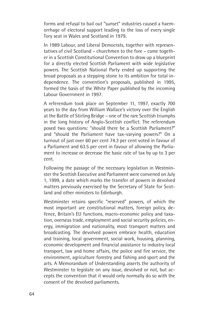forms and refusal to bail out "sunset" industries caused a haemorrhage of electoral support leading to the loss of every single Tory seat in Wales and Scotland in 1979.

In 1989 Labour, and Liberal Democrats, together with representatives of civil Scotland – churchmen to the fore – came together in a Scottish Constitutional Convention to draw up a blueprint for a directly elected Scottish Parliament with wide legislative powers. The Scottish National Party ended up supporting the broad proposals as a stepping stone to its ambition for total independence. The convention's proposals, published in 1995, formed the basis of the White Paper published by the incoming Labour Government in 1997.

A referendum took place on September 11, 1997, exactly 700 years to the day from William Wallace's victory over the English at the Battle of Stirling Bridge – one of the rare Scottish triumphs in the long history of Anglo-Scottish conflict. The referendum posed two questions: "should there be a Scottish Parliament?" and "should the Parliament have tax-varying powers?" On a turnout of just over 60 per cent 74.3 per cent voted in favour of a Parliament and 63.5 per cent in favour of allowing the Parliament to increase or decrease the basic rate of tax by up to 3 per cent.

Following the passage of the necessary legislation in Westminster the Scottish Executive and Parliament were convened on July 1, 1999, a date which marks the transfer of powers in devolved matters previously exercised by the Secretary of State for Scotland and other ministers to Edinburgh.

Westminster retains specific "reserved" powers, of which the most important are constitutional matters, foreign policy, defence, Britain's EU functions, macro-economic policy and taxation, overseas trade, employment and social security policies, energy, immigration and nationality, most transport matters and broadcasting. The devolved powers embrace health, education and training, local government, social work, housing, planning, economic development and financial assistance to industry local transport, law and home affairs, the police and fire service, the environment, agriculture forestry and fishing and sport and the arts. A Memorandum of Understanding asserts the authority of Westminster to legislate on any issue, devolved or not, but accepts the convention that it would only normally do so with the consent of the devolved parliaments.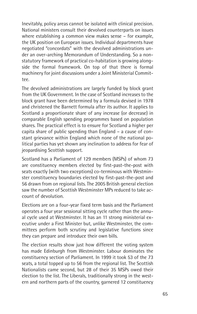Inevitably, policy areas cannot be isolated with clinical precision. National ministers consult their devolved counterparts on issues where establishing a common view makes sense – for example, the UK position on European issues. Individual departments have negotiated "concordats" with the devolved administrations under an over-arching Memorandum of Understanding. So a nonstatutory framework of practical co-habitation is growing alongside the formal framework. On top of that there is formal machinery for joint discussions under a Joint Ministerial Committee.

The devolved administrations are largely funded by block grant from the UK Government. In the case of Scotland increases to the block grant have been determined by a formula devised in 1978 and christened the Barnett formula after its author. It applies to Scotland a proportionate share of any increase (or decrease) in comparable English spending programmes based on population shares. The practical effect is to ensure for Scotland a higher per capita share of public spending than England – a cause of constant grievance within England which none of the national political parties has yet shown any inclination to address for fear of jeopardising Scottish support.

Scotland has a Parliament of 129 members (MSPs) of whom 73 are constituency members elected by first-past-the-post with seats exactly (with two exceptions) co-terminous with Westminster constituency boundaries elected by first-past-the-post and 56 drawn from on regional lists. The 2005 British general election saw the number of Scottish Westminster MPs reduced to take account of devolution.

Elections are on a four-year fixed term basis and the Parliament operates a four year sessional sitting cycle rather than the annual cycle used at Westminster. It has an 11 strong ministerial executive under a First Minister but, unlike Westminster, the committees perform both scrutiny and legislative functions since they can prepare and introduce their own bills.

The election results show just how different the voting system has made Edinburgh from Westminster. Labour dominates the constituency section of Parliament. In 1999 it took 53 of the 73 seats, a total topped up to 56 from the regional list. The Scottish Nationalists came second, but 28 of their 35 MSPs owed their election to the list. The Liberals, traditionally strong in the western and northern parts of the country, garnered 12 constituency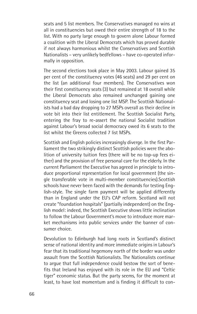seats and 5 list members. The Conservatives managed no wins at all in constituencies but owed their entire strength of 18 to the list. With no party large enough to govern alone Labour formed a coalition with the Liberal Democrats which has proved durable if not always harmonious whilst the Conservatives and Scottish Nationalists – very unlikely bedfellows – have co-operated informally in opposition.

The second elections took place in May 2003. Labour gained 35 per cent of the constituency votes (46 seats) and 29 per cent on the list (an additional four members). The Conservatives won their first constituency seats (3) but remained at 18 overall while the Liberal Democrats also remained unchanged gaining one constituency seat and losing one list MSP. The Scottish Nationalists had a bad day dropping to 27 MSPs overall as their decline in vote bit into their list entitlement. The Scottish Socialist Party, entering the fray to re-assert the national Socialist tradition against Labour's broad social democracy owed its 6 seats to the list whilst the Greens collected 7 list MSPs.

Scottish and English policies increasingly diverge. In the first Parliament the two strikingly distinct Scottish policies were the abolition of university tuition fees (there will be no top-up fees either) and the provision of free personal care for the elderly. In the current Parliament the Executive has agreed in principle to introduce proportional representation for local government (the single transferable vote in multi-member constituencies).Scottish schools have never been faced with the demands for testing English-style. The single farm payment will be applied differently than in England under the EU's CAP reform. Scotland will not create "foundation hospitals" (partially independent) on the English model: indeed, the Scottish Executive shows little inclination to follow the Labour Government's move to introduce more market mechanisms into public services under the banner of consumer choice.

Devolution to Edinburgh had long roots in Scotland's distinct sense of national identity and more immediate origins in Labour's fear that its traditional hegemony north of the border was under assault from the Scottish Nationalists. The Nationalists continue to argue that full independence could bestow the sort of benefits that Ireland has enjoyed with its role in the EU and "Celtic tiger" economic status. But the party seems, for the moment at least, to have lost momentum and is finding it difficult to con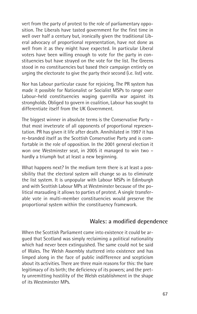vert from the party of protest to the role of parliamentary opposition. The Liberals have tasted government for the first time in well over half a century but, ironically given the traditional Liberal advocacy of proportional representation, have not done as well from it as they might have expected. In particular Liberal voters have been willing enough to vote for the party in constituencies but have strayed on the vote for the list. The Greens stood in no constituencies but based their campaign entirely on urging the electorate to give the party their second (i.e. list) vote.

Nor has Labour particular cause for rejoicing. The PR system has made it possible for Nationalist or Socialist MSPs to range over Labour-held constituencies waging guerrilla war against its strongholds. Obliged to govern in coalition, Labour has sought to differentiate itself from the UK Government.

The biggest winner in absolute terms is the Conservative Party – that most inveterate of all opponents of proportional representation. PR has given it life after death. Annihilated in 1997 it has re-branded itself as the Scottish Conservative Party and is comfortable in the role of opposition. In the 2001 general election it won one Westminster seat, in 2005 it managed to win two – hardly a triumph but at least a new beginning.

What happens next? In the medium term there is at least a possibility that the electoral system will change so as to eliminate the list system. It is unpopular with Labour MSPs in Edinburgh and with Scottish Labour MPs at Westminster because of the political marauding it allows to parties of protest. A single transferable vote in multi-member constituencies would preserve the proportional system within the constituency framework.

#### **Wales: a modified dependence**

When the Scottish Parliament came into existence it could be argued that Scotland was simply reclaiming a political nationality which had never been extinguished. The same could not be said of Wales. The Welsh Assembly stuttered into existence and has limped along in the face of public indifference and scepticism about its activities. There are three main reasons for this: the bare legitimacy of its birth; the deficiency of its powers; and the pretty unremitting hostility of the Welsh establishment in the shape of its Westminster MPs.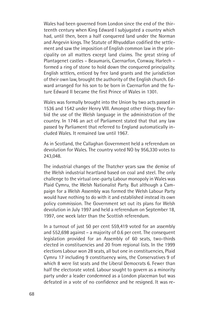Wales had been governed from London since the end of the thirteenth century when King Edward I subjugated a country which had, until then, been a half conquered land under the Norman and Angevin kings. The Statute of Rhyuddlan codified the settlement and saw the imposition of English common law in the principality on all matters except land claims. The great string of Plantagenet castles – Beaumaris, Caernarfon, Conway, Harlech – formed a ring of stone to hold down the conquered principality. English settlers, enticed by free land grants and the jurisdiction of their own law, brought the authority of the English church. Edward arranged for his son to be born in Caernarfon and the future Edward II became the first Prince of Wales in 1301.

Wales was formally brought into the Union by two acts passed in 1536 and 1542 under Henry VIII. Amongst other things they forbid the use of the Welsh language in the administration of the country. In 1746 an act of Parliament stated that that any law passed by Parliament that referred to England automatically included Wales. It remained law until 1967.

As in Scotland, the Callaghan Government held a referendum on devolution for Wales. The country voted NO by 956,330 votes to 243,048.

The industrial changes of the Thatcher years saw the demise of the Welsh industrial heartland based on coal and steel. The only challenge to the virtual one-party Labour monopoly in Wales was Plaid Cymru, the Welsh Nationalist Party. But although a Campaign for a Welsh Assembly was formed the Welsh Labour Party would have nothing to do with it and established instead its own policy commission. The Government set out its plans for Welsh devolution in July 1997 and held a referendum on September 18, 1997, one week later than the Scottish referendum.

In a turnout of just 50 per cent 559,419 voted for an assembly and 552,698 against – a majority of 0.6 per cent. The consequent legislation provided for an Assembly of 60 seats, two-thirds elected in constituencies and 20 from regional lists. In the 1999 elections Labour won 28 seats, all but one in constituencies, Plaid Cymru 17 including 9 constituency wins, the Conservatives 9 of which 8 were list seats and the Liberal Democrats 6. Fewer than half the electorate voted. Labour sought to govern as a minority party under a leader condemned as a London placeman but was defeated in a vote of no confidence and he resigned. It was re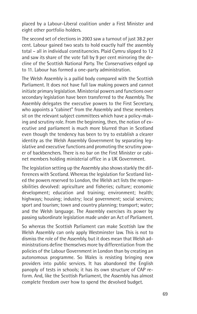placed by a Labour-Liberal coalition under a First Minister and eight other portfolio holders.

The second set of elections in 2003 saw a turnout of just 38.2 per cent. Labour gained two seats to hold exactly half the assembly total – all in individual constituencies. Plaid Cymru slipped to 12 and saw its share of the vote fall by 9 per cent mirroring the decline of the Scottish National Party. The Conservatives edged up to 11. Labour has formed a one-party administration.

The Welsh Assembly is a pallid body compared with the Scottish Parliament. It does not have full law making powers and cannot initiate primary legislation. Ministerial powers and functions over secondary legislation have been transferred to the Assembly. The Assembly delegates the executive powers to the First Secretary, who appoints a "cabinet" from the Assembly and these members sit on the relevant subject committees which have a policy-making and scrutiny role. From the beginning, then, the notion of executive and parliament is much more blurred than in Scotland even though the tendency has been to try to establish a clearer identity as the Welsh Assembly Government by separating legislative and executive functions and promoting the scrutiny power of backbenchers. There is no bar on the First Minister or cabinet members holding ministerial office in a UK Government.

The legislation setting up the Assembly also shows starkly the differences with Scotland. Whereas the legislation for Scotland listed the powers reserved to London, the Welsh act lists the responsibilities devolved: agriculture and fisheries; culture; economic development; education and training; environment; health; highways; housing; industry; local government; social services; sport and tourism; town and country planning; transport; water; and the Welsh language. The Assembly exercises its power by passing subordinate legislation made under an Act of Parliament.

So whereas the Scottish Parliament can make Scottish law the Welsh Assembly can only apply Westminster law. This is not to dismiss the role of the Assembly, but it does mean that Welsh administrations define themselves more by differentiation from the policies of the Labour Government in London than by creating an autonomous programme. So Wales is resisting bringing new providers into public services. It has abandoned the English panoply of tests in schools; it has its own structure of CAP reform. And, like the Scottish Parliament, the Assembly has almost complete freedom over how to spend the devolved budget.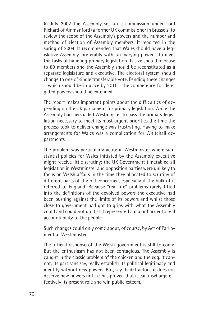In July 2002 the Assembly set up a commission under Lord Richard of Ammanford (a former UK commissioner in Brussels) to review the scope of the Assembly's powers and the number and method of election of Assembly members. It reported in the spring of 2004. It recommended that Wales should have a legislative Assembly, preferably with tax-varying powers. To meet the tasks of handling primary legislation its size should increase to 80 members and the Assembly should be reconstituted as a separate legislature and executive. The electoral system should change to one of single transferable vote. Pending these changes – which should be in place by 2011 – the competence for delegated powers should be extended.

The report makes important points about the difficulties of depending on the UK parliament for primary legislation. While the Assembly had persuaded Westminster to pass the primary legislation necessary to meet its most urgent priorities the time the process took to deliver change was frustrating. Having to make arrangements for Wales was a complication for Whitehall departments.

The problem was particularly acute in Westminster where substantial policies for Wales initiated by the Assembly executive might receive little scrutiny: the UK Government timetabled all legislation in Westminster and opposition parties were unlikely to focus on Welsh affairs in the time they allocated to scrutiny of different parts of the bill concerned, especially if the bulk of it referred to England. Because "real-life" problems rarely fitted into the definitions of the devolved powers the executive had been pushing against the limits of its powers and whilst those close to government had got to grips with what the Assembly could and could not do it still represented a major barrier to real accountability to the people.

Such changes could only come about, of course, by Act of Parliament at Westminster.

The official response of the Welsh government is still to come. But the enthusiasm has not been contagious. The Assembly is caught in the classic problem of the chicken and the egg. It cannot, its partisans say, really establish its political legitimacy and identity without new powers. But, say its detractors, it does not deserve new powers until it has proved that it can discharge effectively its present role and win public esteem.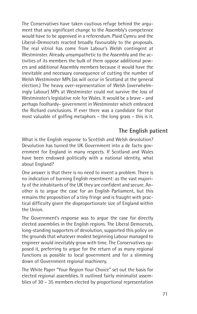The Conservatives have taken cautious refuge behind the argument that any significant change to the Assembly's competence would have to be approved in a referendum. Plaid Cymru and the Liberal-Democrats reacted broadly favourably to the proposals. The real vitriol has come from Labour's Welsh contingent at Westminster. Already unsympathetic to the Assembly and the activities of its members the bulk of them oppose additional powers and additional Assembly members because it would have the inevitable and necessary consequence of cutting the number of Welsh Westminster MPs (as will occur in Scotland at the general election.) The heavy over-representation of Welsh (overwhelmingly Labour) MPs at Westminster could not survive the loss of Westminster's legislative role for Wales. It would be a brave – and perhaps foolhardy- government in Westminster which embraced the Richard conclusions. If ever there was a candidate for that most valuable of golfing metaphors – the long grass – this is it.

### **The English patient**

What is the English response to Scottish and Welsh devolution? Devolution has turned the UK Government into a de facto government for England in many respects. If Scotland and Wales have been endowed politically with a national identity, what about England?

One answer is that there is no need to invent a problem. There is no indication of burning English resentment: as the vast majority of the inhabitants of the UK they are confident and secure. Another is to argue the case for an English Parliament, but this remains the proposition of a tiny fringe and is fraught with practical difficulty given the disproportionate size of England within the Union.

The Government's response was to argue the case for directly elected assemblies in the English regions. The Liberal Democrats, long-standing supporters of devolution, supported this policy on the grounds that whatever modest beginning Labour managed to engineer would inevitably grow with time. The Conservatives opposed it, preferring to argue for the return of as many regional functions as possible to local government and for a slimming down of Government regional machinery.

The White Paper "Your Region Your Choice" set out the basis for elected regional assemblies. It outlined fairly minimalist assemblies of 30 – 35 members elected by proportional representation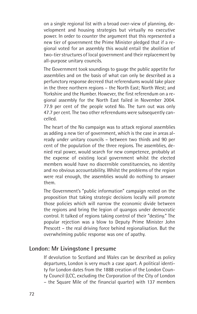on a single regional list with a broad over-view of planning, development and housing strategies but virtually no executive power. In order to counter the argument that this represented a new tier of government the Prime Minister pledged that if a regional voted for an assembly this would entail the abolition of two-tier structures of local government and their replacement by all-purpose unitary councils.

The Government took soundings to gauge the public appetite for assemblies and on the basis of what can only be described as a perfunctory response decreed that referendums would take place in the three northern regions – the North East; North West; and Yorkshire and the Humber. However, the first referendum on a regional assembly for the North East failed in November 2004. 77.9 per cent of the people voted No. The turn out was only 47.7 per cent. The two other referendums were subsequently cancelled.

The heart of the No campaign was to attack regional assemblies as adding a new tier of government, which is the case in areas already under unitary councils – between two thirds and 90 per cent of the population of the three regions. The assemblies, denied real power, would search for new competence, probably at the expense of existing local government whilst the elected members would have no discernible constituencies, no identity and no obvious accountability. Whilst the problems of the region were real enough, the assemblies would do nothing to answer them.

The Government's "public information" campaign rested on the proposition that taking strategic decisions locally will promote those policies which will narrow the economic divide between the regions and bring the legion of quangos under democratic control. It talked of regions taking control of their "destiny." The popular rejection was a blow to Deputy Prime Minister John Prescott – the real driving force behind regionalisation. But the overwhelming public response was one of apathy.

#### **London: Mr Livingstone I presume**

If devolution to Scotland and Wales can be described as policy departures, London is very much a case apart. A political identity for London dates from the 1888 creation of the London County Council (LCC, excluding the Corporation of the City of London – the Square Mile of the financial quarter) with 137 members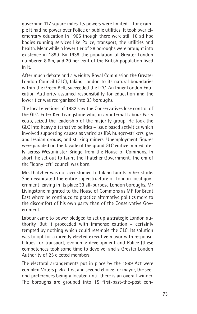governing 117 square miles. Its powers were limited – for example it had no power over Police or public utilities. It took over elementary education in 1905 though there were still 16 ad hoc bodies running services like Police, transport, the utilities and health. Meanwhile a lower tier of 28 boroughs were brought into existence in 1899. By 1939 the population of Greater London numbered 8.6m, and 20 per cent of the British population lived in it.

After much debate and a weighty Royal Commission the Greater London Council (GLC), taking London to its natural boundaries within the Green Belt, succeeded the LCC. An Inner London Education Authority assumed responsibility for education and the lower tier was reorganised into 33 boroughs.

The local elections of 1982 saw the Conservatives lose control of the GLC. Enter Ken Livingstone who, in an internal Labour Party coup, seized the leadership of the majority group. He took the GLC into heavy alternative politics – issue based activities which involved supporting causes as varied as IRA hunger-strikers, gay and lesbian groups, and striking miners. Unemployment figures were paraded on the façade of the grand GLC edifice immediately across Westminster Bridge from the House of Commons. In short, he set out to taunt the Thatcher Government. The era of the "loony left" council was born.

Mrs Thatcher was not accustomed to taking taunts in her stride. She decapitated the entire superstructure of London local government leaving in its place 33 all-purpose London boroughs. Mr Livingstone migrated to the House of Commons as MP for Brent East where he continued to practice alternative politics more to the discomfort of his own party than of the Conservative Government.

Labour came to power pledged to set up a strategic London authority. But it proceeded with immense caution – certainly tempted by nothing which could resemble the GLC. Its solution was to opt for a directly elected executive mayor with responsibilities for transport, economic development and Police (these competences took some time to devolve) and a Greater London Authority of 25 elected members.

The electoral arrangements put in place by the 1999 Act were complex. Voters pick a first and second choice for mayor, the second preferences being allocated until there is an overall winner. The boroughs are grouped into 15 first-past-the-post con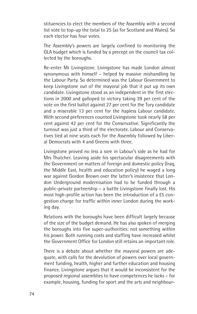stituencies to elect the members of the Assembly with a second list vote to top-up the total to 25 (as for Scotland and Wales). So each elector has four votes.

The Assembly's powers are largely confined to monitoring the GLA budget which is funded by a precept on the council tax collected by the boroughs.

Re-enter Mr Livingstone. Livingstone has made London almost synonymous with himself – helped by massive mishandling by the Labour Party. So determined was the Labour Government to keep Livingstone out of the mayoral job that it put up its own candidate. Livingstone stood as an independent in the first elections in 2000 and galloped to victory taking 39 per cent of the vote on the first ballot against 27 per cent for the Tory candidate and a miserable 13 per cent for the hapless Labour candidate. With second preferences counted Livingstone took nearly 58 per cent against 42 per cent for the Conservative. Significantly the turnout was just a third of the electorate. Labour and Conservatives tied at nine seats each for the Assembly followed by Liberal Democrats with 4 and Greens with three.

Livingstone proved no less a sore in Labour's side as he had for Mrs Thatcher. Leaving aside his spectacular disagreements with the Government on matters of foreign and domestic policy (Iraq, the Middle East, health and education policy) he waged a long war against Gordon Brown over the latter's insistence that London Underground modernisation had to be funded through a public-private partnership – a battle Livingstone finally lost. His most high-profile action has been the introduction of a £5 congestion charge for traffic within inner London during the working day.

Relations with the boroughs have been difficult largely because of the size of the budget demand. He has also spoken of merging the boroughs into five super-authorities: not something within his power. Both running costs and staffing have increased whilst the Government Office for London still retains an important role.

There is a debate about whether the mayoral powers are adequate, with calls for the devolution of powers over local government funding, health, higher and further education and housing finance. Livingstone argues that it would be inconsistent for the proposed regional assemblies to have competences he lacks – for example, housing, funding for sport and the arts and neighbour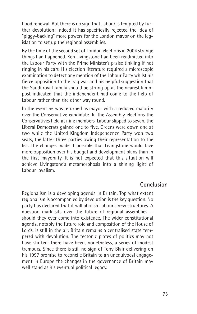hood renewal. But there is no sign that Labour is tempted by further devolution: indeed it has specifically rejected the idea of "piggy-backing" more powers for the London mayor on the legislation to set up the regional assemblies.

By the time of the second set of London elections in 2004 strange things had happened. Ken Livingstone had been readmitted into the Labour Party with the Prime Minister's praise tinkling if not ringing in his ears. His election literature required a microscopic examination to detect any mention of the Labour Party whilst his fierce opposition to the Iraq war and his helpful suggestion that the Saudi royal family should be strung up at the nearest lamppost indicated that the independent had come to the help of Labour rather than the other way round.

In the event he was returned as mayor with a reduced majority over the Conservative candidate. In the Assembly elections the Conservatives held at nine members, Labour slipped to seven, the Liberal Democrats gained one to five, Greens were down one at two while the United Kingdom Independence Party won two seats, the latter three parties owing their representation to the list. The changes made it possible that Livingstone would face more opposition over his budget and development plans than in the first mayoralty. It is not expected that this situation will achieve Livingstone's metamorphosis into a shining light of Labour loyalism.

#### **Conclusion**

Regionalism is a developing agenda in Britain. Top what extent regionalism is accompanied by devolution is the key question. No party has declared that it will abolish Labour's new structures. A question mark sits over the future of regional assemblies should they ever come into existence. The wider constitutional agenda, notably the future role and composition of the House of Lords, is still in the air. Britain remains a centralised state tempered with devolution. The tectonic plates of politics may not have shifted: there have been, nonetheless, a series of modest tremours. Since there is still no sign of Tony Blair delivering on his 1997 promise to reconcile Britain to an unequivocal engagement in Europe the changes in the governance of Britain may well stand as his eventual political legacy.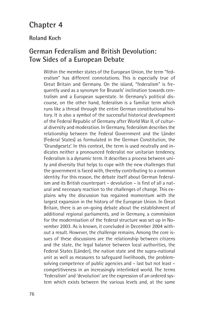# **Chapter 4**

#### **Roland Koch**

## **German Federalism and British Devolution: Tow Sides of a European Debate**

Within the member states of the European Union, the term "federalism" has different connotations. This is especially true of Great Britain and Germany. On the island, "federalism" is frequently used as a synonym for Brussels' inclination towards centralism and a European superstate. In Germany's political discourse, on the other hand, federalism is a familiar term which runs like a thread through the entire German constitutional history. It is also a symbol of the successful historical development of the Federal Republic of Germany after World War II, of cultural diversity and moderation. In Germany, federalism describes the relationship between the Federal Government and the Länder (Federal States) as formulated in the German Constitution, the 'Grundgesetz'. In this context, the term is used neutrally and indicates neither a pronounced federalist nor unitarian tendency. Federalism is a dynamic term. It describes a process between unity and diversity that helps to cope with the new challenges that the government is faced with, thereby contributing to a common identity. For this reason, the debate itself about German federalism and its British counterpart – devolution – is first of all a natural and necessary reaction to the challenges of change. This explains why the discussion has regained momentum with the largest expansion in the history of the European Union. In Great Britain, there is an on-going debate about the establishment of additional regional parliaments, and in Germany, a commission for the modernisation of the federal structure was set up in November 2003. As is known, it concluded in December 2004 without a result. However, the challenge remains. Among the core issues of these discussions are the relationship between citizens and the state, the legal balance between local authorities, the Federal States (Länder), the nation state and the supra-national unit as well as measures to safeguard livelihoods, the problemsolving competence of public agencies and – last but not least – competitiveness in an increasingly interlinked world. The terms 'federalism' and 'devolution' are the expression of an ordered system which exists between the various levels and, at the same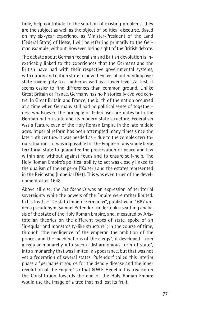time, help contribute to the solution of existing problems; they are the subject as well as the object of political discourse. Based on my six-year experience as Minister-President of the Land (Federal State) of Hesse, I will be referring primarily to the German example, without, however, losing sight of the British debate.

The debate about German federalism and British devolution is inextricably linked to the experiences that the Germans and the British have had with their respective governmental systems, with nation and nation state to how they feel about handing over state sovereignty to a higher as well as a lower level. At first, it seems easier to find differences than common ground. Unlike Great Britain or France, Germany has no historically evolved centre. In Great Britain and France, the birth of the nation occurred at a time when Germany still had no political sense of togetherness whatsoever. The principle of federalism pre-dates both the German nation state and its modern state structure. Federalism was a feature even of the Holy Roman Empire in the late middle ages. Imperial reform has been attempted many times since the late 15th century. It was needed as – due to the complex territorial situation – it was impossible for the Empire or any single large territorial state to guarantee the preservation of peace and law within and without against feuds and to ensure self-help. The Holy Roman Empire's political ability to act was closely linked to the dualism of the emperor ('Kaiser') and the estates represented in the Reichstag (Imperial Diet). This was even truer of the development after 1648.

Above all else, the *ius foederis* was an expression of territorial sovereignty while the powers of the Empire were rather limited. In his treatise "De statu Imperii Germanici", published in 1667 under a pseudonym, Samuel Pufendorf undertook a scathing analysis of the state of the Holy Roman Empire, and, measured by Aristotelian theories on the different types of state, spoke of an "irregular and monstrosity-like structure"; in the course of time, through "the negligence of the emperor, the ambition of the princes and the machinations of the clergy", it developed "from a regular monarchy into such a disharmonious form of state", into a monarchy that was limited in appearance, but that was not yet a federation of several states. Pufendorf called this interim phase a "permanent source for the deadly disease and the inner revolution of the Empire" so that G.W.F. Hegel in his treatise on the Constitution towards the end of the Holy Roman Empire would use the image of a tree that had lost its fruit.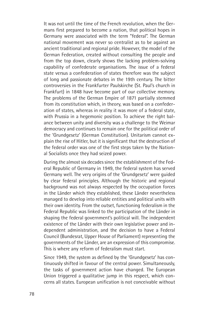It was not until the time of the French revolution, when the Germans first prepared to become a nation, that political hopes in Germany were associated with the term "federal". The German national movement was never so centralist as to be against an ancient traditional and regional pride. However, the model of the German Federation, created without consulting the people and from the top down, clearly shows the lacking problem-solving capability of confederate organisations. The issue of a federal state versus a confederation of states therefore was the subject of long and passionate debates in the 19th century. The bitter controversies in the Frankfurter Paulskirche (St. Paul's church in Frankfurt) in 1848 have become part of our collective memory. The problems of the German Empire of 1871 partially stemmed from its constitution which, in theory, was based on a confederation of states, whereas in reality it was more of a federal state, with Prussia in a hegemonic position. To achieve the right balance between unity and diversity was a challenge to the Weimar democracy and continues to remain one for the political order of the 'Grundgesetz' (German Constitution). Unitarism cannot explain the rise of Hitler, but it is significant that the destruction of the federal order was one of the first steps taken by the National Socialists once they had seized power.

During the almost six decades since the establishment of the Federal Republic of Germany in 1949, the federal system has served Germany well. The very origins of the 'Grundgesetz' were guided by clear federal principles. Although the historic and regional background was not always respected by the occupation forces in the Länder which they established, these Länder nevertheless managed to develop into reliable entities and political units with their own identity. From the outset, functioning federalism in the Federal Republic was linked to the participation of the Länder in shaping the federal government's political will. The independent existence of the Länder with their own legislative power and independent administration, and the decision to have a Federal Council (Bundesrat, Upper House of Parliament) representing the governments of the Länder, are an expression of this compromise. This is where any reform of federalism must start.

Since 1949, the system as defined by the 'Grundgesetz' has continuously shifted in favour of the central power. Simultaneously, the tasks of government action have changed. The European Union triggered a qualitative jump in this respect, which concerns all states. European unification is not conceivable without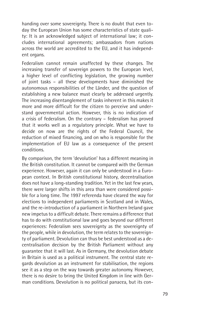handing over some sovereignty. There is no doubt that even today the European Union has some characteristics of state quality: It is an acknowledged subject of international law; it concludes international agreements; ambassadors from nations across the world are accredited to the EU, and it has independent organs.

Federalism cannot remain unaffected by these changes. The increasing transfer of sovereign powers to the European level, a higher level of conflicting legislation, the growing number of joint tasks – all these developments have diminished the autonomous responsibilities of the Länder, and the question of establishing a new balance must clearly be addressed urgently. The increasing disentanglement of tasks inherent in this makes it more and more difficult for the citizen to perceive and understand governmental action. However, this is no indication of a crisis of federalism. On the contrary – federalism has proved that it works well as a regulatory principle. What we have to decide on now are the rights of the Federal Council, the reduction of mixed financing, and on who is responsible for the implementation of EU law as a consequence of the present conditions.

By comparison, the term 'devolution' has a different meaning in the British constitution. It cannot be compared with the German experience. However, again it can only be understood in a European context. In British constitutional history, decentralisation does not have a long-standing tradition. Yet in the last few years, there were larger shifts in this area than were considered possible for a long time. The 1997 referenda have cleared the way for elections to independent parliaments in Scotland and in Wales, and the re-introduction of a parliament in Northern Ireland gave new impetus to a difficult debate. There remains a difference that has to do with constitutional law and goes beyond our different experiences: Federalism sees sovereignty as the sovereignty of the people, while in devolution, the term relates to the sovereignty of parliament. Devolution can thus be best understood as a decentralisation decision by the British Parliament without any guarantee that it will last. As in Germany, the devolution debate in Britain is used as a political instrument. The central state regards devolution as an instrument for stabilisation, the regions see it as a step on the way towards greater autonomy. However, there is no desire to bring the United Kingdom in line with German conditions. Devolution is no political panacea, but its con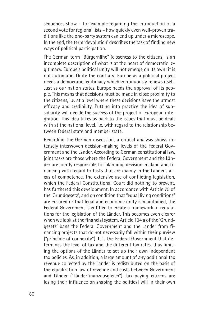sequences show – for example regarding the introduction of a second vote for regional lists – how quickly even well-proven traditions like the one-party system can end up under a microscope. In the end, the term 'devolution' describes the task of finding new ways of political participation.

The German term "Bürgernähe" (closeness to the citizens) is an incomplete description of what is at the heart of democratic legitimacy. Europe's political unity will not emerge on its own; it is not automatic. Quite the contrary: Europe as a political project needs a democratic legitimacy which continuously renews itself. Just as our nation states, Europe needs the approval of its people. This means that decisions must be made in close proximity to the citizens, i.e. at a level where these decisions have the utmost efficacy and credibility. Putting into practice the idea of subsidiarity will decide the success of the project of European integration. This idea takes us back to the issues that must be dealt with at the national level, i.e. with regard to the relationship between federal state and member state.

Regarding the German discussion, a critical analysis shows intensely interwoven decision-making levels of the Federal Government and the Länder. According to German constitutional law, joint tasks are those where the Federal Government and the Länder are jointly responsible for planning, decision-making and financing with regard to tasks that are mainly in the Länder's areas of competence. The extensive use of conflicting legislation, which the Federal Constitutional Court did nothing to prevent, has furthered this development. In accordance with Article 75 of the 'Grundgesetz', and on condition that "equal living conditions" are ensured or that legal and economic unity is maintained, the Federal Government is entitled to create a framework of regulations for the legislation of the Länder. This becomes even clearer when we look at the financial system. Article 104 a of the 'Grundgesetz' bans the Federal Government and the Länder from financing projects that do not necessarily fall within their purview ("principle of connexity"). It is the Federal Government that determines the level of tax and the different tax rates, thus limiting the options of the Länder to set up their own independent tax policies. As, in addition, a large amount of any additional tax revenue collected by the Länder is redistributed on the basis of the equalization law of revenue and costs between Government and Länder ("Länderfinanzausgleich"), tax-paying citizens are losing their influence on shaping the political will in their own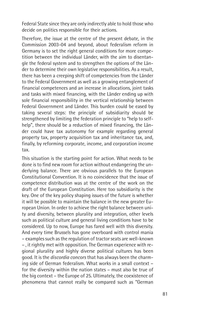Federal State since they are only indirectly able to hold those who decide on politics responsible for their actions.

Therefore, the issue at the centre of the present debate, in the Commission 2003-04 and beyond, about federalism reform in Germany is to set the right general conditions for more competition between the individual Länder, with the aim to disentangle the federal system and to strengthen the options of the Länder to determine their own legislative responsibilities. As a result, there has been a creeping shift of competencies from the Länder to the Federal Government as well as a growing entanglement of financial competences and an increase in allocations, joint tasks and tasks with mixed financing, with the Länder ending up with sole financial responsibility in the vertical relationship between Federal Government and Länder. This burden could be eased by taking several steps: the principle of subsidiarity should be strengthened by limiting the federation principle to "help to selfhelp", there should be a reduction of mixed financing, the Länder could have tax autonomy for example regarding general property tax, property acquisition tax and inheritance tax, and, finally, by reforming corporate, income, and corporation income tax.

This situation is the starting point for action. What needs to be done is to find new room for action without endangering the underlying balance. There are obvious parallels to the European Constitutional Convention. It is no coincidence that the issue of competence distribution was at the centre of the work on the draft of the European Constitution. Here too subsidiarity is the key. One of the key policy shaping issues of the future is whether it will be possible to maintain the balance in the new greater European Union. In order to achieve the right balance between unity and diversity, between plurality and integration, other levels such as political culture and general living conditions have to be considered. Up to now, Europe has fared well with this diversity. And every time Brussels has gone overboard with control mania – examples such as the regulation of tractor seats are well-known – , it rightly met with opposition. The German experience with regional plurality and highly diverse political cultures has been good. It is the *discordia concors* that has always been the charming side of German federalism. What works in a small context – for the diversity within the nation states – must also be true of the big context – the Europe of 25. Ultimately, the coexistence of phenomena that cannot really be compared such as "German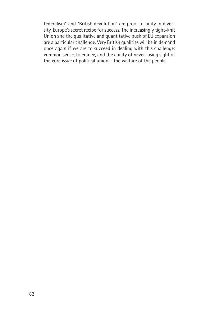federalism" and "British devolution" are proof of unity in diversity, Europe's secret recipe for success. The increasingly tight-knit Union and the qualitative and quantitative push of EU expansion are a particular challenge. Very British qualities will be in demand once again if we are to succeed in dealing with this challenge: common sense, tolerance, and the ability of never losing sight of the core issue of political union – the welfare of the people.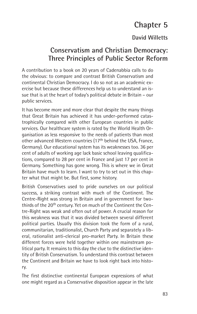# **Chapter 5**

### **David Willetts**

# **Conservatism and Christian Democracy: Three Principles of Public Sector Reform**

A contribution to a book on 20 years of Cadenabbia calls to do the obvious: to compare and contrast British Conservatism and continental Christian Democracy. I do so not as an academic exercise but because these differences help us to understand an issue that is at the heart of today's political debate in Britain – our public services.

It has become more and more clear that despite the many things that Great Britain has achieved it has under-performed catastrophically compared with other European countries in public services. Our healthcare system is rated by the World Health Organisation as less responsive to the needs of patients than most other advanced Western countries (17th behind the USA, France, Germany). Our educational system has its weaknesses too. 36 per cent of adults of working age lack basic school leaving qualifications, compared to 28 per cent in France and just 17 per cent in Germany. Something has gone wrong. This is where we in Great Britain have much to learn. I want to try to set out in this chapter what that might be. But first, some history.

British Conservatives used to pride ourselves on our political success, a striking contrast with much of the Continent. The Centre-Right was strong in Britain and in government for twothirds of the 20<sup>th</sup> century. Yet on much of the Continent the Centre-Right was weak and often out of power. A crucial reason for this weakness was that it was divided between several different political parties. Usually this division took the form of a rural, communitarian, traditionalist, Church Party and separately a liberal, rationalist anti-clerical pro-market Party. In Britain these different forces were held together within one mainstream political party. It remains to this day the clue to the distinctive identity of British Conservatism. To understand this contrast between the Continent and Britain we have to look right back into history.

The first distinctive continental European expressions of what one might regard as a Conservative disposition appear in the late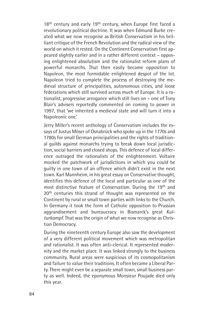18<sup>th</sup> century and early 19<sup>th</sup> century, when Europe first faced a revolutionary political doctrine. It was when Edmund Burke created what we now recognise as British Conservatism in his brilliant critique of the French Revolution and the radical view of the world on which it rested. On the Continent Conservatism first appeared slightly earlier and in a rather different context – opposing enlightened absolutism and the rationalist reform plans of powerful monarchs. That then easily became opposition to Napoleon, the most formidable enlightened despot of the lot. Napoleon tried to complete the process of destroying the medieval structure of principalities, autonomous cities, and loose federations which still survived across much of Europe. It is a rationalist, progressive arrogance which still lives on – one of Tony Blair's advisers reportedly commented on coming to power in 1997, that 'we inherited a medieval state and will turn it into a Napoleonic one.'

Jerry Miller's recent anthology of Conservatism includes the essays of Justus Möser of Osnabrück who spoke up in the 1770s and 1780s for small German principalities and the rights of traditional guilds against monarchs trying to break down local jurisdiction, social barriers and closed shops. This defence of local difference outraged the rationalists of the enlightenment. Voltaire mocked the patchwork of jurisdictions in which you could be guilty in one town of an offence which didn't exist in the next town. Karl Mannheim, in his great essay on Conservative thought, identifies this defence of the local and particular as one of the most distinctive feature of Conservatism. During the 19th and 20<sup>th</sup> centuries this strand of thought was represented on the Continent by rural or small town parties with links to the Church. In Germany it took the form of Catholic opposition to Prussian aggrandisement and bureaucracy in Bismarck's great *Kulturkampf*. That was the origin of what we now recognise as Christian Democracy.

During the nineteenth century Europe also saw the development of a very different political movement which was metropolitan and rationalist. It was often anti-clerical. It represented modernity and the market place. It was linked strongly to the business community. Rural areas were suspicious of its cosmopolitanism and failure to value their traditions. It often became a Liberal Party. There might even be a separate small town, small business party as well. Indeed, the eponymous Monsieur Poujade died only this year.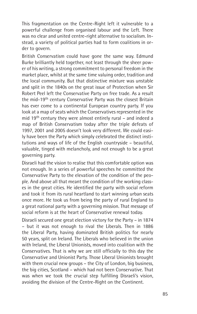This fragmentation on the Centre-Right left it vulnerable to a powerful challenge from organised labour and the Left. There was no clear and united centre-right alternative to socialism. Instead, a variety of political parties had to form coalitions in order to govern.

British Conservatism could have gone the same way. Edmund Burke brilliantly held together, not least through the sheer power of his writing, a strong commitment to personal freedom in the market place, whilst at the same time valuing order, tradition and the local community. But that distinctive mixture was unstable and split in the 1840s on the great issue of Protection when Sir Robert Peel left the Conservative Party on free trade. As a result the mid-19th century Conservative Party was the closest Britain has ever come to a continental European country party. If you look at a map of seats which the Conservatives represented in the mid 19th century they were almost entirely rural – and indeed a map of British Conservatism today after the triple defeats of 1997, 2001 and 2005 doesn't look very different. We could easily have been the Party which simply celebrated the distinct institutions and ways of life of the English countryside – beautiful, valuable, tinged with melancholy, and not enough to be a great governing party.

Disraeli had the vision to realise that this comfortable option was not enough. In a series of powerful speeches he committed the Conservative Party to the elevation of the condition of the people. And above all that meant the condition of the working classes in the great cities. He identified the party with social reform and took it from its rural heartland to start winning urban seats once more. He took us from being the party of rural England to a great national party with a governing mission. That message of social reform is at the heart of Conservative renewal today.

Disraeli secured one great election victory for the Party – in 1874 – but it was not enough to rival the Liberals. Then in 1886 the Liberal Party, having dominated British politics for nearly 50 years, split on Ireland. The Liberals who believed in the union with Ireland, the Liberal Unionists, moved into coalition with the Conservatives. That is why we are still officially to this day the Conservative and Unionist Party. Those Liberal Unionists brought with them crucial new groups – the City of London, big business, the big cities, Scotland – which had not been Conservative. That was when we took the crucial step fulfilling Disraeli's vision, avoiding the division of the Centre-Right on the Continent.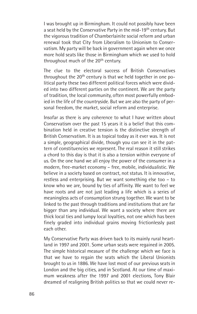I was brought up in Birmingham. It could not possibly have been a seat held by the Conservative Party in the mid-19<sup>th</sup> century. But the vigorous tradition of Chamberlainite social reform and urban renewal took that City from Liberalism to Unionism to Conservatism. My party will be back in government again when we once more hold seats like those in Birmingham which we used to hold throughout much of the 20<sup>th</sup> century.

The clue to the electoral success of British Conservatives throughout the 20<sup>th</sup> century is that we held together in one political party these two different political forces which were divided into two different parties on the continent. We are the party of tradition, the local community, often most powerfully embodied in the life of the countryside. But we are also the party of personal freedom, the market, social reform and enterprise.

Insofar as there is any coherence to what I have written about Conservatism over the past 15 years it is a belief that this combination held in creative tension is the distinctive strength of British Conservatism. It is as topical today as it ever was. It is not a simple, geographical divide, though you can see it in the pattern of constituencies we represent. The real reason it still strikes a chord to this day is that it is also a tension within everyone of us. On the one hand we all enjoy the power of the consumer in a modern, free-market economy – free, mobile, individualistic. We believe in a society based on contract, not status. It is innovative, restless and enterprising. But we want something else too – to know who we are, bound by ties of affinity. We want to feel we have roots and are not just leading a life which is a series of meaningless acts of consumption strung together. We want to be linked to the past through traditions and institutions that are far bigger than any individual. We want a society where there are thick local ties and lumpy local loyalties, not one which has been finely graded into individual grains moving frictionlessly past each other.

My Conservative Party was driven back to its mainly rural heartland in 1997 and 2001. Some urban seats were regained in 2005. The simple historical measure of the challenge which we face is that we have to regain the seats which the Liberal Unionists brought to us in 1886. We have lost most of our previous seats in London and the big cities, and in Scotland. At our time of maximum weakness after the 1997 and 2001 elections, Tony Blair dreamed of realigning British politics so that we could never re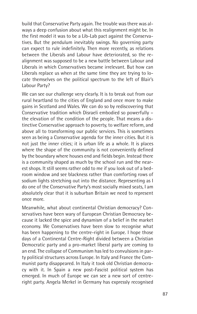build that Conservative Party again. The trouble was there was always a deep confusion about what this realignment might be. In the first model it was to be a Lib-Lab pact against the Conservatives. But the pendulum inevitably swings. No governing party can expect to rule indefinitely. Then more recently, as relations between the Liberals and Labour have deteriorated, so the realignment was supposed to be a new battle between Labour and Liberals in which Conservatives became irrelevant. But how can Liberals replace us when at the same time they are trying to locate themselves on the political spectrum to the left of Blair's Labour Party?

We can see our challenge very clearly. It is to break out from our rural heartland to the cities of England and once more to make gains in Scotland and Wales. We can do so by rediscovering that Conservative tradition which Disraeli embodied so powerfully – the elevation of the condition of the people. That means a distinctive Conservative approach to poverty, to welfare reform, and above all to transforming our public services. This is sometimes seen as being a Conservative agenda for the inner cities. But it is not just the inner cities; it is urban life as a whole. It is places where the shape of the community is not conveniently defined by the boundary where houses end and fields begin. Instead there is a community shaped as much by the school run and the nearest shops. It still seems rather odd to me if you look out of a bedroom window and see blackness rather than comforting rows of sodium lights stretching out into the distance. Representing as I do one of the Conservative Party's most socially mixed seats, I am absolutely clear that it is suburban Britain we need to represent once more.

Meanwhile, what about continental Christian democracy? Conservatives have been wary of European Christian Democracy because it lacked the spice and dynamism of a belief in the market economy. We Conservatives have been slow to recognise what has been happening to the centre-right in Europe. I hope those days of a Continental Centre-Right divided between a Christian Democratic party and a pro-market liberal party are coming to an end. The collapse of Communism has led to convulsions in party political structures across Europe. In Italy and France the Communist party disappeared. In Italy it took old Christian democracy with it. In Spain a new post-Fascist political system has emerged. In much of Europe we can see a new sort of centreright party. Angela Merkel in Germany has expressly recognised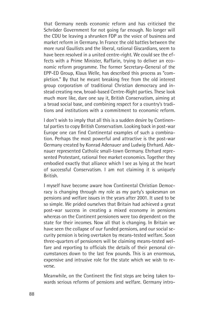that Germany needs economic reform and has criticised the Schröder Government for not going far enough. No longer will the CDU be leaving a shrunken FDP as the voice of business and market reform in Germany. In France the old battles between the more rural Gaullists and the liberal, rational Giscardians, seem to have been resolved in a united centre-right. We could see the effects with a Prime Minister, Raffarin, trying to deliver an economic reform programme. The former Secretary-General of the EPP-ED Group, Klaus Welle, has described this process as "completion." By that he meant breaking free from the old interest group corporatism of traditional Christian democracy and instead creating new, broad-based Centre-Right parties. These look much more like, dare one say it, British Conservatism, aiming at a broad social base, and combining respect for a country's traditions and institutions with a commitment to economic reform.

I don't wish to imply that all this is a sudden desire by Continental parties to copy British Conservatism. Looking back in post-war Europe one can find Continental examples of such a combination. Perhaps the most powerful and attractive is the post-war Germany created by Konrad Adenauer and Ludwig Ehrhard. Adenauer represented Catholic small-town Germany. Ehrhard represented Protestant, rational free market economics. Together they embodied exactly that alliance which I see as lying at the heart of successful Conservatism. I am not claiming it is uniquely British.

I myself have become aware how Continental Christian Democracy is changing through my role as my party's spokesman on pensions and welfare issues in the years after 2001. It used to be so simple. We prided ourselves that Britain had achieved a great post-war success in creating a mixed economy in pensions whereas on the Continent pensioners were too dependent on the state for their incomes. Now all that is changing. In Britain we have seen the collapse of our funded pensions, and our social security pension is being overtaken by means-tested welfare. Soon three-quarters of pensioners will be claiming means-tested welfare and reporting to officials the details of their personal circumstances down to the last few pounds. This is an enormous, expensive and intrusive role for the state which we wish to reverse.

Meanwhile, on the Continent the first steps are being taken towards serious reforms of pensions and welfare. Germany intro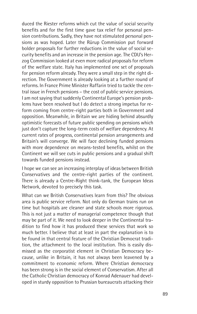duced the Riester reforms which cut the value of social security benefits and for the first time gave tax relief for personal pension contributions. Sadly, they have not stimulated personal pensions as was hoped. Later the Rürup Commission put forward bolder proposals for further reductions in the value of social security benefits and an increase in the pension age. The CDU's Herzog Commission looked at even more radical proposals for reform of the welfare state. Italy has implemented one set of proposals for pension reform already. They were a small step in the right direction. The Government is already looking at a further round of reforms. In France Prime Minister Raffarin tried to tackle the central issue in French pensions – the cost of public service pensions. I am not saying that suddenly Continental Europe's pension problems have been resolved but I do detect a strong impetus for reform coming from centre-right parties both in Government and opposition. Meanwhile, in Britain we are hiding behind absurdly optimistic forecasts of future public spending on pensions which just don't capture the long-term costs of welfare dependency. At current rates of progress, continental pension arrangements and Britain's will converge. We will face declining funded pensions with more dependence on means-tested benefits, whilst on the Continent we will see cuts in public pensions and a gradual shift towards funded pensions instead.

I hope we can see an increasing interplay of ideas between British Conservatives and the centre-right parties of the continent. There is already a Centre-Right think-tank, the European Ideas Network, devoted to precisely this task.

What can we British Conservatives learn from this? The obvious area is public service reform. Not only do German trains run on time but hospitals are cleaner and state schools more rigorous. This is not just a matter of managerial competence though that may be part of it. We need to look deeper in the Continental tradition to find how it has produced these services that work so much better. I believe that at least in part the explanation is to be found in that central feature of the Christian Democrat tradition, the attachment to the local institution. This is easily dismissed as the corporatist element in Christian Democracy because, unlike in Britain, it has not always been leavened by a commitment to economic reform. Where Christian democracy has been strong is in the social element of Conservatism. After all the Catholic Christian democracy of Konrad Adenauer had developed in sturdy opposition to Prussian bureaucrats attacking their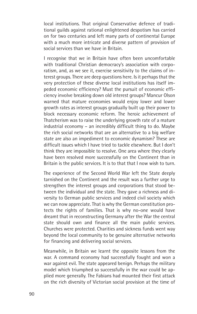local institutions. That original Conservative defence of traditional guilds against rational enlightened despotism has carried on for two centuries and left many parts of continental Europe with a much more intricate and diverse pattern of provision of social services than we have in Britain.

I recognise that we in Britain have often been uncomfortable with traditional Christian democracy's association with corporatism, and, as we see it, exercise sensitivity to the claims of interest groups. There are deep questions here. Is it perhaps that the very protection of these diverse local institutions has itself impeded economic efficiency? Must the pursuit of economic efficiency involve breaking down old interest groups? Mancur Olson warned that mature economies would enjoy lower and lower growth rates as interest groups gradually built up their power to block necessary economic reform. The heroic achievement of Thatcherism was to raise the underlying growth rate of a mature industrial economy – an incredibly difficult thing to do. Maybe the rich social networks that are an alternative to a big welfare state are also an impediment to economic dynamism? These are difficult issues which I have tried to tackle elsewhere. But I don't think they are impossible to resolve. One area where they clearly have been resolved more successfully on the Continent than in Britain is the public services. It is to that that I now wish to turn.

The experience of the Second World War left the State deeply tarnished on the Continent and the result was a further urge to strengthen the interest groups and corporations that stood between the individual and the state. They gave a richness and diversity to German public services and indeed civil society which we can now appreciate. That is why the German constitution protects the rights of families. That is why no-one would have dreamt that in reconstructing Germany after the War the central state should own and finance all the main public services. Churches were protected. Charities and sickness funds went way beyond the local community to be genuine alternative networks for financing and delivering social services.

Meanwhile, in Britain we learnt the opposite lessons from the war. A command economy had successfully fought and won a war against evil. The state appeared benign. Perhaps the military model which triumphed so successfully in the war could be applied more generally. The Fabians had mounted their first attack on the rich diversity of Victorian social provision at the time of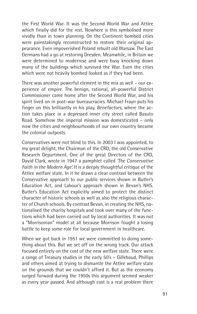the First World War. It was the Second World War and Attlee which finally did for the rest. Nowhere is this symbolised more vividly than in town planning. On the Continent bombed cities were painstakingly reconstructed to restore their original appearance. Even impoverished Poland rebuilt old Warsaw. The East Germans had a go at restoring Dresden. Meanwhile, in Britain we were determined to modernise and were busy knocking down many of the buildings which survived the War. Even the cities which were not heavily bombed looked as if they had been.

There was another powerful element in the mix as well – our experience of empire. The benign, rational, all-powerful District Commissioner came home after the Second World War, and his spirit lived on in post-war bureaucracies. Michael Frayn puts his finger on this brilliantly in his play, *Benefactors*, where the action takes place in a depressed inner city street called Basuto Road. Somehow the imperial mission was domesticated – only now the cities and neighbourhoods of our own country became the colonial outposts.

Conservatives were not blind to this. In 2003 I was appointed, to my great delight, the Chairman of the CRD, the old Conservative Research Department. One of the great Directors of the CRD, David Clark, wrote in 1947 a pamphlet called *'The Conservative Faith in the Modern Age'.* It is a deeply thoughtful critique of the Attlee welfare state. In it he draws a clear contrast between the Conservative approach to our public services shown in Butler's Education Act, and Labour's approach shown in Bevan's NHS. Butler's Education Act explicitly aimed to protect the distinct character of historic schools as well as also the religious character of Church schools. By contrast Bevan, in creating the NHS, nationalised the charity hospitals and took over many of the functions which had been carried out by local authorities. It was not a "Morrisonian" model at all because Morrison fought a losing battle to keep some role for local government in healthcare.

When we got back in 1951 we were committed to doing something about this. But we set off on the wrong track. Our attack focused entirely on the cost of the new welfare state. There were a range of Treasury studies in the early 50's – Gillebaud, Phillips and others aimed at trying to dismantle the Attlee welfare state on the grounds that we couldn't afford it. But as the economy surged forward during the 1950s this argument seemed weaker as every year passed. And although cost is a real problem there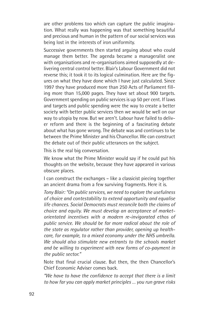are other problems too which can capture the public imagination. What really was happening was that something beautiful and precious and human in the pattern of our social services was being lost in the interests of iron uniformity.

Successive governments then started arguing about who could manage them better. The agenda became a manageralist one with organisations and re-organisations aimed supposedly at delivering central control better. Blair's Labour Government did not reverse this; it took it to its logical culmination. Here are the figures on what they have done which I have just calculated. Since 1997 they have produced more than 250 Acts of Parliament filling more than 15,000 pages. They have set about 900 targets. Government spending on public services is up 50 per cent. If laws and targets and public spending were the way to create a better society with better public services then we would be well on our way to utopia by now. But we aren't. Labour have failed to deliver reform and there is the beginning of a fascinating debate about what has gone wrong. The debate was and continues to be between the Prime Minister and his Chancellor. We can construct the debate out of their public utterances on the subject.

This is the real big conversation.

We know what the Prime Minister would say if he could put his thoughts on the website, because they have appeared in various obscure places.

I can construct the exchanges – like a classicist piecing together an ancient drama from a few surviving fragments. Here it is.

*Tony Blair: "On public services, we need to explore the usefulness of choice and contestability to extend opportunity and equalise life chances. Social Democrats must reconcile both the claims of choice and equity. We must develop an acceptance of marketorientated incentives with a modern re-invigorated ethos of public service. We should be far more radical about the role of the state as regulator rather than provider, opening up healthcare, for example, to a mixed economy under the NHS umbrella. We should also stimulate new entrants to the schools market and be willing to experiment with new forms of co-payment in the public sector."*

Note that final crucial clause. But then, the then Chancellor's Chief Economic Adviser comes back.

*"We have to have the confidence to accept that there is a limit to how far you can apply market principles … you run grave risks*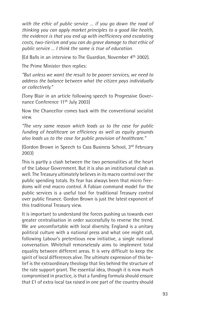*with the ethic of public service … if you go down the road of thinking you can apply market principles to a good like health, the evidence is that you end up with inefficiency and escalating costs, two-tierism and you can do grave damage to that ethic of public service … I think the same is true of education.*

(Ed Balls in an interview to The Guardian, November 4th 2002).

The Prime Minister then replies:

*"But unless we want the result to be poorer services, we need to address the balance between what the citizen pays individually or collectively."*

(Tony Blair in an article following speech to Progressive Governance Conference 11<sup>th</sup> July 2003)

Now the Chancellor comes back with the conventional socialist view.

*"The very same reason which leads us to the case for public funding of healthcare on efficiency as well as equity grounds also leads us to the case for public provision of healthcare."*

(Gordon Brown in Speech to Cass Business School, 3rd February 2003)

This is partly a clash between the two personalities at the heart of the Labour Government. But it is also an institutional clash as well. The Treasury ultimately believes in its macro control over the public spending totals. Its fear has always been that micro freedoms will end macro control. A Fabian command model for the public services is a useful tool for traditional Treasury control over public finance. Gordon Brown is just the latest exponent of this traditional Treasury view.

It is important to understand the forces pushing us towards ever greater centralisation in order successfully to reverse the trend. We are uncomfortable with local diversity. England is a unitary political culture with a national press and what one might call, following Labour's pretentious new initiative, a single national conversation. Whitehall remorselessly aims to implement total equality between different areas. It is very difficult to keep the spirit of local differences alive. The ultimate expression of this belief is the extraordinary theology that lies behind the structure of the rate support grant. The essential idea, though it is now much compromised in practice, is that a funding formula should ensure that £1 of extra local tax raised in one part of the country should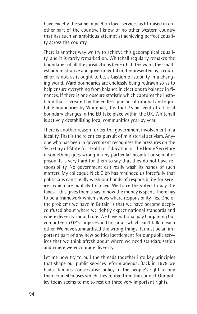have exactly the same impact on local services as £1 raised in another part of the country. I know of no other western country that has such an ambitious attempt at achieving perfect equality across the country.

There is another way we try to achieve this geographical equality, and it is rarely remarked on. Whitehall regularly remakes the boundaries of all the jurisdictions beneath it. The ward, the smallest administrative and governmental unit represented by a councillor, is not, as it ought to be, a bastion of stability in a changing world. Ward boundaries are endlessly being redrawn so as to help ensure everything from balance in elections to balance in finances. If there is one obscure statistic which captures the instability that is created by the endless pursuit of rational and equitable boundaries by Whitehall, it is that 75 per cent of all local boundary changes in the EU take place within the UK. Whitehall is actively destabilising local communities year by year.

There is another reason for central government involvement in a locality. That is the relentless pursuit of ministerial activism. Anyone who has been in government recognises the pressures on the Secretary of State for Health or Education or the Home Secretary if something goes wrong in any particular hospital or school or prison. It is very hard for them to say that they do not have responsibility. No government can really wash its hands of such matters. My colleague Nick Gibb has reminded us forcefully that politicians can't really wash our hands of responsibility for services which are publicly financed. We force the voters to pay the taxes – this gives them a say in how the money is spent. There has to be a framework which shows where responsibility lies. One of the problems we have in Britain is that we have become deeply confused about where we rightly expect national standards and where diversity should rule. We have national pay bargaining but computers in GP's surgeries and hospitals which can't talk to each other. We have standardised the wrong things. It must be an important part of any new political settlement for our public services that we think afresh about where we need standardisation and where we encourage diversity.

Let me now try to pull the threads together into key principles that shape our public services reform agenda. Back in 1979 we had a famous Conservative policy of the people's right to buy their council houses which they rented from the council. Our policy today seems to me to rest on three very important rights.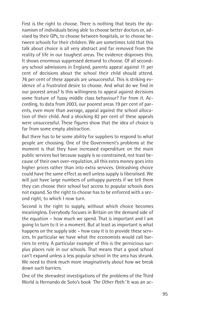First is the right to choose. There is nothing that beats the dynamism of individuals being able to choose better doctors or, advised by their GPs, to choose between hospitals, or to choose between schools for their children. We are sometimes told that this talk about choice is all very abstract and far removed from the reality of life in our toughest areas. The evidence disproves this. It shows enormous suppressed demand to choose. Of all secondary school admissions in England, parents appeal against 11 per cent of decisions about the school their child should attend. 76 per cent of these appeals are unsuccessful. This is striking evidence of a frustrated desire to choose. And what do we find in our poorest areas? Is this willingness to appeal against decisions some feature of fussy middle class behaviour? Far from it. According, to data from 2003, our poorest areas 19 per cent of parents, even more than average, appeal against the school allocation of their child. And a shocking 82 per cent of these appeals were unsuccessful. These figures show that the idea of choice is far from some empty abstraction.

But there has to be some ability for suppliers to respond to what people are choosing. One of the Government's problems at the moment is that they have increased expenditure on the main public services but because supply is so constrained, not least because of their own over-regulation, all this extra money goes into higher prices rather than into extra services. Unleashing choice could have the same effect as well unless supply is liberalised. We will just have large numbers of unhappy parents if we tell them they can choose their school but access to popular schools does not expand. So the right to choose has to be enforced with a second right, to which I now turn.

Second is the right to supply, without which choice becomes meaningless. Everybody focuses in Britain on the demand side of the equation – how much we spend. That is important and I am going to turn to it in a moment. But at least as important is what happens on the supply side – how easy it is to provide these services. In particular we have what the economists would call barriers to entry. A particular example of this is the pernicious surplus places rule in our schools. That means that a good school can't expand unless a less popular school in the area has shrunk. We need to think much more imaginatively about how we break down such barriers.

One of the shrewdest investigations of the problems of the Third World is Hernando de Soto's book *'The Other Path.'* It was an ac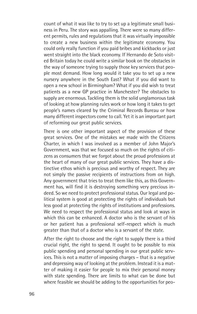count of what it was like to try to set up a legitimate small business in Peru. The story was appalling. There were so many different permits, rules and regulations that it was virtually impossible to create a new business within the legitimate economy. You could only really function if you paid bribes and kickbacks or just went straight into the black economy. If Hernando de Soto visited Britain today he could write a similar book on the obstacles in the way of someone trying to supply those key services that people most demand. How long would it take you to set up a new nursery anywhere in the South East? What if you did want to open a new school in Birmingham? What if you did wish to treat patients as a new GP practice in Manchester? The obstacles to supply are enormous. Tackling them is the solid unglamorous task of looking at how planning rules work or how long it takes to get people's names cleared by the Criminal Records Bureau or how many different inspectors come to call. Yet it is an important part of reforming our great public services.

There is one other important aspect of the provision of these great services. One of the mistakes we made with the Citizens Charter, in which I was involved as a member of John Major's Government, was that we focused so much on the rights of citizens as consumers that we forgot about the proud professions at the heart of many of our great public services. They have a distinctive ethos which is precious and worthy of respect. They are not simply the passive recipients of instructions from on high. Any government that tries to treat them like this, as this Government has, will find it is destroying something very precious indeed. So we need to protect professional status. Our legal and political system is good at protecting the rights of individuals but less good at protecting the rights of institutions and professions. We need to respect the professional status and look at ways in which this can be enhanced. A doctor who is the servant of his or her patient has a professional self-respect which is much greater than that of a doctor who is a servant of the state.

After the right to choose and the right to supply there is a third crucial right, the right to spend. It ought to be possible to mix public spending and personal spending in our great public services. This is not a matter of imposing charges – that is a negative and depressing way of looking at the problem. Instead it is a matter of making it easier for people to mix their personal money with state spending. There are limits to what can be done but where feasible we should be adding to the opportunities for peo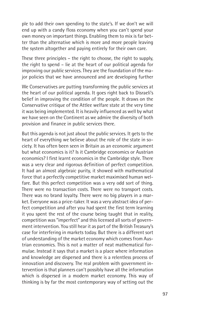ple to add their own spending to the state's. If we don't we will end up with a candy floss economy when you can't spend your own money on important things. Enabling them to mix is far better than the alternative which is more and more people leaving the system altogether and paying entirely for their own care.

These three principles – the right to choose, the right to supply, the right to spend – lie at the heart of our political agenda for improving our public services. They are the foundation of the major policies that we have announced and are developing further

We Conservatives are putting transforming the public services at the heart of our political agenda. It goes right back to Disraeli's belief in improving the condition of the people. It draws on the Conservative critique of the Attlee welfare state at the very time it was being implemented. It is heavily influenced as well by what we have seen on the Continent as we admire the diversity of both provision and finance in public services there.

But this agenda is not just about the public services. It gets to the heart of everything we believe about the role of the state in society. It has often been seen in Britain as an economic argument but what economics is it? Is it Cambridge economics or Austrian economics? I first learnt economics in the Cambridge style. There was a very clear and rigorous definition of perfect competition. It had an almost algebraic purity, it showed with mathematical force that a perfectly competitive market maximised human welfare. But this perfect competition was a very odd sort of thing. There were no transaction costs. There were no transport costs. There was no brand loyalty. There were no big players in a market. Everyone was a price-taker. It was a very abstract idea of perfect competition and after you had spent the first term learning it you spent the rest of the course being taught that in reality, competition was "imperfect" and this licensed all sorts of government intervention. You still hear it as part of the British Treasury's case for interfering in markets today. But there is a different sort of understanding of the market economy which comes from Austrian economics. This is not a matter of neat mathematical formulae. Instead it says that a market is a place where information and knowledge are dispersed and there is a relentless process of innovation and discovery. The real problem with government intervention is that planners can't possibly have all the information which is dispersed in a modern market economy. This way of thinking is by far the most contemporary way of setting out the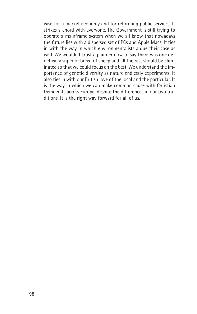case for a market economy and for reforming public services. It strikes a chord with everyone. The Government is still trying to operate a mainframe system when we all know that nowadays the future lies with a dispersed set of PCs and Apple Macs. It ties in with the way in which environmentalists argue their case as well. We wouldn't trust a planner now to say there was one genetically superior breed of sheep and all the rest should be eliminated so that we could focus on the best. We understand the importance of genetic diversity as nature endlessly experiments. It also ties in with our British love of the local and the particular. It is the way in which we can make common cause with Christian Democrats across Europe, despite the differences in our two traditions. It is the right way forward for all of us.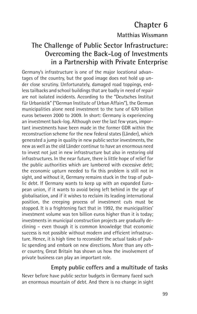# **Chapter 6**

### **Matthias Wissmann**

# **The Challenge of Public Sector Infrastructure: Overcoming the Back-Log of Investments in a Partnership with Private Enterprise**

Germany's infrastructure is one of the major locational advantages of the country, but the good image does not hold up under close scrutiny. Unfortunately, damaged road toppings, endless tailbacks and school buildings that are badly in need of repair are not isolated incidents. According to the "Deutsches Institut für Urbanistik" ("German Institute of Urban Affairs"), the German municipalities alone need investment to the tune of 670 billion euros between 2000 to 2009. In short: Germany is experiencing an investment back-log. Although over the last few years, important investments have been made in the former GDR within the reconstruction scheme for the new federal states (Länder), which generated a jump in quality in new public sector investments, the new as well as the old Länder continue to have an enormous need to invest not just in new infrastructure but also in restoring old infrastructures. In the near future, there is little hope of relief for the public authorities which are lumbered with excessive debt; the economic upturn needed to fix this problem is still not in sight, and without it, Germany remains stuck in the trap of public debt. If Germany wants to keep up with an expanded European union, if it wants to avoid being left behind in the age of globalisation, and if it wishes to reclaim its leading international position, the creeping process of investment cuts must be stopped. It is a frightening fact that in 1992, the municipalities' investment volume was ten billion euros higher than it is today; investments in municipal construction projects are gradually declining – even though it is common knowledge that economic success is not possible without modern and efficient infrastructure. Hence, it is high time to reconsider the actual tasks of public spending and embark on new directions. More than any other country, Great Britain has shown us how the involvement of private business can play an important role.

#### **Empty public coffers and a multitude of tasks**

Never before have public sector budgets in Germany faced such an enormous mountain of debt. And there is no change in sight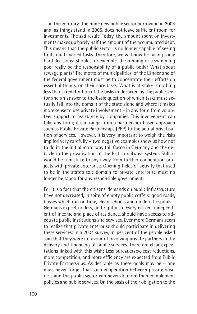– on the contrary: The huge new public sector borrowing in 2004 and, as things stand in 2005, does not leave sufficient room for investments. The sad result: Today, the amount spent on investments makes up barely half the amount of the accumulated debt. This means that the public sector is no longer capable of seeing to its multi-varied tasks. Therefore, we will now be facing some hard decisions: Should, for example, the running of a swimming pool really be the responsibility of a public body? What about sewage plants? The motto of municipalities, of the Länder and of the federal government must be to concentrate their efforts on essential things, on their core tasks. What is at stake is nothing less than a redefinition of the tasks undertaken by the public sector and an answer to the basic question of which tasks must actually fall into the domain of the state alone and where it makes more sense to use private involvement – in any form from volunteer support to assistance by companies. This involvement can take any form; it can range from a partnership-based approach such as Public Private Partnerships (PPP) to the actual privatisation of services. However, it is very important to weigh the risks implied very carefully – two negative examples show us how not to do it: the initial motorway toll fiasco in Germany and the debacle in the privatisation of the British railways system. Still, it would be a mistake to shy away from further cooperation projects with private enterprise. Opening fields of activity that used to be in the state's sole domain to private enterprise must no longer be taboo for any responsible government.

For it is a fact that the citizens' demands on public infrastructure have not decreased, in spite of empty public coffers: good roads, busses which run on time, clean schools and modern hospitals – Germans expect no less, and rightly so. Every citizen, independent of income and place of residence, should have access to adequate public institutions and services. Ever more Germans seem to realize that private enterprise should participate in delivering these services: In a 2004 survey, 61 per cent of the people asked said that they were in favour of involving private partners in the delivery and financing of public services. There are clear expectations linked with this wish: Less bureaucracy, cost reductions, more competition, and more efficiency are expected from Public Private Partnerships. As desirable as these goals may be – one must never forget that such cooperation between private business and the public sector can never do more than complement policies and public services. On the basis of their obligation to the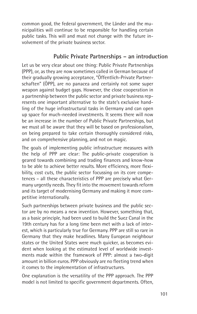common good, the federal government, the Länder and the municipalities will continue to be responsible for handling certain public tasks. This will and must not change with the future involvement of the private business sector.

### **Public Private Partnerships – an introduction**

Let us be very clear about one thing: Public Private Partnerships (PPP), or, as they are now sometimes called in German because of their gradually growing acceptance, "Öffentlich-Private Partnerschaften" (ÖPP), are no panacea and certainly not some super weapon against budget gaps. However, the close cooperation in a partnership between the public sector and private business represents one important alternative to the state's exclusive handling of the huge infrastructural tasks in Germany and can open up space for much-needed investments. It seems there will now be an increase in the number of Public Private Partnerships, but we must all be aware that they will be based on professionalism, on being prepared to take certain thoroughly considered risks, and on comprehensive planning, and not on magic.

The goals of implementing public infrastructure measures with the help of PPP are clear: The public-private cooperation is geared towards combining and trading finances and know-how to be able to achieve better results. More efficiency, more flexibility, cost cuts, the public sector focussing on its core competences – all these characteristics of PPP are precisely what Germany urgently needs. They fit into the movement towards reform and its target of modernising Germany and making it more competitive internationally.

Such partnerships between private business and the public sector are by no means a new invention. However, something that, as a basic principle, had been used to build the Suez Canal in the 19th century has for a long time been met with a lack of interest, which is particularly true for Germany. PPP are still so rare in Germany that they make headlines. Many European neighbour states or the United States were much quicker, as becomes evident when looking at the estimated level of worldwide investments made within the framework of PPP: almost a two-digit amount in billion euros. PPP obviously are no fleeting trend when it comes to the implementation of infrastructures.

One explanation is the versatility of the PPP approach. The PPP model is not limited to specific government departments. Often,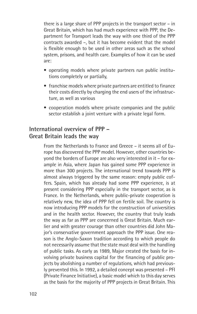there is a large share of PPP projects in the transport sector – in Great Britain, which has had much experience with PPP, the Department for Transport leads the way with one third of the PPP contracts awarded –, but it has become evident that the model is flexible enough to be used in other areas such as the school system, prisons, and health care. Examples of how it can be used are:

- operating models where private partners run public institutions completely or partially,
- franchise models where private partners are entitled to finance their costs directly by charging the end users of the infrastructure, as well as various
- cooperation models where private companies and the public sector establish a joint venture with a private legal form.

### **International overview of PPP – Great Britain leads the way**

From the Netherlands to France and Greece – it seems all of Europe has discovered the PPP model. However, other countries beyond the borders of Europe are also very interested in it – for example in Asia, where Japan has gained some PPP experience in more than 300 projects. The international trend towards PPP is almost always triggered by the same reason: empty public coffers. Spain, which has already had some PPP experience, is at present considering PPP especially in the transport sector, as is France. In the Netherlands, where public-private cooperation is relatively new, the idea of PPP fell on fertile soil. The country is now introducing PPP models for the construction of universities and in the health sector. However, the country that truly leads the way as far as PPP are concerned is Great Britain. Much earlier and with greater courage than other countries did John Major's conservative government approach the PPP issue. One reason is the Anglo-Saxon tradition according to which people do not necessarily assume that the state must deal with the handling of public tasks. As early as 1989, Major created the basis for involving private business capital for the financing of public projects by abolishing a number of regulations, which had previously prevented this. In 1992, a detailed concept was presented – PFI (Private Finance Initiative), a basic model which to this day serves as the basis for the majority of PPP projects in Great Britain. This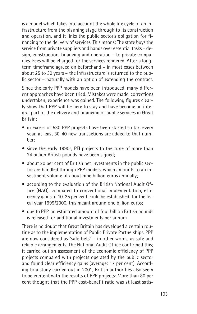is a model which takes into account the whole life cycle of an infrastructure from the planning stage through to its construction and operation, and it links the public sector's obligation for financing to the delivery of services. This means: The state buys the service from private suppliers and hands over essential tasks – design, construction, financing and operation – to private companies. Fees will be charged for the services rendered. After a longterm timeframe agreed on beforehand – in most cases between about 25 to 30 years – the infrastructure is returned to the public sector – naturally with an option of extending the contract.

Since the early PPP models have been introduced, many different approaches have been tried. Mistakes were made, corrections undertaken, experience was gained. The following figures clearly show that PPP will be here to stay and have become an integral part of the delivery and financing of public services in Great Britain:

- in excess of 530 PPP projects have been started so far; every year, at least 30-40 new transactions are added to that number;
- since the early 1990s, PFI projects to the tune of more than 24 billion British pounds have been signed;
- about 20 per cent of British net investments in the public sector are handled through PPP models, which amounts to an investment volume of about nine billion euros annually;
- according to the evaluation of the British National Audit Office (NAO), compared to conventional implementation, efficiency gains of 10-25 per cent could be established; for the fiscal year 1999/2000, this meant around one billion euros;
- due to PPP, an estimated amount of four billion British pounds is released for additional investments per annum.

There is no doubt that Great Britain has developed a certain routine as to the implementation of Public Private Partnerships. PPP are now considered as "safe bets" – in other words, as safe and reliable arrangements. The National Audit Office confirmed this; it carried out an assessment of the economic efficiency of PPP projects compared with projects operated by the public sector and found clear efficiency gains (average: 17 per cent). According to a study carried out in 2001, British authorities also seem to be content with the results of PPP projects: More than 80 per cent thought that the PPP cost-benefit ratio was at least satis-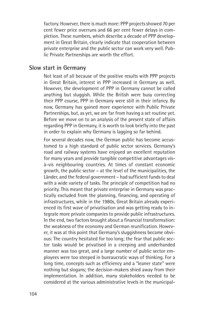factory. However, there is much more: PPP projects showed 70 per cent fewer price overruns and 66 per cent fewer delays in completion. These numbers, which describe a decade of PPP development in Great Britain, clearly indicate that cooperation between private enterprise and the public sector can work very well. Public Private Partnerships are worth the effort.

#### **Slow start in Germany**

Not least of all because of the positive results with PPP projects in Great Britain, interest in PPP increased in Germany as well. However, the development of PPP in Germany cannot be called anything but sluggish. While the British were busy correcting their PPP course, PPP in Germany were still in their infancy. By now, Germany has gained more experience with Public Private Partnerships, but, as yet, we are far from having a set routine yet. Before we move on to an analysis of the present state of affairs regarding PPP in Germany, it is worth to look briefly into the past in order to explain why Germany is lagging so far behind.

For several decades now, the German public has become accustomed to a high standard of public sector services. Germany's road and railway systems have enjoyed an excellent reputation for many years and provide tangible competitive advantages visà-vis neighbouring countries. At times of constant economic growth, the public sector – at the level of the municipalities, the Länder, and the federal government – had sufficient funds to deal with a wide variety of tasks. The principle of competition had no priority. This meant that private enterprise in Germany was practically excluded from the planning, financing, and operating of infrastructures, while in the 1980s, Great Britain already experienced its first wave of privatisation and was getting ready to integrate more private companies to provide public infrastructures. In the end, two factors brought about a financial transformation: the weakness of the economy and German reunification. However, it was at this point that Germany's sluggishness became obvious: The country hesitated for too long; the fear that public sector tasks would be privatised in a creeping and underhanded manner was too great, and a large number of public sector employees were too steeped in bureaucratic ways of thinking. For a long time, concepts such as efficiency and a "leaner state" were nothing but slogans; the decision-makers shied away from their implementation. In addition, many stakeholders needed to be considered at the various administrative levels in the municipal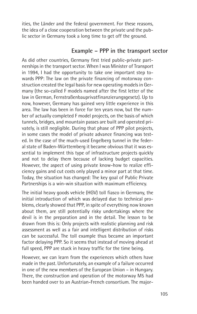ities, the Länder and the federal government. For these reasons, the idea of a close cooperation between the private und the public sector in Germany took a long time to get off the ground.

#### **Example – PPP in the transport sector**

As did other countries, Germany first tried public-private partnerships in the transport sector. When I was Minister of Transport in 1994, I had the opportunity to take one important step towards PPP: The law on the private financing of motorway construction created the legal basis for new operating models in Germany (the so-called F models named after the first letter of the law in German, Fernstraßenbauprivatfinanzierungsgesetz). Up to now, however, Germany has gained very little experience in this area. The law has been in force for ten years now, but the number of actually completed F model projects, on the basis of which tunnels, bridges, and mountain passes are built and operated privately, is still negligible. During that phase of PPP pilot projects, in some cases the model of private advance financing was tested. In the case of the much-used Engelberg tunnel in the federal state of Baden-Württemberg it became obvious that it was essential to implement this type of infrastructure projects quickly and not to delay them because of lacking budget capacities. However, the aspect of using private know-how to realize efficiency gains and cut costs only played a minor part at that time. Today, the situation has changed: The key goal of Public Private Partnerships is a win-win situation with maximum efficiency.

The initial heavy goods vehicle (HGV) toll fiasco in Germany, the initial introduction of which was delayed due to technical problems, clearly showed that PPP, in spite of everything now known about them, are still potentially risky undertakings where the devil is in the preparation and in the detail. The lesson to be drawn from this is: Only projects with realistic planning and risk assessment as well as a fair and intelligent distribution of risks can be successful. The toll example thus became an important factor delaying PPP. So it seems that instead of moving ahead at full speed, PPP are stuck in heavy traffic for the time being.

However, we can learn from the experiences which others have made in the past. Unfortunately, an example of a failure occurred in one of the new members of the European Union – in Hungary. There, the construction and operation of the motorway M5 had been handed over to an Austrian-French consortium. The major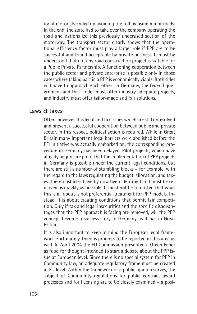ity of motorists ended up avoiding the toll by using minor roads. In the end, the state had to take over the company operating the road and nationalize this previously underused section of the motorway. The transport sector clearly shows that the operational efficiency factor must play a larger role if PPP are to be successful and found acceptable by private business. It must be understood that not any road construction project is suitable for a Public Private Partnership. A functioning cooperation between the public sector and private enterprise is possible only in those cases where taking part in a PPP is economically viable. Both sides will have to approach each other: In Germany, the federal government and the Länder must offer industry adequate projects, and industry must offer tailor-made and fair solutions.

#### **Laws & taxes**

Often, however, it is legal and tax issues which are still unresolved and prevent a successful cooperation between public and private sector. In this respect, political action is required. While in Great Britain many important legal barriers were abolished before the PFI initiative was actually embarked on, the corresponding procedure in Germany has been delayed. Pilot projects, which have already begun, are proof that the implementation of PPP projects in Germany is possible under the current legal conditions, but there are still a number of stumbling blocks – for example, with the regard to the laws regulating the budget, allocation, and taxes. These obstacles have by now been identified and must be removed as quickly as possible. It must not be forgotten that what this is all about is not preferential treatment for PPP models. Instead, it is about creating conditions that permit fair competition. Only if tax and legal insecurities and the specific disadvantages that the PPP approach is facing are removed, will the PPP concept become a success story in Germany as it has in Great Britain.

It is also important to keep in mind the European legal framework. Fortunately, there is progress to be reported in this area as well. In April 2004 the EU Commission presented a Green Paper as food for thought intended to start a debate about the PPP issue at European level. Since there is no special system for PPP in Community law, an adequate regulatory frame must be created at EU level. Within the framework of a public opinion survey, the subject of Community regulations for public contract award processes and for licensing are to be closely examined – a posi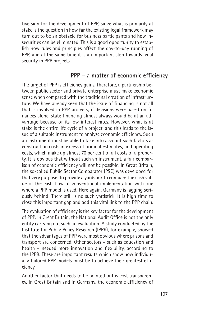tive sign for the development of PPP, since what is primarily at stake is the question in how far the existing legal framework may turn out to be an obstacle for business participants and how insecurities can be eliminated. This is a good opportunity to establish how rules and principles affect the day-to-day running of PPP, and at the same time it is an important step towards legal security in PPP projects.

#### **PPP – a matter of economic efficiency**

The target of PPP is efficiency gains. Therefore, a partnership between public sector and private enterprise must make economic sense when compared with the traditional creation of infrastructure. We have already seen that the issue of financing is not all that is involved in PPP projects; if decisions were based on finances alone, state financing almost always would be at an advantage because of its low interest rates. However, what is at stake is the entire life cycle of a project, and this leads to the issue of a suitable instrument to analyse economic efficiency. Such an instrument must be able to take into account such factors as construction costs in excess of original estimates; and operating costs, which make up almost 70 per cent of all costs of a property. It is obvious that without such an instrument, a fair comparison of economic efficiency will not be possible. In Great Britain, the so-called Public Sector Comparator (PSC) was developed for that very purpose: to provide a yardstick to compare the cash value of the cash flow of conventional implementation with one where a PPP model is used. Here again, Germany is lagging seriously behind: There still is no such yardstick. It is high time to close this important gap and add this vital link to the PPP chain.

The evaluation of efficiency is the key factor for the development of PPP. In Great Britain, the National Audit Office is not the only entity carrying out such an evaluation: A study conducted by the Institute for Public Policy Research (IPPR), for example, showed that the advantages of PPP were most obvious where prisons and transport are concerned. Other sectors – such as education and health – needed more innovation and flexibility, according to the IPPR. These are important results which show how individually tailored PPP models must be to achieve their greatest efficiency.

Another factor that needs to be pointed out is cost transparency. In Great Britain and in Germany, the economic efficiency of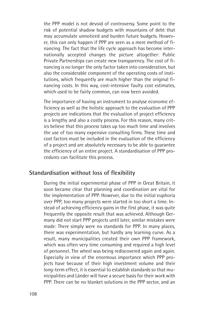the PPP model is not devoid of controversy. Some point to the risk of potential shadow budgets with mountains of debt that may accumulate unnoticed and burden future budgets. However, this can only happen if PPP are seen as a mere method of financing. The fact that the life cycle approach has become internationally accepted changes the picture altogether: Public Private Partnerships can create new transparency. The cost of financing is no longer the only factor taken into consideration, but also the considerable component of the operating costs of institutions, which frequently are much higher than the original financing costs. In this way, cost-intensive faulty cost estimates, which used to be fairly common, can now been avoided.

The importance of having an instrument to analyse economic efficiency as well as the holistic approach to the evaluation of PPP projects are indications that the evaluation of project efficiency is a lengthy and also a costly process. For this reason, many critics believe that this process takes up too much time and involves the use of too many expensive consulting firms. These time and cost factors must be included in the evaluation of the efficiency of a project and are absolutely necessary to be able to guarantee the efficiency of an entire project. A standardisation of PPP procedures can facilitate this process.

#### **Standardisation without loss of flexibility**

During the initial experimental phase of PPP in Great Britain, it soon became clear that planning and coordination are vital for the implementation of PPP. However, due to the initial euphoria over PPP, too many projects were started in too short a time. Instead of achieving efficiency gains in the first phase, it was quite frequently the opposite result that was achieved. Although Germany did not start PPP projects until later, similar mistakes were made: There simply were no standards for PPP. In many places, there was experimentation, but hardly any learning curve. As a result, many municipalities created their own PPP framework, which was often very time consuming and required a high level of personnel. The wheel was being rediscovered again and again. Especially in view of the enormous importance which PPP projects have because of their high investment volume and their long-term effect, it is essential to establish standards so that municipalities and Länder will have a secure basis for their work with PPP. There can be no blanket solutions in the PPP sector, and an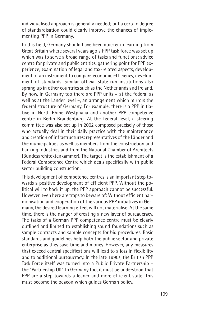individualised approach is generally needed; but a certain degree of standardisation could clearly improve the chances of implementing PPP in Germany.

In this field, Germany should have been quicker in learning from Great Britain where several years ago a PPP task force was set up which was to serve a broad range of tasks and functions: advice centre for private and public entities, gathering point for PPP experience, examination of legal and tax-related aspects, development of an instrument to compare economic efficiency, development of standards. Similar official state-run institutions also sprang up in other countries such as the Netherlands and Ireland. By now, in Germany too there are PPP units – at the federal as well as at the Länder level –, an arrangement which mirrors the federal structure of Germany. For example, there is a PPP initiative in North-Rhine Westphalia and another PPP competence centre in Berlin-Brandenburg. At the federal level, a steering committee was also set up in 2002 composed precisely of those who actually deal in their daily practice with the maintenance and creation of infrastructures: representatives of the Länder and the municipalities as well as members from the construction and banking industries and from the National Chamber of Architects (Bundesarchitektenkammer). The target is the establishment of a Federal Competence Centre which deals specifically with public sector building construction.

This development of competence centres is an important step towards a positive development of efficient PPP. Without the political will to back it up, the PPP approach cannot be successful. However, even here are traps to beware of: Without efficient harmonisation and cooperation of the various PPP initiatives in Germany, the desired learning effect will not materialise. At the same time, there is the danger of creating a new layer of bureaucracy. The tasks of a German PPP competence centre must be clearly outlined and limited to establishing sound foundations such as sample contracts and sample concepts for bid procedures. Basic standards and guidelines help both the public sector and private enterprise as they save time and money. However, any measures that exceed central specifications will lead to a loss in flexibility and to additional bureaucracy. In the late 1990s, the British PPP Task Force itself was turned into a Public Private Partnership – the "Partnership UK". In Germany too, it must be understood that PPP are a step towards a leaner and more efficient state. This must become the beacon which guides German policy.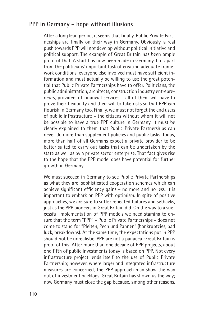#### **PPP in Germany – hope without illusions**

After a long lean period, it seems that finally, Public Private Partnerships are finally on their way in Germany. Obviously, a real push towards PPP will not develop without political initiative and political support. The example of Great Britain has been ample proof of that. A start has now been made in Germany, but apart from the politicians' important task of creating adequate framework conditions, everyone else involved must have sufficient information and must actually be willing to use the great potential that Public Private Partnerships have to offer. Politicians, the public administration, architects, construction industry entrepreneurs, providers of financial services – all of them will have to prove their flexibility and their will to take risks so that PPP can flourish in Germany too. Finally, we must not forget the end users of public infrastructure – the citizens without whom it will not be possible to have a true PPP culture in Germany. It must be clearly explained to them that Public Private Partnerships can never do more than supplement policies and public tasks. Today, more than half of all Germans expect a private provider to be better suited to carry out tasks that can be undertaken by the state as well as by a private sector enterprise. That fact gives rise to the hope that the PPP model does have potential for further growth in Germany.

We must succeed in Germany to see Public Private Partnerships as what they are: sophisticated cooperation schemes which can achieve significant efficiency gains – no more and no less. It is important to embark on PPP with optimism. In spite of positive approaches, we are sure to suffer repeated failures and setbacks, just as the PPP pioneers in Great Britain did. On the way to a successful implementation of PPP models we need stamina to ensure that the term "PPP" – Public Private Partnerships – does not come to stand for "Pleiten, Pech und Pannen" (bankruptcies, bad luck, breakdowns). At the same time, the expectations put in PPP should not be unrealistic. PPP are not a panacea. Great Britain is proof of this: After more than one decade of PPP projects, about one fifth of public investments today is based on PPP. Not every infrastructure project lends itself to the use of Public Private Partnership; however, where larger and integrated infrastructure measures are concerned, the PPP approach may show the way out of investment backlogs. Great Britain has shown us the way; now Germany must close the gap because, among other reasons,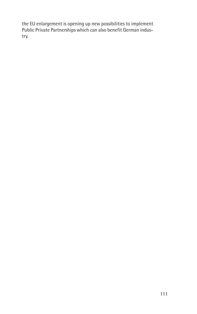the EU enlargement is opening up new possibilities to implement Public Private Partnerships which can also benefit German industry.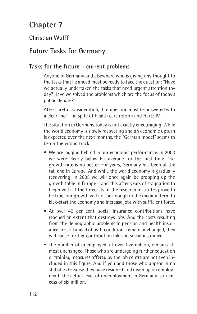# **Chapter 7**

## **Christian Wulff**

# **Future Tasks for Germany**

#### **Tasks for the future – current problems**

Anyone in Germany and elsewhere who is giving any thought to the tasks that lie ahead must be ready to face the question: "Have we actually undertaken the tasks that need urgent attention today? Have we solved the problems which are the focus of today's public debate?"

After careful consideration, that question must be answered with a clear "no" – in spite of health care reform and Hartz IV.

The situation in Germany today is not exactly encouraging. While the world economy is slowly recovering and an economic upturn is expected over the next months, the "German model" seems to be on the wrong track:

- We are lagging behind in our economic performance. In 2003 we were clearly below EU average for the first time. Our growth rate is no better. For years, Germany has been at the tail end in Europe. And while the world economy is gradually recovering, in 2005 we will once again be propping up the growth table in Europe – and this after years of stagnation to begin with. If the forecasts of the research institutes prove to be true, our growth will not be enough in the medium term to kick-start the economy and increase jobs with sufficient force.
- At over 40 per cent, social insurance contributions have reached an extent that destroys jobs. And the costs resulting from the demographic problems in pension and health insurance are still ahead of us. If conditions remain unchanged, they will cause further contribution hikes in social insurance.
- The number of unemployed, at over five million, remains almost unchanged. Those who are undergoing further education or training measures offered by the job centre are not even included in this figure. And if you add those who appear in no statistics because they have resigned and given up on employment, the actual level of unemployment in Germany is in excess of six million.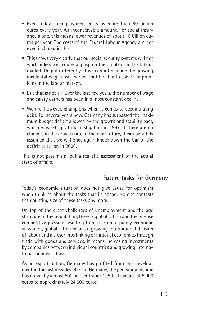- Even today, unemployment costs us more than 80 billion euros every year. An inconceivable amount. For social insurance alone, this means lower revenues of about 16 billion euros per year. The costs of the Federal Labour Agency are not even included in this.
- This shows very clearly that our social security systems will not work unless we acquire a grasp on the problems in the labour market. Or, put differently: if we cannot manage the growing incidental wage costs, we will not be able to solve the problems in the labour market.
- But that is not all: Over the last few years, the number of wage and salary earners has been in almost constant decline.
- We are, however, champions when it comes to accumulating debt. For several years now, Germany has surpassed the maximum budget deficit allowed by the growth and stability pact, which was set up at our instigation in 1997. If there are no changes in the growth rate in the near future, it can be safely assumed that we will once again knock down the bar of the deficit criterion in 2006.

This is not pessimism, but a realistic assessment of the actual state of affairs.

## **Future tasks for Germany**

Today's economic situation does not give cause for optimism when thinking about the tasks that lie ahead. No one contests the daunting size of these tasks any more.

On top of the great challenges of unemployment and the age structure of the population, there is globalisation and the intense competitive pressure resulting from it: From a purely economic viewpoint, globalisation means a growing international division of labour and a closer interlinking of national economies through trade with goods and services. It means increasing investments by companies between individual countries and growing international financial flows.

As an export nation, Germany has profited from this development in the last decades. Here in Germany, the per capita income has grown by almost 500 per cent since 1950 – from about 5,000 euros to approximately 24,600 euros.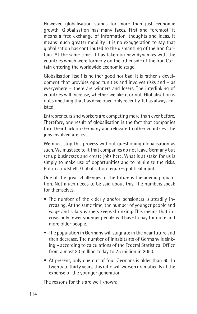However, globalisation stands for more than just economic growth. Globalisation has many faces. First and foremost, it means a free exchange of information, thoughts and ideas. It means much greater mobility. It is no exaggeration to say that globalisation has contributed to the dismantling of the Iron Curtain. At the same time, it has taken on new dynamics with the countries which were formerly on the other side of the Iron Curtain entering the worldwide economic stage.

Globalisation itself is neither good nor bad. It is rather a development that provides opportunities and involves risks and – as everywhere – there are winners and losers. The interlinking of countries will increase, whether we like it or not. Globalisation is not something that has developed only recently. It has always existed.

Entrepreneurs and workers are competing more than ever before. Therefore, one result of globalisation is the fact that companies turn their back on Germany and relocate to other countries. The jobs involved are lost.

We must stop this process without questioning globalisation as such. We must see to it that companies do not leave Germany but set up businesses and create jobs here. What is at stake for us is simply to make use of opportunities and to minimize the risks. Put in a nutshell: Globalisation requires political input.

One of the great challenges of the future is the ageing population. Not much needs to be said about this. The numbers speak for themselves.

- The number of the elderly and/or pensioners is steadily increasing. At the same time, the number of younger people and wage and salary earners keeps shrinking. This means that increasingly fewer younger people will have to pay for more and more older people.
- The population in Germany will stagnate in the near future and then decrease. The number of inhabitants of Germany is sinking – according to calculations of the Federal Statistical Office from almost 83 million today to 75 million in 2050.
- At present, only one out of four Germans is older than 60. In twenty to thirty years, this ratio will worsen dramatically at the expense of the younger generation.

The reasons for this are well known: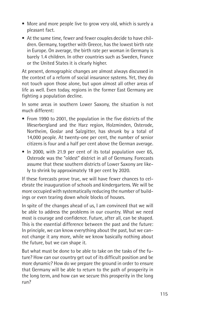- More and more people live to grow very old, which is surely a pleasant fact.
- At the same time, fewer and fewer couples decide to have children. Germany, together with Greece, has the lowest birth rate in Europe. On average, the birth rate per woman in Germany is barely 1.4 children. In other countries such as Sweden, France or the United States it is clearly higher.

At present, demographic changes are almost always discussed in the context of a reform of social insurance systems. Yet, they do not touch upon those alone, but upon almost all other areas of life as well. Even today, regions in the former East Germany are fighting a population decline.

In some areas in southern Lower Saxony, the situation is not much different:

- From 1990 to 2001, the population in the five districts of the Weserbergland and the Harz region, Holzminden, Osterode, Northeim, Goslar and Salzgitter, has shrunk by a total of 14,000 people. At twenty-one per cent, the number of senior citizens is four and a half per cent above the German average.
- In 2000, with 21.9 per cent of its total population over 65, Osterode was the "oldest" district in all of Germany. Forecasts assume that these southern districts of Lower Saxony are likely to shrink by approximately 18 per cent by 2020.

If these forecasts prove true, we will have fewer chances to celebrate the inauguration of schools and kindergartens. We will be more occupied with systematically reducing the number of buildings or even tearing down whole blocks of houses.

In spite of the changes ahead of us, I am convinced that we will be able to address the problems in our country. What we need most is courage and confidence. Future, after all, can be shaped. This is the essential difference between the past and the future: In principle, we can know everything about the past, but we cannot change it any more, while we know basically nothing about the future, but we can shape it.

But what must be done to be able to take on the tasks of the future? How can our country get out of its difficult position and be more dynamic? How do we prepare the ground in order to ensure that Germany will be able to return to the path of prosperity in the long term, and how can we secure this prosperity in the long run?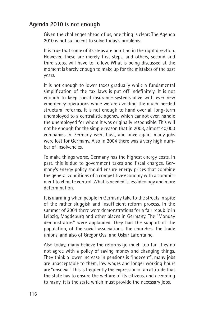### **Agenda 2010 is not enough**

Given the challenges ahead of us, one thing is clear: The Agenda 2010 is not sufficient to solve today's problems.

It is true that some of its steps are pointing in the right direction. However, these are merely first steps, and others, second and third steps, will have to follow. What is being discussed at the moment is barely enough to make up for the mistakes of the past years.

It is not enough to lower taxes gradually while a fundamental simplification of the tax laws is put off indefinitely. It is not enough to keep social insurance systems alive with ever new emergency operations while we are avoiding the much-needed structural reforms. It is not enough to hand over all long-term unemployed to a centralistic agency, which cannot even handle the unemployed for whom it was originally responsible. This will not be enough for the simple reason that in 2003, almost 40,000 companies in Germany went bust, and once again, many jobs were lost for Germany. Also in 2004 there was a very high number of insolvencies.

To make things worse, Germany has the highest energy costs. In part, this is due to government taxes and fiscal charges. Germany's energy policy should ensure energy prices that combine the general conditions of a competitive economy with a commitment to climate control. What is needed is less ideology and more determination.

It is alarming when people in Germany take to the streets in spite of the rather sluggish and insufficient reform process. In the summer of 2004 there were demonstrations for a fair republic in Leipzig, Magdeburg and other places in Germany. The "Monday demonstrators" were applauded. They had the support of the population, of the social associations, the churches, the trade unions, and also of Gregor Gysi and Oskar Lafontaine.

Also today, many believe the reforms go much too far. They do not agree with a policy of saving money and changing things. They think a lower increase in pensions is "indecent", many jobs are unacceptable to them, low wages and longer working hours are "unsocial". This is frequently the expression of an attitude that the state has to ensure the welfare of its citizens, and according to many, it is the state which must provide the necessary jobs.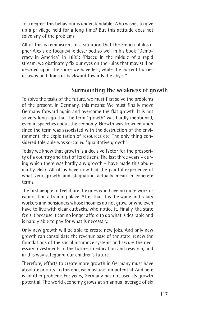To a degree, this behaviour is understandable. Who wishes to give up a privilege held for a long time? But this attitude does not solve any of the problems.

All of this is reminiscent of a situation that the French philosopher Alexis de Tocqueville described so well in his book "Democracy in America" in 1835: "Placed in the middle of a rapid stream, we obstinately fix our eyes on the ruins that may still be descried upon the shore we have left, while the current hurries us away and drags us backward towards the abyss."

# **Surmounting the weakness of growth**

To solve the tasks of the future, we must first solve the problems of the present. In Germany, this means: We must finally move Germany forward again and overcome the flat growth. It is not so very long ago that the term "growth" was hardly mentioned, even in speeches about the economy. Growth was frowned upon since the term was associated with the destruction of the environment, the exploitation of resources etc. The only thing considered tolerable was so-called "qualitative growth".

Today we know that growth is a decisive factor for the prosperity of a country and that of its citizens. The last three years – during which there was hardly any growth – have made this abundantly clear. All of us have now had the painful experience of what zero growth and stagnation actually mean in concrete terms.

The first people to feel it are the ones who have no more work or cannot find a training place. After that it is the wage and salary workers and pensioners whose incomes do not grow, or who even have to live with clear cutbacks, who notice it. Finally, the state feels it because it can no longer afford to do what is desirable and is hardly able to pay for what is necessary.

Only new growth will be able to create new jobs. And only new growth can consolidate the revenue base of the state, renew the foundations of the social insurance systems and secure the necessary investments in the future, in education and research, and in this way safeguard our children's future.

Therefore, efforts to create more growth in Germany must have absolute priority. To this end, we must use our potential. And here is another problem: For years, Germany has not used its growth potential. The world economy grows at an annual average of six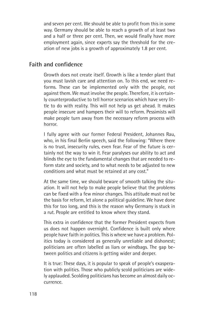and seven per cent. We should be able to profit from this in some way. Germany should be able to reach a growth of at least two and a half or three per cent. Then, we would finally have more employment again, since experts say the threshold for the creation of new jobs is a growth of approximately 1.8 per cent.

#### **Faith and confidence**

Growth does not create itself. Growth is like a tender plant that you must lavish care and attention on. To this end, we need reforms. These can be implemented only with the people, not against them. We must involve the people. Therefore, it is certainly counterproductive to tell horror scenarios which have very little to do with reality. This will not help us get ahead. It makes people insecure and hampers their will to reform. Pessimists will make people turn away from the necessary reform process with horror.

I fully agree with our former Federal President, Johannes Rau, who, in his final Berlin speech, said the following: "Where there is no trust, insecurity rules, even fear. Fear of the future is certainly not the way to win it. Fear paralyses our ability to act and blinds the eye to the fundamental changes that are needed to reform state and society, and to what needs to be adjusted to new conditions and what must be retained at any cost."

At the same time, we should beware of smooth talking the situation. It will not help to make people believe that the problems can be fixed with a few minor changes. This attitude must not be the basis for reform, let alone a political guideline. We have done this for too long, and this is the reason why Germany is stuck in a rut. People are entitled to know where they stand.

This extra in confidence that the former President expects from us does not happen overnight. Confidence is built only where people have faith in politics. This is where we have a problem. Politics today is considered as generally unreliable and dishonest; politicians are often labelled as liars or windbags. The gap between politics and citizens is getting wider and deeper.

It is true: These days, it is popular to speak of people's exasperation with politics. Those who publicly scold politicians are widely applauded. Scolding politicians has become an almost daily occurrence.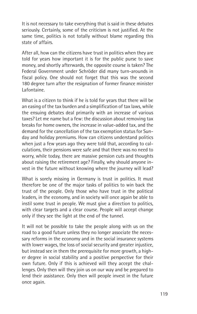It is not necessary to take everything that is said in these debates seriously. Certainly, some of the criticism is not justified. At the same time, politics is not totally without blame regarding this state of affairs.

After all, how can the citizens have trust in politics when they are told for years how important it is for the public purse to save money, and shortly afterwards, the opposite course is taken? The Federal Government under Schröder did many turn-arounds in fiscal policy. One should not forget that this was the second 180 degree turn after the resignation of former finance minister Lafontaine.

What is a citizen to think if he is told for years that there will be an easing of the tax burden and a simplification of tax laws, while the ensuing debates deal primarily with an increase of various taxes? Let me name but a few: the discussion about removing tax breaks for home owners, the increase in value-added tax, and the demand for the cancellation of the tax exemption status for Sunday and holiday premiums. How can citizens understand politics when just a few years ago they were told that, according to calculations, their pensions were safe and that there was no need to worry, while today, there are massive pension cuts and thoughts about raising the retirement age? Finally, why should anyone invest in the future without knowing where the journey will lead?

What is sorely missing in Germany is trust in politics. It must therefore be one of the major tasks of politics to win back the trust of the people. Only those who have trust in the political leaders, in the economy, and in society will once again be able to instil some trust in people. We must give a direction to politics, with clear targets and a clear course. People will accept change only if they see the light at the end of the tunnel.

It will not be possible to take the people along with us on the road to a good future unless they no longer associate the necessary reforms in the economy and in the social insurance systems with lower wages, the loss of social security and greater injustice, but instead see in them the prerequisite for more growth, a higher degree in social stability and a positive perspective for their own future. Only if this is achieved will they accept the challenges. Only then will they join us on our way and be prepared to lend their assistance. Only then will people invest in the future once again.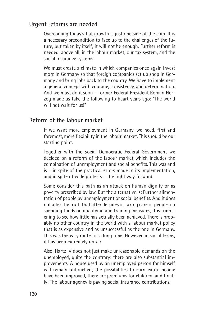#### **Urgent reforms are needed**

Overcoming today's flat growth is just one side of the coin. It is a necessary precondition to face up to the challenges of the future, but taken by itself, it will not be enough. Further reform is needed, above all, in the labour market, our tax system, and the social insurance systems.

We must create a climate in which companies once again invest more in Germany so that foreign companies set up shop in Germany and bring jobs back to the country. We have to implement a general concept with courage, consistency, and determination. And we must do it soon – former Federal President Roman Herzog made us take the following to heart years ago: "The world will not wait for us!"

#### **Reform of the labour market**

If we want more employment in Germany, we need, first and foremost, more flexibility in the labour market. This should be our starting point.

Together with the Social Democratic Federal Government we decided on a reform of the labour market which includes the combination of unemployment and social benefits. This was and is – in spite of the practical errors made in its implementation, and in spite of wide protests – the right way forward.

Some consider this path as an attack on human dignity or as poverty prescribed by law. But the alternative is: Further alimentation of people by unemployment or social benefits. And it does not alter the truth that after decades of taking care of people, on spending funds on qualifying and training measures, it is frightening to see how little has actually been achieved. There is probably no other country in the world with a labour market policy that is as expensive and as unsuccessful as the one in Germany. This was the easy route for a long time. However, in social terms, it has been extremely unfair.

Also, Hartz IV does not just make unreasonable demands on the unemployed, quite the contrary: there are also substantial improvements. A house used by an unemployed person for himself will remain untouched; the possibilities to earn extra income have been improved, there are premiums for children, and finally: The labour agency is paying social insurance contributions.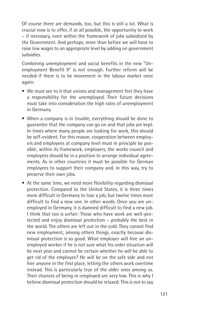Of course there are demands, too, but this is still a lot. What is crucial now is to offer, if at all possible, the opportunity to work – if necessary, even within the framework of jobs subsidized by the Government. And perhaps, more than before we will have to raise low wages to an appropriate level by adding on government subsidies.

Combining unemployment and social benefits in the new "Unemployment Benefit II" is not enough. Further reform will be needed if there is to be movement in the labour market once again:

- We must see to it that unions and management feel they have a responsibility for the unemployed. Their future decisions must take into consideration the high rates of unemployment in Germany.
- When a company is in trouble, everything should be done to guarantee that the company can go on and that jobs are kept. In times where many people are looking for work, this should be self-evident. For this reason, cooperation between employers and employees at company level must in principle be possible; within its framework, employers, the works council and employees should be in a position to arrange individual agreements. As in other countries it must be possible for German employees to support their company and, in this way, try to preserve their own jobs.
- At the same time, we need more flexibility regarding dismissal protection. Compared to the United States, it is three times more difficult in Germany to lose a job, but twelve times more difficult to find a new one. In other words: Once you are unemployed in Germany, it is damned difficult to find a new job. I think that too is unfair: Those who have work are well-protected and enjoy dismissal protection – probably the best in the world. The others are left out in the cold. They cannot find new employment, among others things, exactly because dismissal protection is so good. What employer will hire an unemployed worker if he is not sure what his order situation will be next year and cannot be certain whether he will be able to get rid of the employee? He will be on the safe side and not hire anyone in the first place, letting the others work overtime instead. This is particularly true of the older ones among us. Their chances of being re-employed are very low. This is why I believe dismissal protection should be relaxed. This is not to say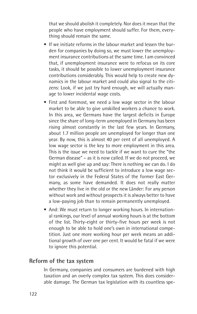that we should abolish it completely. Nor does it mean that the people who have employment should suffer. For them, everything should remain the same.

- If we initiate reforms in the labour market and lessen the burden for companies by doing so, we must lower the unemployment insurance contributions at the same time. I am convinced that, if unemployment insurance were to refocus on its core tasks, it should be possible to lower unemployment insurance contributions considerably. This would help to create new dynamics in the labour market and could also signal to the citizens: Look, if we just try hard enough, we will actually manage to lower incidental wage costs.
- First and foremost, we need a low wage sector in the labour market to be able to give unskilled workers a chance to work. In this area, we Germans have the largest deficits in Europe since the share of long-term unemployed in Germany has been rising almost constantly in the last few years. In Germany, about 1.7 million people are unemployed for longer than one year. By now, this is almost 40 per cent of all unemployed. A low wage sector is the key to more employment in this area. This is the issue we need to tackle if we want to cure the "the German disease" – as it is now called. If we do not proceed, we might as well give up and say: There is nothing we can do. I do not think it would be sufficient to introduce a low wage sector exclusively in the Federal States of the former East Germany, as some have demanded. It does not really matter whether they live in the old or the new Länder: For any person without work and without prospects it is always better to have a low-paying job than to remain permanently unemployed.
- And: We must return to longer working hours. In international rankings, our level of annual working hours is at the bottom of the list. Thirty-eight or thirty-five hours per week is not enough to be able to hold one's own in international competition. Just one more working hour per week means an additional growth of over one per cent. It would be fatal if we were to ignore this potential.

#### **Reform of the tax system**

In Germany, companies and consumers are burdened with high taxation and an overly complex tax system. This does considerable damage. The German tax legislation with its countless spe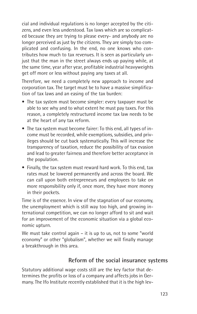cial and individual regulations is no longer accepted by the citizens, and even less understood. Tax laws which are so complicated because they are trying to please every- and anybody are no longer perceived as just by the citizens. They are simply too complicated and confusing. In the end, no one knows who contributes how much to tax revenues. It is seen as particularly unjust that the man in the street always ends up paying while, at the same time, year after year, profitable industrial heavyweights get off more or less without paying any taxes at all.

Therefore, we need a completely new approach to income and corporation tax. The target must be to have a massive simplification of tax laws and an easing of the tax burden:

- The tax system must become simpler: every taxpayer must be able to see why and to what extent he must pay taxes. For this reason, a completely restructured income tax law needs to be at the heart of any tax reform.
- The tax system must become fairer: To this end, all types of income must be recorded, while exemptions, subsidies, and privileges should be cut back systematically. This will increase the transparency of taxation, reduce the possibility of tax evasion and lead to greater fairness and therefore better acceptance in the population.
- Finally, the tax system must reward hard work. To this end, tax rates must be lowered permanently and across the board. We can call upon both entrepreneurs and employees to take on more responsibility only if, once more, they have more money in their pockets.

Time is of the essence. In view of the stagnation of our economy, the unemployment which is still way too high, and growing international competition, we can no longer afford to sit and wait for an improvement of the economic situation via a global economic upturn.

We must take control again – it is up to us, not to some "world" economy" or other "globalism", whether we will finally manage a breakthrough in this area.

#### **Reform of the social insurance systems**

Statutory additional wage costs still are the key factor that determines the profits or loss of a company and affects jobs in Germany. The Ifo Institute recently established that it is the high lev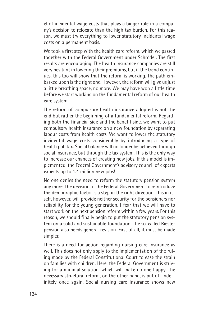el of incidental wage costs that plays a bigger role in a company's decision to relocate than the high tax burden. For this reason, we must try everything to lower statutory incidental wage costs on a permanent basis.

We took a first step with the health care reform, which we passed together with the Federal Government under Schröder. The first results are encouraging. The health insurance companies are still very hesitant in lowering their premiums, but if the trend continues, this too will show that the reform is working. The path embarked upon is the right one. However, the reform will give us just a little breathing space, no more. We may have won a little time before we start working on the fundamental reform of our health care system.

The reform of compulsory health insurance adopted is not the end but rather the beginning of a fundamental reform. Regarding both the financial side and the benefit side, we want to put compulsory health insurance on a new foundation by separating labour costs from health costs. We want to lower the statutory incidental wage costs considerably by introducing a type of health poll tax. Social balance will no longer be achieved through social insurance, but through the tax system. This is the only way to increase our chances of creating new jobs. If this model is implemented, the Federal Government's advisory council of experts expects up to 1.4 million new jobs!

No one denies the need to reform the statutory pension system any more. The decision of the Federal Government to reintroduce the demographic factor is a step in the right direction. This in itself, however, will provide neither security for the pensioners nor reliability for the young generation. I fear that we will have to start work on the next pension reform within a few years. For this reason, we should finally begin to put the statutory pension system on a solid and sustainable foundation. The so-called Riester pension also needs general revision. First of all, it must be made simpler.

There is a need for action regarding nursing care insurance as well. This does not only apply to the implementation of the ruling made by the Federal Constitutional Court to ease the strain on families with children. Here, the Federal Government is striving for a minimal solution, which will make no one happy. The necessary structural reform, on the other hand, is put off indefinitely once again. Social nursing care insurance shows new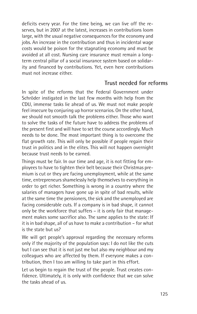deficits every year. For the time being, we can live off the reserves, but in 2007 at the latest, increases in contributions loom large, with the usual negative consequences for the economy and jobs. An increase in the contribution and thus in incidental wage costs would be poison for the stagnating economy and must be avoided at all cost. Nursing care insurance must remain a longterm central pillar of a social insurance system based on solidarity and financed by contributions. Yet, even here contributions must not increase either.

## **Trust needed for reforms**

In spite of the reforms that the Federal Government under Schröder instigated in the last few months with help from the CDU, immense tasks lie ahead of us. We must not make people feel insecure by conjuring up horror scenarios. On the other hand, we should not smooth talk the problems either. Those who want to solve the tasks of the future have to address the problems of the present first and will have to set the course accordingly. Much needs to be done. The most important thing is to overcome the flat growth rate. This will only be possible if people regain their trust in politics and in the elites. This will not happen overnight because trust needs to be earned.

Things must be fair. In our time and age, it is not fitting for employees to have to tighten their belt because their Christmas premium is cut or they are facing unemployment, while at the same time, entrepreneurs shamelessly help themselves to everything in order to get richer. Something is wrong in a country where the salaries of managers have gone up in spite of bad results, while at the same time the pensioners, the sick and the unemployed are facing considerable cuts. If a company is in bad shape, it cannot only be the workforce that suffers – it is only fair that management makes some sacrifice also. The same applies to the state: If it is in bad shape, all of us have to make a contribution – for what is the state but us?

We will get people's approval regarding the necessary reforms only if the majority of the population says: I do not like the cuts but I can see that it is not just me but also my neighbour and my colleagues who are affected by them. If everyone makes a contribution, then I too am willing to take part in this effort.

Let us begin to regain the trust of the people. Trust creates confidence. Ultimately, it is only with confidence that we can solve the tasks ahead of us.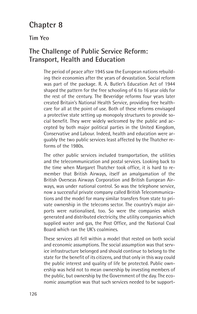# **Chapter 8**

#### **Tim Yeo**

# **The Challenge of Public Service Reform: Transport, Health and Education**

The period of peace after 1945 saw the European nations rebuilding their economies after the years of devastation. Social reform was part of the package. R. A. Butler's Education Act of 1944 shaped the pattern for the free schooling of 6 to 16 year olds for the rest of the century. The Beveridge reforms four years later created Britain's National Health Service, providing free healthcare for all at the point of use. Both of these reforms envisaged a protective state setting up monopoly structures to provide social benefit. They were widely welcomed by the public and accepted by both major political parties in the United Kingdom, Conservative and Labour. Indeed, health and education were arguably the two public services least affected by the Thatcher reforms of the 1980s.

The other public services included transportation, the utilities and the telecommunication and postal services. Looking back to the time when Margaret Thatcher took office, it is hard to remember that British Airways, itself an amalgamation of the British Overseas Airways Corporation and British European Airways, was under national control. So was the telephone service, now a successful private company called British Telecommunications and the model for many similar transfers from state to private ownership in the telecoms sector. The country's major airports were nationalised, too. So were the companies which generated and distributed electricity, the utility companies which supplied water and gas, the Post Office, and the National Coal Board which ran the UK's coalmines.

These services all fell within a model that rested on both social and economic assumptions. The social assumption was that service infrastructure belonged and should continue to belong to the state for the benefit of its citizens, and that only in this way could the public interest and quality of life be protected. Public ownership was held not to mean ownership by investing members of the public, but ownership by the Government of the day. The economic assumption was that such services needed to be support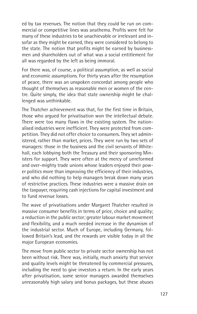ed by tax revenues. The notion that they could be run on commercial or competitive lines was anathema. Profits were felt for many of these industries to be unachievable or irrelevant and insofar as they might be earned, they were considered to belong to the state. The notion that profits might be earned by businessmen and shareholders out of what was a social entitlement for all was regarded by the left as being immoral.

For there was, of course, a political assumption, as well as social and economic assumptions. For thirty years after the resumption of peace, there was an unspoken concordat among people who thought of themselves as reasonable men or women of the centre. Quite simply, the idea that state ownership might be challenged was unthinkable.

The Thatcher achievement was that, for the first time in Britain, those who argued for privatisation won the intellectual debate. There were too many flaws in the existing system. The nationalised industries were inefficient. They were protected from competition. They did not offer choice to consumers. They set administered, rather than market, prices. They were run by two sets of managers: those in the business and the civil servants of Whitehall, each lobbying both the Treasury and their sponsoring Ministers for support. They were often at the mercy of unreformed and over-mighty trade unions whose leaders enjoyed their power politics more than improving the efficiency of their industries, and who did nothing to help managers break down many years of restrictive practices. These industries were a massive drain on the taxpayer, requiring cash injections for capital investment and to fund revenue losses.

The wave of privatisations under Margaret Thatcher resulted in massive consumer benefits in terms of price, choice and quality; a reduction in the public sector; greater labour market movement and flexibility, and a much needed increase in the dynamism of the industrial sector. Much of Europe, including Germany, followed Britain's lead, and the rewards are visible today in all the major European economies.

The move from public sector to private sector ownership has not been without risk. There was, initially, much anxiety that service and quality levels might be threatened by commercial pressures, including the need to give investors a return. In the early years after privatisation, some senior managers awarded themselves unreasonably high salary and bonus packages, but these abuses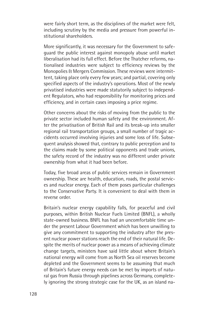were fairly short term, as the disciplines of the market were felt, including scrutiny by the media and pressure from powerful institutional shareholders.

More significantly, it was necessary for the Government to safeguard the public interest against monopoly abuse until market liberalisation had its full effect. Before the Thatcher reforms, nationalised industries were subject to efficiency reviews by the Monopolies & Mergers Commission. These reviews were intermittent, taking place only every few years; and partial, covering only specified aspects of the industry's operations. Most of the newly privatised industries were made statutorily subject to independent Regulators, who had responsibility for monitoring prices and efficiency, and in certain cases imposing a price regime.

Other concerns about the risks of moving from the public to the private sector included human safety and the environment. After the privatisation of British Rail and its break-up into smaller regional rail transportation groups, a small number of tragic accidents occurred involving injuries and some loss of life. Subsequent analysis showed that, contrary to public perception and to the claims made by some political opponents and trade unions, the safety record of the industry was no different under private ownership from what it had been before.

Today, five broad areas of public services remain in Government ownership. These are health, education, roads, the postal services and nuclear energy. Each of them poses particular challenges to the Conservative Party. It is convenient to deal with them in reverse order.

Britain's nuclear energy capability falls, for peaceful and civil purposes, within British Nuclear Fuels Limited (BNFL), a wholly state-owned business. BNFL has had an uncomfortable time under the present Labour Government which has been unwilling to give any commitment to supporting the industry after the present nuclear power stations reach the end of their natural life. Despite the merits of nuclear power as a means of achieving climate change targets, ministers have said little about where Britain's national energy will come from as North Sea oil reserves become depleted and the Government seems to be assuming that much of Britain's future energy needs can be met by imports of natural gas from Russia through pipelines across Germany, completely ignoring the strong strategic case for the UK, as an island na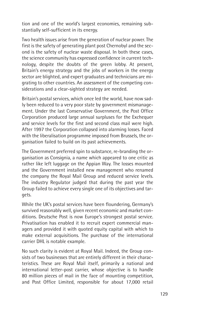tion and one of the world's largest economies, remaining substantially self-sufficient in its energy.

Two health issues arise from the generation of nuclear power. The first is the safety of generating plant post Chernobyl and the second is the safety of nuclear waste disposal. In both these cases, the science community has expressed confidence in current technology, despite the doubts of the green lobby. At present, Britain's energy strategy and the jobs of workers in the energy sector are blighted, and expert graduates and technicians are migrating to other countries. An assessment of the competing considerations and a clear-sighted strategy are needed.

Britain's postal services, which once led the world, have now sadly been reduced to a very poor state by government mismanagement. Under the last Conservative Government, the Post Office Corporation produced large annual surpluses for the Exchequer and service levels for the first and second class mail were high. After 1997 the Corporation collapsed into alarming losses. Faced with the liberalisation programme imposed from Brussels, the organisation failed to build on its past achievements.

The Government preferred spin to substance, re-branding the organisation as Consignia, a name which appeared to one critic as rather like left luggage on the Appian Way. The losses mounted and the Government installed new management who renamed the company the Royal Mail Group and reduced service levels. The industry Regulator judged that during the past year the Group failed to achieve every single one of its objectives and targets.

While the UK's postal services have been floundering, Germany's survived reasonably well, given recent economic and market conditions. Deutsche Post is now Europe's strongest postal service. Privatisation has enabled it to recruit expert commercial managers and provided it with quoted equity capital with which to make external acquisitions. The purchase of the international carrier DHL is notable example.

No such clarity is evident at Royal Mail. Indeed, the Group consists of two businesses that are entirely different in their characteristics. These are Royal Mail itself, primarily a national and international letter-post carrier, whose objective is to handle 80 million pieces of mail in the face of mounting competition, and Post Office Limited, responsible for about 17,000 retail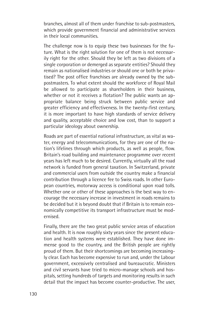branches, almost all of them under franchise to sub-postmasters, which provide government financial and administrative services in their local communities.

The challenge now is to equip these two businesses for the future. What is the right solution for one of them is not necessarily right for the other. Should they be left as two divisions of a single corporation or demerged as separate entities? Should they remain as nationalised industries or should one or both be privatised? The post office franchises are already owned by the subpostmasters. To what extent should the workforce of Royal Mail be allowed to participate as shareholders in their business, whether or not it receives a flotation? The public wants an appropriate balance being struck between public service and greater efficiency and effectiveness. In the twenty-first century, it is more important to have high standards of service delivery and quality, acceptable choice and low cost, than to support a particular ideology about ownership.

Roads are part of essential national infrastructure, as vital as water, energy and telecommunications, for they are one of the nation's lifelines through which products, as well as people, flow. Britain's road building and maintenance programme over recent years has left much to be desired. Currently, virtually all the road network is funded from general taxation. In Switzerland, private and commercial users from outside the country make a financial contribution through a licence fee to Swiss roads. In other European countries, motorway access is conditional upon road tolls. Whether one or other of these approaches is the best way to encourage the necessary increase in investment in roads remains to be decided but it is beyond doubt that if Britain is to remain economically competitive its transport infrastructure must be modernised.

Finally, there are the two great public service areas of education and health. It is now roughly sixty years since the present education and health systems were established. They have done immense good to the country, and the British people are rightly proud of them. But their shortcomings are becoming increasingly clear. Each has become expensive to run and, under the Labour government, excessively centralised and bureaucratic. Ministers and civil servants have tried to micro-manage schools and hospitals, setting hundreds of targets and monitoring results in such detail that the impact has become counter-productive. The user,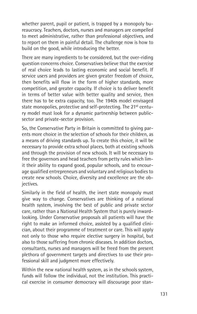whether parent, pupil or patient, is trapped by a monopoly bureaucracy. Teachers, doctors, nurses and managers are compelled to meet administrative, rather than professional objectives, and to report on them in painful detail. The challenge now is how to build on the good, while introducing the better.

There are many ingredients to be considered, but the over-riding question concerns choice. Conservatives believe that the exercise of real choice leads to lasting economic and social benefit. If service users and providers are given greater freedom of choice, then benefits will flow in the form of higher standards, more competition, and greater capacity. If choice is to deliver benefit in terms of better value with better quality and service, then there has to be extra capacity, too. The 1940s model envisaged state monopolies, protective and self-protecting. The 21<sup>st</sup> century model must look for a dynamic partnership between publicsector and private-sector provision.

So, the Conservative Party in Britain is committed to giving parents more choice in the selection of schools for their children, as a means of driving standards up. To create this choice, it will be necessary to provide extra school places, both at existing schools and through the provision of new schools. It will be necessary to free the governors and head teachers from petty rules which limit their ability to expand good, popular schools, and to encourage qualified entrepreneurs and voluntary and religious bodies to create new schools. Choice, diversity and excellence are the objectives.

Similarly in the field of health, the inert state monopoly must give way to change. Conservatives are thinking of a national health system, involving the best of public and private sector care, rather than a National Health System that is purely inwardlooking. Under Conservative proposals all patients will have the right to make an informed choice, assisted by a qualified clinician, about their programme of treatment or care. This will apply not only to those who require elective surgery in hospital, but also to those suffering from chronic diseases. In addition doctors, consultants, nurses and managers will be freed from the present plethora of government targets and directives to use their professional skill and judgment more effectively.

Within the new national health system, as in the schools system, funds will follow the individual, not the institution. This practical exercise in consumer democracy will discourage poor stan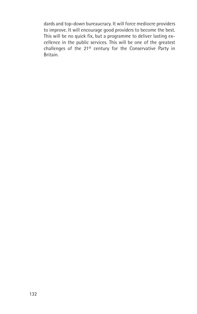dards and top-down bureaucracy. It will force mediocre providers to improve. It will encourage good providers to become the best. This will be no quick fix, but a programme to deliver lasting excellence in the public services. This will be one of the greatest challenges of the 21st century for the Conservative Party in Britain.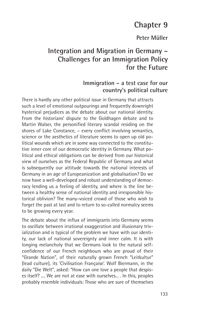# **Chapter 9**

## **Peter Müller**

# **Integration and Migration in Germany – Challenges for an Immigration Policy for the Future**

## **Immigration – a test case for our country's political culture**

There is hardly any other political issue in Germany that attracts such a level of emotional outpourings and frequently downright hysterical prejudices as the debate about our national identity. From the historians' dispute to the Goldhagen debate and to Martin Walser, the personified literary scandal residing on the shores of Lake Constance, – every conflict involving semantics, science or the aesthetics of literature seems to open up old political wounds which are in some way connected to the constitutive inner core of our democratic identity in Germany. What political and ethical obligations can be derived from our historical view of ourselves as the Federal Republic of Germany and what is subsequently our attitude towards the national interests of Germany in an age of Europeanization and globalisation? Do we now have a well-developed and robust understanding of democracy lending us a feeling of identity, and where is the line between a healthy sense of national identity and irresponsible historical oblivion? The many-voiced crowd of those who wish to forget the past at last and to return to so-called normalcy seems to be growing every year.

The debate about the influx of immigrants into Germany seems to oscillate between irrational exaggeration and illusionary trivialization and is typical of the problem we have with our identity, our lack of national sovereignty and inner calm. It is with longing melancholy that we Germans look to the natural selfconfidence of our French neighbours who are proud of their "Grande Nation", of their naturally grown French "Leitkultur" (lead culture), its 'Civilisation Française'. Wolf Biermann, in the daily "Die Welt", asked: "How can one love a people that despises itself? .... We are not at ease with ourselves... . In this, peoples probably resemble individuals: Those who are sure of themselves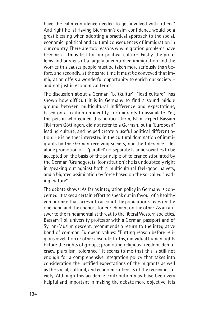have the calm confidence needed to get involved with others." And right he is! Having Biermann's calm confidence would be a great blessing when adopting a practical approach to the social, economic, political and cultural consequences of immigration in our country. There are two reasons why migration problems have become a litmus test for our political culture: Firstly, the problems and burdens of a largely uncontrolled immigration and the worries this causes people must be taken more seriously than before, and secondly, at the same time it must be conveyed that immigration offers a wonderful opportunity to enrich our society – and not just in economical terms.

The discussion about a German "Leitkultur" ("lead culture") has shown how difficult it is in Germany to find a sound middle ground between multicultural indifference and expectations, based on a fixation on identity, for migrants to assimilate. Yet, the person who coined this political term, Islam expert Bassam Tibi from Göttingen, did not refer to a German, but a "European" leading culture, and helped create a useful political differentiation: He is neither interested in the cultural domination of immigrants by the German receiving society, nor the tolerance – let alone promotion of – 'parallel' i.e. separate Islamic societies to be accepted on the basis of the principle of tolerance stipulated by the German 'Grundgesetz' (constitution); he is undoubtedly right in speaking out against both a multicultural feel-good naivety, and a bigoted assimilation by force based on the so-called "leading culture".

The debate shows: As far as integration policy in Germany is concerned, it takes a certain effort to speak out in favour of a healthy compromise that takes into account the population's fears on the one hand and the chances for enrichment on the other. As an answer to the fundamentalist threat to the liberal Western societies, Bassam Tibi, university professor with a German passport and of Syrian-Muslim descent, recommends a return to the integrative bond of common European values: "Putting reason before religious revelation or other absolute truths, individual human rights before the rights of groups; promoting religious freedom, democracy, pluralism, tolerance." It seems to me that this is still not enough for a comprehensive integration policy that takes into consideration the justified expectations of the migrants as well as the social, cultural, and economic interests of the receiving society. Although this academic contribution may have been very helpful and important in making the debate more objective, it is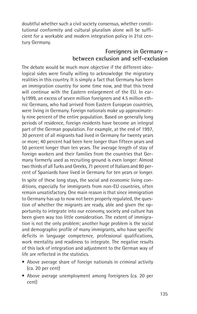doubtful whether such a civil society consensus, whether constitutional conformity and cultural pluralism alone will be sufficient for a workable and modern integration policy in 21st century Germany.

# **Foreigners in Germany – between exclusion and self-exclusion**

The debate would be much more objective if the different ideological sides were finally willing to acknowledge the migratory realities in this country. It is simply a fact that Germany has been an immigration country for some time now, and that this trend will continue with the Eastern enlargement of the EU. In early1999, an excess of seven million foreigners and 4.5 million ethnic Germans, who had arrived from Eastern European countries, were living in Germany. Foreign nationals make up approximately nine percent of the entire population. Based on generally long periods of residence, foreign residents have become an integral part of the German population. For example, at the end of 1997, 30 percent of all migrants had lived in Germany for twenty years or more; 40 percent had been here longer than fifteen years and 50 percent longer than ten years. The average length of stay of foreign workers and their families from the countries that Germany formerly used as recruiting ground is even longer: Almost two thirds of all Turks and Greeks, 71 percent of Italians and 80 percent of Spaniards have lived in Germany for ten years or longer.

In spite of these long stays, the social and economic living conditions, especially for immigrants from non-EU countries, often remain unsatisfactory. One main reason is that since immigration to Germany has up to now not been properly regulated, the question of whether the migrants are ready, able and given the opportunity to integrate into our economy, society and culture has been given way too little consideration. The extent of immigration is not the only problem; another huge problem is the social and demographic profile of many immigrants, who have specific deficits in language competence, professional qualifications, work mentality and readiness to integrate. The negative results of this lack of integration and adjustment to the German way of life are reflected in the statistics.

- Above average share of foreign nationals in criminal activity (ca. 20 per cent)
- Above average unemployment among foreigners (ca. 20 per cent)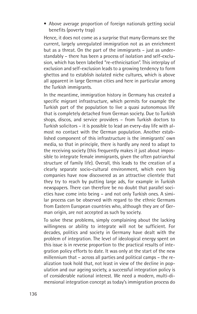• Above average proportion of foreign nationals getting social benefits (poverty trap)

Hence, it does not come as a surprise that many Germans see the current, largely unregulated immigration not as an enrichment but as a threat. On the part of the immigrants – just as understandably – there has been a process of isolation and self-exclusion, which has been labelled "re-ethnicisation". This interplay of exclusion and self-exclusion leads to a growing tendency to form ghettos and to establish isolated niche cultures, which is above all apparent in large German cities and here in particular among the Turkish immigrants.

In the meantime, immigration history in Germany has created a specific migrant infrastructure, which permits for example the Turkish part of the population to live a quasi autonomous life that is completely detached from German society. Due to Turkish shops, discos, and service providers – from Turkish doctors to Turkish solicitors – it is possible to lead an every-day life with almost no contact with the German population. Another established component of this infrastructure is the immigrants' own media, so that in principle, there is hardly any need to adapt to the receiving society (this frequently makes it just about impossible to integrate female immigrants, given the often patriarchal structure of family life). Overall, this leads to the creation of a clearly separate socio-cultural environment, which even big companies have now discovered as an attractive clientele that they try to reach by putting large ads, for example in Turkish newspapers. There can therefore be no doubt that parallel societies have come into being – and not only Turkish ones. A similar process can be observed with regard to the ethnic Germans from Eastern European countries who, although they are of German origin, are not accepted as such by society.

To solve these problems, simply complaining about the lacking willingness or ability to integrate will not be sufficient. For decades, politics and society in Germany have dealt with the problem of integration. The level of ideological energy spent on this issue is in reverse proportion to the practical results of integration policy efforts to date. It was only at the start of the new millennium that – across all parties and political camps – the realization took hold that, not least in view of the decline in population and our ageing society, a successful integration policy is of considerable national interest. We need a modern, multi-dimensional integration concept as today's immigration process do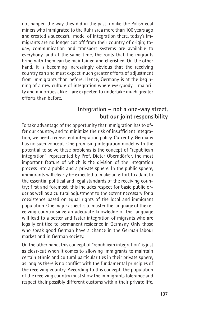not happen the way they did in the past; unlike the Polish coal miners who immigrated to the Ruhr area more than 100 years ago and created a successful model of integration there, today's immigrants are no longer cut off from their country of origin; today, communication and transport systems are available to everybody, and at the same time, the roots that the migrants bring with them can be maintained and cherished. On the other hand, it is becoming increasingly obvious that the receiving country can and must expect much greater efforts of adjustment from immigrants than before. Hence, Germany is at the beginning of a new culture of integration where everybody – majority and minorities alike – are expected to undertake much greater efforts than before.

## **Integration – not a one-way street, but our joint responsibility**

To take advantage of the opportunity that immigration has to offer our country, and to minimize the risk of insufficient integration, we need a consistent integration policy. Currently, Germany has no such concept. One promising integration model with the potential to solve these problems is the concept of "republican integration", represented by Prof. Dieter Oberndörfer, the most important feature of which is the division of the integration process into a public and a private sphere. In the public sphere, immigrants will clearly be expected to make an effort to adapt to the essential political and legal standards of the receiving country; first and foremost, this includes respect for basic public order as well as a cultural adjustment to the extent necessary for a coexistence based on equal rights of the local and immigrant population. One major aspect is to master the language of the receiving country since an adequate knowledge of the language will lead to a better and faster integration of migrants who are legally entitled to permanent residence in Germany. Only those who speak good German have a chance in the German labour market and in German society.

On the other hand, this concept of "republican integration" is just as clear-cut when it comes to allowing immigrants to maintain certain ethnic and cultural particularities in their private sphere, as long as there is no conflict with the fundamental principles of the receiving country. According to this concept, the population of the receiving country must show the immigrants tolerance and respect their possibly different customs within their private life.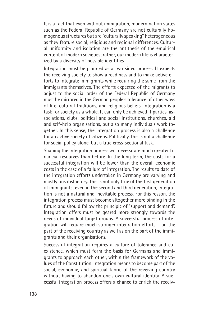It is a fact that even without immigration, modern nation states such as the Federal Republic of Germany are not culturally homogenous structures but are "culturally speaking" heterogeneous as they feature social, religious and regional differences. Cultural uniformity and isolation are the antithesis of the empirical content of modern societies; rather, our modern life is characterized by a diversity of possible identities.

Integration must be planned as a two-sided process. It expects the receiving society to show a readiness and to make active efforts to integrate immigrants while requiring the same from the immigrants themselves. The efforts expected of the migrants to adjust to the social order of the Federal Republic of Germany must be mirrored in the German people's tolerance of other ways of life, cultural traditions, and religious beliefs. Integration is a task for society as a whole. It can only be achieved if parties, associations, clubs, political and social institutions, churches, aid and self-help organisations, but also many individuals work together. In this sense, the integration process is also a challenge for an active society of citizens. Politically, this is not a challenge for social policy alone, but a true cross-sectional task.

Shaping the integration process will necessitate much greater financial resources than before. In the long term, the costs for a successful integration will be lower than the overall economic costs in the case of a failure of integration. The results to date of the integration efforts undertaken in Germany are varying and mostly unsatisfactory. This is not only true of the first generation of immigrants; even in the second and third generation, integration is not a natural and inevitable process. For this reason, the integration process must become altogether more binding in the future and should follow the principle of "support and demand". Integration offers must be geared more strongly towards the needs of individual target groups. A successful process of integration will require much stronger integration efforts – on the part of the receiving country as well as on the part of the immigrants and their organisations.

Successful integration requires a culture of tolerance and coexistence, which must form the basis for Germans and immigrants to approach each other, within the framework of the values of the Constitution. Integration means to become part of the social, economic, and spiritual fabric of the receiving country without having to abandon one's own cultural identity. A successful integration process offers a chance to enrich the receiv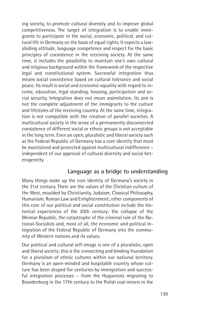ing society, to promote cultural diversity and to improve global competitiveness. The target of integration is to enable immigrants to participate in the social, economic, political, and cultural life in Germany on the basis of equal rights. It expects a lawabiding attitude, language competence and respect for the basic principles of coexistence in the receiving society. At the same time, it includes the possibility to maintain one's own cultural and religious background within the framework of the respective legal and constitutional system. Successful integration thus means social coexistence based on cultural tolerance and social peace. Its result is social and economic equality with regard to income, education, legal standing, housing, participation and social security. Integration does not mean assimilation. Its aim is not the complete adjustment of the immigrants to the culture and lifestyles of the receiving country. At the same time, integration is not compatible with the creation of parallel societies. A multicultural society in the sense of a permanently disconnected coexistence of different social or ethnic groups is not acceptable in the long term. Even an open, pluralistic and liberal society such as the Federal Republic of Germany has a core identity that must be maintained and protected against multicultural indifference – independent of our approval of cultural diversity and social heterogeneity.

## **Language as a bridge to understanding**

Many things make up the core identity of Germany's society in the 21st century. There are the values of the Christian culture of the West, moulded by Christianity, Judaism, Classical Philosophy, Humanism, Roman Law and Enlightenment; other components of this core of our political and social constitution include the historical experiences of the 20th century: the collapse of the Weimar Republic, the catastrophe of the criminal rule of the National-Socialists and, most of all, the economic and political integration of the Federal Republic of Germany into the community of Western nations and its values.

Our political and cultural self-image is one of a pluralistic, open and liberal society; this is the connecting and binding foundation for a pluralism of ethnic cultures within our national territory. Germany is an open-minded and hospitable country whose culture has been shaped for centuries by immigration and successful integration processes – from the Huguenots migrating to Brandenburg in the 17th century to the Polish coal miners in the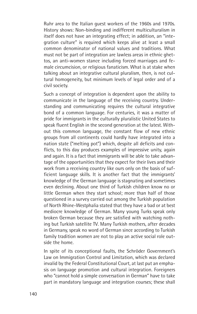Ruhr area to the Italian guest workers of the 1960s and 1970s. History shows: Non-binding and indifferent multiculturalism in itself does not have an integrating effect; in addition, an "integration culture" is required which keeps alive at least a small common denominator of national values and traditions. What must not be part of integration are lawless areas in ethnic ghettos, an anti-women stance including forced marriages and female circumcision, or religious fanaticism. What is at stake when talking about an integrative cultural pluralism, then, is not cultural homogeneity, but minimum levels of legal order and of a civil society.

Such a concept of integration is dependent upon the ability to communicate in the language of the receiving country. Understanding and communicating requires the cultural integrative bond of a common language. For centuries, it was a matter of pride for immigrants in the culturally pluralistic United States to speak fluent English in the second generation at the latest. Without this common language, the constant flow of new ethnic groups from all continents could hardly have integrated into a nation state ("melting pot") which, despite all deficits and conflicts, to this day produces examples of impressive unity, again and again. It is a fact that immigrants will be able to take advantage of the opportunities that they expect for their lives and their work from a receiving country like ours only on the basis of sufficient language skills. It is another fact that the immigrants' knowledge of the German language is stagnating and sometimes even declining. About one third of Turkish children know no or little German when they start school; more than half of those questioned in a survey carried out among the Turkish population of North Rhine-Westphalia stated that they have a bad or at best mediocre knowledge of German. Many young Turks speak only broken German because they are satisfied with watching nothing but Turkish satellite TV. Many Turkish mothers, after decades in Germany, speak no word of German since according to Turkish family tradition women are not to play an active social role outside the home.

In spite of its conceptional faults, the Schröder Government's Law on Immigration Control and Limitation, which was declared invalid by the Federal Constitutional Court, at last put an emphasis on language promotion and cultural integration. Foreigners who "cannot hold a simple conversation in German" have to take part in mandatory language and integration courses; these shall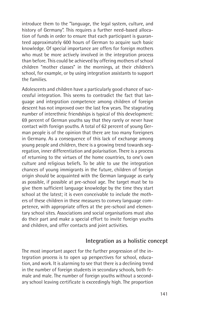introduce them to the "language, the legal system, culture, and history of Germany". This requires a further need-based allocation of funds in order to ensure that each participant is guaranteed approximately 600 hours of German to acquire such basic knowledge. Of special importance are offers for foreign mothers who must be more actively involved in the integration process than before. This could be achieved by offering mothers of school children "mother classes" in the mornings, at their children's school, for example, or by using integration assistants to support the families.

Adolescents and children have a particularly good chance of successful integration. This seems to contradict the fact that language and integration competence among children of foreign descent has not improved over the last few years. The stagnating number of interethnic friendships is typical of this development: 69 percent of German youths say that they rarely or never have contact with foreign youths. A total of 62 percent of young German people is of the opinion that there are too many foreigners in Germany. As a consequence of this lack of exchange among young people and children, there is a growing trend towards segregation, inner differentiation and polarisation. There is a process of returning to the virtues of the home countries, to one's own culture and religious beliefs. To be able to use the integration chances of young immigrants in the future, children of foreign origin should be acquainted with the German language as early as possible, if possible at pre-school age. The target must be to give them sufficient language knowledge by the time they start school at the latest; it is even conceivable to include the mothers of these children in these measures to convey language competence, with appropriate offers at the pre-school and elementary school sites. Associations and social organisations must also do their part and make a special effort to invite foreign youths and children, and offer contacts and joint activities.

#### **Integration as a holistic concept**

The most important aspect for the further progression of the integration process is to open up perspectives for school, education, and work. It is alarming to see that there is a declining trend in the number of foreign students in secondary schools, both female and male. The number of foreign youths without a secondary school leaving certificate is exceedingly high. The proportion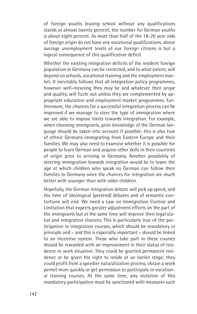of foreign youths leaving school without any qualifications stands at almost twenty percent; the number for German youths is about eight percent. As more than half of the 18-20 year olds of foreign origin do not have any vocational qualifications, above average unemployment levels of our foreign citizens is but a logical consequence of this qualification deficit.

Whether the existing integration deficits of the resident foreign population in Germany can be corrected, and to what extent, will depend on schools, vocational training and the employment market. It inevitably follows that all integration policy programmes, however well-meaning they may be and whatever their scope and quality, will fizzle out unless they are complemented by appropriate education and employment market programmes. Furthermore, the chances for a successful integration process can be improved if we manage to steer the type of immigration where we are able to impose limits towards integration. For example, when choosing immigrants, prior knowledge of the German language should be taken into account if possible; this is also true of ethnic Germans immigrating from Eastern Europe and their families. We may also need to examine whether it is possible for people to learn German and acquire other skills in their countries of origin prior to arriving in Germany. Another possibility of steering immigration towards integration would be to lower the age at which children who speak no German can follow their families to Germany since the chances for integration are much better with younger than with older children.

Hopefully, the German integration debate will pick up speed, and the time of ideological (pretend) debates and of semantic contortions will end. We need a Law on Immigration Control and Limitation that expects greater adjustment efforts on the part of the immigrants but at the same time will improve their legal status and integration chances. This is particularly true of the participation in integration courses, which should be mandatory in principle and – and this is especially important – should be linked to an incentive system. Those who take part in these courses should be rewarded with an improvement in their status of residence or work situation. They could be granted permanent residence or be given the right to reside at an earlier stage; they could profit from a speedier naturalization process, obtain a work permit more quickly or get permission to participate in vocational training courses. At the same time, any violation of this mandatory participation must be sanctioned with measures such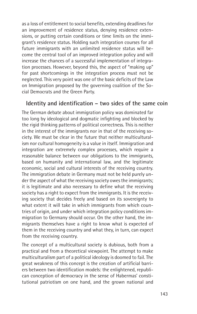as a loss of entitlement to social benefits, extending deadlines for an improvement of residence status, denying residence extensions, or putting certain conditions or time limits on the immigrant's residence status. Holding such integration courses for all future immigrants with an unlimited residence status will become the central tool of an improved integration policy and will increase the chances of a successful implementation of integration processes. However, beyond this, the aspect of "making up" for past shortcomings in the integration process must not be neglected. This very point was one of the basic deficits of the Law on Immigration proposed by the governing coalition of the Social Democrats and the Green Party.

#### **Identity and identification – two sides of the same coin**

The German debate about immigration policy was dominated far too long by ideological and dogmatic infighting and blocked by the rigid thinking patterns of political correctness. This is neither in the interest of the immigrants nor in that of the receiving society. We must be clear in the future that neither multiculturalism nor cultural homogeneity is a value in itself. Immigration and integration are extremely complex processes, which require a reasonable balance between our obligations to the immigrants, based on humanity and international law, and the legitimate economic, social and cultural interests of the receiving country. The immigration debate in Germany must not be held purely under the aspect of what the receiving society owes the immigrants; it is legitimate and also necessary to define what the receiving society has a right to expect from the immigrants. It is the receiving society that decides freely and based on its sovereignty to what extent it will take in which immigrants from which countries of origin, and under which integration policy conditions immigration to Germany should occur. On the other hand, the immigrants themselves have a right to know what is expected of them in the receiving country and what they, in turn, can expect from the receiving country.

The concept of a multicultural society is dubious, both from a practical and from a theoretical viewpoint. The attempt to make multiculturalism part of a political ideology is doomed to fail. The great weakness of this concept is the creation of artificial barriers between two identification models: the enlightened, republican conception of democracy in the sense of Habermas' constitutional patriotism on one hand, and the grown national and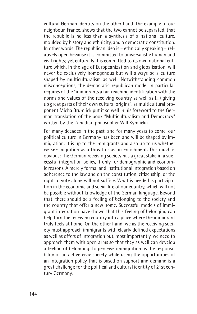cultural German identity on the other hand. The example of our neighbour, France, shows that the two cannot be separated, that the republic is no less than a synthesis of a national culture, moulded by history and ethnicity, and a democratic constitution. In other words: The republican idea is – ethnically speaking – relatively open because it is committed to universalistic human and civil rights; yet culturally it is committed to its own national culture which, in the age of Europeanization and globalisation, will never be exclusively homogenous but will always be a culture shaped by multiculturalism as well. Notwithstanding common misconceptions, the democratic-republican model in particular requires of the "immigrants a far-reaching identification with the norms and values of the receiving country as well as (...) giving up great parts of their own cultural origins", as multicultural proponent Micha Brumlick put it so well in his foreword to the German translation of the book "Multiculturalism and Democracy" written by the Canadian philosopher Will Kymlicka.

For many decades in the past, and for many years to come, our political culture in Germany has been and will be shaped by immigration. It is up to the immigrants and also up to us whether we see migration as a threat or as an enrichment. This much is obvious: The German receiving society has a great stake in a successful integration policy, if only for demographic and economic reasons. A merely formal and institutional integration based on adherence to the law and on the constitution, citizenship, or the right to vote alone will not suffice. What is needed is participation in the economic and social life of our country, which will not be possible without knowledge of the German language. Beyond that, there should be a feeling of belonging to the society and the country that offer a new home. Successful models of immigrant integration have shown that this feeling of belonging can help turn the receiving country into a place where the immigrant truly feels at home. On the other hand, we as the receiving society must approach immigrants with clearly defined expectations as well as offers of integration but, most importantly, we need to approach them with open arms so that they as well can develop a feeling of belonging. To perceive immigration as the responsibility of an active civic society while using the opportunities of an integration policy that is based on support and demand is a great challenge for the political and cultural identity of 21st century Germany.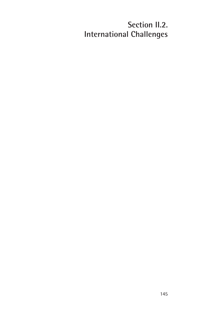# **Section II.2. International Challenges**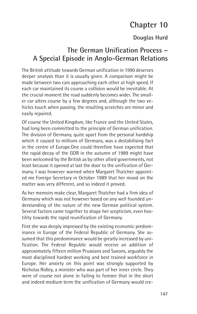# **Chapter 10**

### **Douglas Hurd**

## **The German Unification Process – A Special Episode in Anglo-German Relations**

The British attitude towards German unification in 1990 deserves deeper analysis than it is usually given. A comparison might be made between two cars approaching each other at high speed. If each car maintained its course a collision would be inevitable. At the crucial moment the road suddenly becomes wider. The smaller car alters course by a few degrees and, although the two vehicles touch when passing, the resulting scratches are minor and easily repaired.

Of course the United Kingdom, like France and the United States, had long been committed to the principle of German unification. The division of Germany, quite apart from the personal hardship which it caused to millions of Germans, was a destabilising fact in the centre of Europe.One could therefore have expected that the rapid decay of the GDR in the autumn of 1989 might have been welcomed by the British as by other allied governments, not least because it opened at last the door to the unification of Germany. I was however warned when Margaret Thatcher appointed me Foreign Secretary in October 1989 that her mood on the matter was very different, and so indeed it proved.

As her memoirs make clear, Margaret Thatcher had a firm idea of Germany which was not however based on any well founded understanding of the nature of the new German political system. Several factors came together to shape her scepticism, even hostility towards the rapid reunification of Germany.

First she was deeply impressed by the existing economic predominance in Europe of the Federal Republic of Germany. She assumed that this predominance would be greatly increased by unification. The Federal Republic would receive an addition of approximately fifteen million Prussians and Saxons, arguably the most disciplined hardest working and best trained workforce in Europe. Her anxiety on this point was strongly supported by Nicholas Ridley, a minister who was part of her inner circle. They were of course not alone in failing to foresee that in the short and indeed medium term the unification of Germany would cre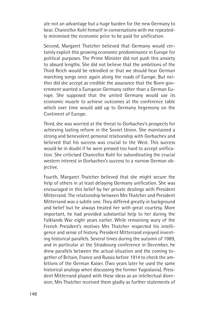ate not an advantage but a huge burden for the new Germany to bear. Chancellor Kohl himself in conversations with me repeatedly minimised the economic price to be paid for unification.

Second, Margaret Thatcher believed that Germany would certainly exploit this growing economic predominance in Europe for political purposes. The Prime Minister did not push this anxiety to absurd lengths. She did not believe that the ambitions of the Third Reich would be rekindled or that we should hear German marching songs once again along the roads of Europe. But neither did she accept as credible the assurance that the Bonn government wanted a European Germany rather than a German Europe. She supposed that the united Germany would use its economic muscle to achieve outcomes at the conference table which over time would add up to Germany hegemony on the Continent of Europe.

Third, she was worried at the threat to Gorbachev's prospects for achieving lasting reform in the Soviet Union. She maintained a strong and benevolent personal relationship with Gorbachev and believed that his success was crucial to the West. This success would be in doubt if he were pressed too hard to accept unification. She criticised Chancellor Kohl for subordinating the crucial western interest in Gorbachev's success to a narrow German objective.

Fourth, Margaret Thatcher believed that she might secure the help of others in at least delaying Germany unification. She was encouraged in this belief by her private dealings with President Mitterrand. The relationship between Mrs Thatcher and President Mitterrand was a subtle one. They differed greatly in background and belief but he always treated her with great courtesy. More important, he had provided substantial help to her during the Falklands War eight years earlier. While remaining wary of the French President's motives Mrs Thatcher respected his intelligence and sense of history. President Mitterrand enjoyed inventing historical parallels. Several times during the autumn of 1989, and in particular at the Strasbourg conference in December, he drew parallels between the actual situation and the coming together of Britain, France and Russia before 1914 to check the ambitions of the German Kaiser. (Two years later he used the same historical analogy when discussing the former Yugoslavia). President Mitterrand played with these ideas as an intellectual diversion; Mrs Thatcher received them gladly as further statements of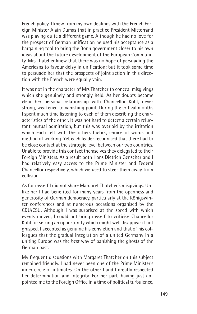French policy. I knew from my own dealings with the French Foreign Minister Alain Dumas that in practice President Mitterrand was playing quite a different game. Although he had no love for the prospect of German unification he used his acceptance as a bargaining tool to bring the Bonn government closer to his own ideas about the future development of the European Community. Mrs Thatcher knew that there was no hope of persuading the Americans to favour delay in unification; but it took some time to persuade her that the prospects of joint action in this direction with the French were equally vain.

It was not in the character of Mrs Thatcher to conceal misgivings which she genuinely and strongly held. As her doubts became clear her personal relationship with Chancellor Kohl, never strong, weakened to vanishing point. During the critical months I spent much time listening to each of them describing the characteristics of the other. It was not hard to detect a certain reluctant mutual admiration, but this was overlaid by the irritation which each felt with the others tactics, choice of words and method of working. Yet each leader recognised that there had to be close contact at the strategic level between our two countries. Unable to provide this contact themselves they delegated to their Foreign Ministers. As a result both Hans Dietrich Genscher and I had relatively easy access to the Prime Minister and Federal Chancellor respectively, which we used to steer them away from collision.

As for myself I did not share Margaret Thatcher's misgivings. Unlike her I had benefited for many years from the openness and generosity of German democracy, particularly at the Königswinter conferences and at numerous occasions organised by the CDU/CSU. Although I was surprised at the speed with which events moved, I could not bring myself to criticise Chancellor Kohl for seizing an opportunity which might well disappear if not grasped. I accepted as genuine his conviction and that of his colleagues that the gradual integration of a united Germany in a uniting Europe was the best way of banishing the ghosts of the German past.

My frequent discussions with Margaret Thatcher on this subject remained friendly. I had never been one of the Prime Minister's inner circle of intimates. On the other hand I greatly respected her determination and integrity. For her part, having just appointed me to the Foreign Office in a time of political turbulence,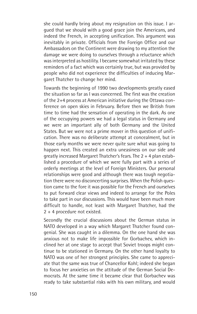she could hardly bring about my resignation on this issue. I argued that we should with a good grace join the Americans, and indeed the French, in accepting unification. This argument was inevitably in private. Officials from the Foreign Office and our Ambassadors on the Continent were drawing to my attention the damage we were doing to ourselves through a reluctance which was interpreted as hostility. I became somewhat irritated by these reminders of a fact which was certainly true, but was provided by people who did not experience the difficulties of inducing Margaret Thatcher to change her mind.

Towards the beginning of 1990 two developments greatly eased the situation so far as I was concerned. The first was the creation of the 2+4 process at American initiative during the Ottawa conference on open skies in February. Before then we British from time to time had the sensation of operating in the dark. As one of the occupying powers we had a legal status in Germany and we were an important ally of both Germany and the United States. But we were not a prime mover in this question of unification. There was no deliberate attempt at concealment, but in those early months we were never quite sure what was going to happen next. This created an extra uneasiness on our side and greatly increased Margaret Thatcher's fears. The 2 + 4 plan established a procedure of which we were fully part with a series of orderly meetings at the level of Foreign Ministers. Our personal relationships were good and although there was tough negotiation there were no disconcerting surprises. When the Polish question came to the fore it was possible for the French and ourselves to put forward clear views and indeed to arrange for the Poles to take part in our discussions. This would have been much more difficult to handle, not least with Margaret Thatcher, had the 2 + 4 procedure not existed.

Secondly the crucial discussions about the German status in NATO developed in a way which Margaret Thatcher found congenial. She was caught in a dilemma. On the one hand she was anxious not to make life impossible for Gorbachev, which inclined her at one stage to accept that Soviet troops might continue to be stationed in Germany. On the other hand loyalty to NATO was one of her strongest principles. She came to appreciate that the same was true of Chancellor Kohl; indeed she began to focus her anxieties on the attitude of the German Social Democrats. At the same time it became clear that Gorbachev was ready to take substantial risks with his own military, and would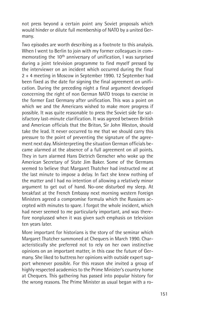not press beyond a certain point any Soviet proposals which would hinder or dilute full membership of NATO by a united Germany.

Two episodes are worth describing as a footnote to this analysis. When I went to Berlin to join with my former colleagues in commemorating the 10<sup>th</sup> anniversary of unification, I was surprised during a joint television programme to find myself pressed by the interviewer on an incident which occurred during the final 2 + 4 meeting in Moscow in September 1990. 12 September had been fixed as the date for signing the final agreement on unification. During the preceding night a final argument developed concerning the right of non German NATO troops to exercise in the former East Germany after unification. This was a point on which we and the Americans wished to make more progress if possible. It was quite reasonable to press the Soviet side for satisfactory last-minute clarification. It was agreed between British and American officials that the Briton, Sir John Weston, should take the lead. It never occurred to me that we should carry this pressure to the point of preventing the signature of the agreement next day. Misinterpreting the situation German officials became alarmed at the absence of a full agreement on all points. They in turn alarmed Hans Dietrich Genscher who woke up the American Secretary of State Jim Baker. Some of the Germans seemed to believe that Margaret Thatcher had instructed me at the last minute to impose a delay. In fact she knew nothing of the matter and I had no intention of allowing a relatively minor argument to get out of hand. No-one disturbed my sleep. At breakfast at the French Embassy next morning western Foreign Ministers agreed a compromise formula which the Russians accepted with minutes to spare. I forgot the whole incident, which had never seemed to me particularly important, and was therefore nonplussed when it was given such emphasis on television ten years later.

More important for historians is the story of the seminar which Margaret Thatcher summoned at Chequers in March 1990. Characteristically she preferred not to rely on her own instinctive opinions on an important matter, in this case the future of Germany. She liked to buttress her opinions with outside expert support whenever possible. For this reason she invited a group of highly respected academics to the Prime Minister's country home at Chequers. This gathering has passed into popular history for the wrong reasons. The Prime Minister as usual began with a ro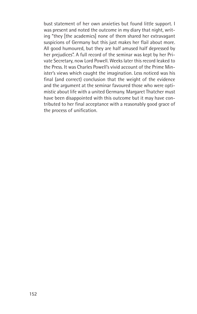bust statement of her own anxieties but found little support. I was present and noted the outcome in my diary that night, writing "they [the academics] none of them shared her extravagant suspicions of Germany but this just makes her flail about more. All good humoured, but they are half amused half depressed by her prejudices". A full record of the seminar was kept by her Private Secretary, now Lord Powell. Weeks later this record leaked to the Press. It was Charles Powell's vivid account of the Prime Minister's views which caught the imagination. Less noticed was his final (and correct) conclusion that the weight of the evidence and the argument at the seminar favoured those who were optimistic about life with a united Germany. Margaret Thatcher must have been disappointed with this outcome but it may have contributed to her final acceptance with a reasonably good grace of the process of unification.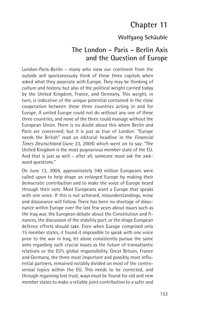## **Chapter 11**

### **Wolfgang Schäuble**

## **The London – Paris – Berlin Axis and the Question of Europe**

London-Paris-Berlin – many who view our continent from the outside will spontaneously think of these three capitals when asked what they associate with Europe. They may be thinking of culture and history, but also of the political weight carried today by the United Kingdom, France, and Germany. This weight, in turn, is indicative of the unique potential contained in the close cooperation between these three countries acting in and for Europe. A united Europe could not do without any one of these three countries, and none of the three could manage without the European Union. There is no doubt about this where Berlin and Paris are concerned; but it is just as true of London: "Europe needs the British" read an editorial headline in the *Financial Times Deutschland* (June 23, 2004) which went on to say: "The United Kingdom is the most pugnacious member state of the EU. And that is just as well – after all, someone must ask the awkward questions."

On June 13, 2004, approximately 340 million Europeans were called upon to help shape an enlarged Europe by making their democratic contribution and to make the voice of Europe heard through their vote. Most Europeans want a Europe that speaks with *one* voice. If this is not achieved, misunderstandings, noise and dissonance will follow. There has been no shortage of dissonance within Europe over the last few years about issues such as the Iraq war, the European debate about the Constitution and finances, the discussion of the stability pact, or the shape European defence efforts should take. Even when Europe comprised only 15 member states, it found it impossible to speak with one voice prior to the war in Iraq, let alone consistently pursue the same aims regarding such crucial issues as the future of transatlantic relations or the EU's global responsibility. Great Britain, France and Germany, the three most important and possibly most influential partners, remained notably divided on most of the controversial topics within the EU. This needs to be corrected, and through regaining lost trust, ways must be found for old and new member states to make a reliable joint contribution to a safer and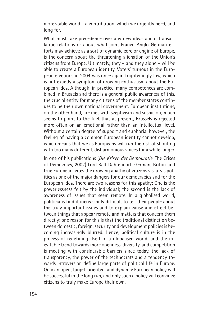more stable world – a contribution, which we urgently need, and long for.

What must take precedence over any new ideas about transatlantic relations or about what joint Franco-Anglo-German efforts may achieve as a sort of dynamic core or engine of Europe, is the concern about the threatening alienation of the Union's citizens from Europe. Ultimately, they – and they alone – will be able to create a European identity. Voters' turnout in the European elections in 2004 was once again frighteningly low, which is not exactly a symptom of growing enthusiasm about the European idea. Although, in practice, many competences are combined in Brussels and there is a general public awareness of this, the crucial entity for many citizens of the member states continues to be their own national government. European institutions, on the other hand, are met with scepticism and suspicion; much seems to point to the fact that at present, Brussels is rejected more often on an emotional rather than an intellectual level. Without a certain degree of support and euphoria, however, the feeling of having a common European identity cannot develop, which means that we as Europeans will run the risk of shouting with too many different, disharmonious voices for a while longer.

In one of his publications (*Die Krisen der Demokratie*, The Crises of Democracy, 2002) Lord Ralf Dahrendorf, German, Briton and true European, cites the growing apathy of citizens vis-à-vis politics as one of the major dangers for our democracies and for the European idea. There are two reasons for this apathy: One is the powerlessness felt by the individual; the second is the lack of awareness of issues that seem remote. In a globalised world, politicians find it increasingly difficult to tell their people about the truly important issues and to explain cause and effect between things that appear remote and matters that concern them directly; one reason for this is that the traditional distinction between domestic, foreign, security and development policies is becoming increasingly blurred. Hence, political culture is in the process of redefining itself in a globalised world, and the inevitable trend towards more openness, diversity, and competition is meeting with considerable barriers since today, the lack of transparency, the power of the technocrats and a tendency towards introversion define large parts of political life in Europe. Only an open, target-oriented, and dynamic European policy will be successful in the long run, and only such a policy will convince citizens to truly make Europe their own.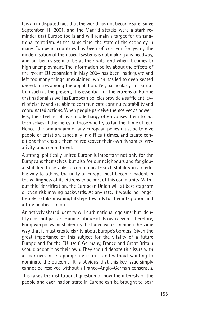It is an undisputed fact that the world has not become safer since September 11, 2001, and the Madrid attacks were a stark reminder that Europe too is and will remain a target for transnational terrorism. At the same time, the state of the economy in many European countries has been of concern for years, the modernisation of their social systems is not making any headway, and politicians seem to be at their wits' end when it comes to high unemployment. The information policy about the effects of the recent EU expansion in May 2004 has been inadequate and left too many things unexplained, which has led to deep-seated uncertainties among the population. Yet, particularly in a situation such as the present, it is essential for the citizens of Europe that national as well as European policies provide a sufficient level of clarity and are able to communicate continuity, stability and coordinated actions. When people perceive themselves as powerless, their feeling of fear and lethargy often causes them to put themselves at the mercy of those who try to fan the flame of fear. Hence, the primary aim of any European policy must be to give people orientation, especially in difficult times, and create conditions that enable them to rediscover their own dynamics, creativity, and commitment.

A strong, politically united Europe is important not only for the Europeans themselves, but also for our neighbours and for global stability. To be able to communicate such stability in a credible way to others, the unity of Europe must become evident in the willingness of its citizens to be part of this community. Without this identification, the European Union will at best stagnate or even risk moving backwards. At any rate, it would no longer be able to take meaningful steps towards further integration and a true political union.

An actively shared identity will curb national egoisms; but identity does not just arise and continue of its own accord. Therefore, European policy must identify its shared values in much the same way that it must create clarity about Europe's borders. Given the great importance of this subject for the vitality of a future Europe and for the EU itself, Germany, France and Great Britain should adopt it as their own. They should debate this issue with all partners in an appropriate form – and without wanting to dominate the outcome. It is obvious that this key issue simply cannot be resolved without a Franco-Anglo-German consensus.

This raises the institutional question of how the interests of the people and each nation state in Europe can be brought to bear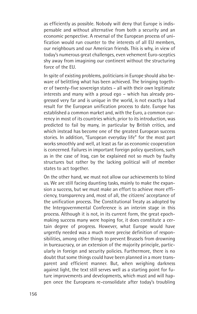as efficiently as possible. Nobody will deny that Europe is indispensable and without alternative from both a security and an economic perspective. A reversal of the European process of unification would run counter to the interests of all EU members, our neighbours and our American friends. This is why, in view of today's numerous great challenges, even vehement Euro-sceptics shy away from imagining our continent without the structuring force of the EU.

In spite of existing problems, politicians in Europe should also beware of belittling what has been achieved. The bringing together of twenty-five sovereign states – all with their own legitimate interests and many with a proud ego – which has already progressed very far and is unique in the world, is not exactly a bad result for the European unification process to date. Europe has established a common market and, with the Euro, a common currency in most of its countries which, prior to its introduction, was predicted to fail by many, in particular by British critics, and which instead has become one of the greatest European success stories. In addition, "European everyday life" for the most part works smoothly and well, at least as far as economic cooperation is concerned. Failures in important foreign policy questions, such as in the case of Iraq, can be explained not so much by faulty structures but rather by the lacking political will of member states to act together.

On the other hand, we must not allow our achievements to blind us. We are still facing daunting tasks, mainly to make the expansion a success, but we must make an effort to achieve more efficiency, transparency and, most of all, the citizens' acceptance of the unification process. The Constitutional Treaty as adopted by the Intergovernmental Conference is an interim stage in this process. Although it is not, in its current form, the great epochmaking success many were hoping for, it does constitute a certain degree of progress. However, what Europe would have urgently needed was a much more precise definition of responsibilities, among other things to prevent Brussels from drowning in bureaucracy, or an extension of the majority principle, particularly in foreign and security policies. Furthermore, there is no doubt that some things could have been planned in a more transparent and efficient manner. But, when weighing darkness against light, the text still serves well as a starting point for future improvements and developments, which must and will happen once the Europeans re-consolidate after today's troubling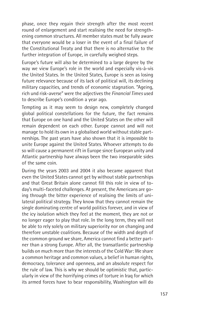phase, once they regain their strength after the most recent round of enlargement and start realising the need for strengthening common structures. All member states must be fully aware that everyone would be a loser in the event of a final failure of the Constitutional Treaty and that there is no alternative to the further integration of Europe, in carefully weighed steps.

Europe's future will also be determined to a large degree by the way we view Europe's role in the world and especially vis-à-vis the United States. In the United States, Europe is seen as losing future relevance because of its lack of political will, its declining military capacities, and trends of economic stagnation. "Ageing, rich und risk-averse" were the adjectives the *Financial Times* used to describe Europe's condition a year ago.

Tempting as it may seem to design new, completely changed global political constellations for the future, the fact remains that Europe on one hand and the United States on the other will remain dependent on each other. Europe cannot and will not manage to hold its own in a globalised world without stable partnerships. The past years have also shown that it is impossible to unite Europe against the United States. Whoever attempts to do so will cause a permanent rift in Europe since European unity and Atlantic partnership have always been the two inseparable sides of the same coin.

During the years 2003 and 2004 it also became apparent that even the United States cannot get by without stable partnerships and that Great Britain alone cannot fill this role in view of today's multi-faceted challenges. At present, the Americans are going through the bitter experience of realising the limits of unilateral political strategy. They know that they cannot remain the single dominating centre of world politics forever, and in view of the icy isolation which they feel at the moment, they are not or no longer eager to play that role. In the long term, they will not be able to rely solely on military superiority nor on changing and therefore unstable coalitions. Because of the width and depth of the common ground we share, America cannot find a better partner than a strong Europe. After all, the transatlantic partnership builds on much more than the interests of the Cold War: We share a common heritage and common values, a belief in human rights, democracy, tolerance and openness, and an absolute respect for the rule of law. This is why we should be optimistic that, particularly in view of the horrifying crimes of torture in Iraq for which its armed forces have to bear responsibility, Washington will do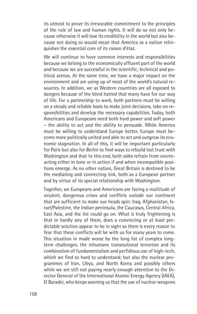its utmost to prove its irrevocable commitment to the principles of the rule of law and human rights. It will do so not only because otherwise it will lose its credibility in the world but also because not doing so would mean that America as a nation relinquishes the essential core of its raison d'état.

We will continue to have common interests and responsibilities because we belong to the economically affluent part of the world and because we are successful in the scientific, technical and political arenas. At the same time, we have a major impact on the environment and are using up of most of the world's natural resources. In addition, we as Western countries are all exposed to dangers because of the blind hatred that many have for our way of life. For a partnership to work, both partners must be willing on a steady and reliable basis to make joint decisions, take on responsibilities and develop the necessary capabilities. Today, both Americans and Europeans need both hard power and soft power – the ability to act and the ability to persuade. While America must be willing to understand Europe better, Europe must become more politically united and able to act and outgrow its economic stagnation. In all of this, it will be important particularly for Paris but also for Berlin to find ways to rebuild lost trust with Washington and that to this end, both sides refrain from overreacting either in tone or in action if and when incompatible positions emerge. As no other nation, Great Britain is destined to be the mediating and connecting link, both as a European partner and by virtue of its special relationship with Washington.

Together, we Europeans and Americans are facing a multitude of virulent, dangerous crises and conflicts outside our continent that are sufficient to make our heads spin: Iraq, Afghanistan, Israel/Palestine, the Indian peninsula, the Caucasus, Central Africa, East Asia, and the list could go on. What is truly frightening is that in hardly any of them, does a convincing or at least predictable solution appear to be in sight so there is every reason to fear that these conflicts will be with us for many years to come. This situation in made worse by the long list of complex longterm challenges: the inhumane transnational terrorism and its combination of fundamentalism and perfidious use of high-tech, which we find so hard to understand; but also the nuclear programmes of Iran, Libya, and North Korea and possibly others while we are still not paying nearly enough attention to the Director General of the International Atomic Energy Agency (IAEA), El Baradei, who keeps warning us that the use of nuclear weapons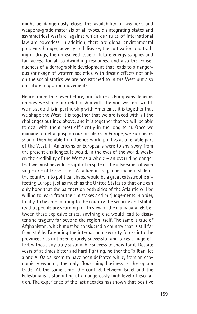might be dangerously close; the availability of weapons and weapons-grade materials of all types, disintegrating states and asymmetrical warfare, against which our rules of international law are powerless; in addition, there are global environmental problems, hunger, poverty and disease; the cultivation and trading of drugs; the unresolved issue of future energy supplies and fair access for all to dwindling resources; and also the consequences of a demographic development that leads to a dangerous shrinkage of western societies, with drastic effects not only on the social statics we are accustomed to in the West but also on future migration movements.

Hence, more than ever before, our future as Europeans depends on how we shape our relationship with the non-western world: we must do this in partnership with America as it is together that we shape the West, it is together that we are faced with all the challenges outlined above, and it is together that we will be able to deal with them most efficiently in the long term. Once we manage to get a grasp on our problems in Europe, we Europeans should then be able to influence world politics as a reliable part of the West. If Americans or Europeans were to shy away from the present challenges, it would, in the eyes of the world, weaken the credibility of the West as a whole – an overriding danger that we must never lose sight of in spite of the adversities of each single one of these crises. A failure in Iraq, a permanent slide of the country into political chaos, would be a great catastrophe affecting Europe just as much as the United States so that one can only hope that the partners on both sides of the Atlantic will be willing to learn from their mistakes and misiudgements in order. finally, to be able to bring to the country the security and stability that people are yearning for. In view of the many parallels between these explosive crises, anything else would lead to disaster and tragedy far beyond the region itself. The same is true of Afghanistan, which must be considered a country that is still far from stable. Extending the international security forces into the provinces has not been entirely successful and takes a huge effort without any truly sustainable success to show for it. Despite years of at times bitter and hard fighting, neither the Taliban, let alone Al Qaida, seem to have been defeated while, from an economic viewpoint, the only flourishing business is the opium trade. At the same time, the conflict between Israel and the Palestinians is stagnating at a dangerously high level of escalation. The experience of the last decades has shown that positive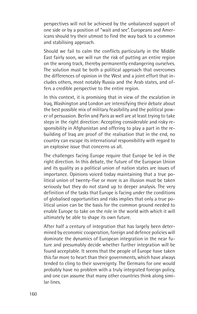perspectives will not be achieved by the unbalanced support of one side or by a position of "wait and see". Europeans and Americans should try their utmost to find the way back to a common and stabilising approach.

Should we fail to calm the conflicts particularly in the Middle East fairly soon, we will run the risk of putting an entire region on the wrong track, thereby permanently endangering ourselves. The solution must be both a political approach that overcomes the differences of opinion in the West and a joint effort that includes others, most notably Russia and the Arab states, and offers a credible perspective to the entire region.

In this context, it is promising that in view of the escalation in Iraq, Washington and London are intensifying their debate about the best possible mix of military feasibility and the political power of persuasion. Berlin and Paris as well are at least trying to take steps in the right direction: Accepting considerable and risky responsibility in Afghanistan and offering to play a part in the rebuilding of Iraq are proof of the realisation that in the end, no country can escape its international responsibility with regard to an explosive issue that concerns us all.

The challenges facing Europe require that Europe be led in the right direction. In this debate, the future of the European Union and its quality as a political union of nation states are issues of importance. Opinions voiced today maintaining that a true political union of twenty-five or more is an illusion must be taken seriously but they do not stand up to deeper analysis. The very definition of the tasks that Europe is facing under the conditions of globalised opportunities and risks implies that only a true political union can be the basis for the common ground needed to enable Europe to take on the role in the world with which it will ultimately be able to shape its own future.

After half a century of integration that has largely been determined by economic cooperation, foreign and defence policies will dominate the dynamics of European integration in the near future and presumably decide whether further integration will be found acceptable. It seems that the people of Europe have taken this far more to heart than their governments, which have always tended to cling to their sovereignty. The Germans for one would probably have no problem with a truly integrated foreign policy, and one can assume that many other countries think along similar lines.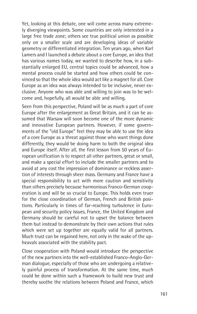Yet, looking at this debate, one will come across many extremely diverging viewpoints. Some countries are only interested in a large free trade zone; others see true political union as possible only on a smaller scale and are developing ideas of variable geometry or differentiated integration. Ten years ago, when Karl Lamers and I launched a debate about a core Europe, an idea that has various names today, we wanted to describe how, in a substantially enlarged EU, central topics could be advanced, how a mental process could be started and how others could be convinced so that the whole idea would act like a magnet for all. Core Europe as an idea was always intended to be inclusive, never exclusive. Anyone who was able and willing to join was to be welcome and, hopefully, all would be able and willing.

Seen from this perspective, Poland will be as much a part of core Europe after the enlargement as Great Britain, and it can be assumed that Warsaw will soon become one of the more dynamic and innovative European partners. However, if some governments of the "old Europe" feel they may be able to use the idea of a core Europe as a threat against those who want things done differently, they would be doing harm to both the original idea and Europe itself. After all, the first lesson from 50 years of European unification is to respect all other partners, great or small, and make a special effort to include the smaller partners and to avoid at any cost the impression of dominance or reckless assertion of interests through sheer mass. Germany and France have a special responsibility to act with more caution and sensitivity than others precisely because harmonious Franco-German cooperation is and will be so crucial to Europe. This holds even truer for the close coordination of German, French and British positions. Particularly in times of far-reaching turbulence in European and security policy issues, France, the United Kingdom and Germany should be careful not to upset the balance between them but instead to demonstrate by their own actions that rules which were set up together are equally valid for all partners. Much trust can be regained here, not only in the wake of the upheavals associated with the stability pact.

Close cooperation with Poland would introduce the perspective of the new partners into the well-established Franco-Anglo-German dialogue, especially of those who are undergoing a relatively painful process of transformation. At the same time, much could be done within such a framework to build new trust and thereby soothe the relations between Poland and France, which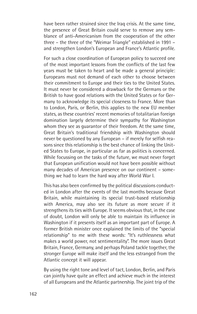have been rather strained since the Iraq crisis. At the same time, the presence of Great Britain could serve to remove any semblance of anti-Americanism from the cooperation of the other three – the three of the "Weimar Triangle" established in 1991 – and strengthen London's European and France's Atlantic profile.

For such a close coordination of European policy to succeed one of the most important lessons from the conflicts of the last few years must be taken to heart and be made a general principle: Europeans must not demand of each other to choose between their commitment to Europe and their ties to the United States. It must never be considered a drawback for the Germans or the British to have good relations with the United States or for Germany to acknowledge its special closeness to France. More than to London, Paris, or Berlin, this applies to the new EU member states, as these countries' recent memories of totalitarian foreign domination largely determine their sympathy for Washington whom they see as quarantor of their freedom. At the same time, Great Britain's traditional friendship with Washington should never be questioned by any European – if merely for selfish reasons since this relationship is the best chance of linking the United States to Europe, in particular as far as politics is concerned. While focussing on the tasks of the future, we must never forget that European unification would not have been possible without many decades of American presence on our continent – something we had to learn the hard way after World War I.

This has also been confirmed by the political discussions conducted in London after the events of the last months because Great Britain, while maintaining its special trust-based relationship with America, may also see its future as more secure if it strengthens its ties with Europe. It seems obvious that, in the case of doubt, London will only be able to maintain its influence in Washington if it presents itself as an important part of Europe. A former British minister once explained the limits of the "special relationship" to me with these words: "It's ruthlessness what makes a world power, not sentimentality". The more issues Great Britain, France, Germany, and perhaps Poland tackle together, the stronger Europe will make itself and the less estranged from the Atlantic concept it will appear.

By using the right tone and level of tact, London, Berlin, and Paris can jointly have quite an effect and achieve much in the interest of all Europeans and the Atlantic partnership. The joint trip of the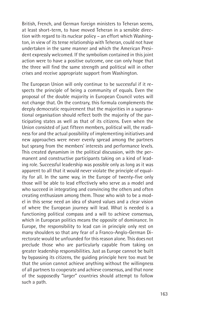British, French, and German foreign ministers to Teheran seems, at least short-term, to have moved Teheran in a sensible direction with regard to its nuclear policy – an effort which Washington, in view of its tense relationship with Teheran, could not have undertaken in the same manner and which the American President expressly welcomed. If the symbolism contained in this joint action were to have a positive outcome, one can only hope that the three will find the same strength and political will in other crises and receive appropriate support from Washington.

The European Union will only continue to be successful if it respects the principle of being a community of equals. Even the proposal of the double majority in European Council votes will not change that. On the contrary, this formula complements the deeply democratic requirement that the majorities in a supranational organisation should reflect both the majority of the participating states as well as that of its citizens. Even when the Union consisted of just fifteen members, political will, the readiness for and the actual possibility of implementing initiatives and new approaches were never evenly spread among the partners but sprang from the members' interests and performance levels. This created dynamism in the political discussion, with the permanent and constructive participants taking on a kind of leading role. Successful leadership was possible only as long as it was apparent to all that it would never violate the principle of equality for all. In the same way, in the Europe of twenty-five only those will be able to lead effectively who serve as a model and who succeed in integrating and convincing the others and often creating enthusiasm among them. Those who wish to be a model in this sense need an idea of shared values and a clear vision of where the European journey will lead. What is needed is a functioning political compass and a will to achieve consensus, which in European politics means the opposite of dominance. In Europe, the responsibility to lead can in principle only rest on many shoulders so that any fear of a Franco-Anglo-German Directorate would be unfounded for this reason alone. This does not preclude those who are particularly capable from taking on greater leadership responsibilities. Just as Europe cannot be built by bypassing its citizens, the guiding principle here too must be that the union cannot achieve anything without the willingness of all partners to cooperate and achieve consensus, and that none of the supposedly "larger" countries should attempt to follow such a path.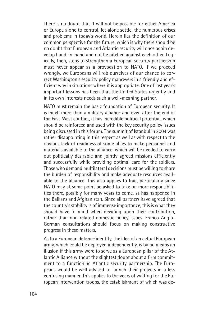There is no doubt that it will not be possible for either America or Europe alone to control, let alone settle, the numerous crises and problems in today's world. Herein lies the definition of our common perspective for the future, which is why there should be no doubt that European and Atlantic security will once again develop hand-in-hand and not be pitched against each other. Logically, then, steps to strengthen a European security partnership must never appear as a provocation to NATO. If we proceed wrongly, we Europeans will rob ourselves of our chance to correct Washington's security policy manœvers in a friendly and efficient way in situations where it is appropriate. One of last year's important lessons has been that the United States urgently and in its own interests needs such a well-meaning partner.

NATO must remain the basic foundation of European security. It is much more than a military alliance and even after the end of the East-West conflict, it has incredible political potential, which should be reinforced and used with the key security policy issues being discussed in this forum. The summit of Istanbul in 2004 was rather disappointing in this respect as well as with respect to the obvious lack of readiness of some allies to make personnel and materials available to the alliance, which will be needed to carry out politically desirable and jointly agreed missions efficiently and successfully while providing optimal care for the soldiers. Those who demand multilateral decisions must be willing to share the burden of responsibility and make adequate resources available to the alliance. This also applies to Iraq, particularly since NATO may at some point be asked to take on more responsibilities there, possibly for many years to come, as has happened in the Balkans and Afghanistan. Since all partners have agreed that the country's stability is of immense importance, this is what they should have in mind when deciding upon their contribution, rather than non-related domestic policy issues. Franco-Anglo-German consultations should focus on making constructive progress in these matters.

As to a European defence identity, the idea of an actual European army, which could be deployed independently, is by no means an illusion if this army were to serve as a European pillar of the Atlantic Alliance without the slightest doubt about a firm commitment to a functioning Atlantic security partnership. The Europeans would be well advised to launch their projects in a less confusing manner. This applies to the years of waiting for the European intervention troops, the establishment of which was de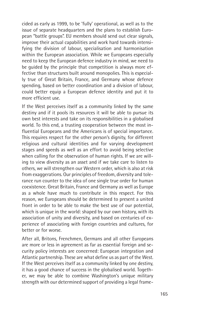cided as early as 1999, to be 'fully' operational, as well as to the issue of separate headquarters and the plans to establish European "battle groups". EU members should send out clear signals, improve their actual capabilities and work hard towards intensifying the division of labour, specialisation and harmonisation within the European association. While we Europeans especially need to keep the European defence industry in mind, we need to be guided by the principle that competition is always more effective than structures built around monopolies. This is especially true of Great Britain, France, and Germany whose defence spending, based on better coordination and a division of labour, could better equip a European defence identity and put it to more efficient use.

If the West perceives itself as a community linked by the same destiny and if it pools its resources it will be able to pursue its own best interests and take on its responsibilities in a globalised world. To this end, a trusting cooperation between the most influential Europeans and the Americans is of special importance. This requires respect for the other person's dignity, for different religious and cultural identities and for varying development stages and speeds as well as an effort to avoid being selective when calling for the observation of human rights. If we are willing to view diversity as an asset and if we take care to listen to others, we will strengthen our Western order, which is also at risk from exaggerations. Our principles of freedom, diversity and tolerance run counter to the idea of one single true order for human coexistence. Great Britain, France and Germany as well as Europe as a whole have much to contribute in this respect. For this reason, we Europeans should be determined to present a united front in order to be able to make the best use of our potential, which is unique in the world: shaped by our own history, with its association of unity and diversity, and based on centuries of experience of associating with foreign countries and cultures, for better or for worse.

After all, Britons, Frenchmen, Germans and all other Europeans are more or less in agreement as far as essential foreign and security policy interests are concerned: European integration and Atlantic partnership. These are what define us as part of the West. If the West perceives itself as a community linked by one destiny, it has a good chance of success in the globalised world. Together, we may be able to combine Washington's unique military strength with our determined support of providing a legal frame-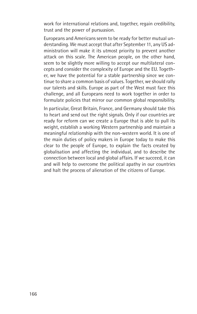work for international relations and, together, regain credibility, trust and the power of pursuasion.

Europeans and Americans seem to be ready for better mutual understanding. We must accept that after September 11, any US administration will make it its utmost priority to prevent another attack on this scale. The American people, on the other hand, seem to be slightly more willing to accept our multilateral concepts and consider the complexity of Europe and the EU. Together, we have the potential for a stable partnership since we continue to share a common basis of values. Together, we should rally our talents and skills. Europe as part of the West must face this challenge, and all Europeans need to work together in order to formulate policies that mirror our common global responsibility.

In particular, Great Britain, France, and Germany should take this to heart and send out the right signals. Only if our countries are ready for reform can we create a Europe that is able to pull its weight, establish a working Western partnership and maintain a meaningful relationship with the non-western world. It is one of the main duties of policy makers in Europe today to make this clear to the people of Europe, to explain the facts created by globalisation and affecting the individual, and to describe the connection between local and global affairs. If we succeed, it can and will help to overcome the political apathy in our countries and halt the process of alienation of the citizens of Europe.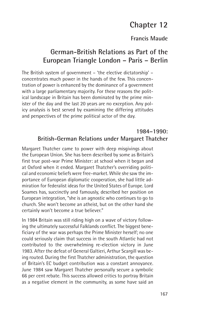# **Chapter 12**

### **Francis Maude**

## **German-British Relations as Part of the European Triangle London – Paris – Berlin**

The British system of government – 'the elective dictatorship' – concentrates much power in the hands of the few. This concentration of power is enhanced by the dominance of a government with a large parliamentary majority. For these reasons the political landscape in Britain has been dominated by the prime minister of the day and the last 20 years are no exception. Any policy analysis is best served by examining the differing attitudes and perspectives of the prime political actor of the day.

#### **1984–1990: British-German Relations under Margaret Thatcher**

Margaret Thatcher came to power with deep misgivings about the European Union. She has been described by some as Britain's first true post-war Prime Minister: at school when it began and at Oxford when it ended. Margaret Thatcher's overriding political and economic beliefs were free-market. While she saw the importance of European diplomatic cooperation, she had little admiration for federalist ideas for the United States of Europe. Lord Soames has, succinctly and famously, described her position on European integration, "she is an agnostic who continues to go to church. She won't become an atheist, but on the other hand she certainly won't become a true believer."

In 1984 Britain was still riding high on a wave of victory following the ultimately successful Falklands conflict. The biggest beneficiary of the war was perhaps the Prime Minister herself; no one could seriously claim that success in the south Atlantic had not contributed to the overwhelming re-election victory in June 1983. After the defeat of General Galtieri, Arthur Scargill was being routed. During the first Thatcher administration, the question of Britain's EC budget contribution was a constant annoyance. June 1984 saw Margaret Thatcher personally secure a symbolic 66 per cent rebate. This success allowed critics to portray Britain as a negative element in the community, as some have said an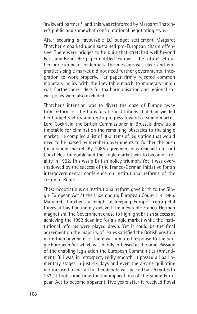'awkward partner'1, and this was reinforced by Margaret Thatcher's public and somewhat confrontational negotiating style.

After securing a favourable EC budget settlement Margaret Thatcher embarked upon sustained pro-European charm offensive. There were bridges to be built that stretched well beyond Paris and Bonn. Her paper entitled 'Europe – the future' set out her pro-European credentials. The message was clear and emphatic: a single market did not need further governmental integration to work properly. Her paper firmly rejected common monetary policy with the inevitable march to monetary union was. Furthermore, ideas for tax harmonisation and regional social policy were also excluded.

Thatcher's intention was to divert the gaze of Europe away from reform of the bureaucratic institutions that had yielded her budget victory and on to progress towards a single market. Lord Cockfield the British Commissioner in Brussels drew up a timetable for elimination the remaining obstacles to the single market. He compiled a list of 300 items of legislation that would need to be passed by member governments to further the push for a single market. By 1985 agreement was reached on Lord Cockfields' timetable and the single market was to become a reality in 1992. This was a British policy triumph. Yet it was overshadowed by the success of the Franco-German initiative for an intergovernmental conference on institutional reforms of the Treaty of Rome.

These negotiations on institutional reform gave birth to the Single European Act at the Luxembourg European Council in 1985. Margaret Thatcher's attempts at keeping Europe's centripetal forces at bay had merely delayed the inevitable Franco-German magnetism. The Government chose to highlight British success at achieving the 1992 deadline for a single market while the institutional reforms were played down. Yet it could be the final agreement on the majority of issues satisfied the British position more than anyone else. There was a muted response to the Single European Act which was hardly criticised at the time. Passage of the enabling legislation the European Communities (Amendment) Bill was, in retrospect, eerily smooth. It passed all parliamentary stages in just six days and even the arcane guillotine motion used to curtail further debate was passed by 270 votes to 153. It took some time for the implications of the Single European Act to become apparent. Five years after it received Royal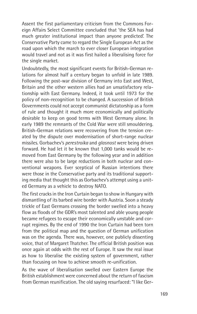Assent the first parliamentary criticism from the Commons Foreign Affairs Select Committee concluded that 'the SEA has had much greater institutional impact than anyone predicted'. The Conservative Party came to regard the Single European Act as the road upon which the march to ever closer European integration would travel and not as it was first hailed a liberalising force for the single market.

Undoubtedly, the most significant events for British-German relations for almost half a century began to unfold in late 1989. Following the post-war division of Germany into East and West, Britain and the other western allies had an unsatisfactory relationship with East Germany. Indeed, it took until 1973 for the policy of non-recognition to be changed. A succession of British Governments could not accept communist dictatorship as a form of rule and thought it much more economically and politically desirable to keep on good terms with West Germany alone. In early 1989 the remnants of the Cold War were still smouldering. British-German relations were recovering from the tension created by the dispute over modernisation of short-range nuclear missiles. Gorbachev's *perestroika* and *glasnost* were being driven forward. He had let it be known that 1,000 tanks would be removed from East Germany by the following year and in addition there were also to be large reductions in both nuclear and conventional weapons. Ever sceptical of Russian intentions there were those in the Conservative party and its traditional supporting media that thought this as Gorbachev's attempt using a united Germany as a vehicle to destroy NATO.

The first cracks in the Iron Curtain began to show in Hungary with dismantling of its barbed wire border with Austria. Soon a steady trickle of East Germans crossing the border swelled into a heavy flow as floods of the GDR's most talented and able young people became refugees to escape their economically unstable and corrupt regimes. By the end of 1990 the Iron Curtain had been torn from the political map and the question of German unification was on the agenda. There was, however, one publicly dissenting voice, that of Margaret Thatcher. The official British position was once again at odds with the rest of Europe. It saw the real issue as how to liberalise the existing system of government, rather than focusing on how to achieve smooth re-unification.

As the wave of liberalisation swelled over Eastern Europe the British establishment were concerned about the return of fascism from German reunification. The old saying resurfaced: "I like Ger-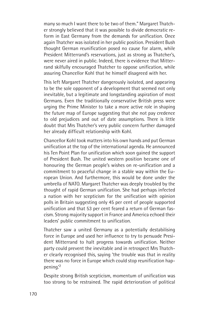many so much I want there to be two of them." Margaret Thatcher strongly believed that it was possible to divide democratic reform in East Germany from the demands for unification. Once again Thatcher was isolated in her public position. President Bush thought German reunification posed no cause for alarm, while President Mitterrand's reservations, just as strong as Thatcher's, were never aired in public. Indeed, there is evidence that Mitterrand skilfully encouraged Thatcher to oppose unification, while assuring Chancellor Kohl that he himself disagreed with her.

This left Margaret Thatcher dangerously isolated, and appearing to be the sole opponent of a development that seemed not only inevitable, but a legitimate and longstanding aspiration of most Germans. Even the traditionally conservative British press were urging the Prime Minister to take a more active role in shaping the future map of Europe suggesting that she not pay credence to old prejudices and out of date assumptions. There is little doubt that Mrs Thatcher's very public concern further damaged her already difficult relationship with Kohl.

Chancellor Kohl took matters into his own hands and put German unification at the top of the international agenda. He announced his Ten Point Plan for unification which soon gained the support of President Bush. The united western position became one of honouring the German people's wishes on re-unification and a commitment to peaceful change in a stable way within the European Union. And furthermore, this would be done under the umbrella of NATO. Margaret Thatcher was deeply troubled by the thought of rapid German unification. She had perhaps infected a nation with her scepticism for the unification with opinion polls in Britain suggesting only 45 per cent of people supported unification and that 53 per cent feared a return of German fascism. Strong majority support in France and America echoed their leaders' public commitment to unification.

Thatcher saw a united Germany as a potentially destabilising force in Europe and used her influence to try to persuade President Mitterrand to halt progress towards unification. Neither party could prevent the inevitable and in retrospect Mrs Thatcher clearly recognised this, saying 'the trouble was that in reality there was no force in Europe which could stop reunification happening.' 2

Despite strong British scepticism, momentum of unification was too strong to be restrained. The rapid deterioration of political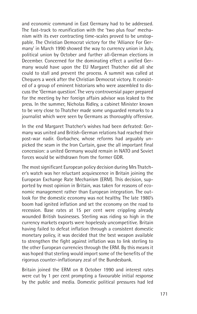and economic command in East Germany had to be addressed. The fast-track to reunification with the 'two plus four' mechanism with its ever contracting time-scales proved to be unstoppable. The Christian Democrat victory for the 'Alliance For Germany' in March 1990 showed the way to currency union in July, political union by October and further all-German elections in December. Concerned for the dominating effect a unified Germany would have upon the EU Margaret Thatcher did all she could to stall and prevent the process. A summit was called at Chequers a week after the Christian Democrat victory. It consisted of a group of eminent historians who were assembled to discuss the 'German question'. The very controversial paper prepared for the meeting by her foreign affairs advisor was leaked to the press. In the summer, Nicholas Ridley, a cabinet Minister known to be very close to Thatcher made some unguarded remarks to a journalist which were seen by Germans as thoroughly offensive.

In the end Margaret Thatcher's wishes had been defeated: Germany was united and British-German relations had reached their post-war nadir. Gorbachev, whose reforms had arguably unpicked the seam in the Iron Curtain, gave the all important final concession: a united Germany would remain in NATO and Soviet forces would be withdrawn from the former GDR.

The most significant European policy decision during Mrs Thatcher's watch was her reluctant acquiescence in Britain joining the European Exchange Rate Mechanism (ERM). This decision, supported by most opinion in Britain, was taken for reasons of economic management rather than European integration. The outlook for the domestic economy was not healthy. The late 1980's boom had ignited inflation and set the economy on the road to recession. Base rates at 15 per cent were crippling already wounded British businesses. Sterling was riding so high in the currency markets exports were hopelessly uncompetitive. Britain having failed to defeat inflation through a consistent domestic monetary policy, it was decided that the best weapon available to strengthen the fight against inflation was to link sterling to the other European currencies through the ERM. By this means it was hoped that sterling would import some of the benefits of the rigorous counter-inflationary zeal of the Bundesbank.

Britain joined the ERM on 8 October 1990 and interest rates were cut by 1 per cent prompting a favourable initial response by the public and media. Domestic political pressures had led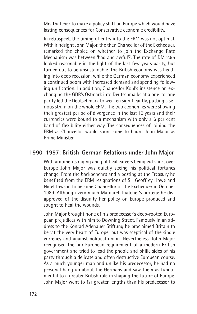Mrs Thatcher to make a policy shift on Europe which would have lasting consequences for Conservative economic credibility.

In retrospect, the timing of entry into the ERM was not optimal. With hindsight John Major, the then Chancellor of the Exchequer, remarked the choice on whether to join the Exchange Rate Mechanism was between 'bad and awful'3. The rate of DM 2.95 looked reasonable in the light of the last few years parity, but turned out to be unsustainable. The British economy was heading into deep recession, while the German economy experienced a continued boom with increased demand and spending following unification. In addition, Chancellor Kohl's insistence on exchanging the GDR's Ostmark into Deutschmarks at a one-to-one parity led the Deutschmark to weaken significantly, putting a serious strain on the whole ERM. The two economies were showing their greatest period of divergence in the last 10 years and their currencies were bound to a mechanism with only a 6 per cent band of flexibility either way. The consequences of joining the ERM as Chancellor would soon come to haunt John Major as Prime Minister.

### **1990–1997: British-German Relations under John Major**

With arguments raging and political careers being cut short over Europe John Major was quietly seeing his political fortunes change. From the backbenches and a posting at the Treasury he benefited from the ERM resignations of Sir Geoffrey Howe and Nigel Lawson to become Chancellor of the Exchequer in October 1989. Although very much Margaret Thatcher's protégé he disapproved of the disunity her policy on Europe produced and sought to heal the wounds.

John Major brought none of his predecessor's deep-rooted European prejudices with him to Downing Street. Famously in an address to the Konrad Adenauer Stiftung he proclaimed Britain to be 'at the very heart of Europe' but was sceptical of the single currency and against political union. Nevertheless, John Major recognised the pro-European requirement of a modern British government and tried to lead the phobic and philic sides of his party through a delicate and often destructive European course. As a much younger man and unlike his predecessor, he had no personal hang up about the Germans and saw them as fundamental to a greater British role in shaping the future of Europe. John Major went to far greater lengths than his predecessor to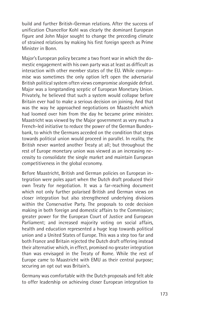build and further British-German relations. After the success of unification Chancellor Kohl was clearly the dominant European figure and John Major sought to change the preceding climate of strained relations by making his first foreign speech as Prime Minister in Bonn.

Major's European policy became a two front war in which the domestic engagement with his own party was at least as difficult as interaction with other member states of the EU. While compromise was sometimes the only option left open the adversarial British political system often views compromise alongside defeat. Major was a longstanding sceptic of European Monetary Union. Privately, he believed that such a system would collapse before Britain ever had to make a serious decision on joining. And that was the way he approached negotiations on Maastricht which had loomed over him from the day he became prime minister. Maastricht was viewed by the Major government as very much a French-led initiative to reduce the power of the German Bundesbank, to which the Germans acceded on the condition that steps towards political union would proceed in parallel. In reality, the British never wanted another Treaty at all; but throughout the rest of Europe monetary union was viewed as an increasing necessity to consolidate the single market and maintain European competitiveness in the global economy.

Before Maastricht, British and German policies on European integration were poles apart when the Dutch draft produced their own Treaty for negotiation. It was a far-reaching document which not only further polarised British and German views on closer integration but also strengthened underlying divisions within the Conservative Party. The proposals to cede decision making in both foreign and domestic affairs to the Commission; greater power for the European Court of Justice and European Parliament; and increased majority voting on social affairs, health and education represented a huge leap towards political union and a United States of Europe. This was a step too far and both France and Britain rejected the Dutch draft offering instead their alternative which, in effect, promised no greater integration than was envisaged in the Treaty of Rome. While the rest of Europe came to Maastricht with EMU as their central purpose; securing an opt out was Britain's.

Germany was comfortable with the Dutch proposals and felt able to offer leadership on achieving closer European integration to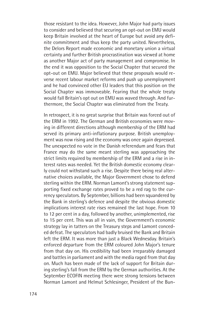those resistant to the idea. However, John Major had party issues to consider and believed that securing an opt-out on EMU would keep Britain involved at the heart of Europe but avoid any definite commitment and thus keep the party united. Nevertheless, the Delors Report made economic and monetary union a virtual certainty and further British procrastination was viewed at home as another Major act of party management and compromise. In the end it was opposition to the Social Chapter that secured the opt-out on EMU. Major believed that these proposals would reverse recent labour market reforms and push up unemployment and he had convinced other EU leaders that this position on the Social Chapter was immoveable. Fearing that the whole treaty would fall Britain's opt out on EMU was waved through. And furthermore, the Social Chapter was eliminated from the Treaty.

In retrospect, it is no great surprise that Britain was forced out of the ERM in 1992. The German and British economies were moving in different directions although membership of the ERM had served its primary anti-inflationary purpose. British unemployment was now rising and the economy was once again depressed. The unexpected no vote in the Danish referendum and fears that France may do the same meant sterling was approaching the strict limits required by membership of the ERM and a rise in interest rates was needed. Yet the British domestic economy clearly could not withstand such a rise. Despite there being real alternative choices available, the Major Government chose to defend sterling within the ERM. Norman Lamont's strong statement supporting fixed exchange rates proved to be a red rag to the currency speculators. By September, billions had been squandered by the Bank in sterling's defence and despite the obvious domestic implications interest rate rises remained the last hope. From 10 to 12 per cent in a day, followed by another, unimplemented, rise to 15 per cent. This was all in vain, the Government's economic strategy lay in tatters on the Treasury steps and Lamont conceded defeat. The speculators had badly bruised the Bank and Britain left the ERM. It was more than just a Black Wednesday. Britain's enforced departure from the ERM coloured John Major's tenure from that day on. His credibility had been irreparably damaged and battles in parliament and with the media raged from that day on. Much has been made of the lack of support for Britain during sterling's fall from the ERM by the German authorities. At the September ECOFIN meeting there were strong tensions between Norman Lamont and Helmut Schlesinger, President of the Bun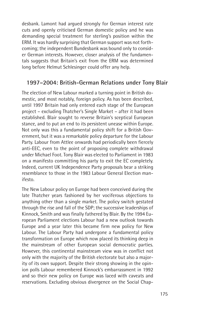desbank. Lamont had argued strongly for German interest rate cuts and openly criticised German domestic policy and he was demanding special treatment for sterling's position within the ERM. It was hardly surprising that German support was not forthcoming; the independent Bundesbank was bound only to consider German interests. However, closer analysis of the fundamentals suggests that Britain's exit from the ERM was determined long before Helmut Schlesinger could offer any help.

#### **1997–2004: British-German Relations under Tony Blair**

The election of New Labour marked a turning point in British domestic, and most notably, foreign policy. As has been described, until 1997 Britain had only entered each stage of the European project – excluding Thatcher's Single Market – after it had been established. Blair sought to reverse Britain's sceptical European stance, and to put an end to its persistent unease within Europe. Not only was this a fundamental policy shift for a British Government, but it was a remarkable policy departure for the Labour Party. Labour from Attlee onwards had periodically been fiercely anti-EEC, even to the point of proposing complete withdrawal under Michael Foot. Tony Blair was elected to Parliament in 1983 on a manifesto committing his party to exit the EC completely. Indeed, current UK Independence Party proposals bear a striking resemblance to those in the 1983 Labour General Election manifesto.

The New Labour policy on Europe had been conceived during the late Thatcher years fashioned by her vociferous objections to anything other than a single market. The policy switch gestated through the rise and fall of the SDP; the successive leaderships of Kinnock, Smith and was finally fathered by Blair. By the 1994 European Parliament elections Labour had a new outlook towards Europe and a year later this became firm new policy for New Labour. The Labour Party had undergone a fundamental policy transformation on Europe which now placed its thinking deep in the mainstream of other European social democratic parties. However, this continental mainstream view was in conflict not only with the majority of the British electorate but also a majority of its own support. Despite their strong showing in the opinion polls Labour remembered Kinnock's embarrassment in 1992 and so their new policy on Europe was laced with caveats and reservations. Excluding obvious divergence on the Social Chap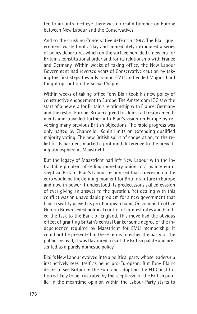ter, to an untrained eye there was no real difference on Europe between New Labour and the Conservatives.

And so the crushing Conservative defeat in 1997. The Blair government wasted not a day and immediately introduced a series of policy departures which on the surface heralded a new era for Britain's constitutional order and for its relationship with France and Germany. Within weeks of taking office, the New Labour Government had reversed years of Conservative caution by taking the first steps towards joining EMU and ended Major's hard fought opt out on the Social Chapter.

Within weeks of taking office Tony Blair took his new policy of constructive engagement to Europe. The Amsterdam IGC saw the start of a new era for Britain's relationship with France, Germany and the rest of Europe. Britain agreed to almost all treaty amendments and travelled further into Blair's vision on Europe by reversing many previous British objections. The rapid progress was only halted by Chancellor Kohl's limits on extending qualified majority voting. The new British spirit of cooperation, to the relief of its partners, marked a profound difference to the prevailing atmosphere at Maastricht.

But the legacy of Maastricht had left New Labour with the intractable problem of selling monetary union to a mainly eurosceptical Britain. Blair's Labour recognised that a decision on the euro would be the defining moment for Britain's future in Europe and now in power it understood its predecessor's skilled evasion of ever giving an answer to the question. Yet dealing with this conflict was an unavoidable problem for a new government that had so swiftly played its pro-European hand. On coming to office Gordon Brown ceded political control of interest rates and handed the task to the Bank of England. This move had the obvious effect of granting Britain's central banker some degree of the independence required by Maastricht for EMU membership. It could not be presented in these terms to either the party or the public. Instead, it was flavoured to suit the British palate and presented as a purely domestic policy.

Blair's New Labour evolved into a political party whose leadership instinctively sees itself as being pro-European. But Tony Blair's desire to see Britain in the Euro and adopting the EU Constitution is likely to be frustrated by the scepticism of the British public. In the meantime opinion within the Labour Party starts to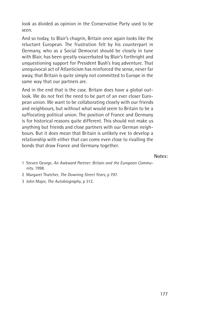look as divided as opinion in the Conservative Party used to be seen.

And so today, to Blair's chagrin, Britain once again looks like the reluctant European. The frustration felt by his counterpart in Germany, who as a Social Democrat should be closely in tune with Blair, has been greatly exacerbated by Blair's forthright and unquestioning support for President Bush's Iraq adventure. That unequivocal act of Atlanticism has reinforced the sense, never far away, that Britain is quite simply not committed to Europe in the same way that our partners are.

And in the end that is the case. Britain does have a global outlook. We do not feel the need to be part of an ever closer European union. We want to be collaborating closely with our friends and neighbours, but without what would seem to Britain to be a suffocating political union. The position of France and Germany is for historical reasons quite different. This should not make us anything but friends and close partners with our German neighbours. But it does mean that Britain is unlikely eve to develop a relationship with either that can come even close to rivalling the bonds that draw France and Germany together.

**Notes:**

- 1 Steven George, *An Awkward Partner: Britain and the European Community*. 1998.
- 2 Margaret Thatcher*, The Downing Street Years,* p 797.
- 3 John Major, *The Autobiography*, p 312.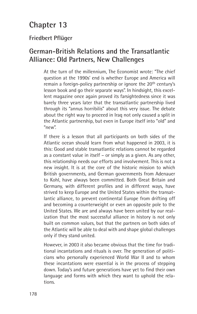# **Chapter 13**

### **Friedbert Pflüger**

### **German-British Relations and the Transatlantic Alliance: Old Partners, New Challenges**

At the turn of the millennium, The Economist wrote: "The chief question at the 1990s' end is whether Europe and America will remain a foreign-policy partnership or ignore the 20<sup>th</sup> century's lesson book and go their separate ways". In hindsight, this excellent magazine once again proved its farsightedness since it was barely three years later that the transatlantic partnership lived through its "annus horribilis" about this very issue. The debate about the right way to proceed in Iraq not only caused a split in the Atlantic partnership, but even in Europe itself into "old" and "new".

If there is a lesson that all participants on both sides of the Atlantic ocean should learn from what happened in 2003, it is this: Good and stable transatlantic relations cannot be regarded as a constant value in itself – or simply as a given. As any other, this relationship needs our efforts and involvement. This is not a new insight. It is at the core of the historic mission to which British governments, and German governments from Adenauer to Kohl, have always been committed. Both Great Britain and Germany, with different profiles and in different ways, have strived to keep Europe and the United States within the transatlantic alliance, to prevent continental Europe from drifting off and becoming a counterweight or even an opposite pole to the United States. We are and always have been united by our realization that the most successful alliance in history is not only built on common values, but that the partners on both sides of the Atlantic will be able to deal with and shape global challenges only if they stand united.

However, in 2003 it also became obvious that the time for traditional incantations and rituals is over. The generation of politicians who personally experienced World War II and to whom these incantations were essential is in the process of stepping down. Today's and future generations have yet to find their own language and forms with which they want to uphold the relations.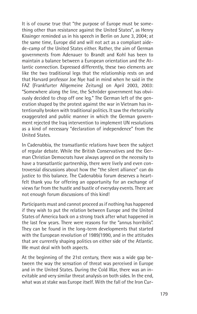It is of course true that "the purpose of Europe must be something other than resistance against the United States", as Henry Kissinger reminded us in his speech in Berlin on June 3, 2004; at the same time, Europe did and will not act as a compliant aidede-camp of the United States either. Rather, the aim of German governments from Adenauer to Brandt and Kohl has been to maintain a balance between a European orientation and the Atlantic connection. Expressed differently, these two elements are like the two traditional legs that the relationship rests on and that Harvard professor Joe Nye had in mind when he said in the FAZ (Frankfurter Allgemeine Zeitung) on April 2003, 2003: "Somewhere along the line, the Schröder government has obviously decided to chop off one leg." The German left of the generation shaped by the protest against the war in Vietnam has intentionally broken with traditional politics. It saw the rhetorically exaggerated and public manner in which the German government rejected the Iraq intervention to implement UN resolutions as a kind of necessary "declaration of independence" from the United States.

In Cadenabbia, the transatlantic relations have been the subject of regular debate. While the British Conservatives and the German Christian Democrats have always agreed on the necessity to have a transatlantic partnership, there were lively and even controversial discussions about how the "the silent alliance" can do justice to this balance. The Cadenabbia forum deserves a heartfelt thank you for offering an opportunity for an exchange of views far from the hustle and bustle of everyday events. There are not enough forum discussions of this kind!

Participants must and cannot proceed as if nothing has happened if they wish to put the relation between Europe and the United States of America back on a strong track after what happened in the last few years. There were reasons for the "annus horribilis". They can be found in the long-term developments that started with the European revolution of 1989/1990, and in the attitudes that are currently shaping politics on either side of the Atlantic. We must deal with both aspects.

At the beginning of the 21st century, there was a wide gap between the way the sensation of threat was perceived in Europe and in the United States. During the Cold War, there was an inevitable and very similar threat analysis on both sides. In the end, what was at stake was Europe itself. With the fall of the Iron Cur-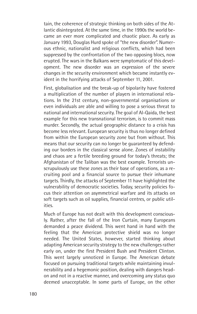tain, the coherence of strategic thinking on both sides of the Atlantic disintegrated. At the same time, in the 1990s the world became an ever more complicated and chaotic place. As early as January 1993, Douglas Hurd spoke of "the new disorder". Numerous ethnic, nationalist and religious conflicts, which had been suppressed by the confrontation of the two opposing blocs, now erupted. The wars in the Balkans were symptomatic of this development. The new disorder was an expression of the severe changes in the security environment which became instantly evident in the horrifying attacks of September 11, 2001.

First, globalisation and the break-up of bipolarity have fostered a multiplication of the number of players in international relations. In the 21st century, non-governmental organisations or even individuals are able and willing to pose a serious threat to national and international security. The goal of Al-Qaida, the best example for this new transnational terrorism, is to commit mass murder. Secondly, the actual geographic distance to a crisis has become less relevant. European security is thus no longer defined from within the European security zone but from without. This means that our security can no longer be guaranteed by defending our borders in the classical sense alone. Zones of instability and chaos are a fertile breeding ground for today's threats; the Afghanistan of the Taliban was the best example. Terrorists unscrupulously use these zones as their base of operations, as a recruiting pool and a financial source to pursue their inhumane targets. Thirdly, the attacks of September 11 have highlighted the vulnerability of democratic societies. Today, security policies focus their attention on asymmetrical warfare and its attacks on soft targets such as oil supplies, financial centres, or public utilities.

Much of Europe has not dealt with this development consciously. Rather, after the fall of the Iron Curtain, many Europeans demanded a peace dividend. This went hand in hand with the feeling that the American protective shield was no longer needed. The United States, however, started thinking about adapting American security strategy to the new challenges rather early on, under the first President Bush and President Clinton. This went largely unnoticed in Europe. The American debate focused on pursuing traditional targets while maintaining invulnerability and a hegemonic position, dealing with dangers headon and not in a reactive manner, and overcoming any status quo deemed unacceptable. In some parts of Europe, on the other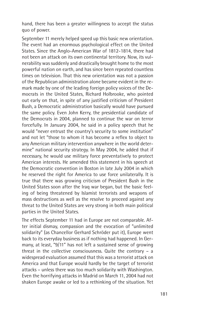hand, there has been a greater willingness to accept the status quo of power.

September 11 merely helped speed up this basic new orientation. The event had an enormous psychological effect on the United States. Since the Anglo-American War of 1812-1814, there had not been an attack on its own continental territory. Now, its vulnerability was suddenly and drastically brought home to the most powerful nation on earth, and has since been repeated countless times on television. That this new orientation was not a passion of the Republican administration alone became evident in the remark made by one of the leading foreign policy voices of the Democrats in the United States, Richard Holbrooke, who pointed out early on that, in spite of any justified criticism of President Bush, a Democratic administration basically would have pursued the same policy. Even John Kerry, the presidential candidate of the Democrats in 2004, planned to continue the war on terror forcefully. In January 2004, he said in a policy speech that he would "never entrust the country's security to some institution" and not let "those to whom it has become a reflex to object to any American military intervention anywhere in the world determine" national security strategy. In May 2004, he added that if necessary, he would use military force preventatively to protect American interests. He amended this statement in his speech at the Democratic convention in Boston in late July 2004 in which he reserved the right for America to use force unilaterally. It is true that there was growing criticism of President Bush in the United States soon after the Iraq war began, but the basic feeling of being threatened by Islamist terrorists and weapons of mass destructions as well as the resolve to proceed against any threat to the United States are very strong in both main political parties in the United States.

The effects September 11 had in Europe are not comparable. After initial dismay, compassion and the evocation of "unlimited solidarity" (as Chancellor Gerhard Schröder put it), Europe went back to its everyday business as if nothing had happened. In Germany, at least, "9/11" has not left a sustained sense of growing threat in the collective consciousness. Quite the contrary – a widespread evaluation assumed that this was a terrorist attack on America and that Europe would hardly be the target of terrorist attacks – unless there was too much solidarity with Washington. Even the horrifying attacks in Madrid on March 11, 2004 had not shaken Europe awake or led to a rethinking of the situation. Yet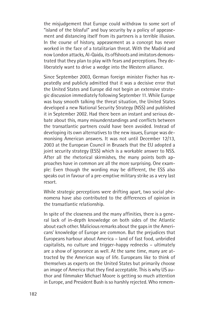the misjudgement that Europe could withdraw to some sort of "island of the blissful" and buy security by a policy of appeasement and distancing itself from its partners is a terrible illusion. In the course of history, appeasement as a concept has never worked in the face of a totalitarian threat. With the Madrid and now London attacks, Al-Qaida, its offshoots and imitators demonstrated that they plan to play with fears and perceptions. They deliberately want to drive a wedge into the Western alliance.

Since September 2003, German foreign minister Fischer has repeatedly and publicly admitted that it was a decisive error that the United States and Europe did not begin an extensive strategic discussion immediately following September 11. While Europe was busy smooth talking the threat situation, the United States developed a new National Security Strategy (NSS) and published it in September 2002. Had there been an instant and serious debate about this, many misunderstandings and conflicts between the transatlantic partners could have been avoided. Instead of developing its own alternatives to the new issues, Europe was demonising American answers. It was not until December 12/13, 2003 at the European Council in Brussels that the EU adopted a joint security strategy (ESS) which is a workable answer to NSS. After all the rhetorical skirmishes, the many points both approaches have in common are all the more surprising. One example: Even though the wording may be different, the ESS also speaks out in favour of a pre-emptive military strike as a very last resort.

While strategic perceptions were drifting apart, two social phenomena have also contributed to the differences of opinion in the transatlantic relationship.

In spite of the closeness and the many affinities, there is a general lack of in-depth knowledge on both sides of the Atlantic about each other. Malicious remarks about the gaps in the Americans' knowledge of Europe are common. But the prejudices that Europeans harbour about America – land of fast food, unbridled capitalists, no culture and trigger-happy rednecks – ultimately are a show of ignorance as well. At the same time, many are attracted by the American way of life. Europeans like to think of themselves as experts on the United States but primarily choose an image of America that they find acceptable. This is why US author and filmmaker Michael Moore is getting so much attention in Europe, and President Bush is so harshly rejected. Who remem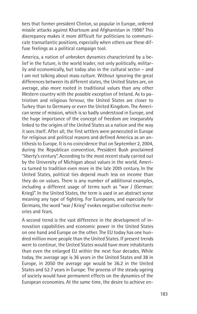bers that former president Clinton, so popular in Europe, ordered missile attacks against Khartoum and Afghanistan in 1998? This discrepancy makes it more difficult for politicians to communicate transatlantic positions, especially when others use these diffuse feelings as a political campaign tool.

America, a nation of unbroken dynamics characterized by a belief in the future, is the world leader, not only politically, militarily and economically, but today also in the cultural sector – and I am not talking about mass culture. Without ignoring the great differences between its different states, the United States are, on average, also more rooted in traditional values than any other Western country with the possible exception of Ireland. As to patriotism and religious fervour, the United States are closer to Turkey than to Germany or even the United Kingdom. The American sense of mission, which is so badly understood in Europe, and the huge importance of the concept of freedom are inseparably linked to the origins of the United States as a nation and the way it sees itself. After all, the first settlers were persecuted in Europe for religious and political reasons and defined America as an antithesis to Europe. It is no coincidence that on September 2, 2004, during the Republican convention, President Bush proclaimed "liberty's century". According to the most recent study carried out by the University of Michigan about values in the world, America turned to tradition even more in the late 20th century. In the United States, political ties depend much less on income than they do on values. There is any number of additional examples, including a different usage of terms such as "war / (German: Krieg)". In the United States, the term is used in an abstract sense meaning any type of fighting. For Europeans, and especially for Germans, the word "war / Krieg" evokes negative collective memories and fears.

A second trend is the vast difference in the development of innovation capabilities and economic power in the United States on one hand and Europe on the other. The EU today has one hundred million more people than the United States. If present trends were to continue, the United States would have more inhabitants than even the enlarged EU within the next four decades. While today, the average age is 36 years in the United States and 38 in Europe, in 2050 the average age would be 36.2 in the United States and 52.7 years in Europe. The process of the steady ageing of society would have permanent effects on the dynamics of the European economies. At the same time, the desire to achieve en-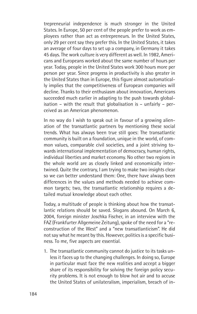trepreneurial independence is much stronger in the United States. In Europe, 50 per cent of the people prefer to work as employees rather than act as entrepreneurs. In the United States, only 29 per cent say they prefer this. In the United States, it takes an average of four days to set up a company, in Germany it takes 45 days. The work culture is very different as well. In 1982, Americans and Europeans worked about the same number of hours per year. Today, people in the United States work 300 hours more per person per year. Since progress in productivity is also greater in the United States than in Europe, this figure almost automatically implies that the competitiveness of European companies will decline. Thanks to their enthusiasm about innovation, Americans succeeded much earlier in adapting to the push towards globalisation – with the result that globalisation is – unfairly – perceived as an American phenomenon.

In no way do I wish to speak out in favour of a growing alienation of the transatlantic partners by mentioning these social trends. What has always been true still goes: The transatlantic community is built on a foundation, unique in the world, of common values, comparable civil societies, and a joint striving towards international implementation of democracy, human rights, individual liberties and market economy. No other two regions in the whole world are as closely linked and economically intertwined. Quite the contrary, I am trying to make two insights clear so we can better understand them: One, there have always been differences in the values and methods needed to achieve common targets; two, the transatlantic relationship requires a detailed mutual knowledge about each other.

Today, a multitude of people is thinking about how the transatlantic relations should be saved. Slogans abound. On March 6, 2004, foreign minister Joschka Fischer, in an interview with the FAZ (Frankfurter Allgemeine Zeitung), spoke of the need for a "reconstruction of the West" and a "new transatlanticism". He did not say what he meant by this. However, politics is a specific business. To me, five aspects are essential.

1. The transatlantic community cannot do justice to its tasks unless it faces up to the changing challenges. In doing so, Europe in particular must face the new realities and accept a bigger share of its responsibility for solving the foreign policy security problems. It is not enough to blow hot air and to accuse the United States of unilateralism, imperialism, breach of in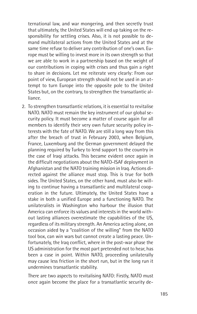ternational law, and war mongering, and then secretly trust that ultimately, the United States will end up taking on the responsibility for settling crises. Also, it is not possible to demand multilateral actions from the United States and at the same time refuse to deliver any contribution of one's own. Europe must be willing to invest more in its own strength so that we are able to work in a partnership based on the weight of our contributions in coping with crises and thus gain a right to share in decisions. Let me reiterate very clearly: From our point of view, European strength should not be used in an attempt to turn Europe into the opposite pole to the United States but, on the contrary, to strengthen the transatlantic alliance.

2. To strengthen transatlantic relations, it is essential to revitalise NATO. NATO must remain the key instrument of our global security policy. It must become a matter of course again for all members to identify their very own future security policy interests with the fate of NATO. We are still a long way from this after the breach of trust in February 2003, when Belgium, France, Luxemburg and the German government delayed the planning required by Turkey to lend support to the country in the case of Iraqi attacks. This became evident once again in the difficult negotiations about the NATO-ISAF deployment in Afghanistan and the NATO training mission in Iraq. Actions directed against the alliance must stop. This is true for both sides. The United States, on the other hand, must also be willing to continue having a transatlantic and multilateral cooperation in the future. Ultimately, the United States have a stake in both a unified Europe and a functioning NATO. The unilateralists in Washington who harbour the illusion that America can enforce its values and interests in the world without lasting alliances overestimate the capabilities of the US, regardless of its military strength. An America acting alone, on occasion aided by a "coalition of the willing" from the NATO tool box, can win wars but cannot create a lasting peace. Unfortunately, the Iraq conflict, where in the post-war phase the US administration for the most part pretended not to hear, has been a case in point. Within NATO, proceeding unilaterally may cause less friction in the short run, but in the long run it undermines transatlantic stability.

There are two aspects to revitalising NATO: Firstly, NATO must once again become the place for a transatlantic security de-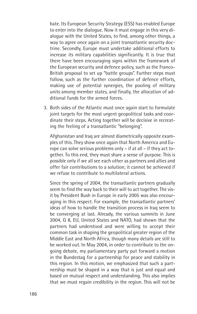bate. Its European Security Strategy (ESS) has enabled Europe to enter into the dialogue. Now it must engage in this very dialogue with the United States, to find, among other things, a way to agree once again on a joint transatlantic security doctrine. Secondly, Europe must undertake additional efforts to increase its military capabilities significantly. It is true that there have been encouraging signs within the framework of the European security and defence policy, such as the Franco-British proposal to set up "battle groups". Further steps must follow, such as the further coordination of defence efforts, making use of potential synergies, the pooling of military units among member states, and finally, the allocation of additional funds for the armed forces.

3. Both sides of the Atlantic must once again start to formulate joint targets for the most urgent geopolitical tasks and coordinate their steps. Acting together will be decisive in recreating the feeling of a transatlantic "belonging".

Afghanistan and Iraq are almost diametrically opposite examples of this. They show once again that North America and Europe can solve serious problems only – if at all – if they act together. To this end, they must share a sense of purpose. This is possible only if we all see each other as partners and allies and offer fair contributions to a solution; it cannot be achieved if we refuse to contribute to multilateral actions.

Since the spring of 2004, the transatlantic partners gradually seem to find the way back to their will to act together. The visit by President Bush in Europe in early 2005 was also encouraging in this respect. For example, the transatlantic partners' ideas of how to handle the transition process in Iraq seem to be converging at last. Already, the various summits in June 2004, G 8, EU, United States and NATO, had shown that the partners had understood and were willing to accept their common task in shaping the geopolitical greater region of the Middle East and North Africa, though many details are still to be worked out. In May 2004, in order to contribute to the ongoing debate, my parliamentary party put forward a motion in the Bundestag for a partnership for peace and stability in this region. In this motion, we emphasized that such a partnership must be shaped in a way that is just and equal and based on mutual respect and understanding. This also implies that we must regain credibility in the region. This will not be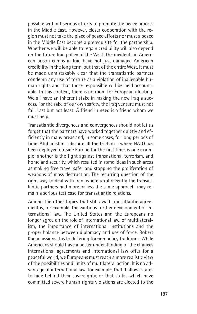possible without serious efforts to promote the peace process in the Middle East. However, closer cooperation with the region must not take the place of peace efforts nor must a peace in the Middle East become a prerequisite for the partnership. Whether we will be able to regain credibility will also depend on the future Iraq policy of the West. The incidents in American prison camps in Iraq have not just damaged American credibility in the long term, but that of the entire West. It must be made unmistakably clear that the transatlantic partners condemn any use of torture as a violation of inalienable human rights and that those responsible will be held accountable. In this context, there is no room for European gloating. We all have an inherent stake in making the new Iraq a success. For the sake of our own safety, the Iraq venture must not fail. Last but not least: A friend in need is a friend whom we must help.

Transatlantic divergences and convergences should not let us forget that the partners have worked together quietly and efficiently in many areas and, in some cases, for long periods of time. Afghanistan – despite all the friction – where NATO has been deployed outside Europe for the first time, is one example; another is the fight against transnational terrorism, and homeland security, which resulted in some ideas in such areas as making free travel safer and stopping the proliferation of weapons of mass destruction. The recurring question of the right way to deal with Iran, where until recently the transatlantic partners had more or less the same approach, may remain a serious test case for transatlantic relations.

Among the other topics that still await transatlantic agreement is, for example, the cautious further development of international law. The United States and the Europeans no longer agree on the role of international law, of multilateralism, the importance of international institutions and the proper balance between diplomacy and use of force. Robert Kagan assigns this to differing foreign policy traditions. While Americans should have a better understanding of the chances international agreements and international law offer for a peaceful world, we Europeans must reach a more realistic view of the possibilities and limits of multilateral action. It is no advantage of international law, for example, that it allows states to hide behind their sovereignty, or that states which have committed severe human rights violations are elected to the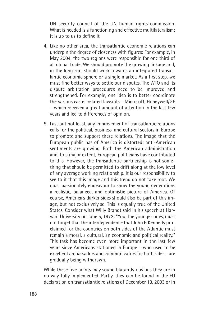UN security council of the UN human rights commission. What is needed is a functioning and effective multilateralism; it is up to us to define it.

- 4. Like no other area, the transatlantic economic relations can underpin the degree of closeness with figures: For example, in May 2004, the two regions were responsible for one third of all global trade. We should promote the growing linkage and, in the long run, should work towards an integrated transatlantic economic sphere or a single market. As a first step, we must find better ways to settle our disputes. The WTO and its dispute arbitration procedures need to be improved and strengthened. For example, one idea is to better coordinate the various cartel-related lawsuits – Microsoft, Honeywell/GE – which received a great amount of attention in the last few years and led to differences of opinion.
- 5. Last but not least, any improvement of transatlantic relations calls for the political, business, and cultural sectors in Europe to promote and support these relations. The image that the European public has of America is distorted; anti-American sentiments are growing. Both the American administration and, to a major extent, European politicians have contributed to this. However, the transatlantic partnership is not something that should be permitted to drift along at the low level of any average working relationship. It is our responsibility to see to it that this image and this trend do not take root. We must passionately endeavour to show the young generations a realistic, balanced, and optimistic picture of America. Of course, America's darker sides should also be part of this image, but not exclusively so. This is equally true of the United States. Consider what Willy Brandt said in his speech at Harvard University on June 5, 1972: "You, the younger ones, must not forget that the interdependence that John F. Kennedy proclaimed for the countries on both sides of the Atlantic must remain a moral, a cultural, an economic and political reality." This task has become even more important in the last few years since Americans stationed in Europe – who used to be excellent ambassadors and communicators for both sides – are gradually being withdrawn.

While these five points may sound blatantly obvious they are in no way fully implemented. Partly, they can be found in the EU declaration on transatlantic relations of December 13, 2003 or in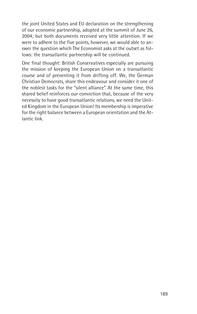the joint United States and EU declaration on the strengthening of our economic partnership, adopted at the summit of June 26, 2004; but both documents received very little attention. If we were to adhere to the five points, however, we would able to answer the question which The Economist asks at the outset as follows: the transatlantic partnership will be continued.

One final thought: British Conservatives especially are pursuing the mission of keeping the European Union on a transatlantic course and of preventing it from drifting off. We, the German Christian Democrats, share this endeavour and consider it one of the noblest tasks for the "silent alliance". At the same time, this shared belief reinforces our conviction that, because of the very necessity to have good transatlantic relations, we need the United Kingdom in the European Union! Its membership is imperative for the right balance between a European orientation and the Atlantic link.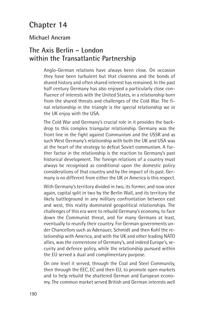# **Chapter 14**

## **Michael Ancram**

# **The Axis Berlin – London within the Transatlantic Partnership**

Anglo-German relations have always been close. On occasion they have been turbulent but that closeness and the bonds of shared history and often shared interest has remained. In the past half century Germany has also enjoyed a particularly close confluence of interests with the United States, in a relationship born from the shared threats and challenges of the Cold War. The final relationship in the triangle is the special relationship we in the UK enjoy with the USA.

The Cold War and Germany's crucial role in it provides the backdrop to this complex triangular relationship. Germany was the front line in the fight against Communism and the USSR and as such West Germany's relationship with both the UK and USA was at the heart of the strategy to defeat Soviet communism. A further factor in the relationship is the reaction to Germany's past historical development. The foreign relations of a country must always be recognised as conditional upon the domestic policy considerations of that country and by the impact of its past. Germany is no different from either the UK or America is this respect.

With Germany's territory divided in two, its former, and now once again, capital split in two by the Berlin Wall, and its territory the likely battleground in any military confrontation between east and west, this reality dominated geopolitical relationships. The challenges of this era were to rebuild Germany's economy, to face down the Communist threat, and for many Germans at least, eventually to reunify their country. For German governments under Chancellors such as Adenauer, Schmidt and then Kohl the relationship with America, and with the UK and other leading NATO allies, was the cornerstone of Germany's, and indeed Europe's, security and defence policy, while the relationship pursued within the EU served a dual and complimentary purpose.

On one level it served, through the Coal and Steel Community, then through the EEC, EC and then EU, to promote open markets and to help rebuild the shattered German and European economy. The common market served British and German interests well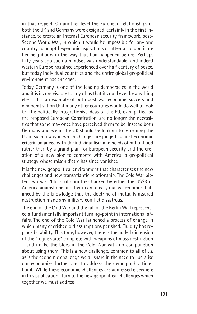in that respect. On another level the European relationships of both the UK and Germany were designed, certainly in the first instance, to create an internal European security framework, post-Second World War, in which it would be impossible for any one country to adopt hegemonic aspirations or attempt to dominate her neighbours in the way that had happened before. Perhaps fifty years ago such a mindset was understandable, and indeed western Europe has since experienced over half century of peace, but today individual countries and the entire global geopolitical environment has changed.

Today Germany is one of the leading democracies in the world and it is inconceivable to any of us that it could ever be anything else – it is an example of both post-war economic success and democratisation that many other countries would do well to look to. The politically integrationist ideas of the EU, exemplified by the proposed European Constitution, are no longer the necessities that some may once have perceived them to be. Instead both Germany and we in the UK should be looking to reforming the EU in such a way in which changes are judged against economic criteria balanced with the individualism and needs of nationhood rather than by a grand plan for European security and the creation of a new bloc to compete with America, a geopolitical strategy whose raison d'etre has since vanished.

It is the new geopolitical environment that characterises the new challenges and new transatlantic relationship. The Cold War pitted two vast 'blocs' of countries backed by either the USSR or America against one another in an uneasy nuclear embrace, balanced by the knowledge that the doctrine of mutually assured destruction made any military conflict disastrous.

The end of the Cold War and the fall of the Berlin Wall represented a fundamentally important turning-point in international affairs. The end of the Cold War launched a process of change in which many cherished old assumptions perished. Fluidity has replaced stability. This time, however, there is the added dimension of the "rogue state" complete with weapons of mass destruction – and unlike the blocs in the Cold War with no compunction about using them. This is a new challenge, common to all of us, as is the economic challenge we all share in the need to liberalise our economies further and to address the demographic timebomb. While these economic challenges are addressed elsewhere in this publication I turn to the new geopolitical challenges which together we must address.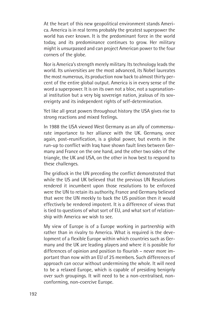At the heart of this new geopolitical environment stands America. America is in real terms probably the greatest superpower the world has ever known. It is the predominant force in the world today, and its predominance continues to grow. Her military might is unsurpassed and can project American power to the four corners of the globe.

Nor is America's strength merely military. Its technology leads the world. Its universities are the most advanced, its Nobel laureates the most numerous, its production now back to almost thirty percent of the entire global output. America is in every sense of the word a superpower. It is on its own not a bloc, not a supranational institution but a very big sovereign nation, jealous of its sovereignty and its independent rights of self-determination.

Yet like all great powers throughout history the USA gives rise to strong reactions and mixed feelings.

In 1988 the USA viewed West Germany as an ally of commensurate importance to her alliance with the UK. Germany, once again, post-reunification, is a global power, but events in the run-up to conflict with Iraq have shown fault lines between Germany and France on the one hand, and the other two sides of the triangle, the UK and USA, on the other in how best to respond to these challenges.

The gridlock in the UN preceding the conflict demonstrated that while the US and UK believed that the previous UN Resolutions rendered it incumbent upon those resolutions to be enforced were the UN to retain its authority, France and Germany believed that were the UN meekly to back the US position then it would effectively be rendered impotent. It is a difference of views that is tied to questions of what sort of EU, and what sort of relationship with America we wish to see.

My view of Europe is of a Europe working in partnership with rather than in rivalry to America. What is required is the development of a flexible Europe within which countries such as Germany and the UK are leading players and where it is possible for differences of opinion and position to flourish – never more important than now with an EU of 25 members. Such differences of approach can occur without undermining the whole. It will need to be a relaxed Europe, which is capable of presiding benignly over such groupings. It will need to be a non-centralised, nonconforming, non-coercive Europe.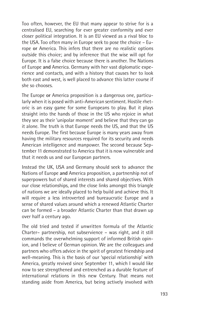Too often, however, the EU that many appear to strive for is a centralised EU, searching for ever greater conformity and ever closer political integration. It is an EU viewed as a rival bloc to the USA. Too often many in Europe seek to pose the choice – Europe **or** America. This infers that there are no realistic options outside this choice; and by inference that the wise will opt for Europe. It is a false choice because there is another. The Nations of Europe **and** America. Germany with her vast diplomatic experience and contacts, and with a history that causes her to look both east and west, is well placed to advance this latter course if she so chooses.

The Europe **or** America proposition is a dangerous one, particularly when it is posed with anti-American sentiment. Hostile rhetoric is an easy game for some Europeans to play. But it plays straight into the hands of those in the US who rejoice in what they see as their 'unipolar moment' and believe that they can go it alone. The truth is that Europe needs the US, and that the US needs Europe. The first because Europe is many years away from having the military resources required for its security and needs American intelligence and manpower. The second because September 11 demonstrated to America that it is now vulnerable and that it needs us and our European partners.

Instead the UK, USA and Germany should seek to advance the Nations of Europe **and** America proposition, a partnership not of superpowers but of shared interests and shared objectives. With our close relationships, and the close links amongst this triangle of nations we are ideally placed to help build and achieve this. It will require a less introverted and bureaucratic Europe and a sense of shared values around which a renewed Atlantic Charter can be formed – a broader Atlantic Charter than that drawn up over half a century ago.

The old tried and tested if unwritten formula of the Atlantic Charter– partnership, not subservience – was right, and it still commands the overwhelming support of informed British opinion, and I believe of German opinion. We are the colleagues and partners who offers advice in the spirit of greatest friendship and well-meaning. This is the basis of our 'special relationship' with America, greatly revived since September 11, which I would like now to see strengthened and entrenched as a durable feature of international relations in this new Century. That means not standing aside from America, but being actively involved with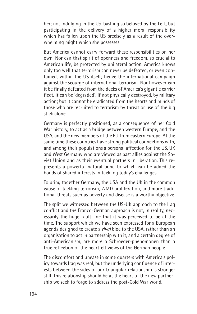her; not indulging in the US-bashing so beloved by the Left, but participating in the delivery of a higher moral responsibility which has fallen upon the US precisely as a result of the overwhelming might which she possesses.

But America cannot carry forward these responsibilities on her own. Nor can that spirit of openness and freedom, so crucial to American life, be protected by unilateral action. America knows only too well that terrorism can never be defeated, or even contained, within the US itself; hence the international campaign against the scourge of international terrorism. Nor however can it be finally defeated from the decks of America's gigantic carrier fleet. It can be 'degraded', if not physically destroyed, by military action; but it cannot be eradicated from the hearts and minds of those who are recruited to terrorism by threat or use of the big stick alone.

Germany is perfectly positioned, as a consequence of her Cold War history, to act as a bridge between western Europe, and the USA, and the new members of the EU from eastern Europe. At the same time these countries have strong political connections with, and among their populations a personal affection for, the US, UK and West Germany who are viewed as past allies against the Soviet Union and as their eventual partners in liberation. This represents a powerful natural bond to which can be added the bonds of shared interests in tackling today's challenges.

To bring together Germany, the USA and the UK in the common cause of tackling terrorism, WMD proliferation, and more traditional threats such as poverty and disease is a worthy objective.

The split we witnessed between the US-UK approach to the Iraq conflict and the Franco-German approach is not, in reality, necessarily the huge fault-line that it was perceived to be at the time. The support which we have seen expressed for a European agenda designed to create a *rival* bloc to the USA, rather than an organisation to act in partnership with it, and a certain degree of anti-Americanism, are more a Schroeder-phenomonen than a true reflection of the heartfelt views of the German people.

The discomfort and unease in some quarters with America's policy towards Iraq was real, but the underlying confluence of interests between the sides of our triangular relationship is stronger still. This relationship should be at the heart of the new partnership we seek to forge to address the post-Cold War world.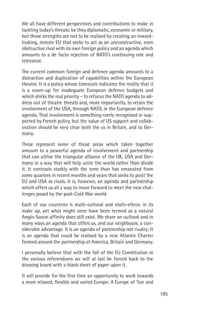We all have different perspectives and contributions to make in tackling today's threats: be they diplomatic, economic or military, but those strengths are not to be realised by creating an inwardlooking, remote EU that seeks to act as an unconstructive, even obstructive rival with its own foreign policy and an agenda which amounts to a de facto rejection of NATO's continuing role and relevance.

The current common foreign and defence agenda amounts to a distraction and duplication of capabilities within the European theatre. It is a policy whose timescale indicates the reality that it is a cover-up for inadequate European defence budgets and which shirks the real priority – to refocus the NATO agenda to address out of theatre threats and, more importantly, to retain the involvement of the USA, through NATO, in the European defence agenda. That involvement is something rarely recognised or supported by French policy, but the value of US support and collaboration should be very clear both the us in Britain, and to Germany.

These represent some of those areas which taken together amount to a powerful agenda of involvement and partnership that can utilise the triangular alliance of the UK, USA and Germany in a way that will help unite the world rather than divide it. It contrasts starkly with the tone than has emanated from some quarters in recent months and years that seeks to posit the EU and USA as rivals. It is, however, an agenda and partnership which offers us all a way to move forward to meet the new challenges posed by the post-Cold War world.

Each of our countries is multi-cultural and multi-ethnic in its make up, yet what might once have been termed as a natural Anglo-Saxon affinity does still exist. We share an outlook and in many ways an agenda that offers us, and our neighbours, a considerable advantage. It is an agenda of partnership not rivalry; It is an agenda that could be realised by a new Atlantic Charter formed around the partnership of America, Britain and Germany.

I personally believe that with the fall of the EU Constitution in the various referendums we will at last be forced back to the drawing board with a blank sheet of paper upon it.

It will provide for the first time an opportunity to work towards a more relaxed, flexible and varied Europe; A Europe of 'live and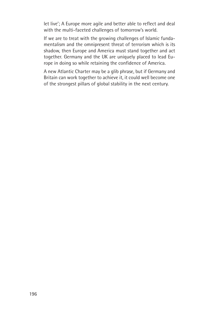let live'; A Europe more agile and better able to reflect and deal with the multi-faceted challenges of tomorrow's world.

If we are to treat with the growing challenges of Islamic fundamentalism and the omnipresent threat of terrorism which is its shadow, then Europe and America must stand together and act together. Germany and the UK are uniquely placed to lead Europe in doing so while retaining the confidence of America.

A new Atlantic Charter may be a glib phrase, but if Germany and Britain can work together to achieve it, it could well become one of the strongest pillars of global stability in the next century.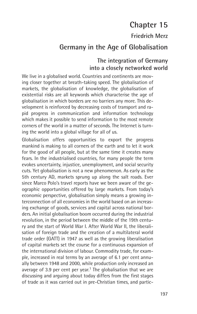# **Chapter 15**

## **Friedrich Merz**

# **Germany in the Age of Globalisation**

### **The integration of Germany into a closely networked world**

We live in a globalised world. Countries and continents are moving closer together at breath-taking speed. The globalisation of markets, the globalisation of knowledge, the globalisation of existential risks are all keywords which characterise the age of globalisation in which borders are no barriers any more. This development is reinforced by decreasing costs of transport and rapid progress in communication and information technology which makes it possible to send information to the most remote corners of the world in a matter of seconds. The Internet is turning the world into a global village for all of us.

Globalisation offers opportunities to export the progress mankind is making to all corners of the earth and to let it work for the good of all people, but at the same time it creates many fears. In the industrialised countries, for many people the term evokes uncertainty, injustice, unemployment, and social security cuts. Yet globalisation is not a new phenomenon. As early as the 5th century AD, markets sprung up along the salt roads. Ever since Marco Polo's travel reports have we been aware of the geographic opportunities offered by large markets. From today's economic perspective, globalisation simply means a growing interconnection of all economies in the world based on an increasing exchange of goods, services and capital across national borders. An initial globalisation boom occurred during the industrial revolution, in the period between the middle of the 19th century and the start of World War I. After World War II, the liberalisation of foreign trade and the creation of a multilateral world trade order (GATT) in 1947 as well as the growing liberalisation of capital markets set the course for a continuous expansion of the international division of labour. Commodity trade, for example, increased in real terms by an average of 6.1 per cent annually between 1948 and 2000, while production only increased an average of 3.9 per cent per year.<sup>1</sup> The globalisation that we are discussing and arguing about today differs from the first stages of trade as it was carried out in pre-Christian times, and partic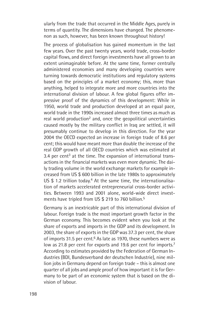ularly from the trade that occurred in the Middle Ages, purely in terms of quantity. The dimensions have changed. The phenomenon as such, however, has been known throughout history!

The process of globalisation has gained momentum in the last few years. Over the past twenty years, world trade, cross-border capital flows, and direct foreign investments have all grown to an extent unimaginable before. At the same time, former centrally administered economies and many developing countries were turning towards democratic institutions and regulatory systems based on the principles of a market economy; this, more than anything, helped to integrate more and more countries into the international division of labour. A few global figures offer impressive proof of the dynamics of this development: While in 1950, world trade and production developed at an equal pace, world trade in the 1990s increased almost three times as much as real world production<sup>2</sup> and, once the geopolitical uncertainties caused mostly by the military conflict in Iraq are settled, it will presumably continue to develop in this direction. For the year 2004 the OECD expected an increase in foreign trade of 8.6 per cent; this would have meant more than double the increase of the real GDP growth of all OECD countries which was estimated at 3.4 per cent<sup>3</sup> at the time. The expansion of international transactions in the financial markets was even more dynamic. The daily trading volume in the world exchange markets for example increased from US \$ 600 billion in the late 1980s to approximately US \$ 1.2 trillion today. <sup>4</sup> At the same time, the internationalisation of markets accelerated entrepreneurial cross-border activities. Between 1993 and 2001 alone, world-wide direct investments have tripled from US \$ 219 to 760 billion.<sup>5</sup>

Germany is an inextricable part of this international division of labour. Foreign trade is the most important growth factor in the German economy. This becomes evident when you look at the share of exports and imports in the GDP and its development. In 2003, the share of exports in the GDP was 37.3 per cent, the share of imports 31.5 per cent.<sup>6</sup> As late as 1970, these numbers were as low as 21.8 per cent for exports and 19.6 per cent for imports.<sup>7</sup> According to estimates provided by the Federation of German Industries (BDI, Bundesverband der deutschen Industrie), nine million jobs in Germany depend on foreign trade – this is almost one quarter of all jobs and ample proof of how important it is for Germany to be part of an economic system that is based on the division of labour.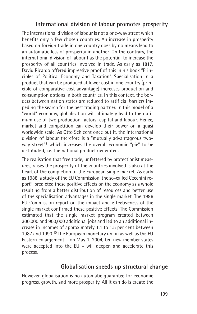## **International division of labour promotes prosperity**

The international division of labour is not a one-way street which benefits only a few chosen countries. An increase in prosperity based on foreign trade in one country does by no means lead to an automatic loss of prosperity in another. On the contrary, the international division of labour has the potential to increase the prosperity of all countries involved in trade. As early as 1817, David Ricardo offered impressive proof of this in his book "Principles of Political Economy and Taxation". Specialisation in a product that can be produced at lower cost in one country (principle of comparative cost advantage) increases production and consumption options in both countries. In this context, the borders between nation states are reduced to artificial barriers impeding the search for the best trading partner. In this model of a "world" economy, globalisation will ultimately lead to the optimum use of two production factors: capital and labour. Hence, market and competition can develop their power on a quasi worldwide scale. As Otto Schlecht once put it, the international division of labour therefore is a "mutually advantageous twoway-street"8 which increases the overall economic "pie" to be distributed, i.e. the national product generated.

The realisation that free trade, unfettered by protectionist measures, raises the prosperity of the countries involved is also at the heart of the completion of the European single market. As early as 1988, a study of the EU Commission, the so-called Cecchini report<sup>9</sup>, predicted these positive effects on the economy as a whole resulting from a better distribution of resources and better use of the specialisation advantages in the single market. The 1996 EU Commission report on the impact and effectiveness of the single market confirmed these positive effects. The Commission estimated that the single market program created between 300,000 and 900,000 additional jobs and led to an additional increase in incomes of approximately 1.1 to 1.5 per cent between 1987 and 1993.<sup>10</sup> The European monetary union as well as the EU Eastern enlargement – on May 1, 2004, ten new member states were accepted into the EU – will deepen and accelerate this process.

#### **Globalisation speeds up structural change**

However, globalisation is no automatic guarantee for economic progress, growth, and more prosperity. All it can do is create the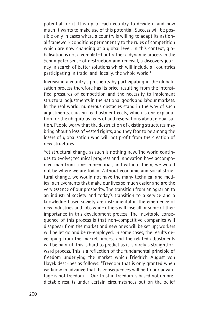potential for it. It is up to each country to decide if and how much it wants to make use of this potential. Success will be possible only in cases where a country is willing to adapt its national framework conditions permanently to the rules of competition which are now changing at a global level. In this context, globalisation is not a completed but rather a dynamic process in the Schumpeter sense of destruction and renewal, a discovery journey in search of better solutions which will include all countries participating in trade, and, ideally, the whole world.<sup>11</sup>

Increasing a country's prosperity by participating in the globalisation process therefore has its price, resulting from the intensified pressures of competition and the necessity to implement structural adjustments in the national goods and labour markets. In the real world, numerous obstacles stand in the way of such adjustments, causing readjustment costs, which is one explanation for the ubiquitous fears of and reservations about globalisation. People worry that the destruction of existing structures may bring about a loss of vested rights, and they fear to be among the losers of globalisation who will not profit from the creation of new structures.

Yet structural change as such is nothing new. The world continues to evolve; technical progress and innovation have accompanied man from time immemorial, and without them, we would not be where we are today. Without economic and social structural change, we would not have the many technical and medical achievements that make our lives so much easier and are the very essence of our prosperity. The transition from an agrarian to an industrial society and today's transition to a service and a knowledge-based society are instrumental in the emergence of new industries and jobs while others will lose all or some of their importance in this development process. The inevitable consequence of this process is that non-competitive companies will disappear from the market and new ones will be set up; workers will be let go and be re-employed. In some cases, the results developing from the market process and the related adjustments will be painful. This is hard to predict as it is rarely a straightforward process. This is a reflection of the fundamental principle of freedom underlying the market which Friedrich August von Hayek describes as follows: "Freedom that is only granted when we know in advance that its consequences will be to our advantage is not freedom. ... Our trust in freedom is based not on predictable results under certain circumstances but on the belief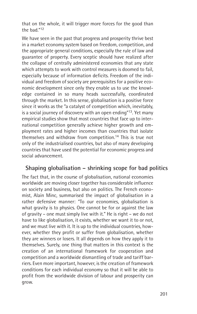that on the whole, it will trigger more forces for the good than the bad."12

We have seen in the past that progress and prosperity thrive best in a market economy system based on freedom, competition, and the appropriate general conditions, especially the rule of law and guarantee of property. Every sceptic should have realized after the collapse of centrally administered economies that any state which attempts to work with control measures is doomed to fail, especially because of information deficits. Freedom of the individual and freedom of society are prerequisites for a positive economic development since only they enable us to use the knowledge contained in so many heads successfully, coordinated through the market. In this sense, globalisation is a positive force since it works as the "a catalyst of competition which, inevitably, is a social journey of discovery with an open ending"13. Yet many empirical studies show that most countries that face up to international competition generally achieve higher growth and employment rates and higher incomes than countries that isolate themselves and withdraw from competition.14 This is true not only of the industrialised countries, but also of many developing countries that have used the potential for economic progress and social advancement.

## **Shaping globalisation – shrinking scope for bad politics**

The fact that, in the course of globalisation, national economies worldwide are moving closer together has considerable influence on society and business, but also on politics. The French economist, Alain Minc, summarised the impact of globalisation in a rather defensive manner: "To our economies, globalisation is what gravity is to physics. One cannot be for or against the law of gravity – one must simply live with it." He is right – we do not have to like globalisation, it exists, whether we want it to or not, and we must live with it. It is up to the individual countries, however, whether they profit or suffer from globalisation, whether they are winners or losers. It all depends on how they apply it to themselves. Surely, one thing that matters in this context is the creation of an international framework for cooperation and competition and a worldwide dismantling of trade and tariff barriers. Even more important, however, is the creation of framework conditions for each individual economy so that it will be able to profit from the worldwide division of labour and prosperity can grow.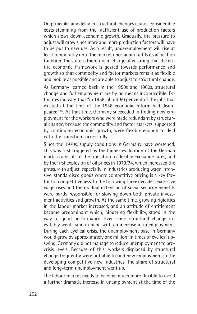On principle, any delay in structural changes causes considerable costs stemming from the inefficient use of production factors which slows down economic growth. Gradually, the pressure to adjust will grow since more and more production factors will have to be put to new use. As a result, underemployment will rise at least temporarily until the market once again fulfils its allocation function. The state is therefore in charge of ensuring that the entire economic framework is geared towards performance and growth so that commodity and factor markets remain as flexible and mobile as possible and are able to adjust to structural change.

As Germany learned back in the 1950s and 1960s, structural change and full employment are by no means incompatible. Estimates indicate that "in 1958, about 50 per cent of the jobs that existed at the time of the 1948 economic reform had disappeared"15. At that time, Germany succeeded in finding new employment for the workers who were made redundant by structural change, because the commodity and factor markets, supported by continuing economic growth, were flexible enough to deal with the transition successfully.

Since the 1970s, supply conditions in Germany have worsened. This was first triggered by the higher evaluation of the German mark as a result of the transition to flexible exchange rates, and by the first explosion of oil prices in 1973/74, which increased the pressure to adjust, especially in industries producing wage intensive, standardised goods where competitive pricing is a key factor for competitiveness. In the following three decades, excessive wage rises and the gradual extension of social security benefits were partly responsible for slowing down both private investment activities and growth. At the same time, growing rigidities in the labour market increased, and an attitude of entitlement became predominant which, hindering flexibility, stood in the way of good performance. Ever since, structural change inevitably went hand in hand with an increase in unemployment. During each cyclical crisis, the unemployment base in Germany would grow by approximately one million; in times of cyclical upswing, Germany did not manage to reduce unemployment to precrisis levels. Because of this, workers displaced by structural change frequently were not able to find new employment in the developing competitive new industries. The share of structural and long-term unemployment went up.

The labour market needs to become much more flexible to avoid a further dramatic increase in unemployment at the time of the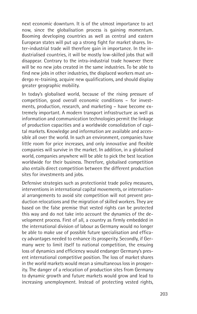next economic downturn. It is of the utmost importance to act now, since the globalisation process is gaining momentum. Booming developing countries as well as central and eastern European states will put up a strong fight for market shares. Inter-industrial trade will therefore gain in importance. In the industrialised countries, it will be mostly low-skilled jobs that will disappear. Contrary to the intra-industrial trade however there will be no new jobs created in the same industries. To be able to find new jobs in other industries, the displaced workers must undergo re-training, acquire new qualifications, and should display greater geographic mobility.

In today's globalised world, because of the rising pressure of competition, good overall economic conditions – for investments, production, research, and marketing – have become extremely important. A modern transport infrastructure as well as information and communication technologies permit the linkage of production capacities and a worldwide consolidation of capital markets. Knowledge and information are available and accessible all over the world. In such an environment, companies have little room for price increases, and only innovative and flexible companies will survive in the market. In addition, in a globalised world, companies anywhere will be able to pick the best location worldwide for their business. Therefore, globalised competition also entails direct competition between the different production sites for investments and jobs.

Defensive strategies such as protectionist trade policy measures, interventions in international capital movements, or international arrangements to avoid site competition will not prevent production relocations and the migration of skilled workers. They are based on the false premise that vested rights can be protected this way and do not take into account the dynamics of the development process. First of all, a country as firmly embedded in the international division of labour as Germany would no longer be able to make use of possible future specialisation and efficacy advantages needed to enhance its prosperity. Secondly, if Germany were to limit itself to national competition, the ensuing loss of dynamics and efficiency would endanger Germany's present international competitive position. The loss of market shares in the world markets would mean a simultaneous loss in prosperity. The danger of a relocation of production sites from Germany to dynamic growth and future markets would grow and lead to increasing unemployment. Instead of protecting vested rights,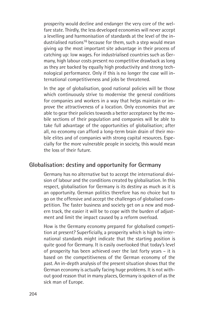prosperity would decline and endanger the very core of the welfare state. Thirdly, the less developed economies will never accept a levelling and harmonisation of standards at the level of the industrialised nations<sup>16</sup> because for them, such a step would mean giving up the most important site advantage in their process of catching up: low wages. For industrialised countries such as Germany, high labour costs present no competitive drawback as long as they are backed by equally high productivity and strong technological performance. Only if this is no longer the case will international competitiveness and jobs be threatened.

In the age of globalisation, good national policies will be those which continuously strive to modernise the general conditions for companies and workers in a way that helps maintain or improve the attractiveness of a location. Only economies that are able to gear their policies towards a better acceptance by the mobile sections of their population and companies will be able to take full advantage of the opportunities of globalisation; after all, no economy can afford a long-term brain drain of their mobile elites and of companies with strong capital resources. Especially for the more vulnerable people in society, this would mean the loss of their future.

### **Globalisation: destiny and opportunity for Germany**

Germany has no alternative but to accept the international division of labour and the conditions created by globalisation. In this respect, globalisation for Germany is its destiny as much as it is an opportunity. German politics therefore has no choice but to go on the offensive and accept the challenges of globalised competition. The faster business and society get on a new and modern track, the easier it will be to cope with the burden of adjustment and limit the impact caused by a reform overload.

How is the Germany economy prepared for globalised competition at present? Superficially, a prosperity which is high by international standards might indicate that the starting position is quite good for Germany. It is easily overlooked that today's level of prosperity has been achieved over the last forty years – it is based on the competitiveness of the German economy of the past. An in-depth analysis of the present situation shows that the German economy is actually facing huge problems. It is not without good reason that in many places, Germany is spoken of as the sick man of Europe.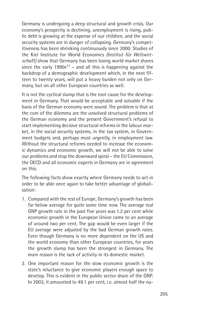Germany is undergoing a deep structural and growth crisis. Our economy's prosperity is declining, unemployment is rising, public debt is growing at the expense of our children, and the social security systems are in danger of collapsing. Germany's competitiveness has been shrinking continuously since 2000. Studies of the Kiel Institute for World Economics *(Institut für Weltwirtschaft)* show that Germany has been losing world market shares since the early  $1990s^{17}$  – and all this is happening against the backdrop of a demographic development which, in the next fifteen to twenty years, will put a heavy burden not only on Germany, but on all other European countries as well.

It is not the cyclical slump that is the root cause for the development in Germany. That would be acceptable and solvable if the basis of the German economy were sound. The problem is that at the core of the dilemma are the unsolved structural problems of the German economy and the present Government's refusal to start implementing decisive structural reforms in the labour market, in the social security systems, in the tax system, in Government budgets and, perhaps most urgently, in employment law. Without the structural reforms needed to increase the economic dynamics and economic growth, we will not be able to solve our problems and stop the downward spiral – the EU Commission, the OECD and all economic experts in Germany are in agreement on this.

The following facts show exactly where Germany needs to act in order to be able once again to take better advantage of globalisation:

- 1. Compared with the rest of Europe, Germany's growth has been far below average for quite some time now. The average real GNP growth rate in the past five years was 1.2 per cent while economic growth in the European Union came to an average of around two per cent. The gap would be even larger if the EU average were adjusted by the bad German growth rates. Even though Germany is no more dependent on the US and the world economy than other European countries, for years the growth slump has been the strongest in Germany. The main reason is the lack of activity in its domestic market.
- 2. One important reason for the slow economic growth is the state's reluctance to give economic players enough space to develop. This is evident in the public sector share of the GNP. In 2003, it amounted to 49.1 per cent, i.e. almost half the na-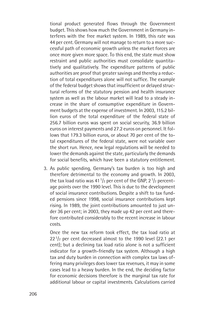tional product generated flows through the Government budget. This shows how much the Government in Germany interferes with the free market system. In 1989, this rate was 44 per cent. Germany will not manage to return to a more successful path of economic growth unless the market forces are once more given more space. To this end, the state must show restraint and public authorities must consolidate quantitatively and qualitatively. The expenditure patterns of public authorities are proof that greater savings and thereby a reduction of total expenditures alone will not suffice. The example of the federal budget shows that insufficient or delayed structural reforms of the statutory pension and health insurance system as well as the labour market will lead to a steady increase in the share of consumptive expenditure in Government budgets at the expense of investment. In 2003, 115.2 billion euros of the total expenditure of the federal state of 256.7 billion euros was spent on social security, 36.9 billion euros on interest payments and 27.2 euros on personnel. It follows that 179.3 billion euros, or about 70 per cent of the total expenditures of the federal state, were not variable over the short run. Hence, new legal regulations will be needed to lower the demands against the state, particularly the demands for social benefits, which have been a statutory entitlement.

3. As public spending, Germany's tax burden is too high and therefore detrimental to the economy and growth. In 2003, the tax load ratio was  $41<sup>1</sup>/<sub>2</sub>$  per cent of the GNP,  $2<sup>1</sup>/<sub>2</sub>$  percentage points over the 1990 level. This is due to the development of social insurance contributions. Despite a shift to tax funded pensions since 1998, social insurance contributions kept rising. In 1989, the joint contributions amounted to just under 36 per cent; in 2003, they made up 42 per cent and therefore contributed considerably to the recent increase in labour costs.

Once the new tax reform took effect, the tax load ratio at  $22<sup>1</sup>/<sub>2</sub>$  per cent decreased almost to the 1990 level (22.1 per cent); but a declining tax load ratio alone is not a sufficient indicator for a growth-friendly tax system. Although a high tax and duty burden in connection with complex tax laws offering many privileges does lower tax revenues, it may in some cases lead to a heavy burden. In the end, the deciding factor for economic decisions therefore is the marginal tax rate for additional labour or capital investments. Calculations carried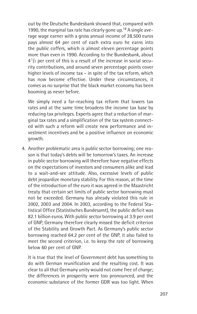out by the Deutsche Bundesbank showed that, compared with 1990, the marginal tax rate has clearly gone up.18 A single average wage earner with a gross annual income of 28.500 euros pays almost 64 per cent of each extra euro he earns into the public coffers, which is almost eleven percentage points more than even in 1990. According to the Bundesbank, about  $4^{1/2}$  per cent of this is a result of the increase in social security contributions, and around seven percentage points cover higher levels of income tax – in spite of the tax reform, which has now become effective. Under these circumstances, it comes as no surprise that the black market economy has been booming as never before.

We simply need a far-reaching tax reform that lowers tax rates and at the same time broadens the income tax base by reducing tax privileges. Experts agree that a reduction of marginal tax rates and a simplification of the tax system connected with such a reform will create new performance and investment incentives and be a positive influence on economic growth.

4. Another problematic area is public sector borrowing; one reason is that today's debts will be tomorrow's taxes. An increase in public sector borrowing will therefore have negative effects on the expectations of investors and consumers alike and lead to a wait-and-see attitude. Also, excessive levels of public debt jeopardize monetary stability. For this reason, at the time of the introduction of the euro it was agreed in the Maastricht treaty that certain set limits of public sector borrowing must not be exceeded. Germany has already violated this rule in 2002, 2003 and 2004. In 2003, according to the Federal Statistical Office (Statistisches Bundesamt), the public deficit was 82.1 billion euros. With public sector borrowing at 3.9 per cent of GNP, Germany therefore clearly missed the deficit criterion of the Stability and Growth Pact*.* As Germany's public sector borrowing reached 64.2 per cent of the GNP, it also failed to meet the second criterion, i.e. to keep the rate of borrowing below 60 per cent of GNP.

It is true that the level of Government debt has something to do with German reunification and the resulting cost. It was clear to all that Germany unity would not come free of charge; the differences in prosperity were too pronounced, and the economic substance of the former GDR was too light. When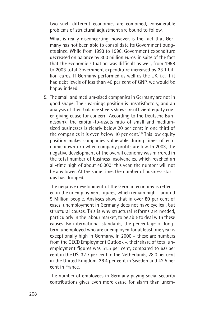two such different economies are combined, considerable problems of structural adjustment are bound to follow.

What is really disconcerting, however, is the fact that Germany has not been able to consolidate its Government budgets since. While from 1993 to 1998, Government expenditure decreased on balance by 300 million euros, in spite of the fact that the economic situation was difficult as well, from 1998 to 2003 total Government expenditure increased by 23.1 billion euros. If Germany performed as well as the UK, i.e. if it had debt levels of less than 40 per cent of GNP, we would be happy indeed.

5. The small and medium-sized companies in Germany are not in good shape. Their earnings position is unsatisfactory, and an analysis of their balance sheets shows insufficient equity cover, giving cause for concern. According to the Deutsche Bundesbank, the capital-to-assets ratio of small and mediumsized businesses is clearly below 20 per cent; in one third of the companies it is even below 10 per cent.<sup>19</sup> This low equity position makes companies vulnerable during times of economic downturn when company profits are low. In 2003, the negative development of the overall economy was mirrored in the total number of business insolvencies, which reached an all-time high of about 40,000; this year, the number will not be any lower. At the same time, the number of business startups has dropped.

The negative development of the German economy is reflected in the unemployment figures, which remain high – around 5 Million people. Analyses show that in over 80 per cent of cases, unemployment in Germany does not have cyclical, but structural causes. This is why structural reforms are needed, particularly in the labour market, to be able to deal with these causes. By international standards, the percentage of longterm unemployed who are unemployed for at least one year is exceptionally high in Germany. In 2000 – these are numbers from the OECD Employment Outlook –, their share of total unemployment figures was 51.5 per cent, compared to 6.0 per cent in the US, 32.7 per cent in the Netherlands, 28.0 per cent in the United Kingdom, 26.4 per cent in Sweden and 42.5 per cent in France.

The number of employees in Germany paying social security contributions gives even more cause for alarm than unem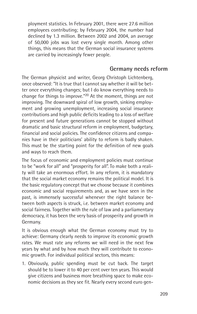ployment statistics. In February 2001, there were 27.6 million employees contributing; by February 2004, the number had declined by 1.3 million. Between 2002 and 2004, an average of 50,000 jobs was lost every single month. Among other things, this means that the German social insurance systems are carried by increasingly fewer people.

#### **Germany needs reform**

The German physicist and writer, Georg Christoph Lichtenberg, once observed: "It is true that I cannot say whether it will be better once everything changes; but I do know everything needs to change for things to improve."20 At the moment, things are not improving. The downward spiral of low growth, sinking employment and growing unemployment, increasing social insurance contributions and high public deficits leading to a loss of welfare for present and future generations cannot be stopped without dramatic and basic structural reform in employment, budgetary, financial and social policies. The confidence citizens and companies have in their politicians' ability to reform is badly shaken. This must be the starting point for the definition of new goals and ways to reach them.

The focus of economic and employment policies must continue to be "work for all" and "prosperity for all". To make both a reality will take an enormous effort. In any reform, it is mandatory that the social market economy remains the political model. It is the basic regulatory concept that we choose because it combines economic and social requirements and, as we have seen in the past, is immensely successful whenever the right balance between both aspects is struck, i.e. between market economy and social fairness. Together with the rule of law and a parliamentary democracy, it has been the very basis of prosperity and growth in Germany.

It is obvious enough what the German economy must try to achieve: Germany clearly needs to improve its economic growth rates. We must rate any reforms we will need in the next few years by what and by how much they will contribute to economic growth. For individual political sectors, this means:

1. Obviously, public spending must be cut back. The target should be to lower it to 40 per cent over ten years. This would give citizens and business more breathing space to make economic decisions as they see fit. Nearly every second euro gen-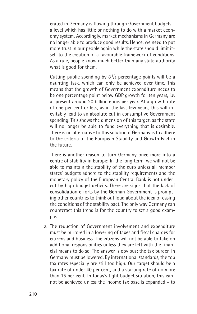erated in Germany is flowing through Government budgets – a level which has little or nothing to do with a market economy system. Accordingly, market mechanisms in Germany are no longer able to produce good results. Hence, we need to put more trust in our people again while the state should limit itself to the creation of a favourable framework of conditions. As a rule, people know much better than any state authority what is good for them.

Cutting public spending by  $8<sup>1</sup>/2$  percentage points will be a daunting task, which can only be achieved over time. This means that the growth of Government expenditure needs to be one percentage point below GDP growth for ten years, i.e. at present around 20 billion euros per year. At a growth rate of one per cent or less, as in the last few years, this will inevitably lead to an absolute cut in consumptive Government spending. This shows the dimension of this target, as the state will no longer be able to fund everything that is desirable. There is no alternative to this solution if Germany is to adhere to the criteria of the European Stability and Growth Pact in the future.

There is another reason to turn Germany once more into a centre of stability in Europe: In the long term, we will not be able to maintain the stability of the euro unless all member states' budgets adhere to the stability requirements and the monetary policy of the European Central Bank is not undercut by high budget deficits. There are signs that the lack of consolidation efforts by the German Government is prompting other countries to think out loud about the idea of easing the conditions of the stability pact. The only way Germany can counteract this trend is for the country to set a good example.

2. The reduction of Government involvement and expenditure must be mirrored in a lowering of taxes and fiscal charges for citizens and business. The citizens will not be able to take on additional responsibilities unless they are left with the financial means to do so. The answer is obvious: the tax burden in Germany must be lowered. By international standards, the top tax rates especially are still too high. Our target should be a tax rate of under 40 per cent, and a starting rate of no more than 15 per cent. In today's tight budget situation, this cannot be achieved unless the income tax base is expanded – to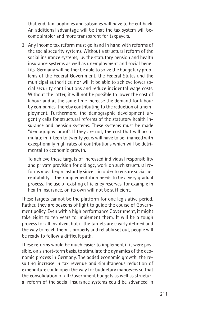that end, tax loopholes and subsidies will have to be cut back. An additional advantage will be that the tax system will become simpler and more transparent for taxpayers.

3. Any income tax reform must go hand in hand with reforms of the social security systems. Without a structural reform of the social insurance systems, i.e. the statutory pension and health insurance systems as well as unemployment and social benefits, Germany will neither be able to solve the budgetary problems of the Federal Government, the Federal States and the municipal authorities, nor will it be able to achieve lower social security contributions and reduce incidental wage costs. Without the latter, it will not be possible to lower the cost of labour and at the same time increase the demand for labour by companies, thereby contributing to the reduction of unemployment. Furthermore, the demographic development urgently calls for structural reforms of the statutory health insurance and pension systems. These systems must be made "demography-proof". If they are not, the cost that will accumulate in fifteen to twenty years will have to be financed with exceptionally high rates of contributions which will be detrimental to economic growth.

To achieve these targets of increased individual responsibility and private provision for old age, work on such structural reforms must begin instantly since – in order to ensure social acceptability – their implementation needs to be a very gradual process. The use of existing efficiency reserves, for example in health insurance, on its own will not be sufficient.

These targets cannot be the platform for one legislative period. Rather, they are beacons of light to guide the course of Government policy. Even with a high performance Government, it might take eight to ten years to implement them. It will be a tough process for all involved, but if the targets are clearly defined and the way to reach them is properly and reliably set out, people will be ready to follow a difficult path.

These reforms would be much easier to implement if it were possible, on a short-term basis, to stimulate the dynamics of the economic process in Germany. The added economic growth, the resulting increase in tax revenue and simultaneous reduction of expenditure could open the way for budgetary manœvers so that the consolidation of all Government budgets as well as structural reform of the social insurance systems could be advanced in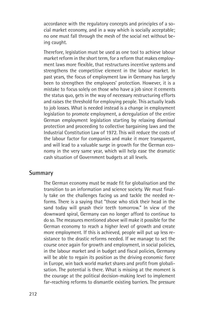accordance with the regulatory concepts and principles of a social market economy, and in a way which is socially acceptable; no one must fall through the mesh of the social net without being caught.

Therefore, legislation must be used as one tool to achieve labour market reform in the short term, for a reform that makes employment laws more flexible, that restructures incentive systems and strengthens the competitive element in the labour market. In past years, the focus of employment law in Germany has largely been to strengthen the employees' protection. However, it is a mistake to focus solely on those who have a job since it cements the status quo, gets in the way of necessary restructuring efforts and raises the threshold for employing people. This actually leads to job losses. What is needed instead is a change in employment legislation to promote employment, a deregulation of the entire German employment legislation starting by relaxing dismissal protection and proceeding to collective bargaining laws and the Industrial Constitution Law of 1972. This will reduce the costs of the labour factor for companies and make it more transparent, and will lead to a valuable surge in growth for the German economy in the very same year, which will help ease the dramatic cash situation of Government budgets at all levels.

#### **Summary**

The German economy must be made fit for globalisation and the transition to an information and science society. We must finally take on the challenges facing us and tackle the needed reforms. There is a saying that "those who stick their head in the sand today will gnash their teeth tomorrow." In view of the downward spiral, Germany can no longer afford to continue to do so. The measures mentioned above will make it possible for the German economy to reach a higher level of growth and create more employment. If this is achieved, people will put up less resistance to the drastic reforms needed. If we manage to set the course once again for growth and employment, in social policies, in the labour market and in budget and fiscal policies, Germany will be able to regain its position as the driving economic force in Europe, win back world market shares and profit from globalisation. The potential is there. What is missing at the moment is the courage at the political decision-making level to implement far-reaching reforms to dismantle existing barriers. The pressure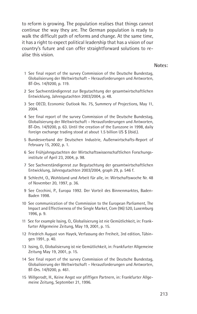to reform is growing. The population realises that things cannot continue the way they are. The German population is ready to walk the difficult path of reforms and change. At the same time, it has a right to expect political leadership that has a vision of our country's future and can offer straightforward solutions to realise this vision.

**Notes:**

- 1 See final report of the survey Commission of the Deutsche Bundestag, Globalisierung der Weltwirtschaft – Herausforderungen und Antworten, BT-Drs. 14/9200, p. 119.
- 2 See Sachverständigenrat zur Begutachtung der gesamtwirtschaftlichen Entwicklung, Jahresgutachten 2003/2004, p. 48.
- 3 See OECD, Economic Outlook No. 75, Summery of Projections, May 11, 2004.
- 4 See final report of the survey Commission of the Deutsche Bundestag, Globalisierung der Weltwirtschaft – Herausforderungen und Antworten, BT-Drs. 14/9200, p. 63. Until the creation of the Eurozone in 1998, daily foreign exchange trading stood at about 1.5 billion US \$ (ibid.).
- 5 Bundesverband der Deutschen Industrie, Außenwirtschafts-Report of February 15, 2002, p. 1.
- 6 See Frühjahrsgutachten der Wirtschaftswissenschaftlichen Forschungsinstitute of April 23, 2004, p. 98.
- 7 See Sachverständigenrat zur Begutachtung der gesamtwirtschaftlichen Entwicklung, Jahresgutachten 2003/2004, graph 29, p. 546 f.
- 8 Schlecht, O., Wohlstand und Arbeit für alle, in: Wirtschaftswoche Nr. 48 of November 20, 1997, p. 36.
- 9 See Cecchini, P., Europa 1992. Der Vorteil des Binnenmarktes, Baden-Baden 1998.
- 10 See communication of the Commission to the European Parliament, The Impact and Effectiveness of the Single Market, Com (96) 520, Luxemburg 1996, p. 9.
- 11 See for example Issing, O., Globalisierung ist nie Gemütlichkeit, in: Frankfurter Allgemeine Zeitung, May 19, 2001, p. 15.
- 12 Friedrich August von Hayek, Verfassung der Freiheit, 3rd edition, Tübingen 1991, p. 40.
- 13 Issing, O., Globalisierung ist nie Gemütlichkeit, in: Frankfurter Allgemeine Zeitung May 19, 2001, p. 15.
- 14 See final report of the survey Commission of the Deutsche Bundestag, Globalisierung der Weltwirtschaft – Herausforderungen und Antworten, BT-Drs. 14/9200, p. 461.
- 15 Willgerodt, H., Keine Angst vor pfiffigen Partnern, in: Frankfurter Allgemeine Zeitung, September 21, 1996.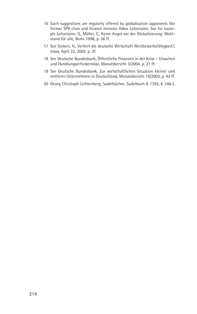- 16 Such suggestions are regularly offered by globalisation opponents like former SPD chair and finance minister Oskar Lafontaine. See for example Lafontaine, O., Müller, C., Keine Angst vor der Globalisierung: Wohlstand für alle, Bonn 1998, p. 56 ff.
- 17 See Siebert, H., Verliert die deutsche Wirtschaft Wettbewerbsfähigkeit?, essay, April 22, 2002, p. 2f.
- 18 See Deutsche Bundesbank, Öffentliche Finanzen in der Krise Ursachen und Handlungserfordernisse, Monatsbericht 3/2004, p. 21 ff.
- 19 See Deutsche Bundesbank, Zur wirtschaftlichen Situation kleiner und mittlerer Unternehmen in Deutschland, Monatsbericht 19/2003, p. 42 ff.
- 20 Georg Christoph Lichtenberg, Sudelbücher, Sudelbuch K 1793, K 246.3.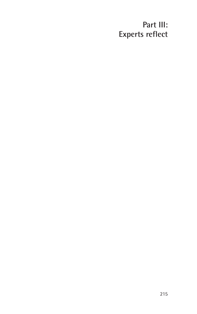# **Part III: Experts reflect**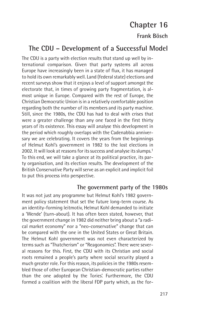# **Chapter 16**

## **Frank Bösch**

# **The CDU – Development of a Successful Model**

The CDU is a party with election results that stand up well by international comparison. Given that party systems all across Europe have increasingly been in a state of flux, it has managed to hold its own remarkably well. Land (federal state) elections and recent surveys show that it enjoys a level of support amongst the electorate that, in times of growing party fragmentation, is almost unique in Europe. Compared with the rest of Europe, the Christian Democratic Union is in a relatively comfortable position regarding both the number of its members and its party machine. Still, since the 1980s, the CDU has had to deal with crises that were a greater challenge than any one faced in the first thirty years of its existence. This essay will analyse this development in the period which roughly overlaps with the Cadenabbia anniversary we are celebrating. It covers the years from the beginnings of Helmut Kohl's government in 1982 to the lost elections in 2002. It will look at reasons for its success and analyse its slumps.<sup>1</sup> To this end, we will take a glance at its political practice, its party organisation, and its election results. The development of the British Conservative Party will serve as an explicit and implicit foil to put this process into perspective.

### **The government party of the 1980s**

It was not just any programme but Helmut Kohl's 1982 government policy statement that set the future long-term course. As an identity-forming leitmotiv, Helmut Kohl demanded to initiate a 'Wende' (turn-about). It has often been stated, however, that the government change in 1982 did neither bring about a "a radical market economy" nor a "neo-conservative" change that can be compared with the one in the United States or Great Britain. The Helmut Kohl government was not even characterized by terms such as "Thatcherism" or "Reagonomics". There were several reasons for this. First, the CDU with its Christian and social roots remained a people's party where social security played a much greater role. For this reason, its policies in the 1980s resembled those of other European Christian-democratic parties rather than the one adopted by the Tories'. Furthermore, the CDU formed a coalition with the liberal FDP party which, as the for-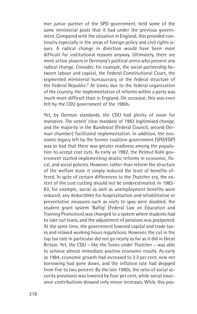mer junior partner of the SPD government, held some of the same ministerial posts that it had under the previous government. Compared with the situation in England, this provided continuity especially in the areas of foreign policy and civil rights issues. A radical change in direction would have been more difficult for institutional reasons anyway. Ultimately, there are more active players in Germany's political arena who prevent any radical change. Consider, for example, the social partnership between labour and capital, the Federal Constitutional Court, the segmented ministerial bureaucracy, or the federal structure of the Federal Republic.<sup>2</sup> At times, due to the federal organization of the country, the implementation of reforms within a party was much more difficult than in England. On occasion, this was even felt by the CDU government of the 1980s.

Yet, by German standards, the CDU had plenty of room for manœvre. The voters' clear mandate of 1983 legitimised change, and the majority in the Bundesrat (Federal Council, second German chamber) facilitated implementation. In addition, the economic legacy left by the former coalition government (SPD/FDP) was so bad that there was greater readiness among the population to accept cost cuts. As early as 1982, the Helmut Kohl government started implementing drastic reforms in economic, fiscal, and social policies. However, rather than reform the structure of the welfare state it simply reduced the level of benefits offered. In spite of certain differences to the Thatcher era, the extent of the cost cutting should not be underestimated. In 1982- 83, for example, social as well as unemployment benefits were reduced, any deductibles for hospitalisation and rehabilitative or preventative measures such as visits to spas were doubled, the student grant system 'Bafög' (Federal Law on Education and Training Promotion) was changed to a system where students had to take out loans, and the adjustment of pensions was postponed. At the same time, the government lowered capital and trade taxes and relaxed working hours regulations. However, the cut in the top tax rate in particular did not go nearly as far as it did in Great Britain. Yet, the CDU – like the Tories under Thatcher – was able to achieve almost immediate positive economic results. As early as 1984, economic growth had increased to 3.3 per cent, new net borrowing had gone down, and the inflation rate had dropped from five to two percent. By the late 1980s, the ratio of social security provisions was lowered by four per cent, while social insurance contributions showed only minor increases. While this pos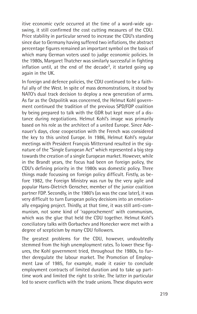itive economic cycle occurred at the time of a word-wide upswing, it still confirmed the cost cutting measures of the CDU. Price stability in particular served to increase the CDU's standing since due to Germany having suffered two inflations, the abstract percentage figures remained an important symbol on the basis of which many German voters used to judge economic policies. In the 1980s, Margaret Thatcher was similarly successful in fighting inflation until, at the end of the decade<sup>3</sup>, it started going up again in the UK.

In foreign and defence policies, the CDU continued to be a faithful ally of the West. In spite of mass demonstrations, it stood by NATO's dual track decision to deploy a new generation of arms. As far as the Ostpolitik was concerned, the Helmut Kohl government continued the tradition of the previous SPD/FDP coalition by being prepared to talk with the GDR but kept more of a distance during negotiations. Helmut Kohl's image was primarily based on his role as the architect of a united Europe. Since Adenauer's days, close cooperation with the French was considered the key to this united Europe. In 1986, Helmut Kohl's regular meetings with President François Mitterrand resulted in the signature of the "Single European Act" which represented a big step towards the creation of a single European market. However, while in the Brandt years, the focus had been on foreign policy, the CDU's defining priority in the 1980s was domestic policy. Three things made focussing on foreign policy difficult. Firstly, as before 1982, the Foreign Ministry was run by the very agile and popular Hans-Dietrich Genscher, member of the junior coalition partner FDP. Secondly, in the 1980's (as was the case later), it was very difficult to turn European policy decisions into an emotionally engaging project. Thirdly, at that time, it was still anti-communism, not some kind of 'rapprochement' with communism, which was the glue that held the CDU together. Helmut Kohl's conciliatory talks with Gorbachev and Honecker were met with a degree of scepticism by many CDU followers.

The greatest problems for the CDU, however, undoubtedly stemmed from the high unemployment rates. To lower these figures, the Kohl government tried, throughout the 1980s, to further deregulate the labour market. The Promotion of Employment Law of 1985, for example, made it easier to conclude employment contracts of limited duration and to take up parttime work and limited the right to strike. The latter in particular led to severe conflicts with the trade unions. These disputes were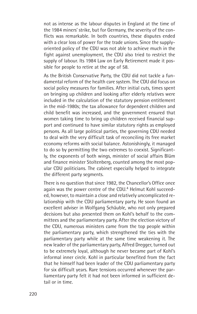not as intense as the labour disputes in England at the time of the 1984 miners' strike, but for Germany, the severity of the conflicts was remarkable. In both countries, these disputes ended with a clear loss of power for the trade unions. Since the supplyoriented policy of the CDU was not able to achieve much in the fight against unemployment, the CDU also tried to restrict the supply of labour. Its 1984 Law on Early Retirement made it possible for people to retire at the age of 58.

As the British Conservative Party, the CDU did not tackle a fundamental reform of the health care system. The CDU did focus on social policy measures for families. After initial cuts, times spent on bringing up children and looking after elderly relatives were included in the calculation of the statutory pension entitlement in the mid-1980s; the tax allowance for dependent children and child benefit was increased, and the government ensured that women taking time to bring up children received financial support and continued to have similar statutory rights as employed persons. As all large political parties, the governing CDU needed to deal with the very difficult task of reconciling its free market economy reforms with social balance. Astonishingly, it managed to do so by permitting the two extremes to coexist. Significantly, the exponents of both wings, minister of social affairs Blüm and finance minister Stoltenberg, counted among the most popular CDU politicians. The cabinet especially helped to integrate the different party segments.

There is no question that since 1982, the Chancellor's Office once again was the power centre of the CDU.<sup>4</sup> Helmut Kohl succeeded, however, to maintain a close and relatively uncomplicated relationship with the CDU parliamentary party. He soon found an excellent adviser in Wolfgang Schäuble, who not only prepared decisions but also presented them on Kohl's behalf to the committees and the parliamentary party. After the election victory of the CDU, numerous ministers came from the top people within the parliamentary party, which strengthened the ties with the parliamentary party while at the same time weakening it. The new leader of the parliamentary party, Alfred Dregger, turned out to be extremely loyal, although he never became part of Kohl's informal inner circle. Kohl in particular benefited from the fact that he himself had been leader of the CDU parliamentary party for six difficult years. Rare tensions occurred whenever the parliamentary party felt it had not been informed in sufficient detail or in time.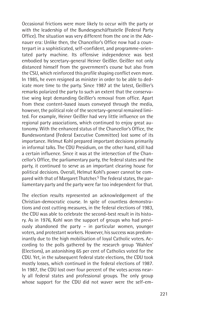Occasional frictions were more likely to occur with the party or with the leadership of the Bundesgeschäftsstelle (Federal Party Office). The situation was very different from the one in the Adenauer era: Unlike then, the Chancellor's Office now had a counterpart in a sophisticated, self-confident, and programme-orientated party machine. Its offensive independence was best embodied by secretary-general Heiner Geißler. Geißler not only distanced himself from the government's course but also from the CSU, which reinforced this profile shaping conflict even more. In 1985, he even resigned as minister in order to be able to dedicate more time to the party. Since 1987 at the latest, Geißler's remarks polarized the party to such an extent that the conservative wing kept demanding Geißler's removal from office. Apart from these content-based issues conveyed through the media, however, the political role of the secretary-general remained limited. For example, Heiner Geißler had very little influence on the regional party associations, which continued to enjoy great autonomy. With the enhanced status of the Chancellor's Office, the Bundesvorstand (Federal Executive Committee) lost some of its importance. Helmut Kohl prepared important decisions primarily in informal talks. The CDU Presidium, on the other hand, still had a certain influence. Since it was at the intersection of the Chancellor's Office, the parliamentary party, the federal states and the party, it continued to serve as an important clearing house for political decisions. Overall, Helmut Kohl's power cannot be compared with that of Margaret Thatcher.5 The federal states, the parliamentary party and the party were far too independent for that.

The election results represented an acknowledgement of the Christian-democratic course. In spite of countless demonstrations and cost cutting measures, in the federal elections of 1983, the CDU was able to celebrate the second-best result in its history. As in 1976, Kohl won the support of groups who had previously abandoned the party – in particular women, younger voters, and protestant workers. However, his success was predominantly due to the high mobilisation of loyal Catholic voters. According to the polls gathered by the research group 'Wahlen' (Elections), an astonishing 65 per cent of Catholics voted for the CDU. Yet, in the subsequent federal state elections, the CDU took mostly losses, which continued in the federal elections of 1987. In 1987, the CDU lost over four percent of the votes across nearly all federal states and professional groups. The only group whose support for the CDU did not waver were the self-em-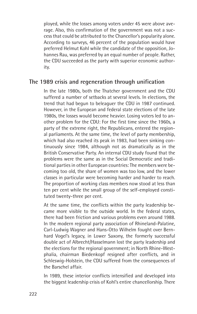ployed, while the losses among voters under 45 were above average. Also, this confirmation of the government was not a success that could be attributed to the Chancellor's popularity alone. According to surveys, 46 percent of the population would have preferred Helmut Kohl while the candidate of the opposition, Johannes Rau, was preferred by an equal number of people. Rather, the CDU succeeded as the party with superior economic authority.

### **The 1989 crisis and regeneration through unification**

In the late 1980s, both the Thatcher government and the CDU suffered a number of setbacks at several levels. In elections, the trend that had begun to beleaguer the CDU in 1987 continued. However, in the European and federal state elections of the late 1980s, the losses would become heavier. Losing voters led to another problem for the CDU: For the first time since the 1960s, a party of the extreme right, the Republicans, entered the regional parliaments. At the same time, the level of party membership, which had also reached its peak in 1983, had been sinking continuously since 1984, although not as dramatically as in the British Conservative Party. An internal CDU study found that the problems were the same as in the Social Democratic and traditional parties in other European countries: The members were becoming too old, the share of women was too low, and the lower classes in particular were becoming harder and harder to reach. The proportion of working class members now stood at less than ten per cent while the small group of the self-employed constituted twenty-three per cent.

At the same time, the conflicts within the party leadership became more visible to the outside world. In the federal states, there had been friction and various problems even around 1988. In the modern regional party association of Rhineland-Palatine, Carl-Ludwig Wagner and Hans-Otto Wilhelm fought over Bernhard Vogel's legacy, in Lower Saxony, the formerly successful double act of Albrecht/Hasselmann lost the party leadership and the elections for the regional government; in North Rhine-Westphalia, chairman Biedenkopf resigned after conflicts, and in Schleswig-Holstein, the CDU suffered from the consequences of the Barschel affair.

In 1989, these interior conflicts intensified and developed into the biggest leadership crisis of Kohl's entire chancellorship. There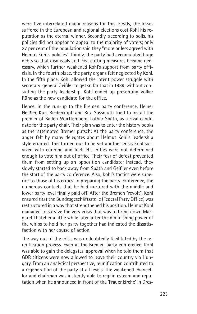were five interrelated major reasons for this. Firstly, the losses suffered in the European and regional elections cost Kohl his reputation as the eternal winner. Secondly, according to polls, his policies did not appear to appeal to the majority of voters; only 27 per cent of the population said they "more or less agreed with Helmut Kohl's policies". Thirdly, the party had accumulated huge debts so that dismissals and cost cutting measures became necessary, which further weakened Kohl's support from party officials. In the fourth place, the party organs felt neglected by Kohl. In the fifth place, Kohl allowed the latent power struggle with secretary-general Geißler to get so far that in 1989, without consulting the party leadership, Kohl ended up presenting Volker Rühe as the new candidate for the office.

Hence, in the run-up to the Bremen party conference, Heiner Geißler, Kurt Biedenkopf, and Rita Süssmuth tried to install the premier of Baden-Württemberg, Lothar Späth, as a rival candidate for the party chair. Their plan was to enter the history books as the 'attempted Bremer putsch'. At the party conference, the anger felt by many delegates about Helmut Kohl's leadership style erupted. This turned out to be yet another crisis Kohl survived with cunning and luck. His critics were not determined enough to vote him out of office. Their fear of defeat prevented them from setting up an opposition candidate; instead, they slowly started to back away from Späth and Geißler even before the start of the party conference. Also, Kohl's tactics were superior to those of his critics. In preparing the party conference, the numerous contacts that he had nurtured with the middle and lower party level finally paid off. After the Bremen "revolt", Kohl ensured that the Bundesgeschäftsstelle (Federal Party Office) was restructured in a way that strengthened his position. Helmut Kohl managed to survive the very crisis that was to bring down Margaret Thatcher a little while later, after the diminishing power of the whips to hold her party together had indicated the dissatisfaction with her course of action.

The way out of the crisis was undoubtedly facilitated by the reunification process. Even at the Bremen party conference, Kohl was able to gain the delegates' approval when he told them that GDR citizens were now allowed to leave their country via Hungary. From an analytical perspective, reunification contributed to a regeneration of the party at all levels. The weakened chancellor and chairman was instantly able to regain esteem and reputation when he announced in front of the 'Frauenkirche' in Dres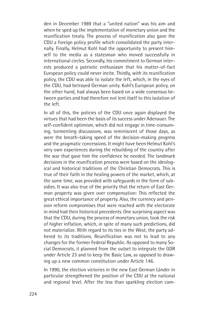den in December 1989 that a "united nation" was his aim and when he sped up the implementation of monetary union and the reunification treaty. The process of reunification also gave the CDU a foreign policy profile which consolidated the party internally. Finally, Helmut Kohl had the opportunity to present himself to the media as a statesman who moved successfully in international circles. Secondly, his commitment to German interests produced a patriotic enthusiasm that his matter-of-fact European policy could never incite. Thirdly, with its reunification policy, the CDU was able to isolate the left, which, in the eyes of the CDU, had betrayed German unity. Kohl's European policy, on the other hand, had always been based on a wide consensus between parties and had therefore not lent itself to this isolation of the left.

In all of this, the policies of the CDU once again displayed the virtues that had been the basis of its success under Adenauer. The self-confident optimism, which did not engage in time-consuming, tormenting discussions, was reminiscent of those days, as were the breath-taking speed of the decision-making progress and the pragmatic concessions. It might have been Helmut Kohl's very own experiences during the rebuilding of the country after the war that gave him the confidence he needed. The landmark decisions in the reunification process were based on the ideological and historical traditions of the Christian Democrats. This is true of their faith in the healing powers of the market, which, at the same time, was provided with safeguards in the form of subsidies. It was also true of the priority that the return of East German property was given over compensation: This reflected the great ethical importance of property. Also, the currency and pension reform compromises that were reached with the electorate in mind had their historical precedents. One surprising aspect was that the CDU, during the process of monetary union, took the risk of higher inflation, which, in spite of many such predictions, did not materialize. With regard to its ties in the West, the party adhered to its traditions. Reunification was not to lead to any changes for the former Federal Republic. As opposed to many Social Democrats, it planned from the outset to integrate the GDR under Article 23 and to keep the Basic Law, as opposed to drawing up a new common constitution under Article 146.

In 1990, the election victories in the new East German Länder in particular strengthened the position of the CDU at the national and regional level. After the less than sparkling election cam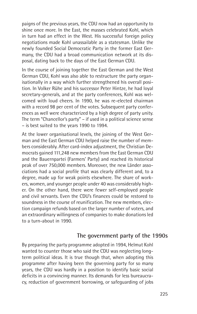paigns of the previous years, the CDU now had an opportunity to shine once more. In the East, the masses celebrated Kohl, which in turn had an effect in the West. His successful foreign policy negotiations made Kohl unassailable as a statesman. Unlike the newly founded Social Democratic Party in the former East Germany, the CDU had a broad communication network at its disposal, dating back to the days of the East German CDU.

In the course of joining together the East German and the West German CDU, Kohl was also able to restructure the party organisationally in a way which further strengthened his overall position. In Volker Rühe and his successor Peter Hintze, he had loyal secretary-generals, and at the party conferences, Kohl was welcomed with loud cheers. In 1990, he was re-elected chairman with a record 98 per cent of the votes. Subsequent party conferences as well were characterized by a high degree of party unity. The term "Chancellor's party" – if used in a political science sense – is best suited to the years 1990 to 1994.

At the lower organisational levels, the joining of the West German and the East German CDU helped raise the number of members considerably. After card-index adjustment, the Christian Democrats gained 111,248 new members from the East German CDU and the Bauernpartei (Farmers' Party) and reached its historical peak of over 750,000 members. Moreover, the new Länder associations had a social profile that was clearly different and, to a degree, made up for weak points elsewhere. The share of workers, women, and younger people under 40 was considerably higher. On the other hand, there were fewer self-employed people and civil servants. Even the CDU's finances could be restored to soundness in the course of reunification. The new members, election campaign refunds based on the larger number of voters, and an extraordinary willingness of companies to make donations led to a turn-about in 1990.

#### **The government party of the 1990s**

By preparing the party programme adopted in 1994, Helmut Kohl wanted to counter those who said the CDU was neglecting longterm political ideas. It is true though that, when adopting this programme after having been the governing party for so many years, the CDU was hardly in a position to identify basic social deficits in a convincing manner. Its demands for less bureaucracy, reduction of government borrowing, or safeguarding of jobs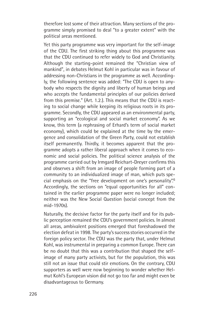therefore lost some of their attraction. Many sections of the programme simply promised to deal "to a greater extent" with the political areas mentioned.

Yet this party programme was very important for the self-image of the CDU. The first striking thing about this programme was that the CDU continued to refer widely to God and Christianity. Although the starting-point remained the "Christian view of mankind", in debates Helmut Kohl in particular was in favour of addressing non-Christians in the programme as well. Accordingly, the following sentence was added: "The CDU is open to anybody who respects the dignity and liberty of human beings and who accepts the fundamental principles of our policies derived from this premise." (Art. 1.2.). This means that the CDU is reacting to social change while keeping its religious roots in its programme. Secondly, the CDU appeared as an environmental party, supporting an "ecological and social market economy". As we know, this term (a rephrasing of Erhard's term of social market economy), which could be explained at the time by the emergence and consolidation of the Green Party, could not establish itself permanently. Thirdly, it becomes apparent that the programme adopts a rather liberal approach when it comes to economic and social policies. The political science analysis of the programme carried out by Irmgard Reichart-Dreyer confirms this and observes a shift from an image of people forming part of a community to an individualized image of man, which puts special emphasis on the "free development on one's personality".6 Accordingly, the sections on "equal opportunities for all" contained in the earlier programme paper were no longer included; neither was the New Social Question (social concept from the mid-1970s).

Naturally, the decisive factor for the party itself and for its public perception remained the CDU's government policies. In almost all areas, ambivalent positions emerged that foreshadowed the election defeat in 1998. The party's success stories occurred in the foreign policy sector. The CDU was the party that, under Helmut Kohl, was instrumental in preparing a common Europe. There can be no doubt that this was a contribution that shaped the selfimage of many party activists, but for the population, this was still not an issue that could stir emotions. On the contrary, CDU supporters as well were now beginning to wonder whether Helmut Kohl's European vision did not go too far and might even be disadvantageous to Germany.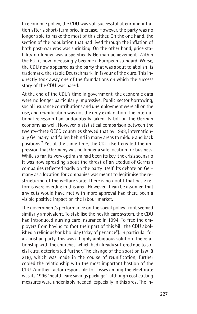In economic policy, the CDU was still successful at curbing inflation after a short-term price increase. However, the party was no longer able to make the most of this either. On the one hand, the section of the population that had lived through the inflation of both post-war eras was shrinking. On the other hand, price stability no longer was a specifically German achievement. Within the EU, it now increasingly became a European standard. Worse, the CDU now appeared as the party that was about to abolish its trademark, the stable Deutschmark, in favour of the euro. This indirectly took away one of the foundations on which the success story of the CDU was based.

At the end of the CDU's time in government, the economic data were no longer particularly impressive. Public sector borrowing, social insurance contributions and unemployment were all on the rise, and reunification was not the only explanation. The international recession had undoubtedly taken its toll on the German economy as well. However, a statistical comparison between the twenty-three OECD countries showed that by 1998, internationally Germany had fallen behind in many areas to middle and back positions.7 Yet at the same time, the CDU itself created the impression that Germany was no longer a safe location for business. While so far, its very optimism had been its key, the crisis scenario it was now spreading about the threat of an exodus of German companies reflected badly on the party itself. Its debate on Germany as a location for companies was meant to legitimise the restructuring of the welfare state. There is no doubt that basic reforms were overdue in this area. However, it can be assumed that any cuts would have met with more approval had there been a visible positive impact on the labour market.

The government's performance on the social policy front seemed similarly ambivalent. To stabilise the health care system, the CDU had introduced nursing care insurance in 1994. To free the employers from having to foot their part of this bill, the CDU abolished a religious bank holiday ("day of penance"). In particular for a Christian party, this was a highly ambiguous solution. The relationship with the churches, which had already suffered due to social cuts, deteriorated further. The change of the abortion law (§ 218), which was made in the course of reunification, further cooled the relationship with the most important bastion of the CDU. Another factor responsible for losses among the electorate was its 1996 "health care savings package", although cost cutting measures were undeniably needed, especially in this area. The in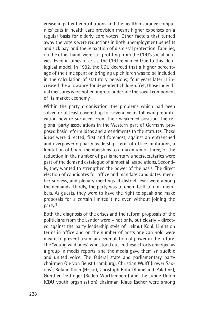crease in patient contributions and the health insurance companies' cuts in health care provision meant higher expenses on a regular basis for elderly core voters. Other factors that turned away the voters were reductions in both unemployment benefits and sick pay, and the relaxation of dismissal protection. Families, on the other hand, were still profiting from the CDU's social policies. Even in times of crisis, the CDU remained true to this ideological model. In 1992, the CDU decreed that a higher percentage of the time spent on bringing up children was to be included in the calculation of statutory pensions; four years later it increased the allowance for dependent children. Yet, those individual measures were not enough to underline the social component of its market economy.

Within the party organisation, the problems which had been solved or at least covered up for several years following reunification now re-surfaced. From their weakened position, the regional party associations in the Western part of Germany proposed basic reform ideas and amendments to the statutes. These ideas were directed, first and foremost, against an entrenched and overpowering party leadership. Term of office limitations, a limitation of board memberships to a maximum of three, or the reduction in the number of parliamentary undersecretaries were part of the demand catalogue of almost all associations. Secondly, they wanted to strengthen the power of the basis. The direct election of candidates for office and mandate candidates, member surveys, and plenary meetings at district level were among the demands. Thirdly, the party was to open itself to non-members. As guests, they were to have the right to speak and make proposals for a certain limited time even without joining the party.8

Both the diagnosis of the crises and the reform proposals of the politicians from the Länder were – not only, but clearly – directed against the party leadership style of Helmut Kohl. Limits on terms in office and on the number of posts one can hold were meant to prevent a similar accumulation of power in the future. The "young wild ones" who stood out in these efforts emerged as a group in media reports, and the media gave them an audible and united voice. The federal state and parliamentary party chairmen Ole von Beust (Hamburg), Christian Wulff (Lower Saxony), Roland Koch (Hesse), Christoph Böhr (Rhineland-Palatine), Günther Oettinger (Baden-Württemberg) and the Junge Union (CDU youth organisation) chairman Klaus Escher were among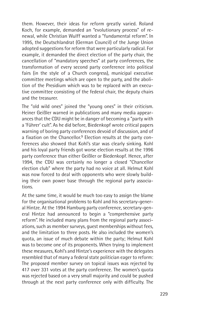them. However, their ideas for reform greatly varied. Roland Koch, for example, demanded an "evolutionary process" of renewal, while Christian Wulff wanted a "fundamental reform". In 1995, the Deutschlandrat (German Council) of the Junge Union adopted suggestions for reform that were particularly radical. For example, it demanded the direct election of the party chair, the cancellation of "mandatory speeches" at party conferences, the transformation of every second party conference into political fairs (in the style of a Church congress), municipal executive committee meetings which are open to the party, and the abolition of the Presidium which was to be replaced with an executive committee consisting of the federal chair, the deputy chairs and the treasurer.

The "old wild ones" joined the "young ones" in their criticism. Heiner Geißler warned in publications and many media appearances that the CDU might be in danger of becoming a "party with a 'Führer' cult". As he did before, Biedenkopf wrote critical papers warning of boring party conferences devoid of discussion, and of a fixation on the Chancellor. <sup>9</sup> Election results at the party conferences also showed that Kohl's star was clearly sinking. Kohl and his loyal party friends got worse election results at the 1996 party conference than either Geißler or Biedenkopf. Hence, after 1994, the CDU was certainly no longer a closed "Chancellor election club" where the party had no voice at all. Helmut Kohl was now forced to deal with opponents who were slowly building their own power base through the regional party associations.

At the same time, it would be much too easy to assign the blame for the organisational problems to Kohl and his secretary-general Hintze. At the 1994 Hamburg party conference, secretary-general Hintze had announced to begin a "comprehensive party reform". He included many plans from the regional party associations, such as member surveys, guest memberships without fees, and the limitation to three posts. He also included the women's quota, an issue of much debate within the party; Helmut Kohl was to become one of its proponents. When trying to implement these measures, Kohl's and Hintze's experience with the delegates resembled that of many a federal state politician eager to reform: The proposed member survey on topical issues was rejected by 417 over 331 votes at the party conference. The women's quota was rejected based on a very small majority and could be pushed through at the next party conference only with difficulty. The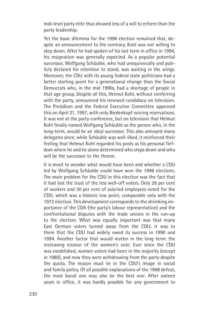mid-level party elite thus showed less of a will to reform than the party leadership.

Yet the basic dilemma for the 1998 election remained that, despite an announcement to the contrary, Kohl was not willing to step down. After he had spoken of his last term in office in 1994, his resignation was generally expected. As a popular potential successor, Wolfgang Schäuble, who had unequivocally and publicly declared his intention to stand, was waiting in the wings. Moreover, the CDU with its young federal state politicians had a better starting point for a generational change than the Social Democrats who, in the mid 1990s, had a shortage of people in that age group. Despite all this, Helmut Kohl, without conferring with the party, announced his renewed candidacy on television. The Presidium and the Federal Executive Committee approved this on April 21, 1997, with only Biedenkopf voicing reservations. It was not at the party conference, but on television that Helmut Kohl finally named Wolfgang Schäuble as the person who, in the long-term, would be an ideal successor. This also annoyed many delegates since, while Schäuble was well-liked, it reinforced their feeling that Helmut Kohl regarded his posts as his personal fiefdom where he and he alone determined who steps down and who will be the successor to the throne.

It is moot to wonder what would have been and whether a CDU led by Wolfgang Schäuble could have won the 1998 elections. The main problem for the CDU in this election was the fact that it had lost the trust of the less well-off voters. Only 28 per cent of workers and 30 per cent of salaried employees voted for the CDU, which was a historic low point, comparable only with the 1972 election. This development corresponds to the shrinking importance of the CDA (the party's labour representation) and the confrontational disputes with the trade unions in the run-up to the election. What was equally important was that many East German voters turned away from the CDU; it was to them that the CDU had widely owed its success in 1990 and 1994. Another factor that would matter in the long term: the increasing erosion of the women's vote. Ever since the CDU was established, women voters had been in the majority (except in 1980), and now they were withdrawing from the party despite the quota. The reason must lie in the CDU's image in social and family policy. Of all possible explanations of the 1998 defeat, the most banal one may also be the best one: After sixteen years in office, it was hardly possible for any government to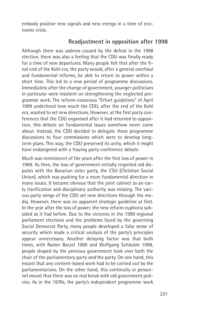embody positive new signals and new energy in a time of economic crisis.

## **Readjustment in opposition after 1998**

Although there was sadness caused by the defeat in the 1998 election, there was also a feeling that the CDU was finally ready for a time of new departures. Many people felt that after the final end of the Kohl era, the party would, after a general overhaul and fundamental reforms, be able to return to power within a short time. This led to a new period of programme discussions. Immediately after the change of government, younger politicians in particular were insistent on strengthening the neglected programme work. The reform-conscious "Erfurt guidelines" of April 1999 underlined how much the CDU, after the end of the Kohl era, wanted to set new directions. However, at the first party conferences that the CDU organised after it had returned to opposition, this debate on fundamental issues somehow never came about. Instead, the CDU decided to delegate these programme discussions to four commissions which were to develop longterm plans. This way, the CDU preserved its unity, which it might have endangered with a fraying party conference debate.

Much was reminiscent of the years after the first loss of power in 1969. As then, the loss of government initially reignited old disputes with the Bavarian sister party, the CSU (Christian Social Union), which was pushing for a more fundamental direction in many issues. It became obvious that the joint cabinet as an early clarification and disciplinary authority was missing. The various party wings of the CDU set new directions through the media. However, there was no apparent strategic guideline at first. In the year after the loss of power, the new reform euphoria subsided as it had before. Due to the victories in the 1999 regional parliament elections and the problems faced by the governing Social Democrat Party, many people developed a false sense of security which made a critical analysis of the party's principles appear unnecessary. Another delaying factor was that both times, with Rainer Barzel 1969 and Wolfgang Schäuble 1998, people shaped by the previous government took over both the chair of the parliamentary party *and* the party. On one hand, this meant that any content-based work had to be carried out by the parliamentarians. On the other hand, this continuity in personnel meant that there was no real break with old government policies. As in the 1970s, the party's independent programme work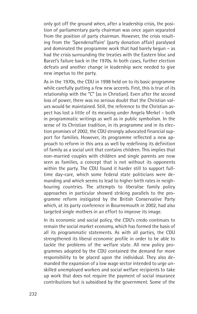only got off the ground when, after a leadership crisis, the position of parliamentary party chairman was once again separated from the position of party chairman. However, the crisis resulting from the 'Spendenaffaire' (party donation affair) paralysed and dominated the programme work that had barely begun – as had the crisis surrounding the treaties with the Eastern bloc and Barzel's failure back in the 1970s. In both cases, further election defeats and another change in leadership were needed to give new impetus to the party.

As in the 1970s, the CDU in 1998 held on to its basic programme while carefully putting a few new accents. First, this is true of its relationship with the "C" (as in Christian). Even after the second loss of power, there was no serious doubt that the Christian values would be maintained. Still, the reference to the Christian aspect has lost a little of its meaning under Angela Merkel – both in programmatic writings as well as in public symbolism. In the sense of its Christian tradition, in its programme and in its election promises of 2002, the CDU strongly advocated financial support for families. However, its programme reflected a new approach to reform in this area as well by redefining its definition of family as a social unit that contains children. This implies that non-married couples with children and single parents are now seen as families, a concept that is not without its opponents within the party. The CDU found it harder still to support fulltime day-care, which some federal state politicians were demanding and which seems to lead to higher birth rates in neighbouring countries. The attempts to liberalise family policy approaches in particular showed striking parallels to the programme reform instigated by the British Conservative Party which, at its party conference in Bournemouth in 2002, had also targeted single mothers in an effort to improve its image.

In its economic and social policy, the CDU's credo continues to remain the social market economy, which has formed the basis of all its programmatic statements. As with all parties, the CDU strengthened its liberal economic profile in order to be able to tackle the problems of the welfare state. All new policy programmes adopted by the CDU contained the demand for more responsibility to be placed upon the individual. They also demanded the expansion of a low wage sector intended to urge unskilled unemployed workers and social welfare recipients to take up work that does not require the payment of social insurance contributions but is subsidised by the government. Some of the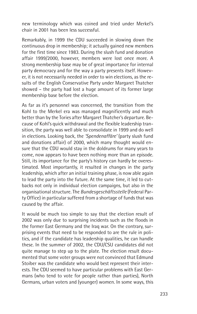new terminology which was coined and tried under Merkel's chair in 2001 has been less successful.

Remarkably, in 1999 the CDU succeeded in slowing down the continuous drop in membership; it actually gained new members for the first time since 1983. During the slush fund and donation affair 1999/2000, however, members were lost once more. A strong membership base may be of great importance for internal party democracy and for the way a party presents itself. However, it is not necessarily needed in order to win elections, as the results of the English Conservative Party under Margaret Thatcher showed – the party had lost a huge amount of its former large membership base before the election.

As far as it's personnel was concerned, the transition from the Kohl to the Merkel era was managed magnificently and much better than by the Tories after Margaret Thatcher's departure. Because of Kohl's quick withdrawal and the flexible leadership transition, the party was well able to consolidate in 1999 and do well in elections. Looking back, the *'Spendenaffäre'* (party slush fund and donations affair) of 2000, which many thought would ensure that the CDU would stay in the doldrums for many years to come, now appears to have been nothing more than an episode. Still, its importance for the party's history can hardly be overestimated. Most importantly, it resulted in changes in the party leadership, which after an initial training phase, is now able again to lead the party into the future. At the same time, it led to cutbacks not only in individual election campaigns, but also in the organisational structure. The *Bundesgeschäftsstelle* (Federal Party Office) in particular suffered from a shortage of funds that was caused by the affair.

It would be much too simple to say that the election result of 2002 was only due to surprising incidents such as the floods in the former East Germany and the Iraq war. On the contrary, surprising events that need to be responded to are the rule in politics, and if the candidate has leadership qualities, he can handle these. In the summer of 2002, the CDU/CSU candidates did not quite manage to step up to the plate. The election result documented that some voter groups were not convinced that Edmund Stoiber was the candidate who would best represent their interests. The CDU seemed to have particular problems with East Germans (who tend to vote for people rather than parties), North Germans, urban voters and (younger) women. In some ways, this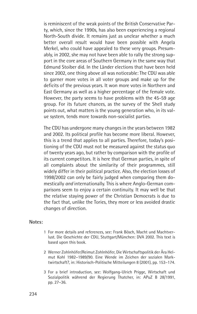is reminiscent of the weak points of the British Conservative Party, which, since the 1990s, has also been experiencing a regional North-South divide. It remains just as unclear whether a much better overall result would have been possible with Angela Merkel, who could have appealed to these very groups. Presumably, in 2002, she may not have been able to rally the strong support in the core areas of Southern Germany in the same way that Edmund Stoiber did. In the Länder elections that have been held since 2002, one thing above all was noticeable: The CDU was able to garner more votes in all voter groups and make up for the deficits of the previous years. It won more votes in Northern and East Germany as well as a higher percentage of the female vote. However, the party seems to have problems with the 45-59 age group. For its future chances, as the survey of the Shell study points out, what matters is the young generation who, in its value system, tends more towards non-socialist parties.

The CDU has undergone many changes in the years between 1982 and 2002. Its political profile has become more liberal. However, this is a trend that applies to all parties. Therefore, today's positioning of the CDU must not be measured against the status quo of twenty years ago, but rather by comparison with the profile of its current competitors. It is here that German parties, in spite of all complaints about the similarity of their programmes, still widely differ in their political practice. Also, the election losses of 1998/2002 can only be fairly judged when comparing them domestically *and* internationally. This is where Anglo-German comparisons seem to enjoy a certain continuity. It may well be that the relative staying power of the Christian Democrats is due to the fact that, unlike the Tories, they more or less avoided drastic changes of direction.

#### **Notes:**

- 1 For more details and references, see: Frank Bösch, Macht und Machtverlust. Die Geschichte der CDU, Stuttgart/München: DVA 2002. This text is based upon this book.
- 2 Werner Zohlnhöfer/Reimut Zohlnhöfer, Die Wirtschaftspolitik der Ära Helmut Kohl 1982–1989/90. Eine Wende im Zeichen der sozialen Marktwirtschaft?, in: Historisch-Politische Mitteilungen 8 (2001), pp. 153–174.
- 3 For a brief introduction, see: Wolfgang-Ulrich Prigge, Wirtschaft und Sozialpolitik während der Regierung Thatcher, in: APuZ B 28/1991, pp. 27–36.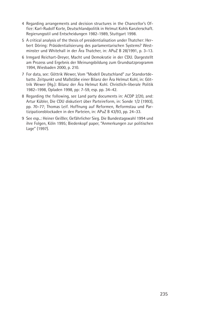- 4 Regarding arrangements and decision structures in the Chancellor's Office: Karl-Rudolf Korte, Deutschlandpolitik in Helmut Kohls Kanzlerschaft. Regierungsstil und Entscheidungen 1982-1989, Stuttgart 1998.
- 5 A critical analysis of the thesis of presidentialisation under Thatcher: Herbert Döring: Präsidentialisierung des parlamentarischen Systems? Westminster und Whitehall in der Ära Thatcher, in: APuZ B 28/1991, p. 3–13.
- 6 Irmgard Reichart-Dreyer, Macht und Demokratie in der CDU. Dargestellt am Prozess und Ergebnis der Meinungsbildung zum Grundsatzprogramm 1994, Wiesbaden 2000, p. 210.
- 7 For data, see: Göttrik Wewer, Vom "Modell Deutschland" zur Standortdebatte. Zeitpunkt und Maßstäbe einer Bilanz der Ära Helmut Kohl, in: Göttrik Wewer (Hg.): Bilanz der Ära Helmut Kohl. Christlich-liberale Politik 1982–1998, Opladen 1998, pp: 7-59, esp. pp. 34–42.
- 8 Regarding the following, see Land party documents in: ACDP 2/20, and: Artur Kübler, Die CDU diskutiert über Parteireform, in: Sonde 1/2 (1993), pp. 70–77; Thomas Leif. Hoffnung auf Reformen, Reformstau und Partizipationsblockaden in den Parteien, in: APuZ B 43/93, pp. 24–33.
- 9 See esp..: Heiner Geißler, Gefährlicher Sieg. Die Bundestagswahl 1994 und ihre Folgen, Köln 1995; Biedenkopf paper, "Anmerkungen zur politischen Lage" (1997).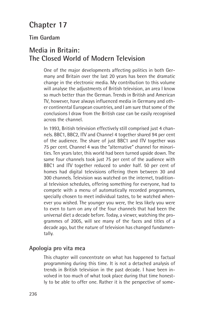# **Chapter 17**

## **Tim Gardam**

# **Media in Britain: The Closed World of Modern Television**

One of the major developments affecting politics in both Germany and Britain over the last 20 years has been the dramatic change in the electronic media. My contribution to this volume will analyse the adjustments of British television, an area I know so much better than the German. Trends in British and American TV, however, have always influenced media in Germany and other continental European countries, and I am sure that some of the conclusions I draw from the British case can be easily recognised across the channel.

In 1993, British television effectively still comprised just 4 channels. BBC1, BBC2, ITV and Channel 4 together shared 94 per cent of the audience. The share of just BBC1 and ITV together was 75 per cent. Channel 4 was the "alternative" channel for minorities. Ten years later, this world had been turned upside down. The same four channels took just 75 per cent of the audience with BBC1 and ITV together reduced to under half. 50 per cent of homes had digital televisions offering them between 30 and 300 channels. Television was watched on the internet, traditional television schedules, offering something for everyone, had to compete with a menu of automatically recorded programmes, specially chosen to meet individual tastes, to be watched whenever you wished. The younger you were, the less likely you were to even to turn on any of the four channels that had been the universal diet a decade before. Today, a viewer, watching the programmes of 2005, will see many of the faces and titles of a decade ago, but the nature of television has changed fundamentally.

#### **Apologia pro vita mea**

This chapter will concentrate on what has happened to factual programming during this time. It is not a detached analysis of trends in British television in the past decade. I have been involved in too much of what took place during that time honestly to be able to offer one. Rather it is the perspective of some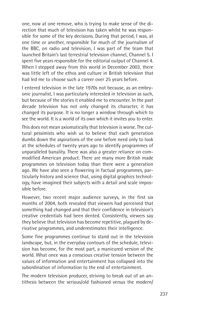one, now at one remove, who is trying to make sense of the direction that much of television has taken whilst he was responsible for some of the key decisions. During that period, I was, at one time or another, responsible for much of the journalism of the BBC, on radio and television, I was part of the team that launched Britain's last terrestrial television channel, Channel 5. I spent five years responsible for the editorial output of Channel 4. When I stepped away from this world in December 2003, there was little left of the ethos and culture in British television that had led me to choose such a career over 25 years before.

I entered television in the late 1970s not because, as an embryonic journalist, I was particularly interested in television as such, but because of the stories it enabled me to encounter. In the past decade television has not only changed its character, it has changed its purpose. It is no longer a window through which to see the world. It is a world of its own which it invites you to enter.

This does not mean axiomatically that television is worse. The cultural pessimists who wish us to believe that each generation dumbs down the aspirations of the one before need only to look at the schedules of twenty years ago to identify programmes of unparalleled banality. There was also a greater reliance on commodified American product. There are many more British made programmes on television today than there were a generation ago. We have also seen a flowering in factual programmes, particularly history and science that, using digital graphics technology, have imagined their subjects with a detail and scale impossible before.

However, two recent major audience surveys, in the first six months of 2004, both revealed that viewers had perceived that something had changed and that their confidence in television's creative credentials had been dented. Consistently, viewers say they believe that television has become repetitive, plagued by derivative programmes, and underestimates their intelligence.

Some fine programmes continue to stand out in the television landscape, but, in the everyday contours of the schedule, television has become, for the most part, a manicured version of the world. What once was a conscious creative tension between the values of information and entertainment has collapsed into the subordination of information to the end of entertainment.

The modern television producer, striving to break out of an antithesis between the serious/old fashioned versus the modern/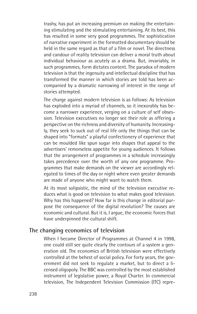trashy, has put an increasing premium on making the entertaining stimulating and the stimulating entertaining. At its best, this has resulted in some very good programmes. The sophistication of narrative experiment in the formatted documentary should be held in the same regard as that of a film or novel. The directness and candour of reality television can deliver a moral truth about individual behaviour as acutely as a drama. But, invariably, in such programmes, form dictates content. The paradox of modern television is that the ingenuity and intellectual discipline that has transformed the manner in which stories are told has been accompanied by a dramatic narrowing of interest in the range of stories attempted.

The charge against modern television is as follows: As television has exploded into a myriad of channels, so it inexorably has become a narrower experience, verging on a culture of self obsession. Television executives no longer see their role as offering a perspective on the richness and diversity of humanity. Increasingly, they seek to suck out of real life only the things that can be shaped into "formats" a playful confectionery of experience that can be moulded like spun sugar into shapes that appeal to the advertisers' remorseless appetite for young audiences. It follows that the arrangement of programmes in a schedule increasingly takes precedence over the worth of any one programme. Programmes that make demands on the viewer are accordingly relegated to times of the day or night where even greater demands are made of anyone who might want to watch them.

At its most solipsistic, the mind of the television executive reduces what is good on television to what makes good television. Why has this happened? How far is this change in editorial purpose the consequence of the digital revolution? The causes are economic and cultural. But it is, I argue, the economic forces that have underpinned the cultural shift.

#### **The changing economics of television**

When I became Director of Programmes at Channel 4 in 1998, one could still see quite clearly the contours of a system a generation old. The economics of British television were effectively controlled at the behest of social policy. For forty years, the government did not seek to regulate a market, but to direct a licensed oligopoly. The BBC was controlled by the most established instrument of legislative power, a Royal Charter. In commercial television, The Independent Television Commission (ITC) repre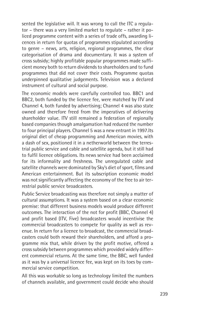sented the legislative will. It was wrong to call the ITC a regulator – there was a very limited market to regulate – rather it policed programme content with a series of trade offs, awarding licences in return for quotas of programmes stipulated according to genre – news, arts, religion, regional programmes, the clear categorisation of drama and documentary. It was a system of cross subsidy; highly profitable popular programmes made sufficient money both to return dividends to shareholders and to fund programmes that did not cover their costs. Programme quotas underpinned qualitative judgements. Television was a declared instrument of cultural and social purpose.

The economic models were carefully controlled too. BBC1 and BBC2, both funded by the licence fee, were matched by ITV and Channel 4, both funded by advertising; Channel 4 was also state owned and therefore freed from the imperatives of delivering shareholder value. ITV still remained a federation of regionally based companies though amalgamation had reduced the number to four principal players. Channel 5 was a new entrant in 1997.Its original diet of cheap programming and American movies, with a dash of sex, positioned it in a netherworld between the terrestrial public service and cable and satellite agenda, but it still had to fulfil licence obligations. Its news service had been acclaimed for its informality and freshness. The unregulated cable and satellite channels were dominated by Sky's diet of sport, films and American entertainment. But its subscription economic model was not significantly affecting the economy of the free to air terrestrial public service broadcasters.

Public Service broadcasting was therefore not simply a matter of cultural assumptions. It was a system based on a clear economic premise: that different business models would produce different outcomes. The interaction of the not for profit (BBC, Channel 4) and profit based (ITV, Five) broadcasters would incentivise the commercial broadcasters to compete for quality as well as revenue. In return for a licence to broadcast, the commercial broadcasters could both reward their shareholders, and afford a programme mix that, while driven by the profit motive, offered a cross subsidy between programmes which provided widely different commercial returns. At the same time, the BBC, well funded as it was by a universal licence fee, was kept on its toes by commercial service competition.

All this was workable so long as technology limited the numbers of channels available, and government could decide who should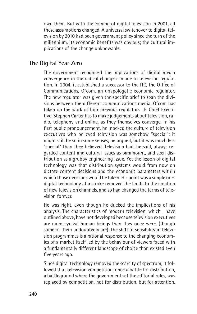own them. But with the coming of digital television in 2001, all these assumptions changed. A universal switchover to digital television by 2010 had been government policy since the turn of the millennium. Its economic benefits was obvious; the cultural implications of the change unknowable.

## **The Digital Year Zero**

The government recognised the implications of digital media convergence in the radical change it made to television regulation. In 2004, it established a successor to the ITC, the Office of Communications, Ofcom, an unapologetic economic regulator. The new regulator was given the specific brief to span the divisions between the different communications media. Ofcom has taken on the work of four previous regulators. Its Chief Executive, Stephen Carter has to make judgements about television, radio, telephony and online, as they themselves converge. In his first public pronouncement, he mocked the culture of television executives who believed television was somehow "special"; it might still be so in some senses, he argued, but it was much less "special" than they believed. Television had, he said, always regarded content and cultural issues as paramount, and seen distribution as a grubby engineering issue. Yet the lesson of digital technology was that distribution systems would from now on dictate content decisions and the economic parameters within which those decisions would be taken. His point was a simple one: digital technology at a stroke removed the limits to the creation of new television channels, and so had changed the terms of television forever.

He was right, even though he ducked the implications of his analysis. The characteristics of modern television, which I have outlined above, have not developed because television executives are more cynical human beings than they once were, (though some of them undoubtedly are). The shift of sensibility in television programmes is a rational response to the changing economics of a market itself led by the behaviour of viewers faced with a fundamentally different landscape of choice than existed even five years ago.

Since digital technology removed the scarcity of spectrum, it followed that television competition, once a battle for distribution, a battleground where the government set the editorial rules, was replaced by competition, not for distribution, but for attention.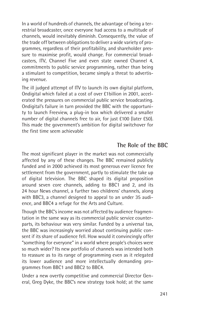In a world of hundreds of channels, the advantage of being a terrestrial broadcaster, once everyone had access to a multitude of channels, would inevitably diminish. Consequently, the value of the trade off between obligations to deliver a wide variety of programmes, regardless of their profitability, and shareholder pressure to maximise profit, would change. For commercial broadcasters, ITV, Channel Five and even state owned Channel 4, commitments to public service programming, rather than being a stimulant to competition, became simply a threat to advertising revenue.

The ill judged attempt of ITV to launch its own digital platform, Ondigital which failed at a cost of over £1billion in 2001, accelerated the pressures on commercial public service broadcasting. Ondigital's failure in turn provided the BBC with the opportunity to launch Freeview, a plug-in box which delivered a smaller number of digital channels free to air, for just £100 (later £50). This made the government's ambition for digital switchover for the first time seem achievable

### **The Role of the BBC**

The most significant player in the market was not commercially affected by any of these changes. The BBC remained publicly funded and in 2000 achieved its most generous ever licence fee settlement from the government, partly to stimulate the take up of digital television. The BBC shaped its digital proposition around seven core channels, adding to BBC1 and 2, and its 24 hour News channel, a further two childrens' channels, along with BBC3, a channel designed to appeal to an under 35 audience, and BBC4 a refuge for the Arts and Culture.

Though the BBC's income was not affected by audience fragmentation in the same way as its commercial public service counterparts, its behaviour was very similar. Funded by a universal tax, the BBC was increasingly worried about continuing public consent if its share of audience fell. How would it convincingly offer "something for everyone" in a world where people's choices were so much wider? Its new portfolio of channels was intended both to reassure as to its range of programming even as it relegated its lower audience and more intellectually demanding programmes from BBC1 and BBC2 to BBC4.

Under a new overtly competitive and commercial Director General, Greg Dyke, the BBC's new strategy took hold; at the same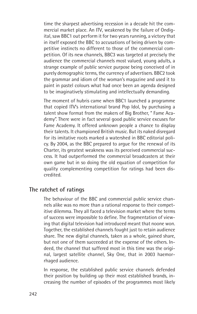time the sharpest advertising recession in a decade hit the commercial market place. An ITV, weakened by the failure of Ondigital, saw BBC1 out perform it for two years running, a victory that in itself exposed the BBC to accusations of being driven by competitive instincts no different to those of the commercial competition. Of its new channels, BBC3 was targeted at precisely the audience the commercial channels most valued, young adults, a strange example of public service purpose being conceived of in purely demographic terms, the currency of advertisers. BBC2 took the grammar and idiom of the woman's magazine and used it to paint in pastel colours what had once been an agenda designed to be imaginatively stimulating and intellectually demanding.

The moment of hubris came when BBC1 launched a programme that copied ITV's international brand Pop Idol, by purchasing a talent show format from the makers of Big Brother, " Fame Academy". There were in fact several good public service excuses for Fame Academy. It offered unknown people a chance to display their talents. It championed British music. But its naked disregard for its imitative roots marked a watershed in BBC editorial policy. By 2004, as the BBC prepared to argue for the renewal of its Charter, its greatest weakness was its perceived commercial success. It had outperformed the commercial broadcasters at their own game but in so doing the old equation of competition for quality complementing competition for ratings had been discredited.

#### **The ratchet of ratings**

The behaviour of the BBC and commercial public service channels alike was no more than a rational response to their competitive dilemma. They all faced a television market where the terms of success were impossible to define. The fragmentation of viewing that digital television had introduced meant that noone won. Together, the established channels fought just to retain audience share. The new digital channels, taken as a whole, gained share, but not one of them succeeded at the expense of the others. Indeed, the channel that suffered most in this time was the original, largest satellite channel, Sky One, that in 2003 haemorrhaged audience.

In response, the established public service channels defended their position by building up their most established brands, increasing the number of episodes of the programmes most likely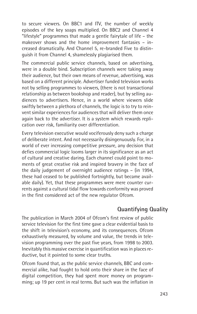to secure viewers. On BBC1 and ITV, the number of weekly episodes of the key soaps multiplied. On BBC2 and Channel 4 "lifestyle" programmes that made a gentle fairytale of life – the makeover shows and the home improvement fantasies – increased dramatically. And Channel 5, re-branded Five to distinguish it from Channel 4, shamelessly plagiarised them.

The commercial public service channels, based on advertising, were in a double bind. Subscription channels were taking away their audience, but their own means of revenue, advertising, was based on a different principle. Advertiser funded television works not by selling programmes to viewers, (there is not transactional relationship as between bookshop and reader), but by selling audiences to advertisers. Hence, in a world where viewers slide swiftly between a plethora of channels, the logic is to try to reinvent similar experiences for audiences that will deliver them once again back to the advertiser. It is a system which rewards replication over risk, familiarity over differentiation.

Every television executive would vociferously deny such a charge of deliberate intent. And not necessarily disingenuously. For, in a world of ever increasing competitive pressure, any decision that defies commercial logic looms larger in its significance as an act of cultural and creative daring. Each channel could point to moments of great creative risk and inspired bravery in the face of the daily judgement of overnight audience ratings – (in 1994, these had ceased to be published fortnightly, but became available daily). Yet, that these programmes were mere counter currents against a cultural tidal flow towards conformity was proved in the first considered act of the new regulator Ofcom.

# **Quantifying Quality**

The publication in March 2004 of Ofcom's first review of public service television for the first time gave a clear evidential basis to the shift in television's economy, and its consequences. Ofcom exhaustively measured, by volume and value, the trends in television programming over the past five years, from 1998 to 2003. Inevitably this massive exercise in quantification was in places reductive, but it pointed to some clear truths.

Ofcom found that, as the public service channels, BBC and commercial alike, had fought to hold onto their share in the face of digital competition, they had spent more money on programming; up 19 per cent in real terms. But such was the inflation in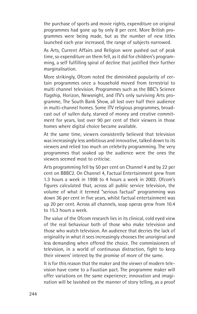the purchase of sports and movie rights, expenditure on original programmes had gone up by only 8 per cent. More British programmes were being made, but as the number of new titles launched each year increased, the range of subjects narrowed.

As Arts, Current Affairs and Religion were pushed out of peak time, so expenditure on them fell, as it did for children's programming, a self fulfilling spiral of decline that justified their further marginalisation.

More strikingly, Ofcom noted the diminished popularity of certain programmes once a household moved from terrestrial to multi channel television. Programmes such as the BBC's Science flagship, Horizon, Newsnight, and ITV's only surviving Arts programme, The South Bank Show, all lost over half their audience in multi-channel homes. Some ITV religious programmes, broadcast out of sullen duty, starved of money and creative commitment for years, lost over 90 per cent of their viewers in those homes where digital choice became available.

At the same time, viewers consistently believed that television was increasingly less ambitious and innovative, talked down to its viewers and relied too much on celebrity programming. The very programmes that soaked up the audience were the ones the viewers seemed most to criticise.

Arts programming fell by 50 per cent on Channel 4 and by 22 per cent on BBBC2. On Channel 4, Factual Entertainment grew from 1.3 hours a week in 1998 to 4 hours a week in 2002. Ofcom's figures calculated that, across all public service television, the volume of what it termed "serious factual" programming was down 36 per cent in five years, whilst factual entertainment was up 20 per cent. Across all channels, soap operas grew from 10.4 to 15.3 hours a week.

The value of the Ofcom research lies in its clinical, cold eyed view of the real behaviour both of those who make television and those who watch television. An audience that decries the lack of originality in what it sees increasingly chooses the unoriginal and less demanding when offered the choice. The commissioners of television, in a world of continuous distraction, fight to keep their viewers' interest by the promise of more of the same.

It is for this reason that the maker and the viewer of modern television have come to a Faustian pact. The programme maker will offer variations on the same experience; innovation and imagination will be lavished on the manner of story telling, as a proof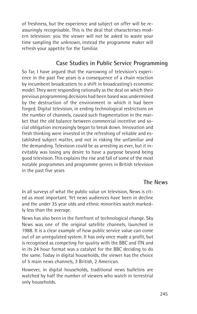of freshness, but the experience and subject on offer will be reassuringly recognisable. This is the deal that characterises modern television: you the viewer will not be asked to waste your time sampling the unknown, instead the programme maker will refresh your appetite for the familiar.

## **Case Studies in Public Service Programming**

So far, I have argued that the narrowing of television's experience in the past five years is a consequence of a chain reaction by incumbent broadcasters to a shift in broadcasting's economic model. They were responding rationally as the deal on which their previous programming decisions had been based was undermined by the destruction of the environment in which it had been forged. Digital television, in ending technological restrictions on the number of channels, caused such fragmentation in the market that the old balance between commercial incentive and social obligation increasingly began to break down. Innovation and fresh thinking were invested in the refreshing of reliable and established subject matter, and not in risking the unfamiliar and the demanding. Television could be as arresting as ever, but it inevitably was losing any desire to have a purpose beyond being good television. This explains the rise and fall of some of the most notable programmes and programme genres in British television in the past five years

#### **The News**

In all surveys of what the public value on television, News is cited as most important. Yet news audiences have been in decline and the under 35 year olds and ethnic minorities watch markedly less than the average.

News has also been in the forefront of technological change. Sky News was one of the original satellite channels, launched in 1988. It is a clear example of how public service value can come out of an unregulated system. It has only once made a profit, but is recognised as competing for quality with the BBC and ITN and in its 24 hour format was a catalyst for the BBC deciding to do the same. Today in digital households, the viewer has the choice of 5 main news channels, 3 British, 2 American.

However, in digital households, traditional news bulletins are watched by half the number of viewers who watch in terrestrial only households.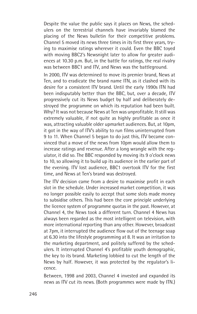Despite the value the public says it places on News, the schedulers on the terrestrial channels have invariably blamed the placing of the News bulletin for their competitive problems. Channel 5 moved its news three times in its first three years, trying to maximise ratings wherever it could. Even the BBC toyed with moving BBC2's Newsnight later to allow for greater audiences at 10.30 p.m. But, in the battle for ratings, the real rivalry was between BBC1 and ITV, and News was the battleground.

In 2000, ITV was determined to move its premier brand, News at Ten, and to eradicate the brand name ITN, as it clashed with its desire for a consistent ITV brand. Until the early 1990s ITN had been indisputably better than the BBC, but, over a decade, ITV progressively cut its News budget by half and deliberately destroyed the programme on which its reputation had been built. Why? It was not because News at Ten was unprofitable. It still was extremely valuable, if not quite as highly profitable as once it was, attracting valuable older upmarket audiences. But, at 10pm, it got in the way of ITV's ability to run films uninterrupted from 9 to 11. When Channel 5 began to do just this, ITV became convinced that a move of the news from 10pm would allow them to increase ratings and revenue. After a long wrangle with the regulator, it did so. The BBC responded by moving its 9 o'clock news to 10, so allowing it to build up its audience in the earlier part of the evening. ITV lost audience, BBC1 overtook ITV for the first time, and News at Ten's brand was destroyed.

The ITV decision came from a desire to maximise profit in each slot in the schedule. Under increased market competition, it was no longer possible easily to accept that some slots made money to subsidise others. This had been the core principle underlying the licence system of programme quotas in the past. However, at Channel 4, the News took a different turn. Channel 4 News has always been regarded as the most intelligent on television, with more international reporting than any other. However, broadcast at 7pm, it interrupted the audience flow out of the teenage soap at 6.30 into the lifestyle programming at 8. It was an irritation to the marketing department, and politely suffered by the schedulers. It interrupted Channel 4's profitable youth demographic, the key to its brand. Marketing lobbied to cut the length of the News by half. However, it was protected by the regulator's licence.

Between, 1998 and 2003, Channel 4 invested and expanded its news as ITV cut its news. (Both programmes were made by ITN.)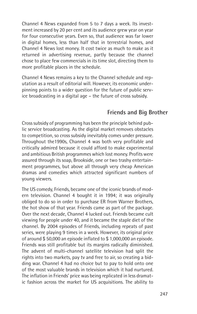Channel 4 News expanded from 5 to 7 days a week. Its investment increased by 20 per cent and its audience grew year on year for four consecutive years. Even so, that audience was far lower in digital homes, less than half that in terrestrial homes, and Channel 4 News lost money. It cost twice as much to make as it returned in advertising revenue, partly because the channel chose to place few commercials in its time slot, directing them to more profitable places in the schedule.

Channel 4 News remains a key to the Channel schedule and reputation as a result of editorial will. However, its economic underpinning points to a wider question for the future of public service broadcasting in a digital age – the future of cross subsidy.

## **Friends and Big Brother**

Cross subsidy of programming has been the principle behind public service broadcasting. As the digital market removes obstacles to competition, so cross subsidy inevitably comes under pressure. Throughout the1990s, Channel 4 was both very profitable and critically admired because it could afford to make experimental and ambitious British programmes which lost money. Profits were assured through its soap, Brookside, one or two trashy entertainment programmes, but above all through very cheap American dramas and comedies which attracted significant numbers of young viewers.

The US comedy, Friends, became one of the iconic brands of modern television. Channel 4 bought it in 1994; it was originally obliged to do so in order to purchase ER from Warner Brothers, the hot show of that year. Friends came as part of the package. Over the next decade, Channel 4 lucked out. Friends became cult viewing for people under 40, and it became the staple diet of the channel. By 2004 episodes of Friends, including repeats of past series, were playing 9 times in a week. However, its original price of around \$ 50,000 an episode inflated to \$ 1,000,000 an episode. Friends was still profitable but its margins radically diminished. The advent of multi-channel satellite television had split the rights into two markets, pay tv and free to air, so creating a bidding war. Channel 4 had no choice but to pay to hold onto one of the most valuable brands in television which it had nurtured. The inflation in Friends' price was being replicated in less dramatic fashion across the market for US acquisitions. The ability to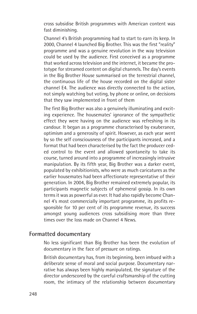cross subsidise British programmes with American content was fast diminishing.

Channel 4's British programming had to start to earn its keep. In 2000, Channel 4 launched Big Brother. This was the first "reality" programme and was a genuine revolution in the way television could be used by the audience. First conceived as a programme that worked across television and the internet, it became the prototype for streamed content on digital channels. The day's events in the Big Brother House summarised on the terrestrial channel, the continuous life of the house recorded on the digital sister channel E4. The audience was directly connected to the action, not simply watching but voting, by phone or online, on decisions that they saw implemented in front of them

The first Big Brother was also a genuinely illuminating and exciting experience. The housemates' ignorance of the sympathetic effect they were having on the audience was refreshing in its candour. It began as a programme characterised by exuberance, optimism and a generosity of spirit. However, as each year went by so the self consciousness of the participants increased, and a format that had been characterised by the fact the producer ceded control to the event and allowed spontaneity to take its course, turned around into a programme of increasingly intrusive manipulation. By its fifth year, Big Brother was a darker event, populated by exhibitionists, who were as much caricatures as the earlier housemates had been affectionate representative of their generation. In 2004, Big Brother remained extremely popular, its participants magnetic subjects of ephemeral gossip. In its own terms it was as powerful as ever. It had also rapidly become Channel 4's most commercially important programme, its profits responsible for 10 per cent of its programme revenue, its success amongst young audiences cross subsidising more than three times over the loss made on Channel 4 News.

#### **Formatted documentary**

No less significant than Big Brother has been the evolution of documentary in the face of pressure on ratings.

British documentary has, from its beginning, been imbued with a deliberate sense of moral and social purpose. Documentary narrative has always been highly manipulated, the signature of the director underscored by the careful craftsmanship of the cutting room, the intimacy of the relationship between documentary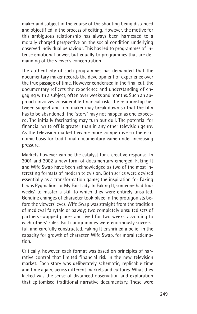maker and subject in the course of the shooting being distanced and objectified in the process of editing. However, the motive for this ambiguous relationship has always been harnessed to a morally charged perspective on the social condition underlying observed individual behaviour. This has led to programmes of intense emotional power, but equally to programmes that are demanding of the viewer's concentration.

The authenticity of such programmes has demanded that the documentary maker records the development of experience over the true passage of time. However condensed in the final cut, the documentary reflects the experience and understanding of engaging with a subject, often over weeks and months. Such an approach involves considerable financial risk; the relationship between subject and film maker may break down so that the film has to be abandoned; the "story" may not happen as one expected. The initially fascinating may turn out dull. The potential for financial write off is greater than in any other television genre. As the television market became more competitive so the economic basis for traditional documentary came under increasing pressure.

Markets however can be the catalyst for a creative response. In 2001 and 2002 a new form of documentary emerged. Faking It and Wife Swap have been acknowledged as two of the most interesting formats of modern television. Both series were devised essentially as a transformation game; the inspiration for Faking It was Pygmalion, or My Fair Lady. In Faking It, someone had four weeks' to master a skill to which they were entirely unsuited. Genuine changes of character took place in the protagonists before the viewers' eyes. Wife Swap was straight from the tradition of medieval fairytale or bawdy; two completely unsuited sets of partners swapped places and lived for two weeks' according to each others' rules. Both programmes were enormously successful, and carefully constructed. Faking It enshrined a belief in the capacity for growth of character, Wife Swap, for moral redemption.

Critically, however, each format was based on principles of narrative control that limited financial risk in the new television market. Each story was deliberately schematic, replicable time and time again, across different markets and cultures. What they lacked was the sense of distanced observation and exploration that epitomised traditional narrative documentary. These were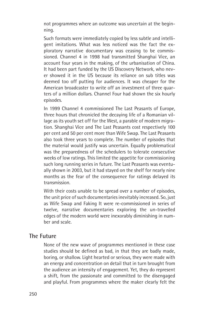not programmes where an outcome was uncertain at the beginning.

Such formats were immediately copied by less subtle and intelligent imitations. What was less noticed was the fact the exploratory narrative documentary was ceasing to be commissioned. Channel 4 in 1998 had transmitted Shanghai Vice, an account four years in the making, of the urbanisation of China. It had been part funded by the US Discovery Network, who never showed it in the US because its reliance on sub titles was deemed too off putting for audiences. It was cheaper for the American broadcaster to write off an investment of three quarters of a million dollars. Channel Four had shown the six hourly episodes.

In 1999 Channel 4 commissioned The Last Peasants of Europe, three hours that chronicled the decaying life of a Romanian village as its youth set off for the West, a parable of modern migration. Shanghai Vice and The Last Peasants cost respectively 100 per cent and 50 per cent more than Wife Swap. The Last Peasants also took three years to complete. The number of episodes that the material would justify was uncertain. Equally problematical was the preparedness of the schedulers to tolerate consecutive weeks of low ratings. This limited the appetite for commissioning such long running series in future. The Last Peasants was eventually shown in 2003, but it had stayed on the shelf for nearly nine months as the fear of the consequence for ratings delayed its transmission.

With their costs unable to be spread over a number of episodes. the unit price of such documentaries inevitably increased. So, just as Wife Swap and Faking It were re-commissioned in series of twelve, narrative documentaries exploring the un-travelled edges of the modern world were inexorably diminishing in number and scale.

### **The Future**

None of the new wave of programmes mentioned in these case studies should be defined as bad, in that they are badly made, boring, or shallow. Light hearted or serious, they were made with an energy and concentration on detail that in turn brought from the audience an intensity of engagement. Yet, they do represent a shift, from the passionate and committed to the disengaged and playful. From programmes where the maker clearly felt the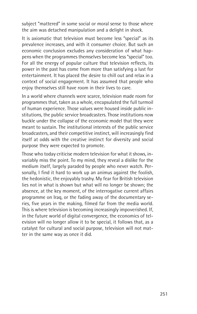subject "mattered" in some social or moral sense to those where the aim was detached manipulation and a delight in shock.

It is axiomatic that television must become less "special" as its prevalence increases, and with it consumer choice. But such an economic conclusion excludes any consideration of what happens when the programmes themselves become less "special" too. For all the energy of popular culture that television reflects, its power in the past has come from more than satisfying a lust for entertainment. It has placed the desire to chill out and relax in a context of social engagement. It has assumed that people who enjoy themselves still have room in their lives to care.

In a world where channels were scarce, television made room for programmes that, taken as a whole, encapsulated the full turmoil of human experience. Those values were housed inside public institutions, the public service broadcasters. Those institutions now buckle under the collapse of the economic model that they were meant to sustain. The institutional interests of the public service broadcasters, and their competitive instinct, will increasingly find itself at odds with the creative instinct for diversity and social purpose they were expected to promote.

Those who today criticise modern television for what it shows, invariably miss the point. To my mind, they reveal a dislike for the medium itself, largely paraded by people who never watch. Personally, I find it hard to work up an animus against the foolish, the hedonistic, the enjoyably trashy. My fear for British television lies not in what is shown but what will no longer be shown; the absence, at the key moment, of the interrogative current affairs programme on Iraq, or the fading away of the documentary series, five years in the making, filmed far from the media world. This is where television is becoming increasingly impoverished. If, in the future world of digital convergence, the economics of television will no longer allow it to be special, it follows that, as a catalyst for cultural and social purpose, television will not matter in the same way as once it did.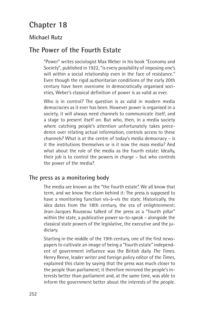# **Chapter 18**

## **Michael Rutz**

# **The Power of the Fourth Estate**

"Power" writes sociologist Max Weber in his book "Economy and Society", published in 1922, "is every possibility of imposing one's will within a social relationship even in the face of resistance." Even though the rigid authoritarian conditions of the early 20th century have been overcome in democratically organised societies, Weber's classical definition of power is as valid as ever.

Who is in control? The question is as valid in modern media democracies as it ever has been. However power is organised in a society, it will always need channels to communicate itself, and a stage to present itself on. But who, then, in a media society where catching people's attention unfortunately takes precedence over relating actual information, controls access to these channels? What is at the centre of today's media democracy – is it the institutions themselves or is it now the mass media? And what about the role of the media as the fourth estate: Ideally, their job is to control the powers in charge – but who controls the power of the media?

#### **The press as a monitoring body**

The media are known as the "the fourth estate". We all know that term, and we know the claim behind it: The press is supposed to have a monitoring function vis-à-vis the state. Historically, the idea dates from the 18th century, the era of enlightenment: Jean-Jacques Rousseau talked of the press as a "fourth pillar" within the state, a publicative power so-to-speak – alongside the classical state powers of the legislative, the executive and the judiciary.

Starting in the middle of the 19th century, one of the first newspapers to cultivate an image of being a "fourth estate" independent of government influence was the British daily *The Times.* Henry Reeve, leader writer and foreign policy editor of the *Times*, explained this claim by saying that the press was much closer to the people than parliament; it therefore mirrored the people's interests better than parliament and, at the same time, was able to inform the government better about the interests of the people.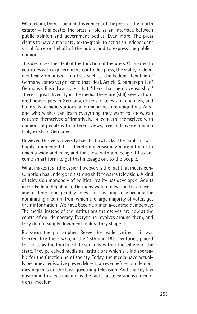What claim, then, is behind this concept of the press as the fourth estate? – It allocates the press a role as an interface between public opinion and government bodies. Even more: The press claims to have a mandate, so-to-speak, to act as an independent social force on behalf of the public and to express the public's opinion.

This describes the ideal of the function of the press. Compared to countries with a government-controlled press, the reality in democratically organised countries such as the Federal Republic of Germany comes very close to that ideal. Article 5, paragraph 1, of Germany's Basic Law states that "there shall be no censorship." There is great diversity in the media, there are (still) several hundred newspapers in Germany, dozens of television channels, and hundreds of radio stations, and magazines are ubiquitous. Anyone who wishes can learn everything they want to know, can educate themselves affirmatively, or concern themselves with opinions of people with different views; free and diverse opinion truly exists in Germany.

However, this very diversity has its drawbacks: The public now is highly fragmented. It is therefore increasingly more difficult to reach a wide audience, and for those with a message it has become an art form to get that message out to the people.

What makes it a little easier, however, is the fact that media consumption has undergone a strong shift towards television. A kind of television monopoly of political reality has developed. Adults in the Federal Republic of Germany watch television for an average of three hours per day. Television has long since become the dominating medium from which the large majority of voters get their information. We have become a media-centred democracy: The media, instead of the institutions themselves, are now at the centre of our democracy. Everything revolves around them, and they do not simply document reality. They shape it.

Rousseau the philosopher, Reeve the leader writer – it was thinkers like these who, in the 18th and 19th centuries, placed the press as the fourth estate squarely within the sphere of the state. They perceived media as institutions which are indispensable for the functioning of society. Today, the media have actually become a legislative power: More than ever before, our democracy depends on the laws governing television. And the key law governing this lead medium is the fact that television is an emotional medium.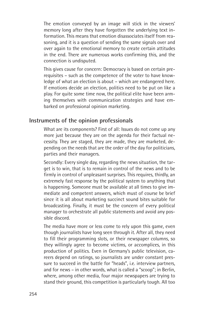The emotion conveyed by an image will stick in the viewers' memory long after they have forgotten the underlying text information. This means that emotion disassociates itself from reasoning, and it is a question of sending the same signals over and over again to the emotional memory to create certain attitudes in the end. There are numerous works confirming this, and the connection is undisputed.

This gives cause for concern: Democracy is based on certain prerequisites – such as the competence of the voter to have knowledge of what an election is about – which are endangered here. If emotions decide an election, politics need to be put on like a play. For quite some time now, the political elite have been arming themselves with communication strategies and have embarked on professional opinion marketing.

#### **Instruments of the opinion professionals**

What are its components? First of all: Issues do not come up any more just because they are on the agenda for their factual necessity. They are staged, they are made, they are marketed, depending on the needs that are the order of the day for politicians, parties and their managers.

Secondly: Every single day, regarding the news situation, the target is to win, that is to remain in control of the news and to be firmly in control of unpleasant surprises. This requires, thirdly, an extremely fast response by the political system to anything that is happening. Someone must be available at all times to give immediate and competent answers, which must of course be brief since it is all about marketing succinct sound bites suitable for broadcasting. Finally, it must be the concern of every political manager to orchestrate all public statements and avoid any possible discord.

The media have more or less come to rely upon this game, even though journalists have long seen through it. After all, they need to fill their programming slots, or their newspaper columns, so they willingly agree to become victims, or accomplices, in this production of politics. Even in Germany's public television, careers depend on ratings, so journalists are under constant pressure to succeed in the battle for "heads", i.e. interview partners, and for news – in other words, what is called a "scoop"; in Berlin, where, among other media, four major newspapers are trying to stand their ground, this competition is particularly tough. All too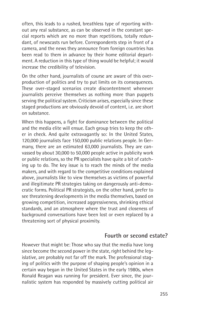often, this leads to a rushed, breathless type of reporting without any real substance, as can be observed in the constant special reports which are no more than repetitions, totally redundant, of newscasts run before. Correspondents step in front of a camera, and the news they announce from foreign countries has been read to them in advance by their home editorial department. A reduction in this type of thing would be helpful; it would increase the credibility of television.

On the other hand, journalists of course are aware of this overproduction of politics and try to put limits on its consequences. These over-staged scenarios create discontentment whenever journalists perceive themselves as nothing more than puppets serving the political system. Criticism arises, especially since these staged productions are obviously devoid of content, i.e. are short on substance.

When this happens, a fight for dominance between the political and the media elite will ensue. Each group tries to keep the other in check. And quite extravagantly so: In the United States, 120,000 journalists face 150,000 public relations people. In Germany, there are an estimated 63,000 journalists. They are canvassed by about 30,000 to 50,000 people active in publicity work or public relations, so the PR specialists have quite a bit of catching up to do. The key issue is to reach the minds of the media makers, and with regard to the competitive conditions explained above, journalists like to view themselves as victims of powerful and illegitimate PR strategies taking on dangerously anti-democratic forms. Political PR strategists, on the other hand, prefer to see threatening developments in the media themselves, based on growing competition, increased aggressiveness, shrinking ethical standards, and an atmosphere where the trust and closeness of background conversations have been lost or even replaced by a threatening sort of physical proximity.

#### **Fourth or second estate?**

However that might be: Those who say that the media have long since become the second power in the state, right behind the legislative, are probably not far off the mark. The professional staging of politics with the purpose of shaping people's opinion in a certain way began in the United States in the early 1980s, when Ronald Reagan was running for president. Ever since, the journalistic system has responded by massively cutting political air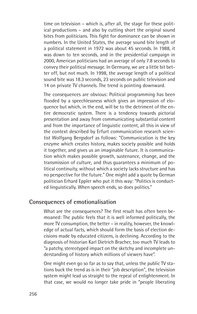time on television – which is, after all, the stage for these political productions – and also by cutting short the original sound bites from politicians. This fight for dominance can be shown in numbers. In the United States, the average sound bite length of a political statement in 1972 was about 45 seconds. In 1988, it was down to ten seconds, and in the presidential campaign in 2000, American politicians had an average of only 7.8 seconds to convey their political message. In Germany, we are a little bit better off, but not much. In 1998, the average length of a political sound bite was 18.3 seconds, 23 seconds on public television and 14 on private TV channels. The trend is pointing downward.

The consequences are obvious: Political programming has been flooded by a speechlessness which gives an impression of eloquence but which, in the end, will be to the detriment of the entire democratic system. There is a tendency towards pictorial presentation and away from communicating substantial content and from the importance of linguistic content, all this in view of the context described by Erfurt communication research scientist Wolfgang Bergsdorf as follows: "Communication is the key enzyme which creates history, makes society possible and holds it together, and gives us an imaginable future. It is communication which makes possible growth, sustenance, change, and the transmission of culture, and thus guarantees a minimum of political continuity, without which a society lacks structure and has no perspective for the future." One might add a quote by German politician Erhard Eppler who put it this way: "Politics is conducted linguistically. When speech ends, so does politics."

#### **Consequences of emotionalisation**

What are the consequences? The first result has often been bemoaned: The public feels that it is well informed politically, the more TV consumption, the better – in reality, however, the knowledge of actual facts, which should form the basis of election decisions made by educated citizens, is declining. According to the diagnosis of historian Karl Dietrich Bracher, too much TV leads to "a patchy, stereotyped impact on the sketchy and incomplete understanding of history which millions of viewers have".

One might even go so far as to say that, unless the public TV stations buck the trend as is in their "job description", the television system might lead us straight to the repeal of enlightenment. In that case, we would no longer take pride in "people liberating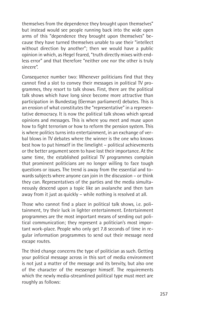themselves from the dependence they brought upon themselves" but instead would see people running back into the wide open arms of this "dependence they brought upon themselves" because they have turned themselves unable to use their "intellect without direction by another"; then we would have a public opinion in which, as Hegel feared, "truth directly mixes with endless error" and that therefore "neither one nor the other is truly sincere".

Consequence number two: Whenever politicians find that they cannot find a slot to convey their messages in political TV programmes, they resort to talk shows. First, there are the political talk shows which have long since become more attractive than participation in Bundestag (German parliament) debates. This is an erosion of what constitutes the "representative" in a representative democracy. It is now the political talk shows which spread opinions and messages. This is where you meet and muse upon how to fight terrorism or how to reform the pension system. This is where politics turns into entertainment, in an exchange of verbal blows in TV debates where the winner is the one who knows best how to put himself in the limelight – political achievements or the better argument seem to have lost their importance. At the same time, the established political TV programmes complain that prominent politicians are no longer willing to face tough questions or issues. The trend is away from the essential and towards subjects where anyone can join in the discussion – or think they can. Representatives of the parties and the media simultaneously descend upon a topic like an avalanche and then turn away from it just as quickly – while nothing is resolved at all.

Those who cannot find a place in political talk shows, i.e. politainment, try their luck in lighter entertainment. Entertainment programmes are the most important means of sending out political communication; they represent a politician's most important work-place. People who only get 7.8 seconds of time in regular information programmes to send out their message need escape routes.

The third change concerns the type of politician as such. Getting your political message across in this sort of media environment is not just a matter of the message and its brevity, but also one of the character of the messenger himself. The requirements which the newly media-streamlined political type must meet are roughly as follows: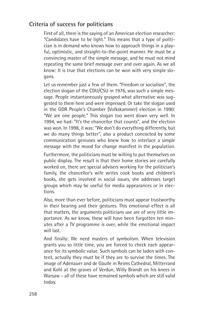## **Criteria of success for politicians**

First of all, there is the saying of an American election researcher: "Candidates have to be light." This means that a type of politician is in demand who knows how to approach things in a playful, optimistic, and straight-to-the-point manner. He must be a convincing master of the simple message, and he must not mind repeating the same brief message over and over again. As we all know: It is true that elections can be won with very simple slogans.

Let us remember just a few of them. "Freedom or socialism", the election slogan of the CDU/CSU in 1976, was such a simple message. People instantaneously grasped what alternative was suggested to them here and were impressed. Or take the slogan used in the GDR People's Chamber (Volkskammer) election in 1990: "We are one people." This slogan too went down very well. In 1994, we had: "It's the chancellor that counts", and the election was won. In 1998, it was: "We don't do everything differently, but we do many things better", also a product concocted by some communication geniuses who knew how to interlace a simple message with the mood for change manifest in the population.

Furthermore, the politicians must be willing to put themselves on public display. The result is that their home stories are carefully worked on, there are special advisers working for the politician's family, the chancellor's wife writes cook books and children's books, she gets involved in social issues, she addresses target groups which may be useful for media appearances or in elections.

Also, more than ever before, politicians must appear trustworthy in their bearing and their gestures. This emotional effect is all that matters, the arguments politicians use are of very little importance. As we know, these will have been forgotten ten minutes after a TV programme is over, while the emotional impact will last.

And finally: We need masters of symbolism. When television grants you so little time, you are forced to check each appearance for its symbolic value. Such symbols can be laden with content, actually they must be if they are to survive the times. The image of Adenauer and de Gaulle in Reims Cathedral, Mitterrand and Kohl at the graves of Verdun, Willy Brandt on his knees in Warsaw – all of these have remained symbols which are still valid today.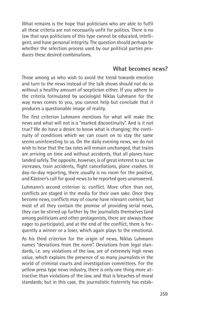What remains is the hope that politicians who are able to fulfil all these criteria are not necessarily unfit for politics. There is no law that says politicians of this type cannot be educated, intelligent, and have personal integrity. The question should perhaps be whether the selection process used by our political parties produces these desired combinations.

#### **What becomes news?**

Those among us who wish to avoid the trend towards emotion and turn to the news instead of the talk shows should not do so without a healthy amount of scepticism either. If you adhere to the criteria formulated by sociologist Niklas Luhmann for the way news comes to you, you cannot help but conclude that it produces a questionable image of reality.

The first criterion Luhmann mentions for what will make the news and what will not is a "marked discontinuity". And is it not true? We do have a desire to know what is changing; the continuity of conditions which we can count on to stay the same seems uninteresting to us. On the daily evening news, we do not wish to hear that the tax rates will remain unchanged, that trains are arriving on time and without accidents, that all planes have landed safely. The opposite, however, is of great interest to us: tax increases, train accidents, flight cancellations, plane crashes. In day-to-day reporting, there usually is no room for the positive, and Kästner's call for good news to be reported goes unanswered.

Luhmann's second criterion is: conflict. More often than not, conflicts are staged in the media for their own sake. Once they become news, conflicts may of course have relevant content, but most of all they contain the promise of providing serial news, they can be stirred up further by the journalists themselves (and among politicians and other protagonists, there are always those eager to participate), and at the end of the conflict, there is frequently a winner or a loser, which again plays to the emotional.

As his third criterion for the origin of news, Niklas Luhmann names "deviations from the norm". Deviations from legal standards, i.e. any violations of the law, are of extremely high news value, which explains the presence of so many journalists in the world of criminal courts and investigation committees. For the yellow press type news industry, there is only one thing more attractive than violations of the law, and that is breaches of moral standards; but in this case, the journalistic fraternity has estab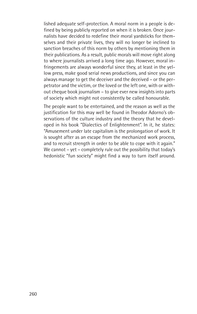lished adequate self-protection. A moral norm in a people is defined by being publicly reported on when it is broken. Once journalists have decided to redefine their moral yardsticks for themselves and their private lives, they will no longer be inclined to sanction breaches of this norm by others by mentioning them in their publications. As a result, public morals will move right along to where journalists arrived a long time ago. However, moral infringements are always wonderful since they, at least in the yellow press, make good serial news productions, and since you can always manage to get the deceiver and the deceived – or the perpetrator and the victim, or the loved or the left one, with or without cheque book journalism – to give ever new insights into parts of society which might not consistently be called honourable.

The people want to be entertained, and the reason as well as the justification for this may well be found in Theodor Adorno's observations of the culture industry and the theory that he developed in his book "Dialectics of Enlightenment". In it, he states: "Amusement under late capitalism is the prolongation of work. It is sought after as an escape from the mechanized work process, and to recruit strength in order to be able to cope with it again." We cannot – yet – completely rule out the possibility that today's hedonistic "fun society" might find a way to turn itself around.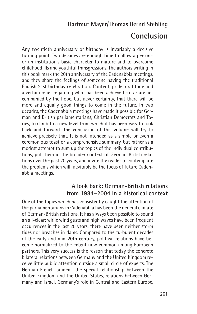## **Hartmut Mayer/Thomas Bernd Stehling**

# **Conclusion**

Any twentieth anniversary or birthday is invariably a decisive turning point. Two decades are enough time to allow a person's or an institution's basic character to mature and to overcome childhood ills and youthful transgressions. The authors writing in this book mark the 20th anniversary of the Cadenabbia meetings, and they share the feelings of someone having the traditional English 21st birthday celebration: Content, pride, gratitude and a certain relief regarding what has been achieved so far are accompanied by the hope, but never certainty, that there will be more and equally good things to come in the future. In two decades, the Cadenabbia meetings have made it possible for German and British parliamentarians, Christian Democrats and Tories, to climb to a new level from which it has been easy to look back and forward. The conclusion of this volume will try to achieve precisely that. It is not intended as a simple or even a ceremonious toast or a comprehensive summary, but rather as a modest attempt to sum up the topics of the individual contributions, put them in the broader context of German-British relations over the past 20 years, and invite the reader to contemplate the problems which will inevitably be the focus of future Cadenabbia meetings.

### **A look back: German-British relations from 1984–2004 in a historical context**

One of the topics which has consistently caught the attention of the parliamentarians in Cadenabbia has been the general climate of German-British relations. It has always been possible to sound an all-clear: while wind gusts and high waves have been frequent occurrences in the last 20 years, there have been neither storm tides nor breaches in dams. Compared to the turbulent decades of the early and mid-20th century, political relations have become normalized to the extent now common among European partners. This very success is the reason that today the concrete bilateral relations between Germany and the United Kingdom receive little public attention outside a small circle of experts. The German-French tandem, the special relationship between the United Kingdom and the United States, relations between Germany and Israel, Germany's role in Central and Eastern Europe,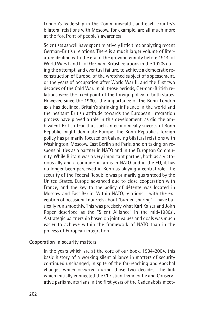London's leadership in the Commonwealth, and each country's bilateral relations with Moscow, for example, are all much more at the forefront of people's awareness.

Scientists as well have spent relatively little time analyzing recent German-British relations. There is a much larger volume of literature dealing with the era of the growing enmity before 1914, of World Wars I and II, of German-British relations in the 1920s during the attempt, and eventual failure, to achieve a democratic reconstruction of Europe, of the wretched subject of appeasement, or the years of occupation after World War II, and the first two decades of the Cold War. In all those periods, German-British relations were the fixed point of the foreign policy of both states. However, since the 1960s, the importance of the Bonn-London axis has declined. Britain's shrinking influence in the world and the hesitant British attitude towards the European integration process have played a role in this development, as did the ambivalent British fear that such an economically successful Bonn Republic might dominate Europe. The Bonn Republic's foreign policy has primarily focused on balancing bilateral relations with Washington, Moscow, East Berlin and Paris, and on taking on responsibilities as a partner in NATO and in the European Community. While Britain was a very important partner, both as a victorious ally and a comrade-in-arms in NATO and in the EU, it has no longer been perceived in Bonn as playing a central role. The security of the Federal Republic was primarily guaranteed by the United States, Europe advanced due to close cooperation with France, and the key to the policy of détente was located in Moscow and East Berlin. Within NATO, relations – with the exception of occasional quarrels about "burden sharing" – have basically run smoothly. This was precisely what Karl Kaiser and John Roper described as the "Silent Alliance" in the mid-1980s<sup>1</sup>. A strategic partnership based on joint values and goals was much easier to achieve within the framework of NATO than in the process of European integration.

#### **Cooperation in security matters**

In the years which are at the core of our book, 1984-2004, this basic history of a working silent alliance in matters of security continued unchanged, in spite of the far-reaching and epochal changes which occurred during those two decades. The link which initially connected the Christian Democratic and Conservative parliamentarians in the first years of the Cadenabbia meet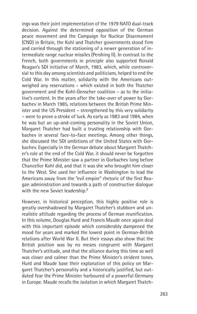ings was their joint implementation of the 1979 NATO dual-track decision. Against the determined opposition of the German peace movement and the Campaign for Nuclear Disarmament (CND) in Britain, the Kohl and Thatcher governments stood firm and carried through the stationing of a newer generation of intermediate range nuclear missiles (Pershing II). In contrast to the French, both governments in principle also supported Ronald Reagan's SDI initiative of March, 1983, which, while controversial to this day among scientists and politicians, helped to end the Cold War. In this matter, solidarity with the Americans outweighed any reservations – which existed in both the Thatcher government and the Kohl-Genscher coalition – as to the initiative's content. In the years after the take-over of power by Gorbachev in March 1985, relations between the British Prime Minister and the US President – strengthened by this very solidarity – were to prove a stroke of luck. As early as 1983 and 1984, when he was but an up-and-coming personality in the Soviet Union, Margaret Thatcher had built a trusting relationship with Gorbachev in several face-to-face meetings. Among other things, she discussed the SDI ambitions of the United States with Gorbachev. Especially in the German debate about Margaret Thatcher's role at the end of the Cold War, it should never be forgotten that the Prime Minister saw a partner in Gorbachev long before Chancellor Kohl did, and that it was she who brought him closer to the West. She used her influence in Washington to lead the Americans away from the "evil empire" rhetoric of the first Reagan administration and towards a path of constructive dialogue with the new Soviet leadership.<sup>2</sup>

However, in historical perception, this highly positive role is greatly overshadowed by Margaret Thatcher's stubborn and unrealistic attitude regarding the process of German reunification. In this volume, Douglas Hurd and Francis Maude once again deal with this important episode which considerably dampened the mood for years and marked the lowest point in German-British relations after World War II. But their essays also show that the British position was by no means congruent with Margaret Thatcher's attitude, and that the alliance during this time as well was closer and calmer than the Prime Minister's strident tones. Hurd and Maude base their explanation of this policy on Margaret Thatcher's personality and a historically justified, but outdated fear the Prime Minister harboured of a powerful Germany in Europe. Maude recalls the isolation in which Margaret Thatch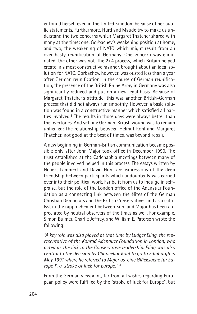er found herself even in the United Kingdom because of her public statements. Furthermore, Hurd and Maude try to make us understand the two concerns which Margaret Thatcher shared with many at the time: one, Gorbachev's weakening position at home, and two, the weakening of NATO which might result from an over-hasty reunification of Germany. One concern was eliminated, the other was not. The 2+4 process, which Britain helped create in a most constructive manner, brought about an ideal solution for NATO. Gorbachev, however, was ousted less than a year after German reunification. In the course of German reunification, the presence of the British Rhine Army in Germany was also significantly reduced and put on a new legal basis. Because of Margaret Thatcher's attitude, this was another British-German process that did not always run smoothly. However, a basic solution was found in a constructive manner which satisfied all parties involved.3 The results in those days were always better than the overtones. And yet one German-British wound was to remain unhealed: The relationship between Helmut Kohl and Margaret Thatcher, not good at the best of times, was beyond repair.

A new beginning in German-British communication became possible only after John Major took office in December 1990. The trust established at the Cadenabbia meetings between many of the people involved helped in this process. The essays written by Nobert Lammert and David Hunt are expressions of the deep friendship between participants which undoubtedly was carried over into their political work. Far be it from us to indulge in selfpraise, but the role of the London office of the Adenauer Foundation as a connecting link between the élites of the German Christian Democrats and the British Conservatives and as a catalyst in the rapprochement between Kohl and Major has been appreciated by neutral observers of the times as well. For example, Simon Bulmer, Charlie Jeffrey, and William E. Paterson wrote the following:

*"A key role was also played at that time by Ludger Eling, the representative of the Konrad Adenauer Foundation in London, who acted as the link to the Conservative leadership. Eling was also central to the decision by Chancellor Kohl to go to Edinburgh in May 1991 where he referred to Major as 'eine Glücksache für Europe !', a 'stroke of luck for Europe'."* <sup>4</sup>

From the German viewpoint, far from all wishes regarding European policy were fulfilled by the "stroke of luck for Europe", but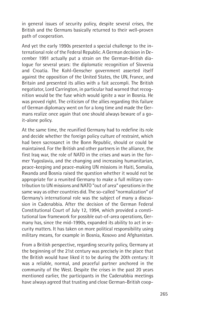in general issues of security policy, despite several crises, the British and the Germans basically returned to their well-proven path of cooperation.

And yet the early 1990s presented a special challenge to the international role of the Federal Republic. A German decision in December 1991 actually put a strain on the German-British dialogue for several years: the diplomatic recognition of Slovenia and Croatia. The Kohl-Genscher government asserted itself against the opposition of the United States, the UN, France, and Britain and presented its allies with a fait accompli. The British negotiator, Lord Carrington, in particular had warned that recognition would be the fuse which would ignite a war in Bosnia. He was proved right. The criticism of the allies regarding this failure of German diplomacy went on for a long time and made the Germans realize once again that one should always beware of a goit-alone policy.

At the same time, the reunified Germany had to redefine its role and decide whether the foreign policy culture of restraint, which had been sacrosanct in the Bonn Republic, should or could be maintained. For the British and other partners in the alliance, the first Iraq war, the role of NATO in the crises and wars in the former Yugoslavia, and the changing and increasing humanitarian, peace-keeping and peace-making UN missions in Haiti, Somalia, Rwanda and Bosnia raised the question whether it would not be appropriate for a reunited Germany to make a full military contribution to UN missions and NATO "out of area" operations in the same way as other countries did. The so-called "normalization" of Germany's international role was the subject of many a discussion in Cadenabbia. After the decision of the German Federal Constitutional Court of July 12, 1994, which provided a constitutional law framework for possible out-of-area operations, Germany has, since the mid-1990s, expanded its ability to act in security matters. It has taken on more political responsibility using military means, for example in Bosnia, Kosovo and Afghanistan.

From a British perspective, regarding security policy, Germany at the beginning of the 21st century was precisely in the place that the British would have liked it to be during the 20th century: It was a reliable, normal, and peaceful partner anchored in the community of the West. Despite the crises in the past 20 years mentioned earlier, the participants in the Cadenabbia meetings have always agreed that trusting and close German-British coop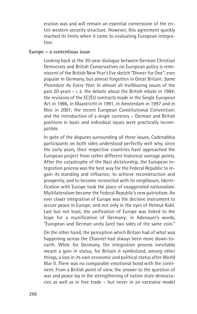eration was and will remain an essential cornerstone of the entire western security structure. However, this agreement quickly reached its limits when it came to evaluating European integration.

#### **Europe – a contentious issue**

Looking back at the 20-year dialogue between German Christian Democrats and British Conservatives on European policy is reminiscent of the British New Year's Eve sketch "Dinner for One", ever popular in Germany, but almost forgotten in Great Britain: *Same Procedure As Every Year*. In almost all trailblazing issues of the past 20 years – i. e. the debate about the British rebate in 1984; the revisions of the EC/EU contracts made in the Single European Act in 1986, in Maastricht in 1991, in Amsterdam in 1997 and in Nice in 2001; the recent European Constitutional Convention; and the introduction of a single currency – German and British positions in basic and individual issues were practically incompatible.

In spite of the disputes surrounding all these issues, Cadenabbia participants on both sides understood perfectly well why, since the early years, their respective countries have approached the European project from rather different historical vantage points. After the catastrophe of the Nazi dictatorship, the European integration process was the best way for the Federal Republic to regain its standing and influence, to achieve reconstruction and prosperity, and to become reconciled with its neighbours. Identification with Europe took the place of exaggerated nationalism. Multilateralism became the Federal Republic's new patriotism. An ever closer integration of Europe was the decisive instrument to secure peace in Europe, and not only in the eyes of Helmut Kohl. Last but not least, the unification of Europe was linked to the hope for a reunification of Germany; in Adenauer's words, "European and German unity (are) two sides of the same coin."

On the other hand, the perception which Britain had of what was happening across the Channel had always been more down-toearth. While for Germany, the integration process inevitably meant a gain in status, for Britain it symbolized, among other things, a loss in its own economic and political status after World War II. There was no comparable emotional bond with the continent. From a British point of view, the answer to the question of war and peace lay in the strengthening of nation state democracies as well as in free trade – but never in an excessive model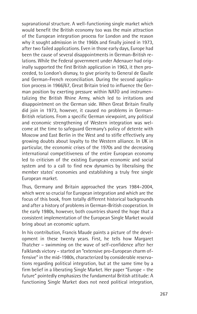supranational structure. A well-functioning single market which would benefit the British economy too was the main attraction of the European integration process for London and the reason why it sought admission in the 1960s and finally joined in 1973, after two failed applications. Even in those early days, Europe had been the cause of several disappointments in German-British relations. While the Federal government under Adenauer had originally supported the first British application in 1963, it then proceeded, to London's dismay, to give priority to General de Gaulle and German-French reconciliation. During the second application process in 1966/67, Great Britain tried to influence the German position by exerting pressure within NATO and instrumentalizing the British Rhine Army, which led to irritations and disappointment on the German side. When Great Britain finally did join in 1973, however, it caused no problems in German-British relations. From a specific German viewpoint, any political and economic strengthening of Western integration was welcome at the time to safeguard Germany's policy of detente with Moscow and East Berlin in the West and to stifle effectively any growing doubts about loyalty to the Western alliance. In UK in particular, the economic crises of the 1970s and the decreasing international competitiveness of the entire European economy led to criticism of the existing European economic and social system and to a call to find new dynamics by liberalising the member states' economies and establishing a truly free single European market.

Thus, Germany and Britain approached the years 1984–2004, which were so crucial for European integration and which are the focus of this book, from totally different historical backgrounds and after a history of problems in German-British cooperation. In the early 1980s, however, both countries shared the hope that a consistent implementation of the European Single Market would bring about an economic upturn.

In his contribution, Francis Maude paints a picture of the development in these twenty years. First, he tells how Margaret Thatcher – swimming on the wave of self-confidence after her Falklands victory – started an "extensive pro-European charm offensive" in the mid-1980s, characterized by considerable reservations regarding political integration, but at the same time by a firm belief in a liberating Single Market. Her paper "Europe – the future" pointedly emphasizes the fundamental British attitude: A functioning Single Market does not need political integration,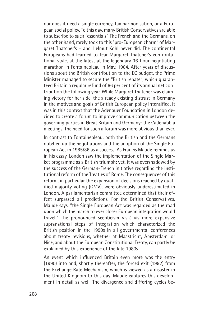nor does it need a single currency, tax harmonisation, or a European social policy. To this day, many British Conservatives are able to subscribe to such "essentials". The French and the Germans, on the other hand, rarely took to this "pro-European charm" of Margaret Thatcher's – and Helmut Kohl never did. The continental Europeans had learned to fear Margaret Thatcher's confrontational style, at the latest at the legendary 36-hour negotiating marathon in Fontainebleau in May, 1984. After years of discussions about the British contribution to the EC budget, the Prime Minister managed to secure the "British rebate", which guaranteed Britain a regular refund of 66 per cent of its annual net contribution the following year. While Margaret Thatcher was claiming victory for her side, the already existing distrust in Germany in the motives and goals of British European policy intensified. It was in this context that the Adenauer Foundation in London decided to create a forum to improve communication between the governing parties in Great Britain and Germany: the Cadenabbia meetings. The need for such a forum was more obvious than ever.

In contrast to Fontainebleau, both the British and the Germans notched up the negotiations and the adoption of the Single European Act in 1985/86 as a success. As Francis Maude reminds us in his essay, London saw the implementation of the Single Market programme as a British triumph; yet, it was overshadowed by the success of the German-French initiative regarding the institutional reform of the Treaties of Rome. The consequences of this reform, in particular the expansion of decisions reached by qualified majority voting (QMV), were obviously underestimated in London. A parliamentarian committee determined that their effect surpassed all predictions. For the British Conservatives, Maude says, "the Single European Act was regarded as the road upon which the march to ever closer European integration would travel." The pronounced scepticism vis-à-vis more expansive supranational steps of integration which characterized the British position in the 1990s in all governmental conferences about treaty revisions, whether at Maastricht, Amsterdam, or Nice, and about the European Constitutional Treaty, can partly be explained by this experience of the late 1980s.

An event which influenced Britain even more was the entry (1990) into and, shortly thereafter, the forced exit (1992) from the Exchange Rate Mechanism, which is viewed as a disaster in the United Kingdom to this day. Maude captures this development in detail as well. The divergence and differing cycles be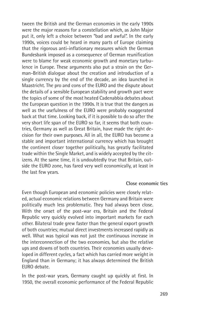tween the British and the German economies in the early 1990s were the major reasons for a constellation which, as John Major put it, only left a choice between "bad and awful". In the early 1990s, voices could be heard in many parts of Europe claiming that the rigorous anti-inflationary measures which the German Bundesbank imposed as a consequence of German reunification were to blame for weak economic growth and monetary turbulence in Europe. These arguments also put a strain on the German-British dialogue about the creation and introduction of a single currency by the end of the decade, an idea launched in Maastricht. The pro and cons of the EURO and the dispute about the details of a sensible European stability and growth pact were the topics of some of the most heated Cadenabbia debates about the European question in the 1990s. It is true that the dangers as well as the usefulness of the EURO were probably exaggerated back at that time. Looking back, if it is possible to do so after the very short life span of the EURO so far, it seems that both countries, Germany as well as Great Britain, have made the right decision for their own purposes. All in all, the EURO has become a stable and important international currency which has brought the continent closer together politically, has greatly facilitated trade within the Single Market, and is widely accepted by the citizens. At the same time, it is undoubtedly true that Britain, outside the EURO zone, has fared very well economically, at least in the last few years.

#### **Close economic ties**

Even though European and economic policies were closely related, actual economic relations between Germany and Britain were politically much less problematic. They had always been close. With the onset of the post-war era, Britain and the Federal Republic very quickly evolved into important markets for each other. Bilateral trade grew faster than the general export growth of both countries; mutual direct investments increased rapidly as well. What was typical was not just the continuous increase in the interconnection of the two economies, but also the relative ups and downs of both countries. Their economies usually developed in different cycles, a fact which has carried more weight in England than in Germany; it has always determined the British EURO debate.

In the post-war years, Germany caught up quickly at first. In 1950, the overall economic performance of the Federal Republic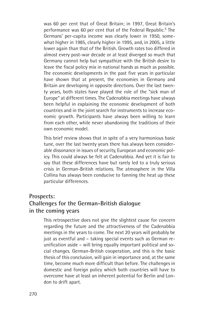was 60 per cent that of Great Britain; in 1997, Great Britain's performance was 60 per cent that of the Federal Republic.<sup>5</sup> The Germans' per-capita income was clearly lower in 1950, somewhat higher in 1985, clearly higher in 1995, and, in 2005, a little lower again than that of the British. Growth rates too differed in almost every post-war decade or at least diverged so much that Germany cannot help but sympathize with the British desire to leave the fiscal policy mix in national hands as much as possible. The economic developments in the past five years in particular have shown that at present, the economies in Germany and Britain are developing in opposite directions. Over the last twenty years, both states have played the role of the "sick man of Europe" at different times. The Cadenabbia meetings have always been helpful in explaining the economic development of both countries and in the joint search for instruments to increase economic growth. Participants have always been willing to learn from each other, while never abandoning the traditions of their own economic model.

This brief review shows that in spite of a very harmonious basic tune, over the last twenty years there has always been considerable dissonance in issues of security, European and economic policy. This could always be felt at Cadenabbia. And yet it is fair to say that these differences have but rarely led to a truly serious crisis in German-British relations. The atmosphere in the Villa Collina has always been conducive to fanning the heat up these particular differences.

## **Prospects: Challenges for the German-British dialogue in the coming years**

This retrospective does not give the slightest cause for concern regarding the future and the attractiveness of the Cadenabbia meetings in the years to come. The next 20 years will probably be just as eventful and – taking special events such as German reunification aside – will bring equally important political and social changes. German-British cooperation, and this is the basic thesis of this conclusion, will gain in importance and, at the same time, become much more difficult than before. The challenges in domestic and foreign policy which both countries will have to overcome have at least an inherent potential for Berlin and London to drift apart.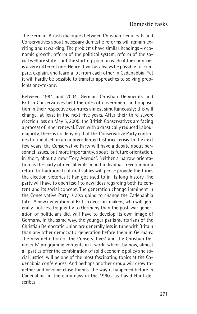The German-British dialogues between Christian Democrats and Conservatives about necessary domestic reforms will remain exciting and rewarding. The problems have similar headings – economic growth, reform of the political system, reform of the social welfare state – but the starting-point in each of the countries is a very different one. Hence it will as always be possible to compare, explain, and learn a lot from each other in Cadenabbia. Yet it will hardly be possible to transfer approaches to solving problems one-to-one.

Between 1984 and 2004, German Christian Democrats and British Conservatives held the roles of government and opposition in their respective countries almost simultaneously; this will change, at least in the next five years. After their third severe election loss on May 5, 2005, the British Conservatives are facing a process of inner renewal. Even with a drastically reduced Labour majority, there is no denying that the Conservative Party continues to find itself in an unprecedented historical crisis. In the next few years, the Conservative Party will have a debate about personnel issues, but more importantly, about its future orientation, in short, about a new "Tory Agenda". Neither a narrow orientation as the party of neo-liberalism and individual freedom nor a return to traditional cultural values will per se provide the Tories the election victories it had got used to in its long history. The party will have to open itself to new ideas regarding both its content and its social concept. The generation change imminent in the Conservative Party is also going to change the Cadenabbia talks. A new generation of British decision-makers, who will generally look less frequently to Germany than the post-war generation of politicians did, will have to develop its own image of Germany. In the same way, the younger parliamentarians of the Christian Democratic Union are generally less in tune with Britain than any other democratic generation before them in Germany. The new definition of the Conservatives' and the Christian Democrats' programme contents in a world where, by now, almost all parties offer the combination of solid economic policy and social justice, will be one of the most fascinating topics at the Cadenabbia conferences. And perhaps another group will grow together and become close friends, the way it happened before in Cadenabbia in the early days in the 1980s, as David Hunt describes.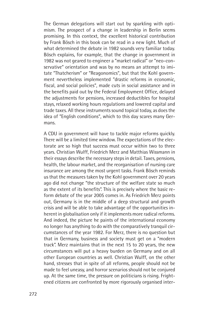The German delegations will start out by sparkling with optimism. The prospect of a change in leadership in Berlin seems promising. In this context, the excellent historical contribution by Frank Bösch in this book can be read in a new light. Much of what determined the debate in 1982 sounds very familiar today. Bösch explains, for example, that the change in government in 1982 was not geared to engineer a "market radical" or "neo-conservative" orientation and was by no means an attempt to imitate "Thatcherism" or "Reagonomics", but that the Kohl government nevertheless implemented "drastic reforms in economic, fiscal, and social policies", made cuts in social assistance and in the benefits paid out by the Federal Employment Office, delayed the adjustments for pensions, increased deductibles for hospital stays, relaxed working hours regulations and lowered capital and trade taxes. All these instruments sound topical today, as does the idea of "English conditions", which to this day scares many Germans.

A CDU in government will have to tackle major reforms quickly. There will be a limited time window. The expectations of the electorate are so high that success must occur within two to three years. Christian Wulff, Friedrich Merz and Matthias Wissmann in their essays describe the necessary steps in detail. Taxes, pensions, health, the labour market, and the reorganisation of nursing care insurance are among the most urgent tasks. Frank Bösch reminds us that the measures taken by the Kohl government over 20 years ago did not change "the structure of the welfare state so much as the extent of its benefits". This is precisely where the basic reform debate of the year 2005 comes in. As Friedrich Merz points out, Germany is in the middle of a deep structural and growth crisis and will be able to take advantage of the opportunities inherent in globalisation only if it implements more radical reforms. And indeed, the picture he paints of the international economy no longer has anything to do with the comparatively tranquil circumstances of the year 1982. For Merz, there is no question but that in Germany, business and society must get on a "modern track". Merz maintains that in the next 15 to 20 years, the new circumstances will put a heavy burden on Germany and on all other European countries as well. Christian Wulff, on the other hand, stresses that in spite of all reforms, people should not be made to feel uneasy, and horror scenarios should not be conjured up. At the same time, the pressure on politicians is rising. Frightened citizens are confronted by more rigorously organised inter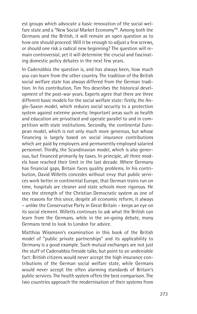est groups which advocate a basic renovation of the social welfare state and a "New Social Market Economy"6. Among both the Germans and the British, it will remain an open question as to how one should proceed: Will it be enough to adjust a few screws, or should one risk a radical new beginning? The question will remain controversial, yet it will determine the crucial and fascinating domestic policy debates in the next few years.

In Cadenabbia the question is, and has always been, how much you can learn from the other country. The tradition of the British social welfare state has always differed from the German tradition. In his contribution, Tim Yeo describes the historical development of the post-war years. Experts agree that there are three different basic models for the social welfare state: firstly, the Anglo-Saxon model, which reduces social security to a protection system against extreme poverty. Important areas such as health and education are privatised and operate parallel to and in competition with state institutions. Secondly, the continental European model, which is not only much more generous, but whose financing is largely based on social insurance contributions which are paid by employers and permanently employed salaried personnel. Thirdly, the Scandinavian model, which is also generous, but financed primarily by taxes. In principle, all three models have reached their limit in the last decade. Where Germany has financial gaps, Britain faces quality problems. In his contribution, David Willetts concedes without envy that public services work better in continental Europe, that German trains run on time, hospitals are cleaner and state schools more rigorous. He sees the strength of the Christian Democratic system as one of the reasons for this since, despite all economic reform, it always – unlike the Conservative Party in Great Britain – keeps an eye on its social element. Willetts continues to ask what the British can learn from the Germans, while in the on-going debate, many Germans tend to look to London for advice.

Matthias Wissmann's examination in this book of the British model of "public private partnerships" and its applicability to Germany is a good example. Such mutual exchanges are not just the stuff of Cadenabbia fireside talks, but point to an undeniable fact: British citizens would never accept the high insurance contributions of the German social welfare state, while Germans would never accept the often alarming standards of Britain's public services. The health system offers the best comparison. The two countries approach the modernisation of their systems from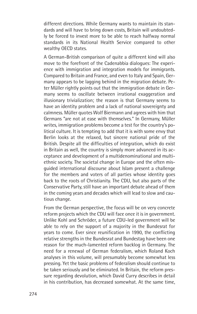different directions. While Germany wants to maintain its standards and will have to bring down costs, Britain will undoubtedly be forced to invest more to be able to reach halfway normal standards in its National Health Service compared to other wealthy OECD states.

A German-British comparison of quite a different kind will also move to the forefront of the Cadenabbia dialogues: The experience with immigration and integration models for immigrants. Compared to Britain and France, and even to Italy and Spain, Germany appears to be lagging behind in the migration debate. Peter Müller rightly points out that the immigration debate in Germany seems to oscillate between irrational exaggeration and illusionary trivialization; the reason is that Germany seems to have an identity problem and a lack of national sovereignty and calmness. Müller quotes Wolf Biermann and agrees with him that Germans "are not at ease with themselves." In Germany, Müller writes, immigration problems become a test for the country's political culture. It is tempting to add that it is with some envy that Berlin looks at the relaxed, but sincere national pride of the British. Despite all the difficulties of integration, which do exist in Britain as well, the country is simply more advanced in its acceptance and development of a multidenominational and multiethnic society. The societal change in Europe and the often misguided international discourse about Islam present a challenge for the members and voters of all parties whose identity goes back to the roots of Christianity. The CDU, but also parts of the Conservative Party, still have an important debate ahead of them in the coming years and decades which will lead to slow and cautious change.

From the German perspective, the focus will be on very concrete reform projects which the CDU will face once it is in government. Unlike Kohl and Schröder, a future CDU-led government will be able to rely on the support of a majority in the Bundesrat for years to come. Ever since reunification in 1990, the conflicting relative strengths in the Bundesrat and Bundestag have been one reason for the much-lamented reform backlog in Germany. The need for a renewal of German federalism, which Roland Koch analyses in this volume, will presumably become somewhat less pressing. Yet the basic problems of federalism should continue to be taken seriously and be eliminated. In Britain, the reform pressure regarding devolution, which David Curry describes in detail in his contribution, has decreased somewhat. At the same time,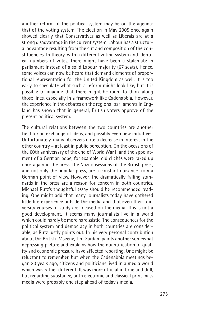another reform of the political system may be on the agenda: that of the voting system. The election in May 2005 once again showed clearly that Conservatives as well as Liberals are at a strong disadvantage in the current system. Labour has a structural advantage resulting from the cut and composition of the constituencies. In theory, with a different voting system and identical numbers of votes, there might have been a stalemate in parliament instead of a solid Labour majority (67 seats). Hence, some voices can now be heard that demand elements of proportional representation for the United Kingdom as well. It is too early to speculate what such a reform might look like, but it is possible to imagine that there might be room to think along those lines, especially in a framework like Cadenabbia. However, the experience in the debates on the regional parliaments in England has shown that in general, British voters approve of the present political system.

The cultural relations between the two countries are another field for an exchange of ideas, and possibly even new initiatives. Unfortunately, many observers note a decrease in interest in the other country – at least in public perception. On the occasions of the 60th anniversary of the end of World War II and the appointment of a German pope, for example, old clichés were raked up once again in the press. The Nazi obsessions of the British press, and not only the popular press, are a constant nuisance from a German point of view. However, the dramatically falling standards in the press are a reason for concern in both countries. Michael Rutz's thoughtful essay should be recommended reading. One might add that many journalists today have gathered little life experience outside the media and that even their university courses of study are focused on the media. This is not a good development. It seems many journalists live in a world which could hardly be more narcissistic. The consequences for the political system and democracy in both countries are considerable, as Rutz justly points out. In his very personal contribution about the British TV scene, Tim Gardam paints another somewhat depressing picture and explains how the quantification of quality and economic pressure have affected reporting. One might be reluctant to remember, but when the Cadenabbia meetings began 20 years ago, citizens and politicians lived in a media world which was rather different. It was more official in tone and dull, but regarding substance, both electronic and classical print mass media were probably one step ahead of today's media.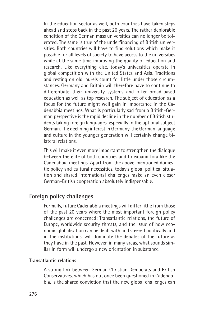In the education sector as well, both countries have taken steps ahead and steps back in the past 20 years. The rather deplorable condition of the German mass universities can no longer be tolerated. The same is true of the underfinancing of British universities. Both countries will have to find solutions which make it possible for all levels of society to have access to the universities while at the same time improving the quality of education and research. Like everything else, today's universities operate in global competition with the United States and Asia. Traditions and resting on old laurels count for little under those circumstances. Germany and Britain will therefore have to continue to differentiate their university systems and offer broad-based education as well as top research. The subject of education as a focus for the future might well gain in importance in the Cadenabbia meetings. What is particularly sad from a British-German perspective is the rapid decline in the number of British students taking foreign languages, especially in the optional subject German. The declining interest in Germany, the German language and culture in the younger generation will certainly change bilateral relations.

This will make it even more important to strengthen the dialogue between the élite of both countries and to expand fora like the Cadenabbia meetings. Apart from the above-mentioned domestic policy and cultural necessities, today's global political situation and shared international challenges make an even closer German-British cooperation absolutely indispensable.

### **Foreign policy challenges**

Formally, future Cadenabbia meetings will differ little from those of the past 20 years where the most important foreign policy challenges are concerned: Transatlantic relations, the future of Europe, worldwide security threats, and the issue of how economic globalisation can be dealt with and steered politically and in the institutions, will dominate the debates of the future as they have in the past. However, in many areas, what sounds similar in form will undergo a new orientation in substance.

#### **Transatlantic relations**

A strong link between German Christian Democrats and British Conservatives, which has not once been questioned in Cadenabbia, is the shared conviction that the new global challenges can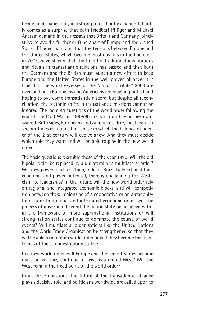be met and shaped only in a strong transatlantic alliance. It hardly comes as a surprise that both Friedbert Pflüger and Michael Ancram demand in their essays that Britain and Germany jointly strive to avoid a further drifting apart of Europe and the United States. Pflüger maintains that the tensions between Europe and the United States, which became most obvious in the Iraq crisis in 2003, have shown that the time for traditional incantations and rituals in transatlantic relations has passed and that both the Germans and the British must launch a new effort to keep Europe and the United States in the well-proven alliance. It is true that the worst excesses of the "annus horribilis" 2003 are over, and both Europeans and Americans are reaching out a hand hoping to overcome transatlantic discord, but despite all reconciliation, the tectonic shifts in transatlantic relations cannot be ignored. The looming questions of the world order following the end of the Cold War in 1989/90 are far from having been answered. Both sides, Europeans and Americans alike, must learn to see our times as a transition phase in which the balance of power of the 21st century will evolve anew. And they must decide which role they want and will be able to play in the new world order.

The basic questions resemble those of the year 1990: Will the old bipolar order be replaced by a unilateral or a multilateral order? Will new powers such as China, India or Brazil fully exhaust their economic and power potential, thereby challenging the West's claim to leadership? In the future, will the new world order rely on regional and integrated economic blocks, and will competition between these regions be of a cooperative or an antagonistic nature? In a global and integrated economic order, will the process of governing beyond the nation state be achieved within the framework of more supranational institutions or will strong nation states continue to dominate the course of world events? Will multilateral organisations like the United Nations and the World Trade Organisation be strengthened so that they will be able to maintain world order or will they become the playthings of the strongest nation states?

In a new world order, will Europe and the United States become rivals or will they continue to exist as a united West? Will the West remain the fixed point of the world order?

In all these questions, the future of the transatlantic alliance plays a decisive role, and politicians worldwide are called upon to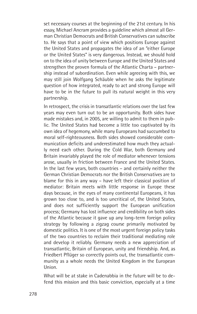set necessary courses at the beginning of the 21st century. In his essay, Michael Ancram provides a guideline which almost all German Christian Democrats and British Conservatives can subscribe to. He says that a point of view which positions Europe against the United States and propagates the idea of an "either Europe or the United States" is very dangerous. Instead, we should hold on to the idea of unity between Europe and the United States and strengthen the proven formula of the Atlantic Charta – partnership instead of subordination. Even while agreeing with this, we may still join Wolfgang Schäuble when he asks the legitimate question of how integrated, ready to act and strong Europe will have to be in the future to pull its natural weight in this very partnership.

In retrospect, the crisis in transatlantic relations over the last few years may even turn out to be an opportunity. Both sides have made mistakes and, in 2005, are willing to admit to them in public. The United States had become a little too captivated by its own idea of hegemony, while many Europeans had succumbed to moral self-righteousness. Both sides showed considerable communication deficits and underestimated how much they actually need each other. During the Cold War, both Germany and Britain invariably played the role of mediator whenever tensions arose, usually in friction between France and the United States. In the last few years, both countries – and certainly neither the German Christian Democrats nor the British Conservatives are to blame for this in any way – have left their classical position of mediator: Britain meets with little response in Europe these days because, in the eyes of many continental Europeans, it has grown too close to, and is too uncritical of, the United States, and does not sufficiently support the European unification process; Germany has lost influence and credibility on both sides of the Atlantic because it gave up any long-term foreign policy strategy by following a zigzag course primarily motivated by domestic politics. It is one of the most urgent foreign policy tasks of the two countries to reclaim their traditional mediating role and develop it reliably. Germany needs a new appreciation of transatlantic, Britain of European, unity and friendship. And, as Friedbert Pflüger so correctly points out, the transatlantic community as a whole needs the United Kingdom in the European Union.

What will be at stake in Cadenabbia in the future will be to defend this mission and this basic conviction, especially at a time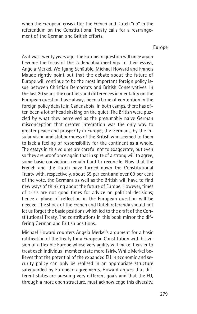when the European crisis after the French and Dutch "no" in the referendum on the Constitutional Treaty calls for a rearrangement of the German and British efforts.

#### **Europe**

As it was twenty years ago, the European question will once again become the focus of the Cadenabbia meetings. In their essays, Angela Merkel, Wolfgang Schäuble, Michael Howard and Francis Maude rightly point out that the debate about the future of Europe will continue to be the most important foreign policy issue between Christian Democrats and British Conservatives. In the last 20 years, the conflicts and differences in mentality on the European question have always been a bone of contention in the foreign policy debate in Cadenabbia. In both camps, there has often been a lot of head shaking on the quiet: The British were puzzled by what they perceived as the presumably naive German misconception that greater integration was the only way to greater peace and prosperity in Europe; the Germans, by the insular vision and stubbornness of the British who seemed to them to lack a feeling of responsibility for the continent as a whole. The essays in this volume are careful not to exaggerate, but even so they are proof once again that in spite of a strong will to agree, some basic convictions remain hard to reconcile. Now that the French and the Dutch have turned down the Constitutional Treaty with, respectively, about 55 per cent and over 60 per cent of the vote, the Germans as well as the British will have to find new ways of thinking about the future of Europe. However, times of crisis are not good times for advice on political decisions; hence a phase of reflection in the European question will be needed. The shock of the French and Dutch referenda should not let us forget the basic positions which led to the draft of the Constitutional Treaty. The contributions in this book mirror the differing German and British positions.

Michael Howard counters Angela Merkel's argument for a basic ratification of the Treaty for a European Constitution with his vision of a flexible Europe whose very agility will make it easier to treat each individual member state more fairly. While Merkel believes that the potential of the expanded EU in economic and security policy can only be realised in an appropriate structure safeguarded by European agreements, Howard argues that different states are pursuing very different goals and that the EU, through a more open structure, must acknowledge this diversity.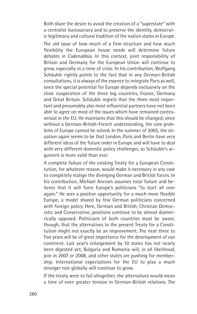Both share the desire to avoid the creation of a "superstate" with a centralist bureaucracy and to preserve the identity, democratic legitimacy and cultural tradition of the nation states in Europe.

The old issue of how much of a firm structure and how much flexibility the European house needs will determine future debates in Cadenabbia. In this context, joint responsibility of Britain and Germany for the European Union will continue to grow, especially in a time of crisis. In his contribution, Wolfgang Schäuble rightly points to the fact that in any German-British consultations, it is always of the essence to integrate Paris as well, since the special potential for Europe depends exclusively on the close cooperation of the three big countries, France, Germany and Great Britain. Schäuble regrets that the three most important and presumably also most influential partners have not been able to agree on most of the issues which have remained controversial in the EU. He maintains that this should be changed, since without a German-British-French understanding, the core problems of Europe cannot be solved. In the summer of 2005, the situation again seems to be that London, Paris and Berlin have very different ideas of the future order in Europe and will have to deal with very different domestic policy challenges, so Schäuble's argument is more valid than ever.

A complete failure of the existing Treaty for a European Constitution, for whatever reason, would make it necessary in any case to completely realign the diverging German and British forces. In his contribution, Michael Ancram assumes total failure and believes that it will force Europe's politicians "to start all over again." He sees a positive opportunity for a much more flexible Europe, a model shared by few German politicians concerned with foreign policy. Here, German and British, Christian Democratic and Conservative, positions continue to be almost diametrically opposed. Politicians of both countries must be aware, though, that the alternatives to the present Treaty for a Constitution might not exactly be an improvement. The next three to five years will be of great importance for the development of our continent. Last year's enlargement by 10 states has not nearly been digested yet, Bulgaria and Rumania will, in all likelihood, join in 2007 or 2008, and other states are pushing for membership. International expectations for the EU to play a much stronger role globally will continue to grow.

If the treaty were to fail altogether, the alternatives would mean a time of even greater tension in German-British relations. The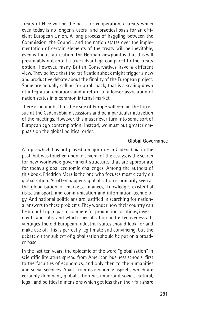Treaty of Nice will be the basis for cooperation, a treaty which even today is no longer a useful and practical basis for an efficient European Union. A long process of haggling between the Commission, the Council, and the nation states over the implementation of certain elements of the treaty will be inevitable, even without ratification. The German viewpoint is that this will presumably not entail a true advantage compared to the Treaty option. However, many British Conservatives have a different view. They believe that the ratification shock might trigger a new and productive debate about the finality of the European project. Some are actually calling for a roll-back, that is a scaling down of integration ambitions and a return to a looser association of nation states in a common internal market.

There is no doubt that the issue of Europe will remain the top issue at the Cadenabbia discussions and be a particular attraction of the meetings. However, this must never turn into some sort of European ego contemplation; instead, we must put greater emphasis on the global political order.

#### **Global Governance**

A topic which has not played a major role in Cadenabbia in the past, but was touched upon in several of the essays, is the search for new worldwide government structures that are appropriate for today's global economic challenges. Among the authors of this book, Friedrich Merz is the one who focuses most clearly on globalisation. As often happens, globalisation is primarily seen as the globalisation of markets, finances, knowledge, existential risks, transport, and communication and information technology. And national politicians are justified in searching for national answers to these problems. They wonder how their country can be brought up to par to compete for production locations, investments and jobs, and which specialisation and effectiveness advantages the old European industrial states should look for and make use of. This is perfectly legitimate and convincing, but the debate on the subject of globalisation should be put on a broader base.

In the last ten years, the epidemic of the word "globalisation" in scientific literature spread from American business schools, first to the faculties of economics, and only then to the humanities and social sciences. Apart from its economic aspects, which are certainly dominant, globalisation has important social, cultural, legal, and political dimensions which get less than their fair share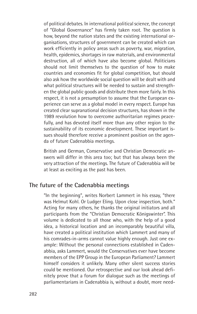of political debates. In international political science, the concept of "Global Governance" has firmly taken root. The question is how, beyond the nation states and the existing international organisations, structures of government can be created which can work efficiently in policy areas such as poverty, war, migration, health, epidemics, shortages in raw materials, and environmental destruction, all of which have also become global. Politicians should not limit themselves to the question of how to make countries and economies fit for global competition, but should also ask how the worldwide social question will be dealt with and what political structures will be needed to sustain and strengthen the global public goods and distribute them more fairly. In this respect, it is not a presumption to assume that the European experience can serve as a global model in every respect. Europe has created clear supranational decision structures, has shown in the 1989 revolution how to overcome authoritarian regimes peacefully, and has devoted itself more than any other region to the sustainability of its economic development. These important issues should therefore receive a prominent position on the agenda of future Cadenabbia meetings.

British and German, Conservative and Christian Democratic answers will differ in this area too; but that has always been the very attraction of the meetings. The future of Cadenabbia will be at least as exciting as the past has been.

#### **The future of the Cadenabbia meetings**

"In the beginning", writes Norbert Lammert in his essay, "there was Helmut Kohl. Or Ludger Eling. Upon close inspection, both." Acting for many others, he thanks the original initiators and all participants from the "Christian Democratic Königswinter". This volume is dedicated to all those who, with the help of a good idea, a historical location and an incomparably beautiful villa, have created a political institution which Lammert and many of his comrades-in-arms cannot value highly enough. Just one example: Without the personal connections established in Cadenabbia, asks Lammert, would the Conservatives ever have become members of the EPP Group in the European Parliament? Lammert himself considers it unlikely. Many other silent success stories could be mentioned. Our retrospective and our look ahead definitely prove that a forum for dialogue such as the meetings of parliamentarians in Cadenabbia is, without a doubt, more need